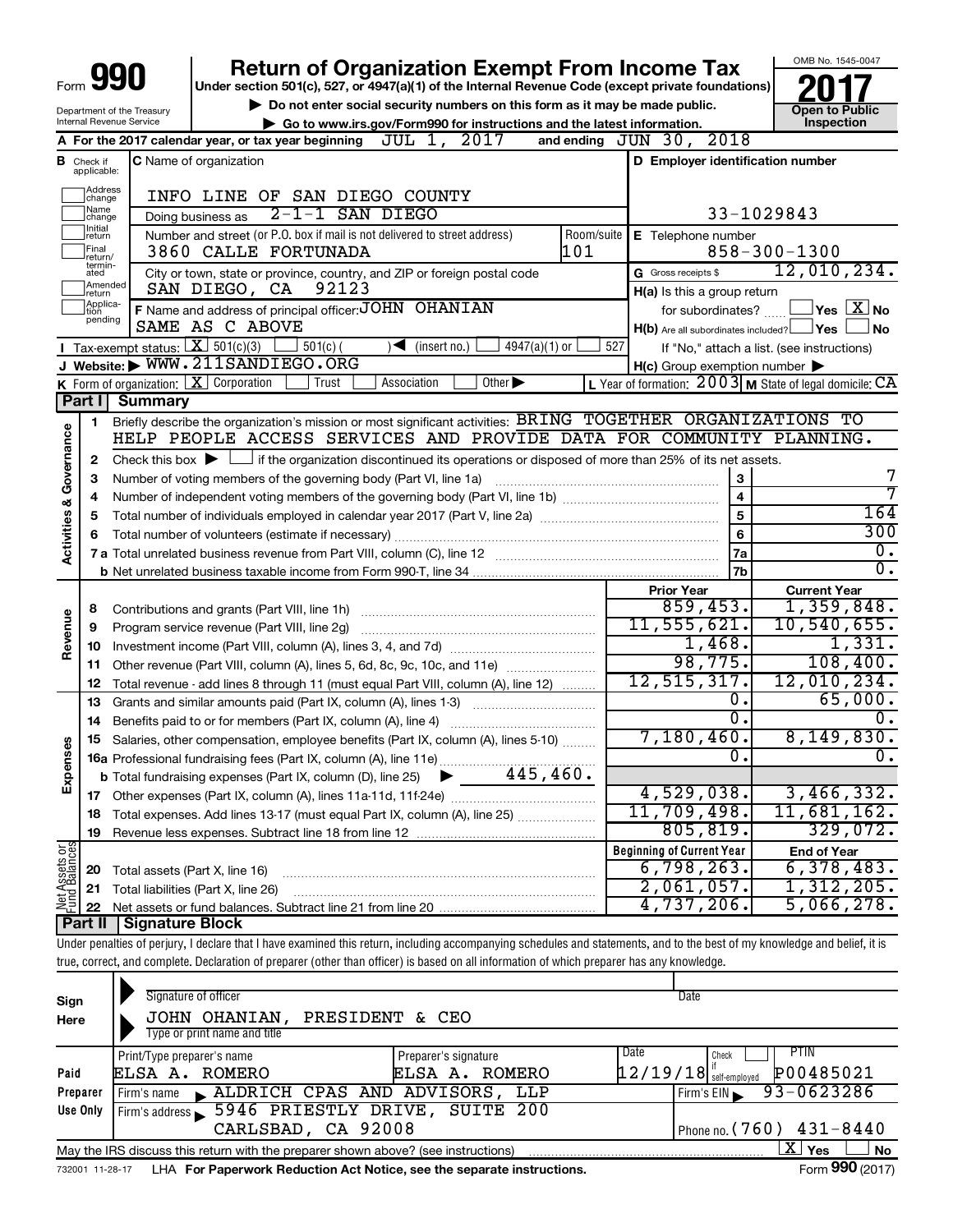| Form 990 |      |
|----------|------|
|          | l Un |

# **Return of Organization Exempt From Income Tax**<br>Under section 501(c), 527, or 4947(a)(1) of the Internal Revenue Code (except private foundations)<br> **2017**

**Under section 501(c), 527, or 4947(a)(1) of the Internal Revenue Code (except private foundations)**

Department of the Treasury Internal Revenue Service

▶ Do not enter social security numbers on this form as it may be made public.<br>● Go to www.irs.gov/Form990 for instructions and the latest information. **Department in the latest** information. **| Go to www.irs.gov/Form990 for instructions and the latest information. Inspection**



|                                    |                               | 2017<br>JUL 1,<br>A For the 2017 calendar year, or tax year beginning<br>and ending                                                                                | JUN 30, 2018                     |                                                                      |
|------------------------------------|-------------------------------|--------------------------------------------------------------------------------------------------------------------------------------------------------------------|----------------------------------|----------------------------------------------------------------------|
|                                    | <b>B</b> Check if applicable: | <b>C</b> Name of organization                                                                                                                                      | D Employer identification number |                                                                      |
|                                    | Address<br>change             | INFO LINE OF SAN DIEGO COUNTY                                                                                                                                      |                                  |                                                                      |
|                                    | Name<br> change               | $2-1-1$ SAN DIEGO<br>Doing business as                                                                                                                             |                                  | 33-1029843                                                           |
|                                    | Initial<br>return             | Number and street (or P.O. box if mail is not delivered to street address)                                                                                         | Room/suite<br>E Telephone number |                                                                      |
|                                    | Final<br>return/              | 101<br>3860 CALLE FORTUNADA                                                                                                                                        |                                  | $858 - 300 - 1300$                                                   |
|                                    | termin-<br>ated<br>Amended    | City or town, state or province, country, and ZIP or foreign postal code                                                                                           | G Gross receipts \$              | 12,010,234.                                                          |
|                                    | return<br>Applica-            | SAN DIEGO, CA<br>92123                                                                                                                                             | $H(a)$ is this a group return    |                                                                      |
|                                    | tion<br>pending               | F Name and address of principal officer: JOHN OHANIAN<br>SAME AS C ABOVE                                                                                           | for subordinates?                | $\,$ Yes $\,$ $\rm X$ No $\,$                                        |
|                                    |                               |                                                                                                                                                                    |                                  | $H(b)$ Are all subordinates included? $\Box$ Yes $\Box$<br><b>No</b> |
|                                    |                               | <b>I</b> Tax-exempt status: $\boxed{\mathbf{X}}$ 501(c)(3)<br>$501(c)$ (<br>$4947(a)(1)$ or<br>$\sqrt{\frac{1}{1}}$ (insert no.)<br>J Website: WWW.211SANDIEGO.ORG | 527                              | If "No," attach a list. (see instructions)                           |
|                                    |                               | K Form of organization: X Corporation<br>Other $\blacktriangleright$<br>Trust<br>Association                                                                       | H(c) Group exemption number      | L Year of formation: $2003$ M State of legal domicile: CA            |
|                                    | Part I                        | <b>Summary</b>                                                                                                                                                     |                                  |                                                                      |
|                                    |                               | Briefly describe the organization's mission or most significant activities: BRING TOGETHER ORGANIZATIONS TO                                                        |                                  |                                                                      |
|                                    | 1                             | HELP PEOPLE ACCESS SERVICES AND PROVIDE DATA FOR COMMUNITY PLANNING.                                                                                               |                                  |                                                                      |
| <b>Activities &amp; Governance</b> | $\mathbf{2}$                  | Check this box $\blacktriangleright$ $\Box$ if the organization discontinued its operations or disposed of more than 25% of its net assets.                        |                                  |                                                                      |
|                                    | 3                             | Number of voting members of the governing body (Part VI, line 1a)                                                                                                  |                                  | 7<br>3                                                               |
|                                    | 4                             |                                                                                                                                                                    |                                  | 7<br>$\overline{4}$                                                  |
|                                    | 5                             |                                                                                                                                                                    |                                  | 164<br>$\overline{5}$                                                |
|                                    | 6                             |                                                                                                                                                                    |                                  | 300<br>6                                                             |
|                                    |                               |                                                                                                                                                                    |                                  | 0.<br>7a                                                             |
|                                    |                               |                                                                                                                                                                    |                                  | 0.<br>7b                                                             |
|                                    |                               |                                                                                                                                                                    | <b>Prior Year</b>                | <b>Current Year</b>                                                  |
|                                    | 8                             | Contributions and grants (Part VIII, line 1h)                                                                                                                      | 859, 453.                        | 1,359,848.                                                           |
| Revenue                            | 9                             | Program service revenue (Part VIII, line 2g)                                                                                                                       | 11,555,621.                      | 10,540,655.                                                          |
|                                    | 10                            |                                                                                                                                                                    | 1,468.                           | 1,331.                                                               |
|                                    | 11                            | Other revenue (Part VIII, column (A), lines 5, 6d, 8c, 9c, 10c, and 11e)                                                                                           | 98,775.                          | 108,400.                                                             |
|                                    | 12                            | Total revenue - add lines 8 through 11 (must equal Part VIII, column (A), line 12)                                                                                 | 12, 515, 317.                    | 12,010,234.                                                          |
|                                    | 13                            | Grants and similar amounts paid (Part IX, column (A), lines 1-3)                                                                                                   |                                  | 65,000.<br>Ο.                                                        |
|                                    | 14                            |                                                                                                                                                                    |                                  | $\overline{0}$ .<br>0.                                               |
|                                    | 15                            | Salaries, other compensation, employee benefits (Part IX, column (A), lines 5-10)                                                                                  | 7,180,460.                       | 8,149,830.                                                           |
| Expenses                           |                               |                                                                                                                                                                    |                                  | 0.<br>Ο.                                                             |
|                                    |                               | 445,460.<br><b>b</b> Total fundraising expenses (Part IX, column (D), line 25)<br>▶                                                                                |                                  |                                                                      |
|                                    |                               |                                                                                                                                                                    | 4,529,038.                       | 3,466,332.                                                           |
|                                    | 18                            | Total expenses. Add lines 13-17 (must equal Part IX, column (A), line 25)                                                                                          | 11,709,498.                      | 11,681,162.                                                          |
|                                    | 19                            |                                                                                                                                                                    | 805, 819.                        | 329,072.                                                             |
| 58                                 |                               |                                                                                                                                                                    | <b>Beginning of Current Year</b> | <b>End of Year</b>                                                   |
| ssets<br>Balanc                    | 20                            | Total assets (Part X, line 16)                                                                                                                                     | 6,798,263.                       | 6,378,483.                                                           |
|                                    |                               | 21 Total liabilities (Part X, line 26)                                                                                                                             | 2,061,057.                       | 1,312,205.                                                           |
|                                    |                               |                                                                                                                                                                    | 4,737,206.                       | 5,066,278.                                                           |
|                                    |                               | <b>Part II   Signature Block</b>                                                                                                                                   |                                  |                                                                      |

Under penalties of perjury, I declare that I have examined this return, including accompanying schedules and statements, and to the best of my knowledge and belief, it is true, correct, and complete. Declaration of preparer (other than officer) is based on all information of which preparer has any knowledge.

| Sign<br>Here | Signature of officer<br>JOHN OHANIAN,<br>PRESIDENT & CEO<br>Type or print name and title                     |                                        | Date                                                           |  |  |  |  |  |  |  |  |
|--------------|--------------------------------------------------------------------------------------------------------------|----------------------------------------|----------------------------------------------------------------|--|--|--|--|--|--|--|--|
| Paid         | Print/Type preparer's name<br>ROMERO<br>ELSA A.                                                              | Preparer's signature<br>ELSA A. ROMERO | PTIN<br>Date<br>Check<br>P00485021<br>$12/19/18$ self-employed |  |  |  |  |  |  |  |  |
| Preparer     | Firm's name ALDRICH CPAS AND ADVISORS,                                                                       | LLP                                    | 93-0623286<br>Firm's EIN                                       |  |  |  |  |  |  |  |  |
| Use Only     | Firm's address 5946 PRIESTLY DRIVE, SUITE                                                                    | -200                                   |                                                                |  |  |  |  |  |  |  |  |
|              | CARLSBAD, CA 92008                                                                                           | Phone no. $(760)$ 431-8440             |                                                                |  |  |  |  |  |  |  |  |
|              | May the IRS discuss this return with the preparer shown above? (see instructions)                            |                                        | ΧI<br><b>No</b><br>Yes                                         |  |  |  |  |  |  |  |  |
|              | Form 990 (2017)<br>LHA For Paperwork Reduction Act Notice, see the separate instructions.<br>732001 11-28-17 |                                        |                                                                |  |  |  |  |  |  |  |  |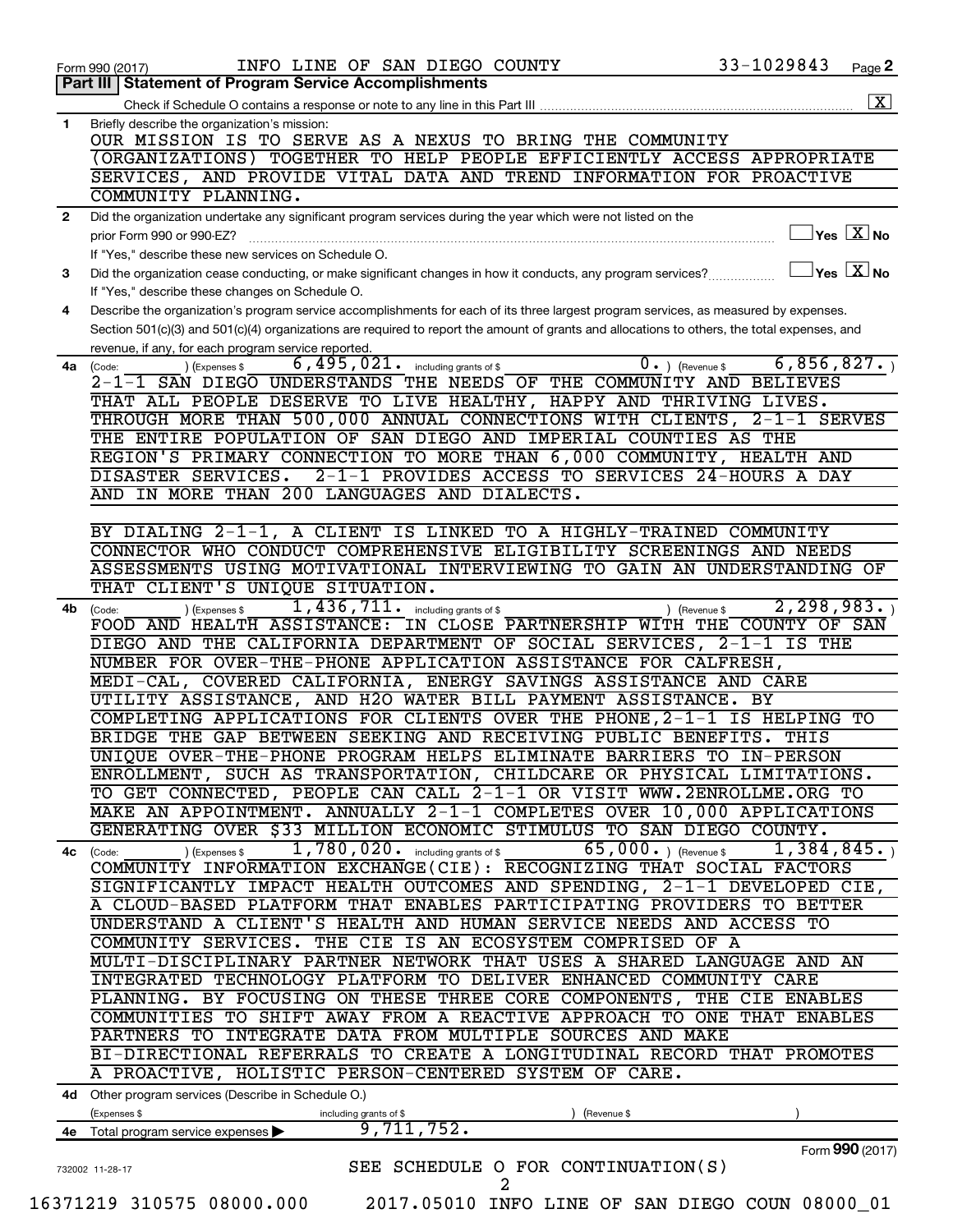|              | INFO LINE OF SAN DIEGO COUNTY<br>Form 990 (2017)                                                                                             | 33-1029843                     |                 | Page 2                                            |
|--------------|----------------------------------------------------------------------------------------------------------------------------------------------|--------------------------------|-----------------|---------------------------------------------------|
|              | Part III   Statement of Program Service Accomplishments                                                                                      |                                |                 |                                                   |
|              |                                                                                                                                              |                                |                 | $\mathbf{X}$                                      |
| $\mathbf{1}$ | Briefly describe the organization's mission:                                                                                                 |                                |                 |                                                   |
|              | OUR MISSION IS TO SERVE AS A NEXUS TO BRING THE COMMUNITY                                                                                    |                                |                 |                                                   |
|              | (ORGANIZATIONS) TOGETHER TO HELP PEOPLE EFFICIENTLY ACCESS APPROPRIATE                                                                       |                                |                 |                                                   |
|              | SERVICES, AND PROVIDE VITAL DATA AND TREND INFORMATION FOR PROACTIVE                                                                         |                                |                 |                                                   |
|              | COMMUNITY PLANNING.                                                                                                                          |                                |                 |                                                   |
|              |                                                                                                                                              |                                |                 |                                                   |
| 2            | Did the organization undertake any significant program services during the year which were not listed on the                                 |                                |                 | $ {\mathsf Y}\mathsf{es}\ \boxed{{\mathsf X}}$ No |
|              | prior Form 990 or 990-EZ?                                                                                                                    |                                |                 |                                                   |
|              | If "Yes," describe these new services on Schedule O.                                                                                         |                                |                 |                                                   |
| 3            | Did the organization cease conducting, or make significant changes in how it conducts, any program services?                                 |                                |                 | $\vert$ Yes $\boxed{\text{X}}$ No                 |
|              | If "Yes," describe these changes on Schedule O.                                                                                              |                                |                 |                                                   |
| 4            | Describe the organization's program service accomplishments for each of its three largest program services, as measured by expenses.         |                                |                 |                                                   |
|              | Section 501(c)(3) and 501(c)(4) organizations are required to report the amount of grants and allocations to others, the total expenses, and |                                |                 |                                                   |
|              | revenue, if any, for each program service reported.                                                                                          |                                |                 |                                                   |
| 4a           | $6,495,021$ $\cdot$ including grants of \$<br>) (Expenses \$<br>(Code:                                                                       | $\overline{0}$ . ) (Revenue \$ | 6, 856, 827.    |                                                   |
|              | 2-1-1 SAN DIEGO UNDERSTANDS THE NEEDS OF THE COMMUNITY AND BELIEVES                                                                          |                                |                 |                                                   |
|              | THAT ALL PEOPLE DESERVE TO LIVE HEALTHY, HAPPY AND THRIVING LIVES.                                                                           |                                |                 |                                                   |
|              | THROUGH MORE THAN 500,000 ANNUAL CONNECTIONS WITH CLIENTS, 2-1-1 SERVES                                                                      |                                |                 |                                                   |
|              | THE ENTIRE POPULATION OF SAN DIEGO AND IMPERIAL COUNTIES AS THE                                                                              |                                |                 |                                                   |
|              | REGION'S PRIMARY CONNECTION TO MORE THAN 6,000 COMMUNITY, HEALTH AND                                                                         |                                |                 |                                                   |
|              | 2-1-1 PROVIDES ACCESS TO SERVICES 24-HOURS A DAY<br>DISASTER SERVICES.                                                                       |                                |                 |                                                   |
|              | AND IN MORE THAN 200 LANGUAGES AND DIALECTS.                                                                                                 |                                |                 |                                                   |
|              |                                                                                                                                              |                                |                 |                                                   |
|              | BY DIALING 2-1-1, A CLIENT IS LINKED TO A HIGHLY-TRAINED COMMUNITY                                                                           |                                |                 |                                                   |
|              | CONNECTOR WHO CONDUCT COMPREHENSIVE ELIGIBILITY SCREENINGS AND NEEDS                                                                         |                                |                 |                                                   |
|              | ASSESSMENTS USING MOTIVATIONAL INTERVIEWING TO GAIN AN UNDERSTANDING OF                                                                      |                                |                 |                                                   |
|              |                                                                                                                                              |                                |                 |                                                   |
|              | THAT CLIENT'S UNIQUE SITUATION.                                                                                                              |                                |                 |                                                   |
| 4b           | $1,436,711$ $\cdot$ including grants of \$<br>) (Expenses \$<br>(Code:                                                                       | ) (Revenue \$                  | 2, 298, 983.    |                                                   |
|              | FOOD AND HEALTH ASSISTANCE: IN CLOSE PARTNERSHIP WITH THE COUNTY OF SAN                                                                      |                                |                 |                                                   |
|              | DIEGO AND THE CALIFORNIA DEPARTMENT OF SOCIAL SERVICES, 2-1-1 IS THE                                                                         |                                |                 |                                                   |
|              | NUMBER FOR OVER-THE-PHONE APPLICATION ASSISTANCE FOR CALFRESH,                                                                               |                                |                 |                                                   |
|              | MEDI-CAL, COVERED CALIFORNIA, ENERGY SAVINGS ASSISTANCE AND CARE                                                                             |                                |                 |                                                   |
|              | UTILITY ASSISTANCE, AND H2O WATER BILL PAYMENT ASSISTANCE. BY                                                                                |                                |                 |                                                   |
|              | COMPLETING APPLICATIONS FOR CLIENTS OVER THE PHONE, 2-1-1 IS HELPING TO                                                                      |                                |                 |                                                   |
|              | BRIDGE THE GAP BETWEEN SEEKING AND RECEIVING PUBLIC BENEFITS. THIS                                                                           |                                |                 |                                                   |
|              | UNIQUE OVER-THE-PHONE PROGRAM HELPS ELIMINATE BARRIERS TO IN-PERSON                                                                          |                                |                 |                                                   |
|              | ENROLLMENT, SUCH AS TRANSPORTATION, CHILDCARE OR PHYSICAL LIMITATIONS.                                                                       |                                |                 |                                                   |
|              | TO GET CONNECTED, PEOPLE CAN CALL 2-1-1 OR VISIT WWW.2ENROLLME.ORG TO                                                                        |                                |                 |                                                   |
|              | MAKE AN APPOINTMENT. ANNUALLY 2-1-1 COMPLETES OVER 10,000 APPLICATIONS                                                                       |                                |                 |                                                   |
|              | GENERATING OVER \$33 MILLION ECONOMIC STIMULUS TO SAN DIEGO COUNTY.                                                                          |                                |                 |                                                   |
|              | $1,780,020$ . including grants of \$<br>65,000.) (Revenue \$<br>) (Expenses \$<br>4c (Code:                                                  |                                | 1, 384, 845.    |                                                   |
|              | COMMUNITY INFORMATION EXCHANGE(CIE): RECOGNIZING THAT SOCIAL FACTORS                                                                         |                                |                 |                                                   |
|              | SIGNIFICANTLY IMPACT HEALTH OUTCOMES AND SPENDING, 2-1-1 DEVELOPED CIE,                                                                      |                                |                 |                                                   |
|              | A CLOUD-BASED PLATFORM THAT ENABLES PARTICIPATING PROVIDERS TO BETTER                                                                        |                                |                 |                                                   |
|              |                                                                                                                                              |                                |                 |                                                   |
|              | UNDERSTAND A CLIENT'S HEALTH AND HUMAN SERVICE NEEDS AND ACCESS TO                                                                           |                                |                 |                                                   |
|              | COMMUNITY SERVICES. THE CIE IS AN ECOSYSTEM COMPRISED OF A                                                                                   |                                |                 |                                                   |
|              | MULTI-DISCIPLINARY PARTNER NETWORK THAT USES A SHARED LANGUAGE AND AN                                                                        |                                |                 |                                                   |
|              | INTEGRATED TECHNOLOGY PLATFORM TO DELIVER ENHANCED COMMUNITY CARE                                                                            |                                |                 |                                                   |
|              | PLANNING. BY FOCUSING ON THESE THREE CORE COMPONENTS, THE CIE ENABLES                                                                        |                                |                 |                                                   |
|              | COMMUNITIES TO SHIFT AWAY FROM A REACTIVE APPROACH TO ONE THAT ENABLES                                                                       |                                |                 |                                                   |
|              | PARTNERS TO INTEGRATE DATA FROM MULTIPLE SOURCES AND MAKE                                                                                    |                                |                 |                                                   |
|              | BI-DIRECTIONAL REFERRALS TO CREATE A LONGITUDINAL RECORD THAT PROMOTES                                                                       |                                |                 |                                                   |
|              | A PROACTIVE, HOLISTIC PERSON-CENTERED SYSTEM OF CARE.                                                                                        |                                |                 |                                                   |
|              |                                                                                                                                              |                                |                 |                                                   |
|              | 4d Other program services (Describe in Schedule O.)                                                                                          |                                |                 |                                                   |
|              | (Expenses \$<br>including grants of \$<br>(Revenue \$                                                                                        |                                |                 |                                                   |
|              | 9,711,752.<br>4e Total program service expenses >                                                                                            |                                |                 |                                                   |
|              |                                                                                                                                              |                                | Form 990 (2017) |                                                   |
|              | SEE SCHEDULE O FOR CONTINUATION(S)<br>732002 11-28-17                                                                                        |                                |                 |                                                   |
|              | $\overline{a}$                                                                                                                               |                                |                 |                                                   |
|              | 16371219 310575 08000.000<br>2017.05010 INFO LINE OF SAN DIEGO COUN 08000_01                                                                 |                                |                 |                                                   |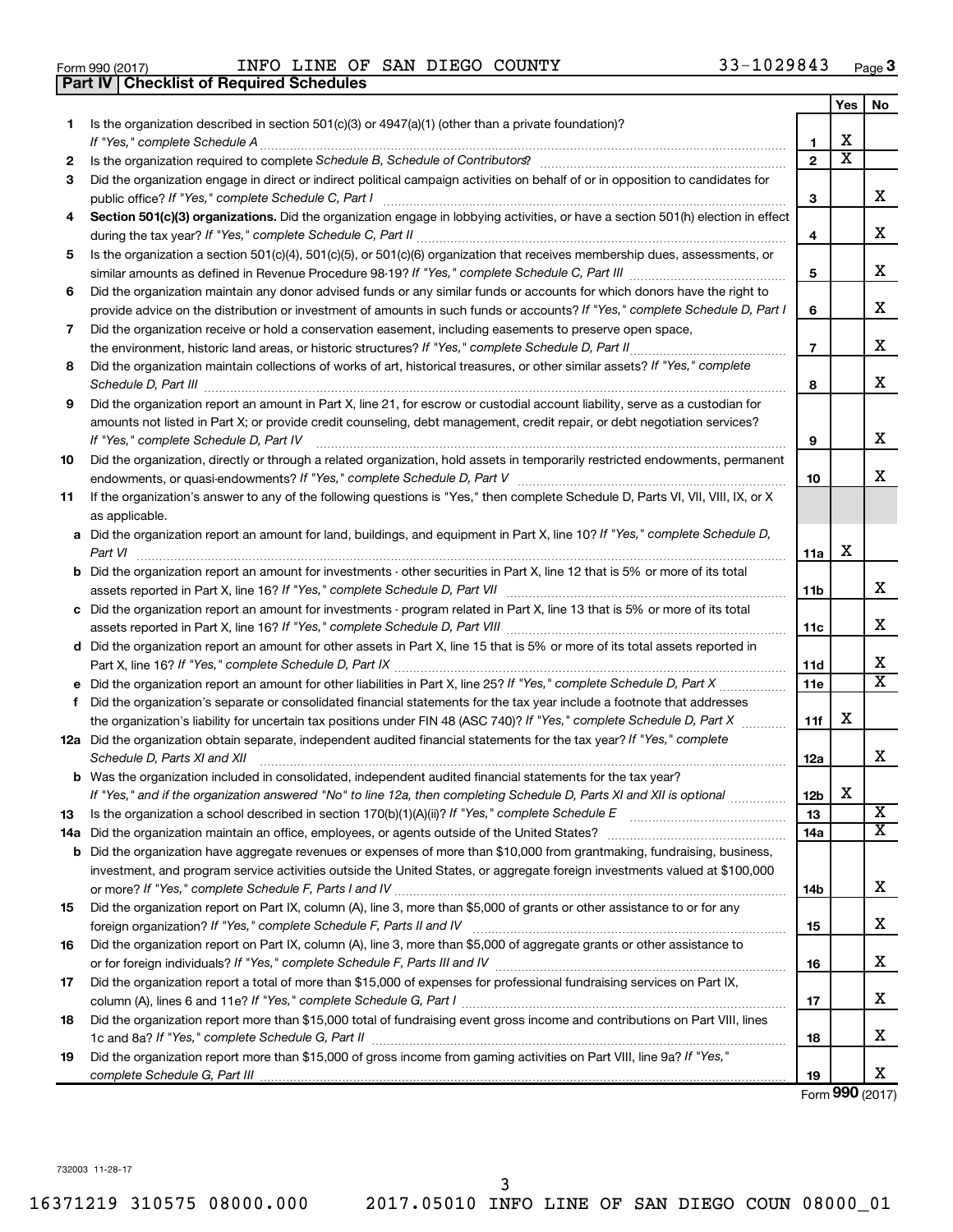|  | Form 990 (2017) |
|--|-----------------|

Form 990 (2017) Page INFO LINE OF SAN DIEGO COUNTY 33-1029843

|     | <b>Part IV   Checklist of Required Schedules</b>                                                                                                                                                                                    |                 |                         |                         |
|-----|-------------------------------------------------------------------------------------------------------------------------------------------------------------------------------------------------------------------------------------|-----------------|-------------------------|-------------------------|
|     |                                                                                                                                                                                                                                     |                 | Yes                     | No                      |
| 1.  | Is the organization described in section 501(c)(3) or 4947(a)(1) (other than a private foundation)?                                                                                                                                 |                 |                         |                         |
|     |                                                                                                                                                                                                                                     | 1               | X                       |                         |
| 2   | Is the organization required to complete Schedule B, Schedule of Contributors? [11] the organization required to complete Schedule B, Schedule of Contributors?                                                                     | $\mathbf{2}$    | $\overline{\mathbf{X}}$ |                         |
| З   | Did the organization engage in direct or indirect political campaign activities on behalf of or in opposition to candidates for                                                                                                     |                 |                         |                         |
|     |                                                                                                                                                                                                                                     | 3               |                         | x                       |
| 4   | Section 501(c)(3) organizations. Did the organization engage in lobbying activities, or have a section 501(h) election in effect                                                                                                    |                 |                         |                         |
|     |                                                                                                                                                                                                                                     | 4               |                         | X                       |
| 5   | Is the organization a section 501(c)(4), 501(c)(5), or 501(c)(6) organization that receives membership dues, assessments, or                                                                                                        |                 |                         |                         |
|     |                                                                                                                                                                                                                                     | 5               |                         | х                       |
| 6   | Did the organization maintain any donor advised funds or any similar funds or accounts for which donors have the right to                                                                                                           |                 |                         |                         |
|     | provide advice on the distribution or investment of amounts in such funds or accounts? If "Yes," complete Schedule D, Part I                                                                                                        | 6               |                         | х                       |
|     |                                                                                                                                                                                                                                     |                 |                         |                         |
| 7   | Did the organization receive or hold a conservation easement, including easements to preserve open space,                                                                                                                           |                 |                         | х                       |
|     |                                                                                                                                                                                                                                     | $\overline{7}$  |                         |                         |
| 8   | Did the organization maintain collections of works of art, historical treasures, or other similar assets? If "Yes," complete                                                                                                        |                 |                         | X                       |
|     | Schedule D, Part III <b>Marting Community</b> Construction of the Construction of the Construction of the Construction of the Construction of the Construction of the Construction of the Construction of the Construction of the C | 8               |                         |                         |
| 9   | Did the organization report an amount in Part X, line 21, for escrow or custodial account liability, serve as a custodian for                                                                                                       |                 |                         |                         |
|     | amounts not listed in Part X; or provide credit counseling, debt management, credit repair, or debt negotiation services?                                                                                                           |                 |                         |                         |
|     | If "Yes," complete Schedule D, Part IV                                                                                                                                                                                              | 9               |                         | х                       |
| 10  | Did the organization, directly or through a related organization, hold assets in temporarily restricted endowments, permanent                                                                                                       |                 |                         |                         |
|     |                                                                                                                                                                                                                                     | 10              |                         | х                       |
| 11  | If the organization's answer to any of the following questions is "Yes," then complete Schedule D, Parts VI, VII, VIII, IX, or X                                                                                                    |                 |                         |                         |
|     | as applicable.                                                                                                                                                                                                                      |                 |                         |                         |
|     | a Did the organization report an amount for land, buildings, and equipment in Part X, line 10? If "Yes," complete Schedule D,                                                                                                       |                 |                         |                         |
|     | Part VI                                                                                                                                                                                                                             | 11a             | х                       |                         |
|     | <b>b</b> Did the organization report an amount for investments - other securities in Part X, line 12 that is 5% or more of its total                                                                                                |                 |                         |                         |
|     | assets reported in Part X, line 16? If "Yes," complete Schedule D, Part VII [11] [11] [12] [12] [12] [12] [12] [                                                                                                                    | 11b             |                         | x                       |
|     | c Did the organization report an amount for investments - program related in Part X, line 13 that is 5% or more of its total                                                                                                        |                 |                         |                         |
|     |                                                                                                                                                                                                                                     | 11c             |                         | X                       |
|     | d Did the organization report an amount for other assets in Part X, line 15 that is 5% or more of its total assets reported in                                                                                                      |                 |                         |                         |
|     |                                                                                                                                                                                                                                     | 11d             |                         | х                       |
|     |                                                                                                                                                                                                                                     | 11e             |                         | $\overline{\texttt{x}}$ |
|     | f Did the organization's separate or consolidated financial statements for the tax year include a footnote that addresses                                                                                                           |                 |                         |                         |
|     | the organization's liability for uncertain tax positions under FIN 48 (ASC 740)? If "Yes," complete Schedule D, Part X                                                                                                              | 11f             | х                       |                         |
|     | 12a Did the organization obtain separate, independent audited financial statements for the tax year? If "Yes," complete                                                                                                             |                 |                         |                         |
|     | Schedule D, Parts XI and XII                                                                                                                                                                                                        | 12a             |                         | x                       |
|     | <b>b</b> Was the organization included in consolidated, independent audited financial statements for the tax year?                                                                                                                  |                 |                         |                         |
|     | If "Yes," and if the organization answered "No" to line 12a, then completing Schedule D, Parts XI and XII is optional <i>manum</i>                                                                                                  | 12 <sub>b</sub> | X                       |                         |
| 13  |                                                                                                                                                                                                                                     | 13              |                         | X                       |
| 14a |                                                                                                                                                                                                                                     | 14a             |                         | $\overline{\textbf{x}}$ |
|     | <b>b</b> Did the organization have aggregate revenues or expenses of more than \$10,000 from grantmaking, fundraising, business,                                                                                                    |                 |                         |                         |
|     | investment, and program service activities outside the United States, or aggregate foreign investments valued at \$100,000                                                                                                          |                 |                         |                         |
|     |                                                                                                                                                                                                                                     | 14b             |                         | х                       |
| 15  | Did the organization report on Part IX, column (A), line 3, more than \$5,000 of grants or other assistance to or for any                                                                                                           |                 |                         |                         |
|     |                                                                                                                                                                                                                                     | 15              |                         | x                       |
| 16  | Did the organization report on Part IX, column (A), line 3, more than \$5,000 of aggregate grants or other assistance to                                                                                                            |                 |                         |                         |
|     |                                                                                                                                                                                                                                     | 16              |                         | х                       |
| 17  | Did the organization report a total of more than \$15,000 of expenses for professional fundraising services on Part IX,                                                                                                             |                 |                         |                         |
|     |                                                                                                                                                                                                                                     | 17              |                         | х                       |
| 18  | Did the organization report more than \$15,000 total of fundraising event gross income and contributions on Part VIII, lines                                                                                                        |                 |                         |                         |
|     |                                                                                                                                                                                                                                     | 18              |                         | х                       |
| 19  | Did the organization report more than \$15,000 of gross income from gaming activities on Part VIII, line 9a? If "Yes,"                                                                                                              |                 |                         |                         |
|     |                                                                                                                                                                                                                                     | 19              |                         | х                       |

Form (2017) **990**

732003 11-28-17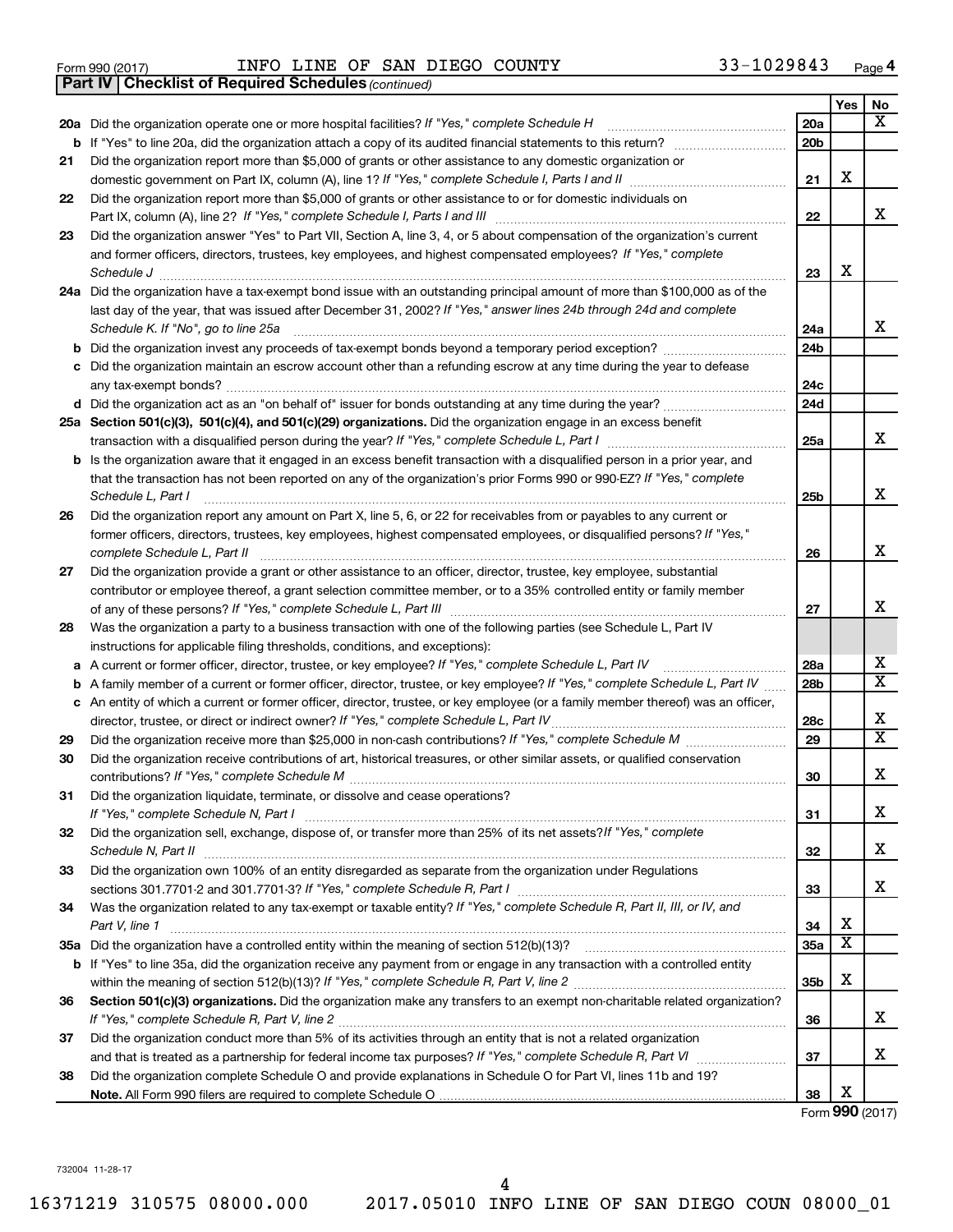|  | Form 990 (2017) |
|--|-----------------|
|  |                 |

Form 990 (2017) Page INFO LINE OF SAN DIEGO COUNTY 33-1029843

*(continued)* **Part IV Checklist of Required Schedules**

|    |                                                                                                                                   |                 | Yes                     | No                           |
|----|-----------------------------------------------------------------------------------------------------------------------------------|-----------------|-------------------------|------------------------------|
|    | 20a Did the organization operate one or more hospital facilities? If "Yes," complete Schedule H                                   | 20a             |                         | $\overline{\text{X}}$        |
|    | <b>b</b> If "Yes" to line 20a, did the organization attach a copy of its audited financial statements to this return?             | 20 <sub>b</sub> |                         |                              |
| 21 | Did the organization report more than \$5,000 of grants or other assistance to any domestic organization or                       |                 |                         |                              |
|    |                                                                                                                                   | 21              | X                       |                              |
| 22 | Did the organization report more than \$5,000 of grants or other assistance to or for domestic individuals on                     |                 |                         |                              |
|    |                                                                                                                                   | 22              |                         | x                            |
| 23 | Did the organization answer "Yes" to Part VII, Section A, line 3, 4, or 5 about compensation of the organization's current        |                 |                         |                              |
|    | and former officers, directors, trustees, key employees, and highest compensated employees? If "Yes," complete                    |                 |                         |                              |
|    |                                                                                                                                   | 23              | х                       |                              |
|    | 24a Did the organization have a tax-exempt bond issue with an outstanding principal amount of more than \$100,000 as of the       |                 |                         |                              |
|    | last day of the year, that was issued after December 31, 2002? If "Yes," answer lines 24b through 24d and complete                |                 |                         | x                            |
|    | Schedule K. If "No", go to line 25a                                                                                               | 24a             |                         |                              |
| b  | Did the organization invest any proceeds of tax-exempt bonds beyond a temporary period exception?                                 | 24 <sub>b</sub> |                         |                              |
| с  | Did the organization maintain an escrow account other than a refunding escrow at any time during the year to defease              | 24c             |                         |                              |
|    | d Did the organization act as an "on behalf of" issuer for bonds outstanding at any time during the year?                         | 24d             |                         |                              |
|    | 25a Section 501(c)(3), 501(c)(4), and 501(c)(29) organizations. Did the organization engage in an excess benefit                  |                 |                         |                              |
|    |                                                                                                                                   | 25a             |                         | x                            |
| b  | Is the organization aware that it engaged in an excess benefit transaction with a disqualified person in a prior year, and        |                 |                         |                              |
|    | that the transaction has not been reported on any of the organization's prior Forms 990 or 990-EZ? If "Yes," complete             |                 |                         |                              |
|    | Schedule L, Part I                                                                                                                | 25 <sub>b</sub> |                         | x                            |
| 26 | Did the organization report any amount on Part X, line 5, 6, or 22 for receivables from or payables to any current or             |                 |                         |                              |
|    | former officers, directors, trustees, key employees, highest compensated employees, or disqualified persons? If "Yes,"            |                 |                         |                              |
|    | complete Schedule L, Part II                                                                                                      | 26              |                         | х                            |
| 27 | Did the organization provide a grant or other assistance to an officer, director, trustee, key employee, substantial              |                 |                         |                              |
|    | contributor or employee thereof, a grant selection committee member, or to a 35% controlled entity or family member               |                 |                         |                              |
|    |                                                                                                                                   | 27              |                         | x                            |
| 28 | Was the organization a party to a business transaction with one of the following parties (see Schedule L, Part IV                 |                 |                         |                              |
|    | instructions for applicable filing thresholds, conditions, and exceptions):                                                       |                 |                         |                              |
| а  | A current or former officer, director, trustee, or key employee? If "Yes," complete Schedule L, Part IV                           | 28a             |                         | x                            |
| b  | A family member of a current or former officer, director, trustee, or key employee? If "Yes," complete Schedule L, Part IV        | 28 <sub>b</sub> |                         | $\overline{\mathtt{x}}$      |
|    | c An entity of which a current or former officer, director, trustee, or key employee (or a family member thereof) was an officer, |                 |                         |                              |
|    | director, trustee, or direct or indirect owner? If "Yes," complete Schedule L, Part IV                                            | 28c             |                         | х<br>$\overline{\mathtt{x}}$ |
| 29 | Did the organization receive more than \$25,000 in non-cash contributions? If "Yes," complete Schedule M                          | 29              |                         |                              |
| 30 | Did the organization receive contributions of art, historical treasures, or other similar assets, or qualified conservation       | 30              |                         | X                            |
| 31 | Did the organization liquidate, terminate, or dissolve and cease operations?                                                      |                 |                         |                              |
|    | If "Yes," complete Schedule N, Part I                                                                                             | 31              |                         | х                            |
| 32 | Did the organization sell, exchange, dispose of, or transfer more than 25% of its net assets? If "Yes," complete                  |                 |                         |                              |
|    |                                                                                                                                   | 32              |                         | х                            |
| 33 | Did the organization own 100% of an entity disregarded as separate from the organization under Regulations                        |                 |                         |                              |
|    |                                                                                                                                   | 33              |                         | x                            |
| 34 | Was the organization related to any tax-exempt or taxable entity? If "Yes," complete Schedule R, Part II, III, or IV, and         |                 |                         |                              |
|    | Part V, line 1                                                                                                                    | 34              | х                       |                              |
|    |                                                                                                                                   | 35a             | $\overline{\mathbf{x}}$ |                              |
|    | b If "Yes" to line 35a, did the organization receive any payment from or engage in any transaction with a controlled entity       |                 |                         |                              |
|    |                                                                                                                                   | 35 <sub>b</sub> | х                       |                              |
| 36 | Section 501(c)(3) organizations. Did the organization make any transfers to an exempt non-charitable related organization?        |                 |                         |                              |
|    |                                                                                                                                   | 36              |                         | x                            |
| 37 | Did the organization conduct more than 5% of its activities through an entity that is not a related organization                  |                 |                         |                              |
|    |                                                                                                                                   | 37              |                         | х                            |
| 38 | Did the organization complete Schedule O and provide explanations in Schedule O for Part VI, lines 11b and 19?                    |                 | х                       |                              |
|    |                                                                                                                                   | 38              |                         |                              |

Form (2017) **990**

732004 11-28-17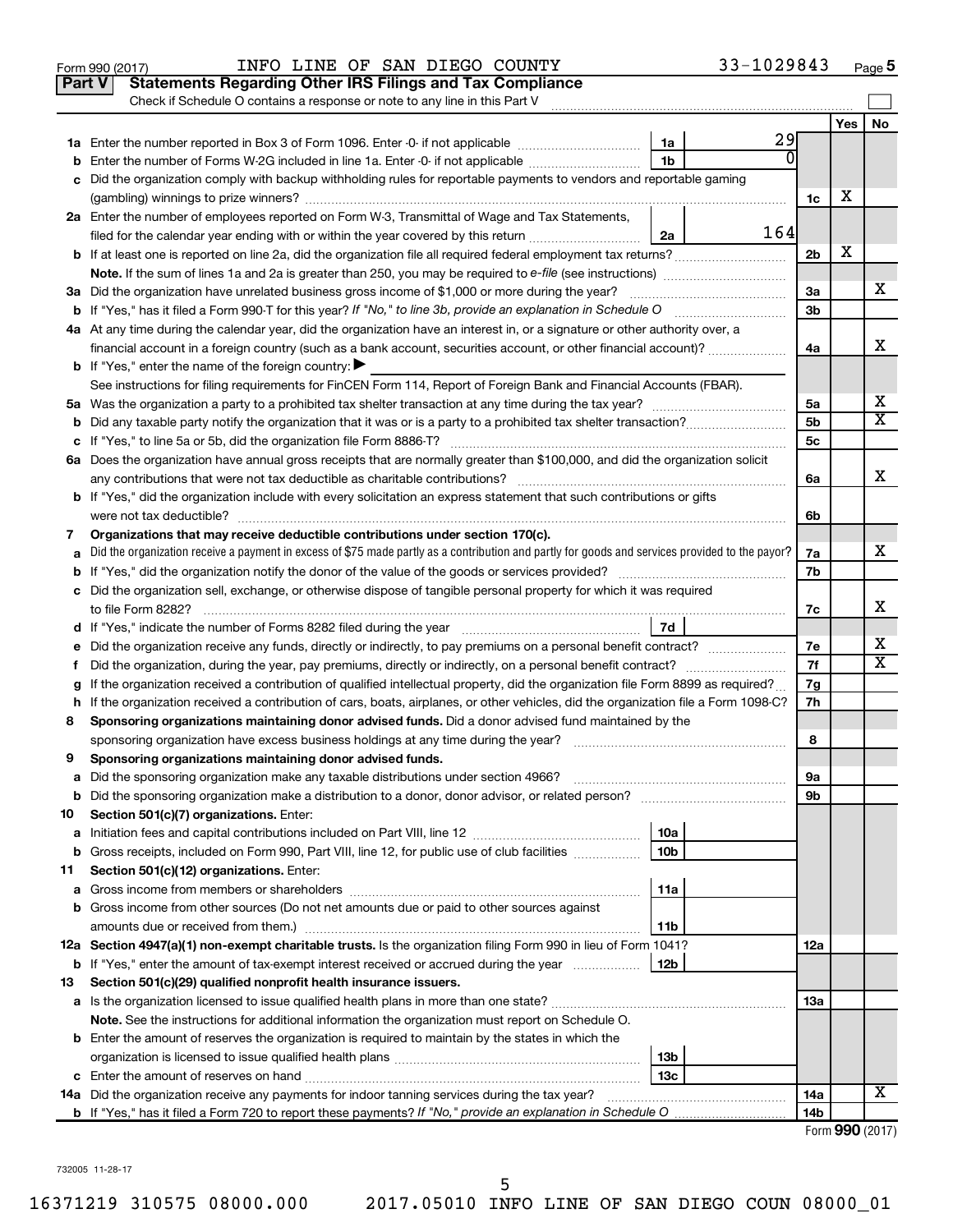|               | 33-1029843<br>INFO LINE OF SAN DIEGO COUNTY<br>Form 990 (2017)                                                                                  |                |     | Page 5                  |
|---------------|-------------------------------------------------------------------------------------------------------------------------------------------------|----------------|-----|-------------------------|
| <b>Part V</b> | <b>Statements Regarding Other IRS Filings and Tax Compliance</b>                                                                                |                |     |                         |
|               | Check if Schedule O contains a response or note to any line in this Part V                                                                      |                |     |                         |
|               |                                                                                                                                                 |                | Yes | No                      |
|               | 29<br>1a                                                                                                                                        |                |     |                         |
| b             | Enter the number of Forms W-2G included in line 1a. Enter -0- if not applicable<br>1b                                                           |                |     |                         |
| с             | Did the organization comply with backup withholding rules for reportable payments to vendors and reportable gaming                              |                |     |                         |
|               |                                                                                                                                                 | 1c             | х   |                         |
|               | 2a Enter the number of employees reported on Form W-3, Transmittal of Wage and Tax Statements,                                                  |                |     |                         |
|               | 164<br>filed for the calendar year ending with or within the year covered by this return<br>2a                                                  |                |     |                         |
|               |                                                                                                                                                 | 2 <sub>b</sub> | х   |                         |
|               | Note. If the sum of lines 1a and 2a is greater than 250, you may be required to e-file (see instructions) <i>marroummann</i>                    |                |     |                         |
|               | 3a Did the organization have unrelated business gross income of \$1,000 or more during the year?                                                | 3a             |     | x.                      |
|               | <b>b</b> If "Yes," has it filed a Form 990-T for this year? If "No," to line 3b, provide an explanation in Schedule O                           | 3b             |     |                         |
|               | 4a At any time during the calendar year, did the organization have an interest in, or a signature or other authority over, a                    |                |     |                         |
|               |                                                                                                                                                 | 4a             |     | x                       |
|               | financial account in a foreign country (such as a bank account, securities account, or other financial account)?                                |                |     |                         |
|               | <b>b</b> If "Yes," enter the name of the foreign country: $\blacktriangleright$                                                                 |                |     |                         |
|               | See instructions for filing requirements for FinCEN Form 114, Report of Foreign Bank and Financial Accounts (FBAR).                             |                |     | x                       |
|               |                                                                                                                                                 | 5a<br>5b       |     | $\overline{\mathtt{x}}$ |
| b             |                                                                                                                                                 |                |     |                         |
|               |                                                                                                                                                 | 5c             |     |                         |
|               | 6a Does the organization have annual gross receipts that are normally greater than \$100,000, and did the organization solicit                  |                |     | x                       |
|               |                                                                                                                                                 | 6a             |     |                         |
|               | <b>b</b> If "Yes," did the organization include with every solicitation an express statement that such contributions or gifts                   |                |     |                         |
|               |                                                                                                                                                 | 6b             |     |                         |
| 7             | Organizations that may receive deductible contributions under section 170(c).                                                                   |                |     | x                       |
| а             | Did the organization receive a payment in excess of \$75 made partly as a contribution and partly for goods and services provided to the payor? | 7a             |     |                         |
| b             |                                                                                                                                                 | 7b             |     |                         |
|               | c Did the organization sell, exchange, or otherwise dispose of tangible personal property for which it was required                             |                |     |                         |
|               | to file Form 8282?                                                                                                                              | 7c             |     | x                       |
|               | 7d                                                                                                                                              |                |     |                         |
| е             | Did the organization receive any funds, directly or indirectly, to pay premiums on a personal benefit contract?                                 | 7е             |     | х                       |
| f.            | Did the organization, during the year, pay premiums, directly or indirectly, on a personal benefit contract?                                    | 7f             |     | $\overline{\text{X}}$   |
| g             | If the organization received a contribution of qualified intellectual property, did the organization file Form 8899 as required?                | 7g             |     |                         |
|               | h If the organization received a contribution of cars, boats, airplanes, or other vehicles, did the organization file a Form 1098-C?            | 7h             |     |                         |
| 8             | Sponsoring organizations maintaining donor advised funds. Did a donor advised fund maintained by the                                            |                |     |                         |
|               | sponsoring organization have excess business holdings at any time during the year?                                                              | 8              |     |                         |
| 9             | Sponsoring organizations maintaining donor advised funds.                                                                                       |                |     |                         |
| а             | Did the sponsoring organization make any taxable distributions under section 4966?                                                              | 9а             |     |                         |
| b             | Did the sponsoring organization make a distribution to a donor, donor advisor, or related person?                                               | 9b             |     |                         |
| 10            | Section 501(c)(7) organizations. Enter:                                                                                                         |                |     |                         |
| а             | 10a                                                                                                                                             |                |     |                         |
| b             | Gross receipts, included on Form 990, Part VIII, line 12, for public use of club facilities<br>10 <sub>b</sub>                                  |                |     |                         |
| 11            | Section 501(c)(12) organizations. Enter:                                                                                                        |                |     |                         |
| а             | 11a                                                                                                                                             |                |     |                         |
| b             | Gross income from other sources (Do not net amounts due or paid to other sources against                                                        |                |     |                         |
|               | 11b                                                                                                                                             |                |     |                         |
|               | 12a Section 4947(a)(1) non-exempt charitable trusts. Is the organization filing Form 990 in lieu of Form 1041?                                  | 12a            |     |                         |
| b             | If "Yes," enter the amount of tax-exempt interest received or accrued during the year<br>12b                                                    |                |     |                         |
| 13            | Section 501(c)(29) qualified nonprofit health insurance issuers.                                                                                |                |     |                         |
|               |                                                                                                                                                 | 13a            |     |                         |
|               | Note. See the instructions for additional information the organization must report on Schedule O.                                               |                |     |                         |
|               | <b>b</b> Enter the amount of reserves the organization is required to maintain by the states in which the                                       |                |     |                         |
|               | 13 <sub>b</sub>                                                                                                                                 |                |     |                         |
|               | 13с                                                                                                                                             |                |     |                         |
| 14a           | Did the organization receive any payments for indoor tanning services during the tax year?                                                      | 14a            |     | X                       |
|               |                                                                                                                                                 | 14b            |     |                         |
|               |                                                                                                                                                 |                |     | Form 990 (2017)         |

732005 11-28-17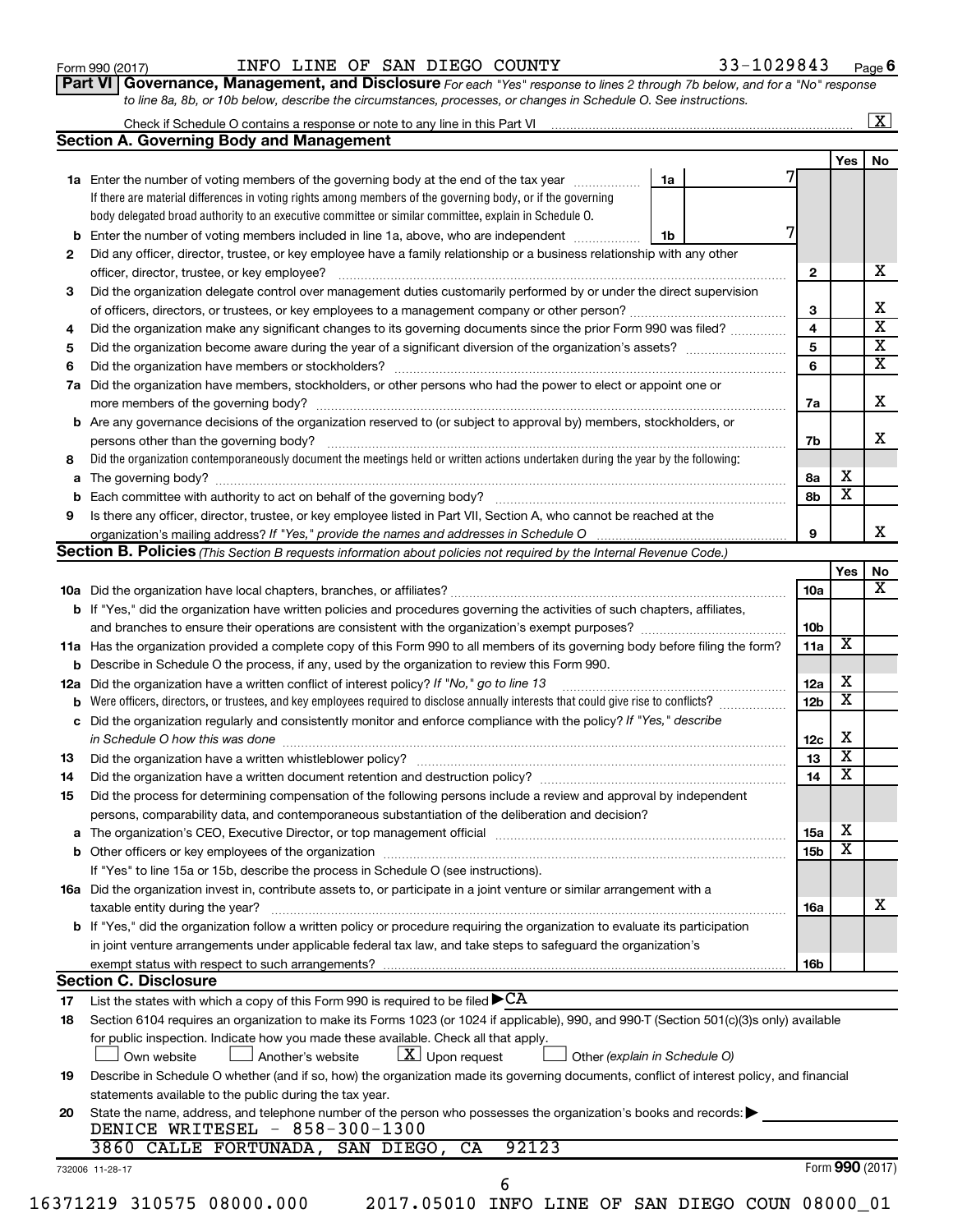|     | <b>1a</b> Enter the number of voting members of the governing body at the end of the tax year                                                     | 1a |   |                 | 1 C.S                   | IVU                     |
|-----|---------------------------------------------------------------------------------------------------------------------------------------------------|----|---|-----------------|-------------------------|-------------------------|
|     | If there are material differences in voting rights among members of the governing body, or if the governing                                       |    |   |                 |                         |                         |
|     | body delegated broad authority to an executive committee or similar committee, explain in Schedule O.                                             |    |   |                 |                         |                         |
| b   | Enter the number of voting members included in line 1a, above, who are independent                                                                | 1b | 7 |                 |                         |                         |
| 2   | Did any officer, director, trustee, or key employee have a family relationship or a business relationship with any other                          |    |   |                 |                         |                         |
|     | officer, director, trustee, or key employee?                                                                                                      |    |   | 2               |                         | x                       |
|     | Did the organization delegate control over management duties customarily performed by or under the direct supervision                             |    |   |                 |                         |                         |
| З   |                                                                                                                                                   |    |   |                 |                         | х                       |
|     |                                                                                                                                                   |    |   | 3<br>4          |                         | $\overline{\mathbf{X}}$ |
| 4   | Did the organization make any significant changes to its governing documents since the prior Form 990 was filed?                                  |    |   |                 |                         | $\overline{\mathbf{X}}$ |
| 5   |                                                                                                                                                   |    |   | 5               |                         | $\overline{\mathbf{x}}$ |
| 6   | Did the organization have members or stockholders?                                                                                                |    |   | 6               |                         |                         |
| 7a  | Did the organization have members, stockholders, or other persons who had the power to elect or appoint one or                                    |    |   |                 |                         |                         |
|     |                                                                                                                                                   |    |   | 7a              |                         | x                       |
|     | b Are any governance decisions of the organization reserved to (or subject to approval by) members, stockholders, or                              |    |   |                 |                         |                         |
|     | persons other than the governing body?                                                                                                            |    |   | 7b              |                         | х                       |
| 8   | Did the organization contemporaneously document the meetings held or written actions undertaken during the year by the following:                 |    |   |                 |                         |                         |
| a   |                                                                                                                                                   |    |   | 8a              | х                       |                         |
| b   | Each committee with authority to act on behalf of the governing body?                                                                             |    |   | 8b              | $\overline{\textbf{x}}$ |                         |
| 9   | Is there any officer, director, trustee, or key employee listed in Part VII, Section A, who cannot be reached at the                              |    |   |                 |                         |                         |
|     |                                                                                                                                                   |    |   | 9               |                         | x                       |
|     | <b>Section B. Policies</b> (This Section B requests information about policies not required by the Internal Revenue Code.)                        |    |   |                 |                         |                         |
|     |                                                                                                                                                   |    |   |                 | Yes                     | No                      |
|     |                                                                                                                                                   |    |   | 10a             |                         | $\overline{\mathbf{X}}$ |
|     | <b>b</b> If "Yes," did the organization have written policies and procedures governing the activities of such chapters, affiliates,               |    |   |                 |                         |                         |
|     |                                                                                                                                                   |    |   | 10b             |                         |                         |
|     | 11a Has the organization provided a complete copy of this Form 990 to all members of its governing body before filing the form?                   |    |   | 11a             | X                       |                         |
|     | <b>b</b> Describe in Schedule O the process, if any, used by the organization to review this Form 990.                                            |    |   |                 |                         |                         |
| 12a | Did the organization have a written conflict of interest policy? If "No," go to line 13                                                           |    |   | 12a             | х                       |                         |
| b   | Were officers, directors, or trustees, and key employees required to disclose annually interests that could give rise to conflicts?               |    |   | 12 <sub>b</sub> | $\overline{\text{x}}$   |                         |
| с   | Did the organization regularly and consistently monitor and enforce compliance with the policy? If "Yes," describe                                |    |   |                 |                         |                         |
|     | in Schedule O how this was done                                                                                                                   |    |   | 12c             | х                       |                         |
| 13  |                                                                                                                                                   |    |   | 13              | $\overline{\mathbf{x}}$ |                         |
| 14  | Did the organization have a written document retention and destruction policy? [11] manufaction manufaction in                                    |    |   | 14              | $\overline{\textbf{x}}$ |                         |
| 15  | Did the process for determining compensation of the following persons include a review and approval by independent                                |    |   |                 |                         |                         |
|     | persons, comparability data, and contemporaneous substantiation of the deliberation and decision?                                                 |    |   |                 |                         |                         |
| a   |                                                                                                                                                   |    |   | 15a             | х                       |                         |
|     |                                                                                                                                                   |    |   | 15 <sub>b</sub> | $\overline{\mathbf{x}}$ |                         |
|     | If "Yes" to line 15a or 15b, describe the process in Schedule O (see instructions).                                                               |    |   |                 |                         |                         |
|     | 16a Did the organization invest in, contribute assets to, or participate in a joint venture or similar arrangement with a                         |    |   |                 |                         |                         |
|     | taxable entity during the year?                                                                                                                   |    |   | 16a             |                         | X                       |
|     | b If "Yes," did the organization follow a written policy or procedure requiring the organization to evaluate its participation                    |    |   |                 |                         |                         |
|     | in joint venture arrangements under applicable federal tax law, and take steps to safeguard the organization's                                    |    |   |                 |                         |                         |
|     | exempt status with respect to such arrangements?                                                                                                  |    |   | 16b             |                         |                         |
|     | <b>Section C. Disclosure</b>                                                                                                                      |    |   |                 |                         |                         |
| 17  | List the states with which a copy of this Form 990 is required to be filed $\blacktriangleright$ CA                                               |    |   |                 |                         |                         |
| 18  | Section 6104 requires an organization to make its Forms 1023 (or 1024 if applicable), 990, and 990-T (Section 501(c)(3)s only) available          |    |   |                 |                         |                         |
|     | for public inspection. Indicate how you made these available. Check all that apply.                                                               |    |   |                 |                         |                         |
|     | $\lfloor x \rfloor$ Upon request<br>Own website<br>Another's website<br>Other (explain in Schedule O)                                             |    |   |                 |                         |                         |
| 19  | Describe in Schedule O whether (and if so, how) the organization made its governing documents, conflict of interest policy, and financial         |    |   |                 |                         |                         |
|     | statements available to the public during the tax year.                                                                                           |    |   |                 |                         |                         |
| 20  | State the name, address, and telephone number of the person who possesses the organization's books and records:<br>DENICE WRITESEL - 858-300-1300 |    |   |                 |                         |                         |
|     | 3860 CALLE FORTUNADA,<br>92123<br>SAN DIEGO, CA                                                                                                   |    |   |                 |                         |                         |
|     |                                                                                                                                                   |    |   |                 | Form 990 (2017)         |                         |
|     | 732006 11-28-17                                                                                                                                   |    |   |                 |                         |                         |

| Form 990 (2017) |  |  |  | INFO LINE OF SAN DIEGO COUNTY                                                                                                      |  | 33-1029843 | Pag |
|-----------------|--|--|--|------------------------------------------------------------------------------------------------------------------------------------|--|------------|-----|
|                 |  |  |  | <b>Part VI Governance, Management, and Disclosure</b> For each "Yes" response to lines 2 through 7b below, and for a "No" response |  |            |     |
|                 |  |  |  | to line 8a, 8b, or 10b below, describe the circumstances, processes, or changes in Schedule O. See instructions.                   |  |            |     |

Check if Schedule O contains a response or note to any line in this Part VI

**Section A. Governing Body and Management**

| Form 990 (2017) |  | INFO LINE OF SAN DIEGO COUNTY | 33-1029843 | Page |
|-----------------|--|-------------------------------|------------|------|
|-----------------|--|-------------------------------|------------|------|

Yes No

**6**

 $\boxed{\text{X}}$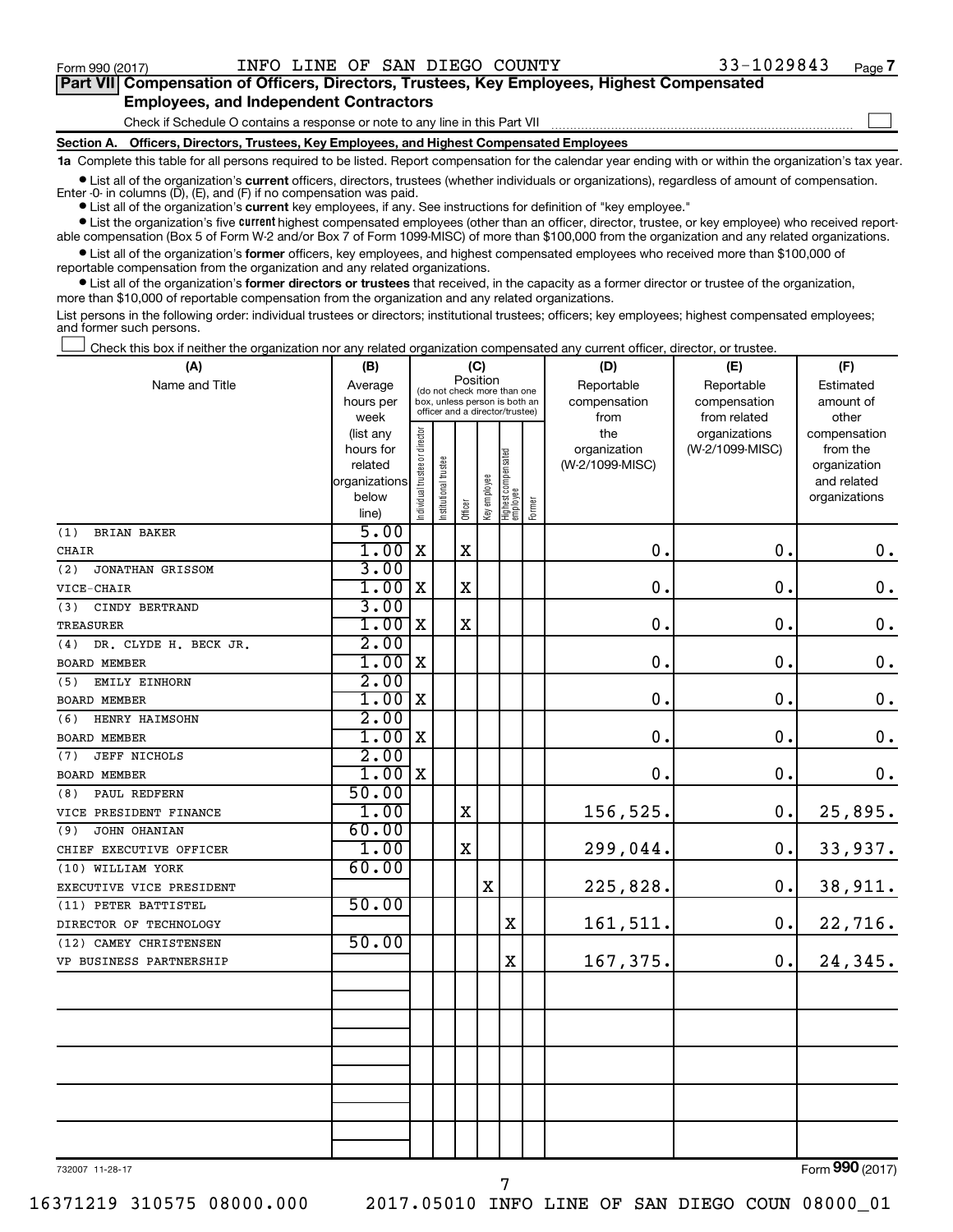$\begin{array}{c} \hline \end{array}$ 

| Part VII Compensation of Officers, Directors, Trustees, Key Employees, Highest Compensated |  |  |  |  |
|--------------------------------------------------------------------------------------------|--|--|--|--|
| <b>Employees, and Independent Contractors</b>                                              |  |  |  |  |

Check if Schedule O contains a response or note to any line in this Part VII

**Section A. Officers, Directors, Trustees, Key Employees, and Highest Compensated Employees**

**1a**  Complete this table for all persons required to be listed. Report compensation for the calendar year ending with or within the organization's tax year.

 $\bullet$  List all of the organization's current officers, directors, trustees (whether individuals or organizations), regardless of amount of compensation.

**•** List all of the organization's **current** key employees, if any. See instructions for definition of "key employee." Enter -0- in columns  $(D)$ ,  $(E)$ , and  $(F)$  if no compensation was paid.

**Examber 1** List the organization's five current highest compensated employees (other than an officer, director, trustee, or key employee) who received report-

 $\bullet$  List all of the organization's former officers, key employees, and highest compensated employees who received more than \$100,000 of able compensation (Box 5 of Form W-2 and/or Box 7 of Form 1099-MISC) of more than \$100,000 from the organization and any related organizations. reportable compensation from the organization and any related organizations.

**•** List all of the organization's former directors or trustees that received, in the capacity as a former director or trustee of the organization, more than \$10,000 of reportable compensation from the organization and any related organizations.

List persons in the following order: individual trustees or directors; institutional trustees; officers; key employees; highest compensated employees; and former such persons.

Check this box if neither the organization nor any related organization compensated any current officer, director, or trustee.  $\overline{\phantom{a}}$ 

| (A)                          | (B)                    | (C)                            |                                                                  |             |              |                                 |        | (D)                 | (E)                              | (F)                      |  |  |
|------------------------------|------------------------|--------------------------------|------------------------------------------------------------------|-------------|--------------|---------------------------------|--------|---------------------|----------------------------------|--------------------------|--|--|
| Name and Title               | Average                |                                | (do not check more than one                                      | Position    |              |                                 |        | Reportable          | Reportable                       | Estimated                |  |  |
|                              | hours per              |                                | box, unless person is both an<br>officer and a director/trustee) |             |              |                                 |        | compensation        | compensation                     | amount of                |  |  |
|                              | week                   |                                |                                                                  |             |              |                                 |        | from                | from related                     | other                    |  |  |
|                              | (list any<br>hours for |                                |                                                                  |             |              |                                 |        | the<br>organization | organizations<br>(W-2/1099-MISC) | compensation<br>from the |  |  |
|                              | related                |                                |                                                                  |             |              |                                 |        | (W-2/1099-MISC)     |                                  | organization             |  |  |
|                              | organizations          |                                |                                                                  |             |              |                                 |        |                     |                                  | and related              |  |  |
|                              | below                  | Individual trustee or director | Institutional trustee                                            |             | Key employee | Highest compensated<br>employee |        |                     |                                  | organizations            |  |  |
|                              | line)                  |                                |                                                                  | Officer     |              |                                 | Former |                     |                                  |                          |  |  |
| <b>BRIAN BAKER</b><br>(1)    | 5.00                   |                                |                                                                  |             |              |                                 |        |                     |                                  |                          |  |  |
| CHAIR                        | 1.00                   | $\mathbf X$                    |                                                                  | $\mathbf X$ |              |                                 |        | 0.                  | $\mathbf 0$ .                    | $\mathbf 0$ .            |  |  |
| (2)<br>JONATHAN GRISSOM      | 3.00                   |                                |                                                                  |             |              |                                 |        |                     |                                  |                          |  |  |
| VICE-CHAIR                   | 1.00                   | X                              |                                                                  | $\mathbf X$ |              |                                 |        | $\mathbf 0$         | $\mathbf 0$ .                    | $\mathbf 0$ .            |  |  |
| CINDY BERTRAND<br>(3)        | 3.00                   |                                |                                                                  |             |              |                                 |        |                     |                                  |                          |  |  |
| <b>TREASURER</b>             | 1.00                   | $\mathbf X$                    |                                                                  | $\mathbf X$ |              |                                 |        | $\mathbf 0$         | $\mathbf 0$ .                    | $\boldsymbol{0}$ .       |  |  |
| DR. CLYDE H. BECK JR.<br>(4) | 2.00                   |                                |                                                                  |             |              |                                 |        |                     |                                  |                          |  |  |
| <b>BOARD MEMBER</b>          | 1.00                   | $\mathbf X$                    |                                                                  |             |              |                                 |        | $\mathbf 0$         | $\mathbf 0$ .                    | $\boldsymbol{0}$ .       |  |  |
| EMILY EINHORN<br>(5)         | 2.00                   |                                |                                                                  |             |              |                                 |        |                     |                                  |                          |  |  |
| <b>BOARD MEMBER</b>          | 1.00                   | X                              |                                                                  |             |              |                                 |        | 0                   | $\mathbf 0$ .                    | $\boldsymbol{0}$ .       |  |  |
| HENRY HAIMSOHN<br>(6)        | 2.00                   |                                |                                                                  |             |              |                                 |        |                     |                                  |                          |  |  |
| <b>BOARD MEMBER</b>          | 1.00                   | X                              |                                                                  |             |              |                                 |        | 0                   | $\mathbf 0$ .                    | $\mathbf 0$ .            |  |  |
| <b>JEFF NICHOLS</b><br>(7)   | 2.00                   |                                |                                                                  |             |              |                                 |        |                     |                                  |                          |  |  |
| BOARD MEMBER                 | 1.00                   | $\mathbf X$                    |                                                                  |             |              |                                 |        | 0.                  | $\mathbf 0$ .                    | 0.                       |  |  |
| PAUL REDFERN<br>(8)          | 50.00                  |                                |                                                                  |             |              |                                 |        |                     |                                  |                          |  |  |
| VICE PRESIDENT FINANCE       | 1.00                   |                                |                                                                  | $\mathbf X$ |              |                                 |        | 156,525.            | $\mathbf 0$ .                    | 25,895.                  |  |  |
| JOHN OHANIAN<br>(9)          | 60.00                  |                                |                                                                  |             |              |                                 |        |                     |                                  |                          |  |  |
| CHIEF EXECUTIVE OFFICER      | 1.00                   |                                |                                                                  | $\mathbf X$ |              |                                 |        | 299,044.            | 0.                               | 33,937.                  |  |  |
| (10) WILLIAM YORK            | 60.00                  |                                |                                                                  |             |              |                                 |        |                     |                                  |                          |  |  |
| EXECUTIVE VICE PRESIDENT     |                        |                                |                                                                  |             | $\mathbf X$  |                                 |        | 225,828.            | $\mathbf 0$ .                    | 38,911.                  |  |  |
| (11) PETER BATTISTEL         | 50.00                  |                                |                                                                  |             |              |                                 |        |                     |                                  |                          |  |  |
| DIRECTOR OF TECHNOLOGY       |                        |                                |                                                                  |             |              | X                               |        | 161,511.            | $\mathbf 0$ .                    | 22,716.                  |  |  |
| (12) CAMEY CHRISTENSEN       | 50.00                  |                                |                                                                  |             |              |                                 |        |                     |                                  |                          |  |  |
| VP BUSINESS PARTNERSHIP      |                        |                                |                                                                  |             |              | X                               |        | 167,375.            | 0.                               | 24,345.                  |  |  |
|                              |                        |                                |                                                                  |             |              |                                 |        |                     |                                  |                          |  |  |
|                              |                        |                                |                                                                  |             |              |                                 |        |                     |                                  |                          |  |  |
|                              |                        |                                |                                                                  |             |              |                                 |        |                     |                                  |                          |  |  |
|                              |                        |                                |                                                                  |             |              |                                 |        |                     |                                  |                          |  |  |
|                              |                        |                                |                                                                  |             |              |                                 |        |                     |                                  |                          |  |  |
|                              |                        |                                |                                                                  |             |              |                                 |        |                     |                                  |                          |  |  |
|                              |                        |                                |                                                                  |             |              |                                 |        |                     |                                  |                          |  |  |
|                              |                        |                                |                                                                  |             |              |                                 |        |                     |                                  |                          |  |  |
|                              |                        |                                |                                                                  |             |              |                                 |        |                     |                                  |                          |  |  |
|                              |                        |                                |                                                                  |             |              |                                 |        |                     |                                  |                          |  |  |
|                              |                        |                                |                                                                  |             |              |                                 |        |                     |                                  |                          |  |  |

7

732007 11-28-17

Form (2017) **990**

16371219 310575 08000.000 2017.05010 INFO LINE OF SAN DIEGO COUN 08000\_01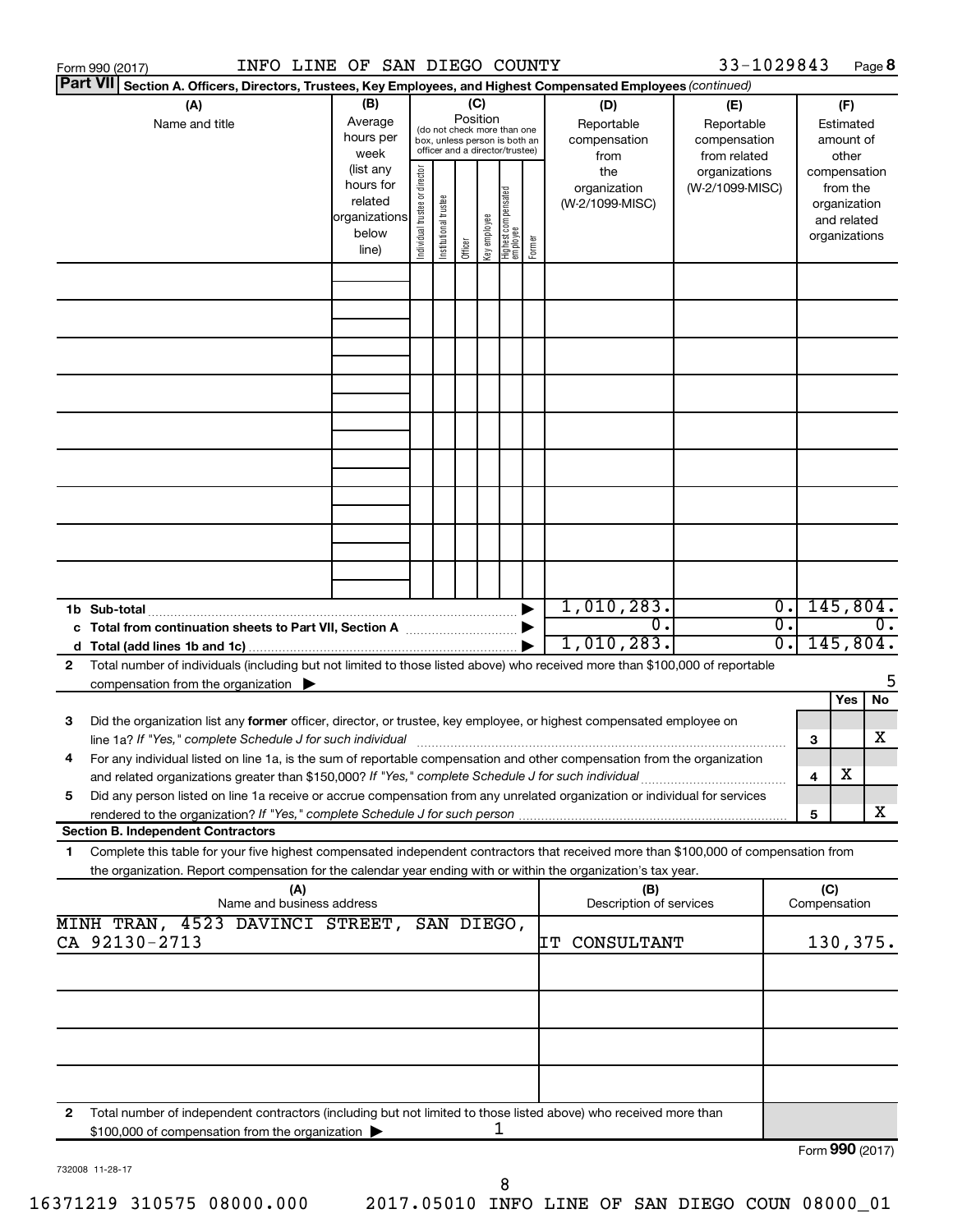|   | INFO LINE OF SAN DIEGO COUNTY<br>Form 990 (2017)                                                                                                                                                                                                       |                                                         |                                |                       |                 |              |                                                                                                 |        |                                                  | 33-1029843                                                         |                        |                     | Page 8                                                   |    |
|---|--------------------------------------------------------------------------------------------------------------------------------------------------------------------------------------------------------------------------------------------------------|---------------------------------------------------------|--------------------------------|-----------------------|-----------------|--------------|-------------------------------------------------------------------------------------------------|--------|--------------------------------------------------|--------------------------------------------------------------------|------------------------|---------------------|----------------------------------------------------------|----|
|   | <b>Part VII</b><br>Section A. Officers, Directors, Trustees, Key Employees, and Highest Compensated Employees (continued)                                                                                                                              |                                                         |                                |                       |                 |              |                                                                                                 |        |                                                  |                                                                    |                        |                     |                                                          |    |
|   | (A)<br>Name and title                                                                                                                                                                                                                                  | (B)<br>Average<br>hours per<br>week<br>(list any        |                                |                       | (C)<br>Position |              | (do not check more than one<br>box, unless person is both an<br>officer and a director/trustee) |        | (D)<br>Reportable<br>compensation<br>from<br>the | (E)<br>Reportable<br>compensation<br>from related<br>organizations |                        |                     | (F)<br>Estimated<br>amount of<br>other<br>compensation   |    |
|   |                                                                                                                                                                                                                                                        | hours for<br>related<br>organizations<br>below<br>line) | Individual trustee or director | Institutional trustee | Officer         | Key employee | Highest compensated<br>  employee                                                               | Former | organization<br>(W-2/1099-MISC)                  | (W-2/1099-MISC)                                                    |                        |                     | from the<br>organization<br>and related<br>organizations |    |
|   |                                                                                                                                                                                                                                                        |                                                         |                                |                       |                 |              |                                                                                                 |        |                                                  |                                                                    |                        |                     |                                                          |    |
|   |                                                                                                                                                                                                                                                        |                                                         |                                |                       |                 |              |                                                                                                 |        |                                                  |                                                                    |                        |                     |                                                          |    |
|   |                                                                                                                                                                                                                                                        |                                                         |                                |                       |                 |              |                                                                                                 |        |                                                  |                                                                    |                        |                     |                                                          |    |
|   |                                                                                                                                                                                                                                                        |                                                         |                                |                       |                 |              |                                                                                                 |        |                                                  |                                                                    |                        |                     |                                                          |    |
|   |                                                                                                                                                                                                                                                        |                                                         |                                |                       |                 |              |                                                                                                 |        |                                                  |                                                                    |                        |                     |                                                          |    |
|   |                                                                                                                                                                                                                                                        |                                                         |                                |                       |                 |              |                                                                                                 |        |                                                  |                                                                    |                        |                     |                                                          |    |
|   |                                                                                                                                                                                                                                                        |                                                         |                                |                       |                 |              |                                                                                                 |        |                                                  |                                                                    |                        |                     |                                                          |    |
|   |                                                                                                                                                                                                                                                        |                                                         |                                |                       |                 |              |                                                                                                 |        |                                                  |                                                                    |                        |                     |                                                          |    |
|   | 1b Sub-total                                                                                                                                                                                                                                           |                                                         |                                |                       |                 |              |                                                                                                 |        | 1,010,283.                                       |                                                                    | $\overline{0}$ .       |                     | 145,804.                                                 |    |
|   |                                                                                                                                                                                                                                                        |                                                         |                                |                       |                 |              |                                                                                                 |        | $\overline{0}$ .<br>1,010,283.                   |                                                                    | $\overline{0}$ .<br>σ. |                     | 145,804.                                                 | 0. |
| 2 | Total number of individuals (including but not limited to those listed above) who received more than \$100,000 of reportable<br>compensation from the organization $\blacktriangleright$                                                               |                                                         |                                |                       |                 |              |                                                                                                 |        |                                                  |                                                                    |                        |                     |                                                          | 5  |
| 3 | Did the organization list any former officer, director, or trustee, key employee, or highest compensated employee on                                                                                                                                   |                                                         |                                |                       |                 |              |                                                                                                 |        |                                                  |                                                                    |                        |                     | Yes                                                      | No |
|   | For any individual listed on line 1a, is the sum of reportable compensation and other compensation from the organization                                                                                                                               |                                                         |                                |                       |                 |              |                                                                                                 |        |                                                  |                                                                    |                        | 3                   |                                                          | x  |
| 5 | and related organizations greater than \$150,000? If "Yes," complete Schedule J for such individual<br>Did any person listed on line 1a receive or accrue compensation from any unrelated organization or individual for services                      |                                                         |                                |                       |                 |              |                                                                                                 |        |                                                  |                                                                    |                        | 4                   | х                                                        |    |
|   | rendered to the organization? If "Yes," complete Schedule J for such person<br><b>Section B. Independent Contractors</b>                                                                                                                               |                                                         |                                |                       |                 |              |                                                                                                 |        |                                                  |                                                                    |                        | 5                   |                                                          | x  |
| 1 | Complete this table for your five highest compensated independent contractors that received more than \$100,000 of compensation from<br>the organization. Report compensation for the calendar year ending with or within the organization's tax year. |                                                         |                                |                       |                 |              |                                                                                                 |        |                                                  |                                                                    |                        |                     |                                                          |    |
|   | (A)<br>Name and business address                                                                                                                                                                                                                       |                                                         |                                |                       |                 |              |                                                                                                 |        | (B)<br>Description of services                   |                                                                    |                        | (C)<br>Compensation |                                                          |    |
|   | MINH TRAN, 4523 DAVINCI STREET, SAN DIEGO,<br>CA 92130-2713                                                                                                                                                                                            |                                                         |                                |                       |                 |              |                                                                                                 |        |                                                  |                                                                    |                        |                     |                                                          |    |
|   |                                                                                                                                                                                                                                                        |                                                         |                                |                       |                 |              |                                                                                                 |        | ΙT<br>CONSULTANT                                 |                                                                    |                        |                     | 130,375.                                                 |    |
|   |                                                                                                                                                                                                                                                        |                                                         |                                |                       |                 |              |                                                                                                 |        |                                                  |                                                                    |                        |                     |                                                          |    |
|   |                                                                                                                                                                                                                                                        |                                                         |                                |                       |                 |              |                                                                                                 |        |                                                  |                                                                    |                        |                     |                                                          |    |
|   |                                                                                                                                                                                                                                                        |                                                         |                                |                       |                 |              |                                                                                                 |        |                                                  |                                                                    |                        |                     |                                                          |    |
| 2 | Total number of independent contractors (including but not limited to those listed above) who received more than<br>\$100,000 of compensation from the organization >                                                                                  |                                                         |                                |                       |                 | ı            |                                                                                                 |        |                                                  |                                                                    |                        |                     |                                                          |    |
|   |                                                                                                                                                                                                                                                        |                                                         |                                |                       |                 |              |                                                                                                 |        |                                                  |                                                                    |                        | Form 990 (2017)     |                                                          |    |

732008 11-28-17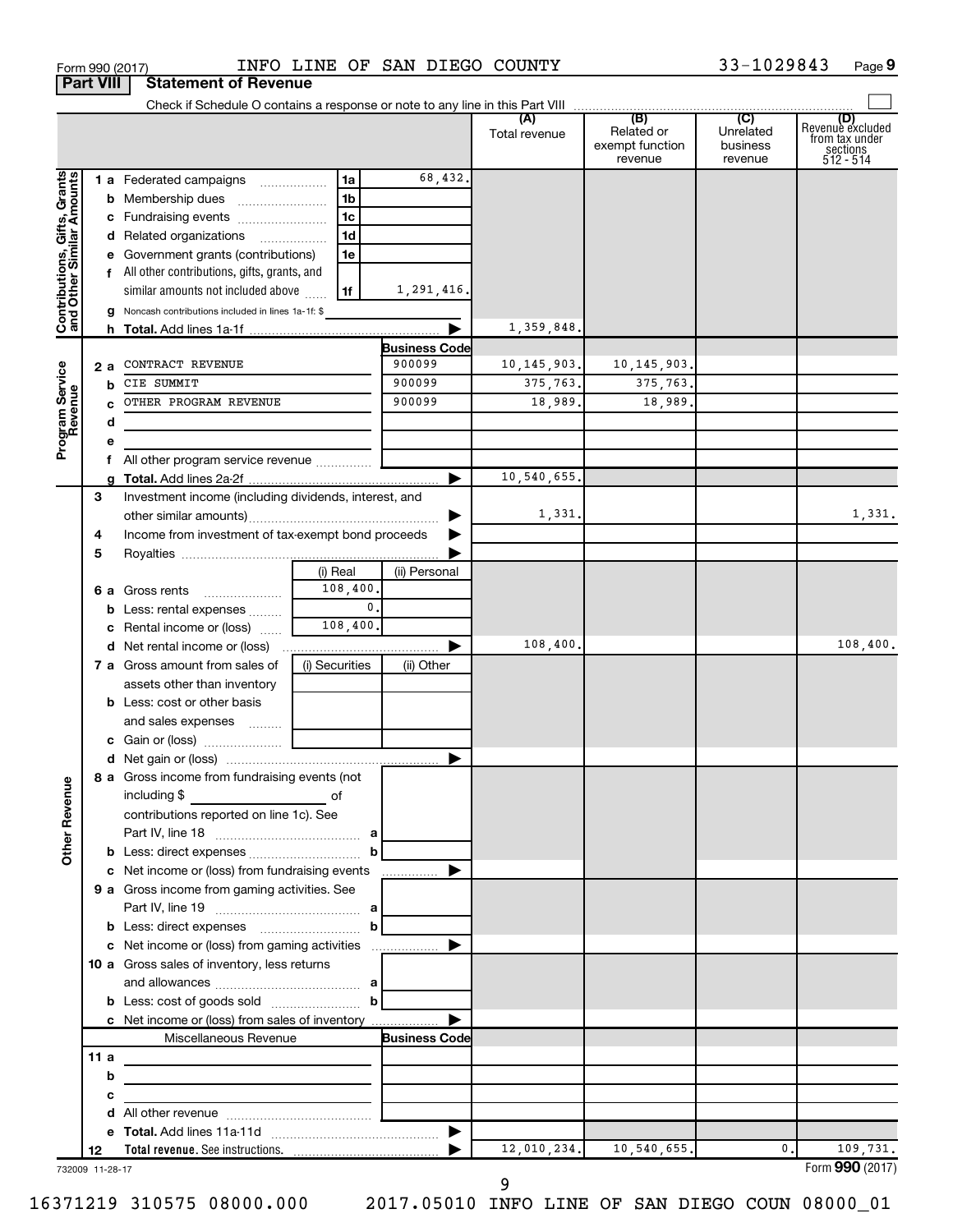|                                                           |     |     | Form 990 (2017)                                                            |                | INFO LINE OF SAN DIEGO COUNTY |               |                                          | 33-1029843                       | Page 9                                                               |
|-----------------------------------------------------------|-----|-----|----------------------------------------------------------------------------|----------------|-------------------------------|---------------|------------------------------------------|----------------------------------|----------------------------------------------------------------------|
| <b>Part VIII</b>                                          |     |     | <b>Statement of Revenue</b>                                                |                |                               |               |                                          |                                  |                                                                      |
|                                                           |     |     |                                                                            |                |                               |               |                                          |                                  |                                                                      |
|                                                           |     |     |                                                                            |                |                               | Total revenue | Related or<br>exempt function<br>revenue | Unrelated<br>business<br>revenue | (D)<br>Revenue excluded<br>from tax under<br>sections<br>$512 - 514$ |
|                                                           |     |     | 1 a Federated campaigns                                                    | 1a             | 68,432.                       |               |                                          |                                  |                                                                      |
| Contributions, Gifts, Grants<br>and Other Similar Amounts |     |     |                                                                            | 1b             |                               |               |                                          |                                  |                                                                      |
|                                                           |     |     |                                                                            | 1c             |                               |               |                                          |                                  |                                                                      |
|                                                           |     |     | d Related organizations                                                    | 1d             |                               |               |                                          |                                  |                                                                      |
|                                                           |     |     | e Government grants (contributions)                                        | 1e             |                               |               |                                          |                                  |                                                                      |
|                                                           |     |     | f All other contributions, gifts, grants, and                              |                |                               |               |                                          |                                  |                                                                      |
|                                                           |     |     | similar amounts not included above                                         | 1f             | 1,291,416.                    |               |                                          |                                  |                                                                      |
|                                                           |     |     | g Noncash contributions included in lines 1a-1f: \$                        |                |                               |               |                                          |                                  |                                                                      |
|                                                           |     |     |                                                                            |                | ▶                             | 1,359,848.    |                                          |                                  |                                                                      |
|                                                           |     |     |                                                                            |                | <b>Business Code</b>          |               |                                          |                                  |                                                                      |
|                                                           |     | 2 a | CONTRACT REVENUE                                                           |                | 900099                        | 10, 145, 903. | 10, 145, 903.                            |                                  |                                                                      |
|                                                           |     | b   | CIE SUMMIT                                                                 |                | 900099                        | 375,763.      | 375,763.                                 |                                  |                                                                      |
|                                                           |     |     | OTHER PROGRAM REVENUE                                                      |                | 900099                        | 18,989.       | 18,989.                                  |                                  |                                                                      |
| Program Service<br>Revenue                                |     | d   |                                                                            |                |                               |               |                                          |                                  |                                                                      |
|                                                           |     | е   |                                                                            |                |                               |               |                                          |                                  |                                                                      |
|                                                           |     |     | f All other program service revenue                                        |                |                               |               |                                          |                                  |                                                                      |
|                                                           |     |     |                                                                            |                | ►                             | 10,540,655.   |                                          |                                  |                                                                      |
|                                                           | 3   |     | Investment income (including dividends, interest, and                      |                |                               |               |                                          |                                  |                                                                      |
|                                                           |     |     |                                                                            |                |                               | 1,331.        |                                          |                                  | 1,331.                                                               |
|                                                           | 4   |     | Income from investment of tax-exempt bond proceeds                         |                |                               |               |                                          |                                  |                                                                      |
|                                                           | 5   |     |                                                                            |                |                               |               |                                          |                                  |                                                                      |
|                                                           |     |     |                                                                            | (i) Real       | (ii) Personal                 |               |                                          |                                  |                                                                      |
|                                                           |     |     | 6 a Gross rents                                                            | 108,400.       |                               |               |                                          |                                  |                                                                      |
|                                                           |     |     | <b>b</b> Less: rental expenses                                             | $\mathbf{0}$ . |                               |               |                                          |                                  |                                                                      |
|                                                           |     |     | <b>c</b> Rental income or (loss) $\ldots$                                  | 108,400.       |                               |               |                                          |                                  |                                                                      |
|                                                           |     |     |                                                                            |                | ▶                             | 108,400.      |                                          |                                  | 108,400.                                                             |
|                                                           |     |     | 7 a Gross amount from sales of                                             | (i) Securities | (ii) Other                    |               |                                          |                                  |                                                                      |
|                                                           |     |     | assets other than inventory                                                |                |                               |               |                                          |                                  |                                                                      |
|                                                           |     |     | <b>b</b> Less: cost or other basis                                         |                |                               |               |                                          |                                  |                                                                      |
|                                                           |     |     | and sales expenses                                                         |                |                               |               |                                          |                                  |                                                                      |
|                                                           |     |     |                                                                            |                |                               |               |                                          |                                  |                                                                      |
|                                                           |     |     |                                                                            |                |                               |               |                                          |                                  |                                                                      |
|                                                           |     |     | 8 a Gross income from fundraising events (not                              |                |                               |               |                                          |                                  |                                                                      |
| Other Revenue                                             |     |     | including \$<br><u> 1990 - John Barn Barn, amerikansk politiker</u>        | of             |                               |               |                                          |                                  |                                                                      |
|                                                           |     |     | contributions reported on line 1c). See                                    |                |                               |               |                                          |                                  |                                                                      |
|                                                           |     |     |                                                                            |                |                               |               |                                          |                                  |                                                                      |
|                                                           |     |     |                                                                            | $\mathbf b$    |                               |               |                                          |                                  |                                                                      |
|                                                           |     |     | c Net income or (loss) from fundraising events                             |                |                               |               |                                          |                                  |                                                                      |
|                                                           |     |     | 9 a Gross income from gaming activities. See                               |                |                               |               |                                          |                                  |                                                                      |
|                                                           |     |     |                                                                            |                |                               |               |                                          |                                  |                                                                      |
|                                                           |     |     |                                                                            |                |                               |               |                                          |                                  |                                                                      |
|                                                           |     |     | c Net income or (loss) from gaming activities                              |                | ▶                             |               |                                          |                                  |                                                                      |
|                                                           |     |     | 10 a Gross sales of inventory, less returns                                |                |                               |               |                                          |                                  |                                                                      |
|                                                           |     |     |                                                                            |                |                               |               |                                          |                                  |                                                                      |
|                                                           |     |     | <b>b</b> Less: cost of goods sold $\ldots$ <b>b</b>                        |                |                               |               |                                          |                                  |                                                                      |
|                                                           |     |     | c Net income or (loss) from sales of inventory                             |                |                               |               |                                          |                                  |                                                                      |
|                                                           |     |     | Miscellaneous Revenue                                                      |                | <b>Business Code</b>          |               |                                          |                                  |                                                                      |
|                                                           | 11a |     |                                                                            |                |                               |               |                                          |                                  |                                                                      |
|                                                           |     | b   | the control of the control of the control of the control of the control of |                |                               |               |                                          |                                  |                                                                      |
|                                                           |     | с   |                                                                            |                |                               |               |                                          |                                  |                                                                      |
|                                                           |     | d   |                                                                            |                |                               |               |                                          |                                  |                                                                      |
|                                                           |     |     |                                                                            |                |                               |               |                                          |                                  |                                                                      |
|                                                           | 12  |     |                                                                            |                |                               | 12,010,234.   | 10,540,655.                              | 0.                               | 109,731.                                                             |
| 732009 11-28-17                                           |     |     |                                                                            |                |                               |               |                                          |                                  | Form 990 (2017)                                                      |

16371219 310575 08000.000 2017.05010 INFO LINE OF SAN DIEGO COUN 08000\_01

9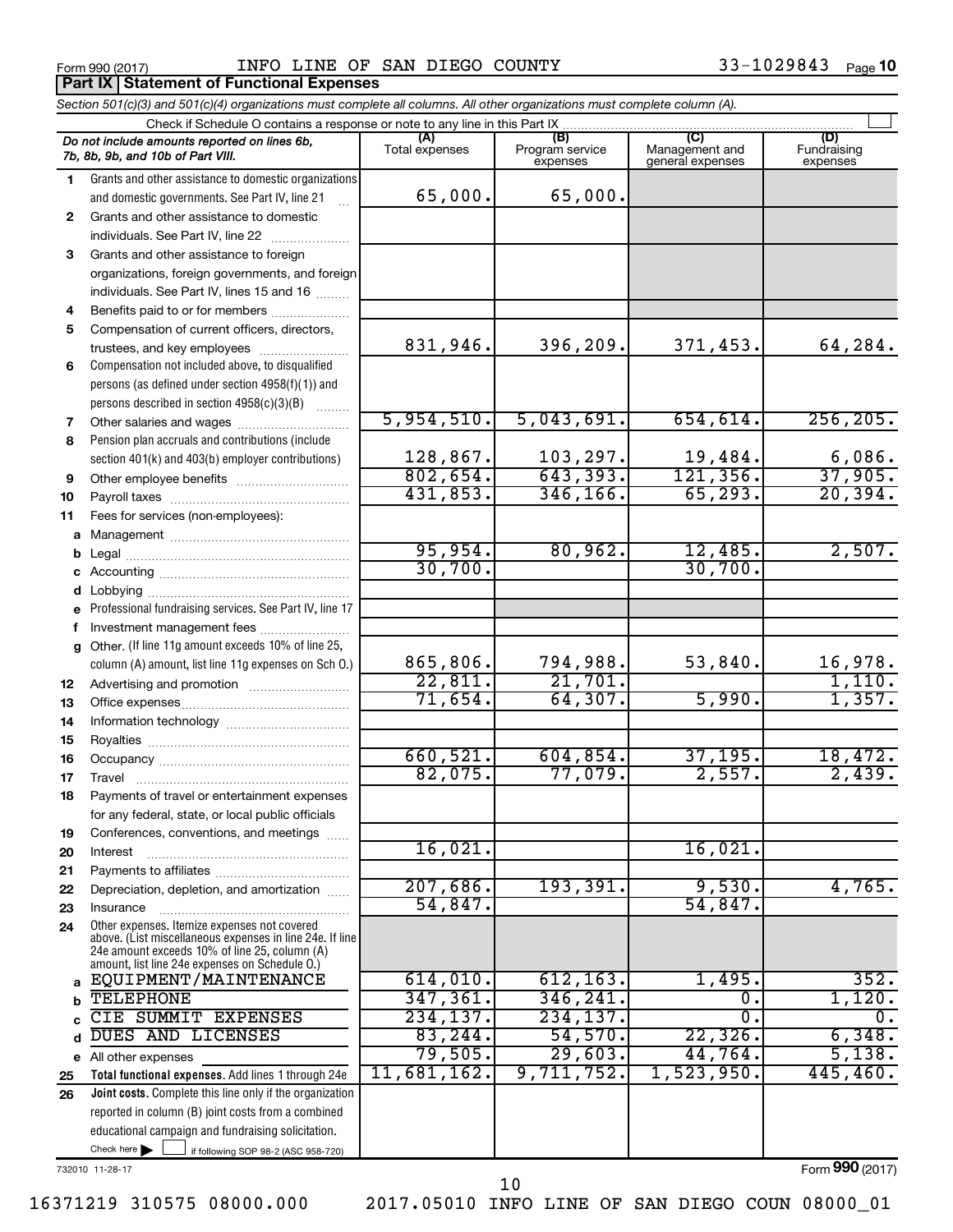**Part IX Statement of Functional Expenses**

Form 990 (2017)  $I$  info line of SAN DIEGO COUNTY  $33-1029843$  Page

|              | Section 501(c)(3) and 501(c)(4) organizations must complete all columns. All other organizations must complete column (A).                                                                                  |                       |                                    |                                    |                                |
|--------------|-------------------------------------------------------------------------------------------------------------------------------------------------------------------------------------------------------------|-----------------------|------------------------------------|------------------------------------|--------------------------------|
|              | Check if Schedule O contains a response or note to any line in this Part IX.                                                                                                                                |                       |                                    |                                    |                                |
|              | Do not include amounts reported on lines 6b,<br>7b, 8b, 9b, and 10b of Part VIII.                                                                                                                           | (A)<br>Total expenses | (B)<br>Program service<br>expenses | Management and<br>general expenses | (D)<br>Fundraising<br>expenses |
| 1.           | Grants and other assistance to domestic organizations                                                                                                                                                       |                       |                                    |                                    |                                |
|              | and domestic governments. See Part IV, line 21                                                                                                                                                              | 65,000.               | 65,000.                            |                                    |                                |
| $\mathbf{2}$ | Grants and other assistance to domestic                                                                                                                                                                     |                       |                                    |                                    |                                |
|              | individuals. See Part IV, line 22                                                                                                                                                                           |                       |                                    |                                    |                                |
| 3            | Grants and other assistance to foreign                                                                                                                                                                      |                       |                                    |                                    |                                |
|              | organizations, foreign governments, and foreign                                                                                                                                                             |                       |                                    |                                    |                                |
|              | individuals. See Part IV, lines 15 and 16                                                                                                                                                                   |                       |                                    |                                    |                                |
| 4            | Benefits paid to or for members                                                                                                                                                                             |                       |                                    |                                    |                                |
| 5            | Compensation of current officers, directors,                                                                                                                                                                |                       |                                    |                                    |                                |
|              | trustees, and key employees                                                                                                                                                                                 | 831,946.              | 396,209.                           | 371,453.                           | 64,284.                        |
| 6            | Compensation not included above, to disqualified                                                                                                                                                            |                       |                                    |                                    |                                |
|              | persons (as defined under section 4958(f)(1)) and                                                                                                                                                           |                       |                                    |                                    |                                |
|              | persons described in section 4958(c)(3)(B)                                                                                                                                                                  |                       |                                    |                                    |                                |
| 7            | Other salaries and wages                                                                                                                                                                                    | 5,954,510.            | 5,043,691.                         | 654,614.                           | 256, 205.                      |
| 8            | Pension plan accruals and contributions (include                                                                                                                                                            |                       |                                    |                                    |                                |
|              | section 401(k) and 403(b) employer contributions)                                                                                                                                                           | 128,867.<br>802,654.  | $\frac{103,297.}{643,393.}$        | $\frac{19,484}{121,356}$           | $\frac{6,086}{37,905}$         |
| 9            |                                                                                                                                                                                                             | 431,853.              | 346, 166.                          | 65, 293.                           | 20, 394.                       |
| 10           |                                                                                                                                                                                                             |                       |                                    |                                    |                                |
| 11           | Fees for services (non-employees):                                                                                                                                                                          |                       |                                    |                                    |                                |
| a            |                                                                                                                                                                                                             | 95,954.               | 80,962.                            | 12,485.                            | 2,507.                         |
| b            |                                                                                                                                                                                                             | 30,700.               |                                    | 30,700.                            |                                |
|              |                                                                                                                                                                                                             |                       |                                    |                                    |                                |
| d            |                                                                                                                                                                                                             |                       |                                    |                                    |                                |
|              | Professional fundraising services. See Part IV, line 17                                                                                                                                                     |                       |                                    |                                    |                                |
| f            | Investment management fees<br>g Other. (If line 11g amount exceeds 10% of line 25,                                                                                                                          |                       |                                    |                                    |                                |
|              | column (A) amount, list line 11g expenses on Sch O.)                                                                                                                                                        | 865,806.              | 794,988.                           | 53,840.                            | 16,978.                        |
|              |                                                                                                                                                                                                             | 22,811.               | 21,701.                            |                                    | 1,110.                         |
| 12<br>13     |                                                                                                                                                                                                             | 71,654.               | 64,307.                            | 5,990.                             | 1,357.                         |
| 14           |                                                                                                                                                                                                             |                       |                                    |                                    |                                |
| 15           |                                                                                                                                                                                                             |                       |                                    |                                    |                                |
| 16           |                                                                                                                                                                                                             | 660,521               | 604, 854.                          | 37, 195.                           | 18,472.                        |
| 17           |                                                                                                                                                                                                             | 82,075.               | 77,079.                            | 2,557.                             | 2,439.                         |
| 18           | Payments of travel or entertainment expenses                                                                                                                                                                |                       |                                    |                                    |                                |
|              | for any federal, state, or local public officials                                                                                                                                                           |                       |                                    |                                    |                                |
| 19           | Conferences, conventions, and meetings                                                                                                                                                                      |                       |                                    |                                    |                                |
| 20           | Interest                                                                                                                                                                                                    | 16,021                |                                    | 16,021.                            |                                |
| 21           |                                                                                                                                                                                                             |                       |                                    |                                    |                                |
| 22           | Depreciation, depletion, and amortization                                                                                                                                                                   | 207,686.              | 193,391.                           | 9,530.                             | 4,765.                         |
| 23           | Insurance                                                                                                                                                                                                   | 54,847.               |                                    | 54,847.                            |                                |
| 24           | Other expenses. Itemize expenses not covered<br>above. (List miscellaneous expenses in line 24e. If line<br>24e amount exceeds 10% of line 25, column (A)<br>amount, list line 24e expenses on Schedule O.) |                       |                                    |                                    |                                |
| a            | EQUIPMENT/MAINTENANCE                                                                                                                                                                                       | 614,010.              | 612, 163.                          | 1,495.                             | 352.                           |
| b            | <b>TELEPHONE</b>                                                                                                                                                                                            | 347, 361.             | 346,241.                           | О.                                 | 1,120.                         |
| C            | CIE SUMMIT EXPENSES                                                                                                                                                                                         | 234, 137.             | 234, 137.                          | 0.                                 | 0.                             |
| d            | DUES AND LICENSES                                                                                                                                                                                           | 83, 244.              | 54,570.                            | 22, 326.                           | 6,348.                         |
|              | e All other expenses                                                                                                                                                                                        | 79,505.               | 29,603.                            | 44,764.                            | 5,138.                         |
| 25           | Total functional expenses. Add lines 1 through 24e                                                                                                                                                          | 11,681,162.           | 9,711,752.                         | 1,523,950.                         | 445, 460.                      |
| 26           | Joint costs. Complete this line only if the organization                                                                                                                                                    |                       |                                    |                                    |                                |
|              | reported in column (B) joint costs from a combined                                                                                                                                                          |                       |                                    |                                    |                                |
|              | educational campaign and fundraising solicitation.                                                                                                                                                          |                       |                                    |                                    |                                |
|              | Check here $\blacktriangleright$<br>if following SOP 98-2 (ASC 958-720)                                                                                                                                     |                       |                                    |                                    |                                |

732010 11-28-17

Form (2017) **990**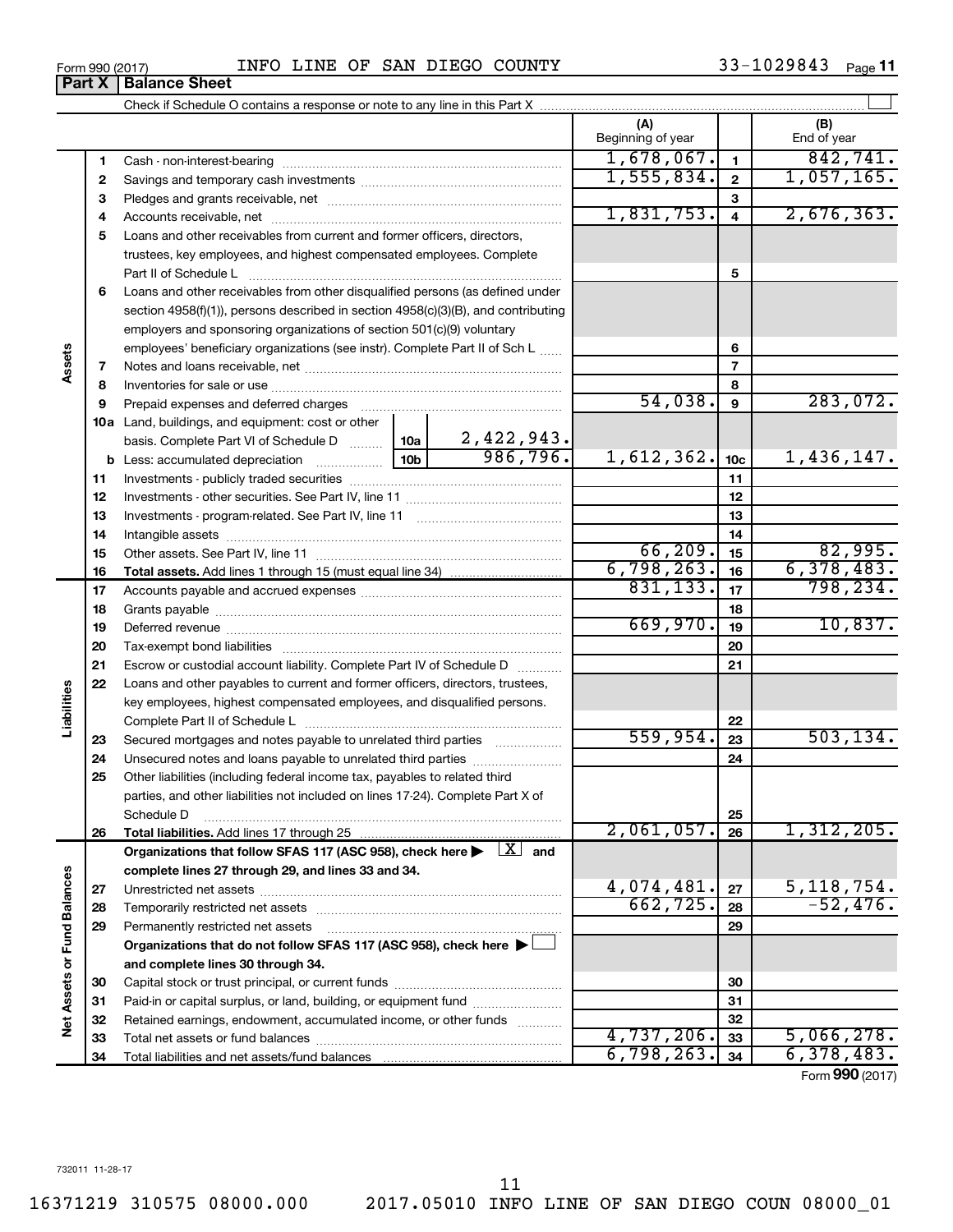16371219 310575 08000.000 2017.05010 INFO LINE OF SAN DIEGO COUN 08000\_01

# **Part X** | Balance Sheet

|          |                                                                                                                              |                               | (A)<br>Beginning of year |                 | (B)<br>End of year |
|----------|------------------------------------------------------------------------------------------------------------------------------|-------------------------------|--------------------------|-----------------|--------------------|
| 1        |                                                                                                                              |                               | 1,678,067.               | $\mathbf{1}$    | 842,741.           |
| 2        |                                                                                                                              |                               | 1,555,834.               | $\mathbf{2}$    | 1,057,165.         |
| з        |                                                                                                                              |                               |                          | 3               |                    |
| 4        |                                                                                                                              |                               | 1,831,753.               | $\overline{4}$  | 2,676,363.         |
| 5        | Loans and other receivables from current and former officers, directors,                                                     |                               |                          |                 |                    |
|          | trustees, key employees, and highest compensated employees. Complete                                                         |                               |                          |                 |                    |
|          | Part II of Schedule L                                                                                                        |                               |                          | 5               |                    |
| 6        | Loans and other receivables from other disqualified persons (as defined under                                                |                               |                          |                 |                    |
|          | section 4958(f)(1)), persons described in section 4958(c)(3)(B), and contributing                                            |                               |                          |                 |                    |
|          | employers and sponsoring organizations of section 501(c)(9) voluntary                                                        |                               |                          |                 |                    |
|          | employees' beneficiary organizations (see instr). Complete Part II of Sch L                                                  |                               |                          | 6               |                    |
| 7        |                                                                                                                              |                               |                          | $\overline{7}$  |                    |
| 8        |                                                                                                                              |                               |                          | 8               |                    |
| 9        | Prepaid expenses and deferred charges                                                                                        |                               | 54,038.                  | 9               | 283,072.           |
|          | <b>10a</b> Land, buildings, and equipment: cost or other                                                                     |                               |                          |                 |                    |
|          | basis. Complete Part VI of Schedule D  10a                                                                                   | $\frac{2,422,943.}{986,796.}$ |                          |                 |                    |
|          | 10 <sub>b</sub><br><b>b</b> Less: accumulated depreciation                                                                   |                               | 1,612,362.               | 10 <sub>c</sub> | 1,436,147.         |
| 11       |                                                                                                                              |                               |                          | 11              |                    |
| 12       |                                                                                                                              |                               |                          | 12              |                    |
| 13       |                                                                                                                              |                               |                          | 13              |                    |
| 14       |                                                                                                                              |                               | 66, 209.                 | 14<br>15        | 82,995.            |
| 15       |                                                                                                                              |                               | 6,798,263.               | 16              | 6,378,483.         |
| 16<br>17 |                                                                                                                              |                               | 831,133.                 | 17              | 798, 234.          |
| 18       |                                                                                                                              |                               |                          | 18              |                    |
| 19       |                                                                                                                              |                               | 669,970.                 | 19              | 10,837.            |
| 20       |                                                                                                                              |                               |                          | 20              |                    |
| 21       | Escrow or custodial account liability. Complete Part IV of Schedule D                                                        |                               |                          | 21              |                    |
| 22       | Loans and other payables to current and former officers, directors, trustees,                                                |                               |                          |                 |                    |
|          | key employees, highest compensated employees, and disqualified persons.                                                      |                               |                          |                 |                    |
|          |                                                                                                                              |                               |                          | 22              |                    |
| 23       | Secured mortgages and notes payable to unrelated third parties                                                               |                               | 559,954.                 | 23              | 503, 134.          |
| 24       | Unsecured notes and loans payable to unrelated third parties                                                                 |                               |                          | 24              |                    |
| 25       | Other liabilities (including federal income tax, payables to related third                                                   |                               |                          |                 |                    |
|          | parties, and other liabilities not included on lines 17-24). Complete Part X of                                              |                               |                          |                 |                    |
|          | Schedule D                                                                                                                   |                               |                          | 25              |                    |
| 26       |                                                                                                                              |                               | 2,061,057.               | 26              | 1,312,205.         |
|          | Organizations that follow SFAS 117 (ASC 958), check here $\blacktriangleright \begin{array}{c} \boxed{X} \\ \end{array}$ and |                               |                          |                 |                    |
|          | complete lines 27 through 29, and lines 33 and 34.                                                                           |                               |                          |                 |                    |
| 27       |                                                                                                                              |                               | 4,074,481.               | 27              | 5,118,754.         |
| 28       |                                                                                                                              |                               | 662,725.                 | 28              | $-52,476.$         |
| 29       | Permanently restricted net assets                                                                                            |                               |                          | 29              |                    |
|          | Organizations that do not follow SFAS 117 (ASC 958), check here ▶ □                                                          |                               |                          |                 |                    |
|          | and complete lines 30 through 34.                                                                                            |                               |                          |                 |                    |
| 30       |                                                                                                                              |                               | 30                       |                 |                    |
| 31       | Paid-in or capital surplus, or land, building, or equipment fund                                                             |                               |                          | 31              |                    |
| 32       | Retained earnings, endowment, accumulated income, or other funds                                                             |                               |                          | 32              |                    |
| 33       |                                                                                                                              |                               | 4,737,206.               | 33              | 5,066,278.         |
| 34       |                                                                                                                              |                               | 6,798,263.               | 34              | 6,378,483.         |

Form (2017) **990**

**Assets**

**Liabilities**

**Net Assets or Fund Balances**

Net Assets or Fund Balances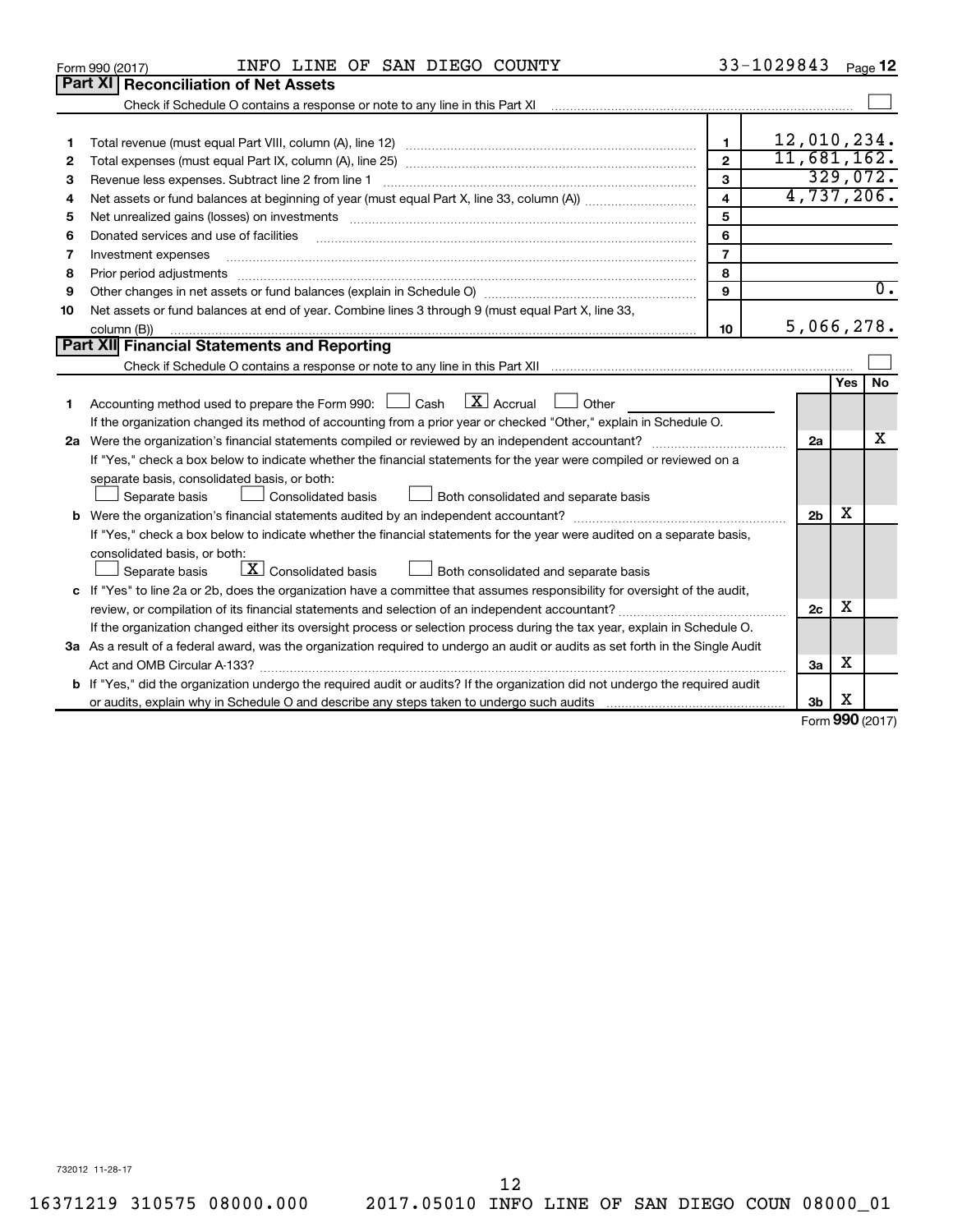|    | INFO LINE OF SAN DIEGO COUNTY<br>Form 990 (2017)                                                                                     |                         | 33-1029843     | Page 12             |
|----|--------------------------------------------------------------------------------------------------------------------------------------|-------------------------|----------------|---------------------|
|    | Part XI   Reconciliation of Net Assets                                                                                               |                         |                |                     |
|    | Check if Schedule O contains a response or note to any line in this Part XI                                                          |                         |                |                     |
|    |                                                                                                                                      |                         |                |                     |
| 1  |                                                                                                                                      | $\blacksquare$          | 12,010,234.    |                     |
| 2  |                                                                                                                                      | $\mathbf{2}$            | 11,681,162.    |                     |
| З  | Revenue less expenses. Subtract line 2 from line 1                                                                                   | 3                       |                | 329,072.            |
| 4  |                                                                                                                                      | $\overline{\mathbf{A}}$ |                | 4,737,206.          |
| 5  |                                                                                                                                      | 5                       |                |                     |
| 6  | Donated services and use of facilities                                                                                               | 6                       |                |                     |
| 7  | Investment expenses                                                                                                                  | $\overline{7}$          |                |                     |
| 8  | Prior period adjustments                                                                                                             | 8                       |                |                     |
| 9  |                                                                                                                                      | 9                       |                | $\overline{0}$ .    |
| 10 | Net assets or fund balances at end of year. Combine lines 3 through 9 (must equal Part X, line 33,                                   |                         |                |                     |
|    | column (B))                                                                                                                          | 10                      |                | 5,066,278.          |
|    | Part XII Financial Statements and Reporting                                                                                          |                         |                |                     |
|    |                                                                                                                                      |                         |                |                     |
|    |                                                                                                                                      |                         |                | No<br>Yes           |
| 1  | Accounting method used to prepare the Form 990: $\Box$ Cash $\Box X$ Accrual<br>Other<br><b>Contract</b>                             |                         |                |                     |
|    | If the organization changed its method of accounting from a prior year or checked "Other," explain in Schedule O.                    |                         |                |                     |
|    |                                                                                                                                      |                         | 2a             | x                   |
|    | If "Yes," check a box below to indicate whether the financial statements for the year were compiled or reviewed on a                 |                         |                |                     |
|    | separate basis, consolidated basis, or both:                                                                                         |                         |                |                     |
|    | Both consolidated and separate basis<br>Separate basis<br>Consolidated basis                                                         |                         |                |                     |
|    |                                                                                                                                      |                         | 2 <sub>b</sub> | х                   |
|    | If "Yes," check a box below to indicate whether the financial statements for the year were audited on a separate basis,              |                         |                |                     |
|    | consolidated basis, or both:                                                                                                         |                         |                |                     |
|    | $X$ Consolidated basis<br>Both consolidated and separate basis<br>Separate basis                                                     |                         |                |                     |
|    | c If "Yes" to line 2a or 2b, does the organization have a committee that assumes responsibility for oversight of the audit,          |                         |                |                     |
|    | review, or compilation of its financial statements and selection of an independent accountant?                                       |                         | 2c             | х                   |
|    | If the organization changed either its oversight process or selection process during the tax year, explain in Schedule O.            |                         |                |                     |
|    | 3a As a result of a federal award, was the organization required to undergo an audit or audits as set forth in the Single Audit      |                         |                |                     |
|    | Act and OMB Circular A-133?                                                                                                          |                         | 3a             | х                   |
|    | <b>b</b> If "Yes," did the organization undergo the required audit or audits? If the organization did not undergo the required audit |                         |                |                     |
|    |                                                                                                                                      |                         | 3b             | х                   |
|    |                                                                                                                                      |                         |                | $000 \text{ hours}$ |

Form (2017) **990**

732012 11-28-17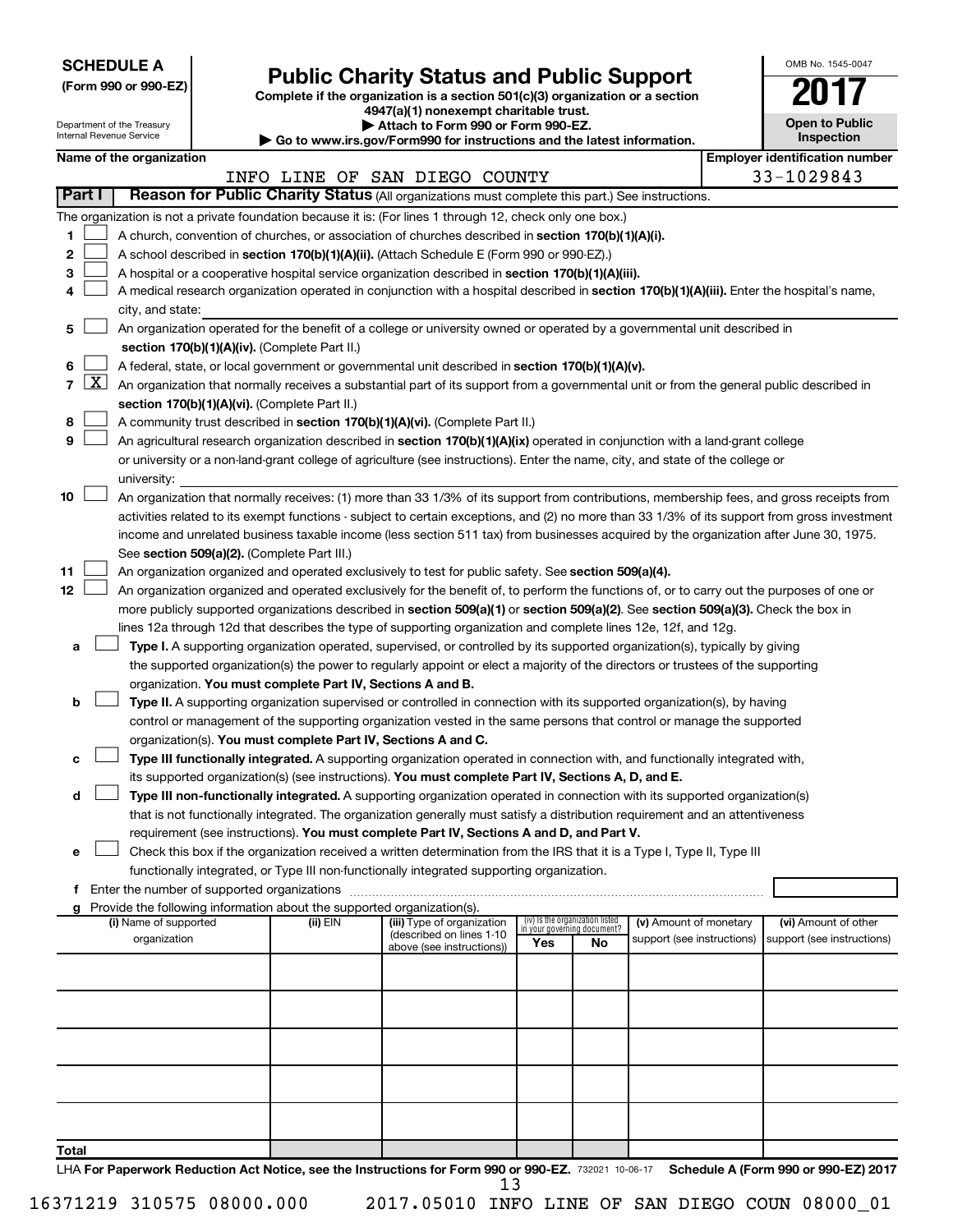| <b>SCHEDULE A</b> |  |
|-------------------|--|
|-------------------|--|

Department of the Treasury

# Form 990 or 990-EZ)<br>
Complete if the organization is a section 501(c)(3) organization or a section<br> **Public Charity Status and Public Support**

**4947(a)(1) nonexempt charitable trust.**

**| Attach to Form 990 or Form 990-EZ.** 

| on. |  |  | Open to Public | Inspection |  |
|-----|--|--|----------------|------------|--|
|     |  |  |                |            |  |

OMB No. 1545-0047

|       | Internal Revenue Service<br>Inspection<br>Go to www.irs.gov/Form990 for instructions and the latest information. |                                             |  |                                                                        |                                                                                                                                                                                                                                                                |                                                                |     |                            |  |                                       |
|-------|------------------------------------------------------------------------------------------------------------------|---------------------------------------------|--|------------------------------------------------------------------------|----------------------------------------------------------------------------------------------------------------------------------------------------------------------------------------------------------------------------------------------------------------|----------------------------------------------------------------|-----|----------------------------|--|---------------------------------------|
|       |                                                                                                                  | Name of the organization                    |  |                                                                        |                                                                                                                                                                                                                                                                |                                                                |     |                            |  | <b>Employer identification number</b> |
|       | Part I                                                                                                           |                                             |  |                                                                        | INFO LINE OF SAN DIEGO COUNTY<br>Reason for Public Charity Status (All organizations must complete this part.) See instructions.                                                                                                                               |                                                                |     |                            |  | 33-1029843                            |
|       |                                                                                                                  |                                             |  |                                                                        |                                                                                                                                                                                                                                                                |                                                                |     |                            |  |                                       |
|       |                                                                                                                  |                                             |  |                                                                        | The organization is not a private foundation because it is: (For lines 1 through 12, check only one box.)                                                                                                                                                      |                                                                |     |                            |  |                                       |
| 1     |                                                                                                                  |                                             |  |                                                                        | A church, convention of churches, or association of churches described in section 170(b)(1)(A)(i).                                                                                                                                                             |                                                                |     |                            |  |                                       |
| 2     |                                                                                                                  |                                             |  |                                                                        | A school described in section 170(b)(1)(A)(ii). (Attach Schedule E (Form 990 or 990-EZ).)                                                                                                                                                                      |                                                                |     |                            |  |                                       |
| 3     |                                                                                                                  |                                             |  |                                                                        | A hospital or a cooperative hospital service organization described in section 170(b)(1)(A)(iii).                                                                                                                                                              |                                                                |     |                            |  |                                       |
| 4     |                                                                                                                  |                                             |  |                                                                        | A medical research organization operated in conjunction with a hospital described in section 170(b)(1)(A)(iii). Enter the hospital's name,                                                                                                                     |                                                                |     |                            |  |                                       |
|       |                                                                                                                  | city, and state:                            |  |                                                                        |                                                                                                                                                                                                                                                                |                                                                |     |                            |  |                                       |
| 5     |                                                                                                                  |                                             |  |                                                                        | An organization operated for the benefit of a college or university owned or operated by a governmental unit described in                                                                                                                                      |                                                                |     |                            |  |                                       |
|       |                                                                                                                  |                                             |  | section 170(b)(1)(A)(iv). (Complete Part II.)                          |                                                                                                                                                                                                                                                                |                                                                |     |                            |  |                                       |
| 6     | X                                                                                                                |                                             |  |                                                                        | A federal, state, or local government or governmental unit described in section 170(b)(1)(A)(v).                                                                                                                                                               |                                                                |     |                            |  |                                       |
| 7     |                                                                                                                  |                                             |  |                                                                        | An organization that normally receives a substantial part of its support from a governmental unit or from the general public described in                                                                                                                      |                                                                |     |                            |  |                                       |
|       |                                                                                                                  |                                             |  | section 170(b)(1)(A)(vi). (Complete Part II.)                          |                                                                                                                                                                                                                                                                |                                                                |     |                            |  |                                       |
| 8     |                                                                                                                  |                                             |  |                                                                        | A community trust described in section 170(b)(1)(A)(vi). (Complete Part II.)                                                                                                                                                                                   |                                                                |     |                            |  |                                       |
| 9     |                                                                                                                  |                                             |  |                                                                        | An agricultural research organization described in section 170(b)(1)(A)(ix) operated in conjunction with a land-grant college                                                                                                                                  |                                                                |     |                            |  |                                       |
|       |                                                                                                                  |                                             |  |                                                                        | or university or a non-land-grant college of agriculture (see instructions). Enter the name, city, and state of the college or                                                                                                                                 |                                                                |     |                            |  |                                       |
|       |                                                                                                                  | university:                                 |  |                                                                        |                                                                                                                                                                                                                                                                |                                                                |     |                            |  |                                       |
| 10    |                                                                                                                  |                                             |  |                                                                        | An organization that normally receives: (1) more than 33 1/3% of its support from contributions, membership fees, and gross receipts from                                                                                                                      |                                                                |     |                            |  |                                       |
|       |                                                                                                                  |                                             |  |                                                                        | activities related to its exempt functions - subject to certain exceptions, and (2) no more than 33 1/3% of its support from gross investment                                                                                                                  |                                                                |     |                            |  |                                       |
|       |                                                                                                                  |                                             |  |                                                                        | income and unrelated business taxable income (less section 511 tax) from businesses acquired by the organization after June 30, 1975.                                                                                                                          |                                                                |     |                            |  |                                       |
|       |                                                                                                                  |                                             |  | See section 509(a)(2). (Complete Part III.)                            |                                                                                                                                                                                                                                                                |                                                                |     |                            |  |                                       |
| 11    |                                                                                                                  |                                             |  |                                                                        | An organization organized and operated exclusively to test for public safety. See section 509(a)(4).                                                                                                                                                           |                                                                |     |                            |  |                                       |
| 12    |                                                                                                                  |                                             |  |                                                                        | An organization organized and operated exclusively for the benefit of, to perform the functions of, or to carry out the purposes of one or                                                                                                                     |                                                                |     |                            |  |                                       |
|       |                                                                                                                  |                                             |  |                                                                        | more publicly supported organizations described in section 509(a)(1) or section 509(a)(2). See section 509(a)(3). Check the box in                                                                                                                             |                                                                |     |                            |  |                                       |
|       |                                                                                                                  |                                             |  |                                                                        | lines 12a through 12d that describes the type of supporting organization and complete lines 12e, 12f, and 12g.                                                                                                                                                 |                                                                |     |                            |  |                                       |
| а     |                                                                                                                  |                                             |  |                                                                        | Type I. A supporting organization operated, supervised, or controlled by its supported organization(s), typically by giving<br>the supported organization(s) the power to regularly appoint or elect a majority of the directors or trustees of the supporting |                                                                |     |                            |  |                                       |
|       |                                                                                                                  |                                             |  | organization. You must complete Part IV, Sections A and B.             |                                                                                                                                                                                                                                                                |                                                                |     |                            |  |                                       |
| b     |                                                                                                                  |                                             |  |                                                                        | Type II. A supporting organization supervised or controlled in connection with its supported organization(s), by having                                                                                                                                        |                                                                |     |                            |  |                                       |
|       |                                                                                                                  |                                             |  |                                                                        | control or management of the supporting organization vested in the same persons that control or manage the supported                                                                                                                                           |                                                                |     |                            |  |                                       |
|       |                                                                                                                  |                                             |  | organization(s). You must complete Part IV, Sections A and C.          |                                                                                                                                                                                                                                                                |                                                                |     |                            |  |                                       |
| с     |                                                                                                                  |                                             |  |                                                                        | Type III functionally integrated. A supporting organization operated in connection with, and functionally integrated with,                                                                                                                                     |                                                                |     |                            |  |                                       |
|       |                                                                                                                  |                                             |  |                                                                        | its supported organization(s) (see instructions). You must complete Part IV, Sections A, D, and E.                                                                                                                                                             |                                                                |     |                            |  |                                       |
| d     |                                                                                                                  |                                             |  |                                                                        | Type III non-functionally integrated. A supporting organization operated in connection with its supported organization(s)                                                                                                                                      |                                                                |     |                            |  |                                       |
|       |                                                                                                                  |                                             |  |                                                                        | that is not functionally integrated. The organization generally must satisfy a distribution requirement and an attentiveness                                                                                                                                   |                                                                |     |                            |  |                                       |
|       |                                                                                                                  |                                             |  |                                                                        | requirement (see instructions). You must complete Part IV, Sections A and D, and Part V.                                                                                                                                                                       |                                                                |     |                            |  |                                       |
| е     |                                                                                                                  |                                             |  |                                                                        | Check this box if the organization received a written determination from the IRS that it is a Type I, Type II, Type III                                                                                                                                        |                                                                |     |                            |  |                                       |
|       |                                                                                                                  |                                             |  |                                                                        | functionally integrated, or Type III non-functionally integrated supporting organization.                                                                                                                                                                      |                                                                |     |                            |  |                                       |
| f     |                                                                                                                  | Enter the number of supported organizations |  |                                                                        |                                                                                                                                                                                                                                                                |                                                                |     |                            |  |                                       |
|       |                                                                                                                  |                                             |  | Provide the following information about the supported organization(s). |                                                                                                                                                                                                                                                                |                                                                |     |                            |  |                                       |
|       |                                                                                                                  | (i) Name of supported                       |  | (ii) $EIN$                                                             | (iii) Type of organization<br>(described on lines 1-10                                                                                                                                                                                                         | (iv) Is the organization listed<br>in your governing document? |     | (v) Amount of monetary     |  | (vi) Amount of other                  |
|       |                                                                                                                  | organization                                |  |                                                                        | above (see instructions))                                                                                                                                                                                                                                      | Yes                                                            | No. | support (see instructions) |  | support (see instructions)            |
|       |                                                                                                                  |                                             |  |                                                                        |                                                                                                                                                                                                                                                                |                                                                |     |                            |  |                                       |
|       |                                                                                                                  |                                             |  |                                                                        |                                                                                                                                                                                                                                                                |                                                                |     |                            |  |                                       |
|       |                                                                                                                  |                                             |  |                                                                        |                                                                                                                                                                                                                                                                |                                                                |     |                            |  |                                       |
|       |                                                                                                                  |                                             |  |                                                                        |                                                                                                                                                                                                                                                                |                                                                |     |                            |  |                                       |
|       |                                                                                                                  |                                             |  |                                                                        |                                                                                                                                                                                                                                                                |                                                                |     |                            |  |                                       |
|       |                                                                                                                  |                                             |  |                                                                        |                                                                                                                                                                                                                                                                |                                                                |     |                            |  |                                       |
|       |                                                                                                                  |                                             |  |                                                                        |                                                                                                                                                                                                                                                                |                                                                |     |                            |  |                                       |
|       |                                                                                                                  |                                             |  |                                                                        |                                                                                                                                                                                                                                                                |                                                                |     |                            |  |                                       |
|       |                                                                                                                  |                                             |  |                                                                        |                                                                                                                                                                                                                                                                |                                                                |     |                            |  |                                       |
|       |                                                                                                                  |                                             |  |                                                                        |                                                                                                                                                                                                                                                                |                                                                |     |                            |  |                                       |
| Total |                                                                                                                  |                                             |  |                                                                        |                                                                                                                                                                                                                                                                |                                                                |     |                            |  |                                       |

LHA For Paperwork Reduction Act Notice, see the Instructions for Form 990 or 990-EZ. 732021 10-06-17 Schedule A (Form 990 or 990-EZ) 2017 13

16371219 310575 08000.000 2017.05010 INFO LINE OF SAN DIEGO COUN 08000\_01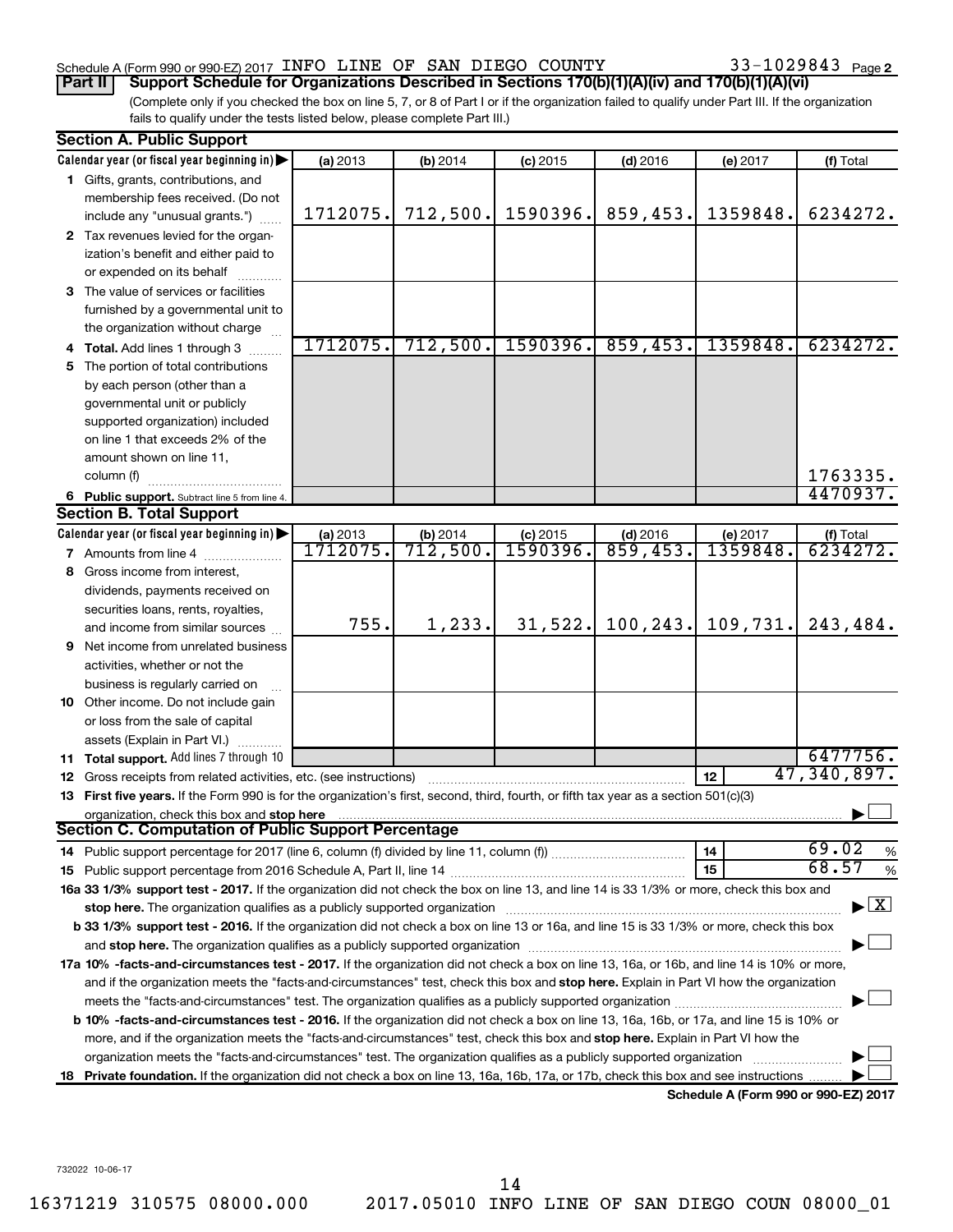### Schedule A (Form 990 or 990-EZ) 2017 INFO LINE OF SAN DIEGO COUNTY  $33-1029843$  Page

33-1029843 Page 2

(Complete only if you checked the box on line 5, 7, or 8 of Part I or if the organization failed to qualify under Part III. If the organization fails to qualify under the tests listed below, please complete Part III.) **Part II** | Support Schedule for Organizations Described in Sections 170(b)(1)(A)(iv) and 170(b)(1)(A)(vi)

|    | <b>Section A. Public Support</b>                                                                                                           |                     |          |                       |            |                                      |              |
|----|--------------------------------------------------------------------------------------------------------------------------------------------|---------------------|----------|-----------------------|------------|--------------------------------------|--------------|
|    | Calendar year (or fiscal year beginning in)                                                                                                | (a) 2013            | (b) 2014 | $(c)$ 2015            | $(d)$ 2016 | (e) 2017                             | (f) Total    |
|    | 1 Gifts, grants, contributions, and                                                                                                        |                     |          |                       |            |                                      |              |
|    | membership fees received. (Do not                                                                                                          |                     |          |                       |            |                                      |              |
|    | include any "unusual grants.")                                                                                                             | 1712075.            | 712,500. | 1590396.              | 859,453.   | 1359848.                             | 6234272.     |
|    | 2 Tax revenues levied for the organ-                                                                                                       |                     |          |                       |            |                                      |              |
|    | ization's benefit and either paid to                                                                                                       |                     |          |                       |            |                                      |              |
|    | or expended on its behalf                                                                                                                  |                     |          |                       |            |                                      |              |
|    | 3 The value of services or facilities                                                                                                      |                     |          |                       |            |                                      |              |
|    | furnished by a governmental unit to                                                                                                        |                     |          |                       |            |                                      |              |
|    | the organization without charge                                                                                                            |                     |          |                       |            |                                      |              |
|    | 4 Total. Add lines 1 through 3                                                                                                             | 1712075.            | 712,500. | 1590396.              | 859, 453.  | 1359848.                             | 6234272.     |
|    | 5 The portion of total contributions                                                                                                       |                     |          |                       |            |                                      |              |
|    | by each person (other than a                                                                                                               |                     |          |                       |            |                                      |              |
|    | governmental unit or publicly                                                                                                              |                     |          |                       |            |                                      |              |
|    | supported organization) included                                                                                                           |                     |          |                       |            |                                      |              |
|    | on line 1 that exceeds 2% of the                                                                                                           |                     |          |                       |            |                                      |              |
|    | amount shown on line 11,                                                                                                                   |                     |          |                       |            |                                      |              |
|    | column (f)                                                                                                                                 |                     |          |                       |            |                                      | 1763335.     |
|    | 6 Public support. Subtract line 5 from line 4.                                                                                             |                     |          |                       |            |                                      | 4470937.     |
|    | <b>Section B. Total Support</b>                                                                                                            |                     |          |                       |            |                                      |              |
|    | Calendar year (or fiscal year beginning in)                                                                                                | (a) 2013<br>1712075 | (b) 2014 | $\frac{c}{1590396}$ . | $(d)$ 2016 | (e) 2017                             | (f) Total    |
|    | <b>7</b> Amounts from line 4                                                                                                               |                     | 712,500. |                       | 859,453.   | 1359848.                             | 6234272.     |
| 8  | Gross income from interest,                                                                                                                |                     |          |                       |            |                                      |              |
|    | dividends, payments received on                                                                                                            |                     |          |                       |            |                                      |              |
|    | securities loans, rents, royalties,                                                                                                        |                     |          |                       |            |                                      |              |
|    | and income from similar sources                                                                                                            | 755.                | 1,233.   | 31,522.               | 100, 243.  | 109,731.                             | 243,484.     |
|    | <b>9</b> Net income from unrelated business                                                                                                |                     |          |                       |            |                                      |              |
|    | activities, whether or not the                                                                                                             |                     |          |                       |            |                                      |              |
|    | business is regularly carried on                                                                                                           |                     |          |                       |            |                                      |              |
|    | 10 Other income. Do not include gain                                                                                                       |                     |          |                       |            |                                      |              |
|    | or loss from the sale of capital                                                                                                           |                     |          |                       |            |                                      |              |
|    | assets (Explain in Part VI.)                                                                                                               |                     |          |                       |            |                                      |              |
|    | 11 Total support. Add lines 7 through 10                                                                                                   |                     |          |                       |            |                                      | 6477756.     |
|    | <b>12</b> Gross receipts from related activities, etc. (see instructions)                                                                  |                     |          |                       |            | 12                                   | 47,340,897.  |
|    | 13 First five years. If the Form 990 is for the organization's first, second, third, fourth, or fifth tax year as a section 501(c)(3)      |                     |          |                       |            |                                      |              |
|    | organization, check this box and stop here<br><b>Section C. Computation of Public Support Percentage</b>                                   |                     |          |                       |            |                                      |              |
|    |                                                                                                                                            |                     |          |                       |            |                                      | 69.02        |
|    | 14 Public support percentage for 2017 (line 6, column (f) divided by line 11, column (f))                                                  |                     |          |                       |            | 14                                   | %<br>68.57   |
|    |                                                                                                                                            |                     |          |                       |            | 15                                   | $\%$         |
|    | 16a 33 1/3% support test - 2017. If the organization did not check the box on line 13, and line 14 is 33 1/3% or more, check this box and  |                     |          |                       |            |                                      | $\mathbf{x}$ |
|    | stop here. The organization qualifies as a publicly supported organization manufaction manufacture or the organization                     |                     |          |                       |            |                                      |              |
|    | b 33 1/3% support test - 2016. If the organization did not check a box on line 13 or 16a, and line 15 is 33 1/3% or more, check this box   |                     |          |                       |            |                                      |              |
|    | 17a 10% -facts-and-circumstances test - 2017. If the organization did not check a box on line 13, 16a, or 16b, and line 14 is 10% or more, |                     |          |                       |            |                                      |              |
|    | and if the organization meets the "facts-and-circumstances" test, check this box and stop here. Explain in Part VI how the organization    |                     |          |                       |            |                                      |              |
|    | meets the "facts-and-circumstances" test. The organization qualifies as a publicly supported organization <i>manumumumumum</i>             |                     |          |                       |            |                                      |              |
|    | b 10% -facts-and-circumstances test - 2016. If the organization did not check a box on line 13, 16a, 16b, or 17a, and line 15 is 10% or    |                     |          |                       |            |                                      |              |
|    | more, and if the organization meets the "facts-and-circumstances" test, check this box and stop here. Explain in Part VI how the           |                     |          |                       |            |                                      |              |
|    | organization meets the "facts-and-circumstances" test. The organization qualifies as a publicly supported organization                     |                     |          |                       |            |                                      |              |
| 18 | Private foundation. If the organization did not check a box on line 13, 16a, 16b, 17a, or 17b, check this box and see instructions         |                     |          |                       |            |                                      |              |
|    |                                                                                                                                            |                     |          |                       |            | Schedule A (Form 990 or 990-EZ) 2017 |              |

732022 10-06-17

16371219 310575 08000.000 2017.05010 INFO LINE OF SAN DIEGO COUN 08000\_01 14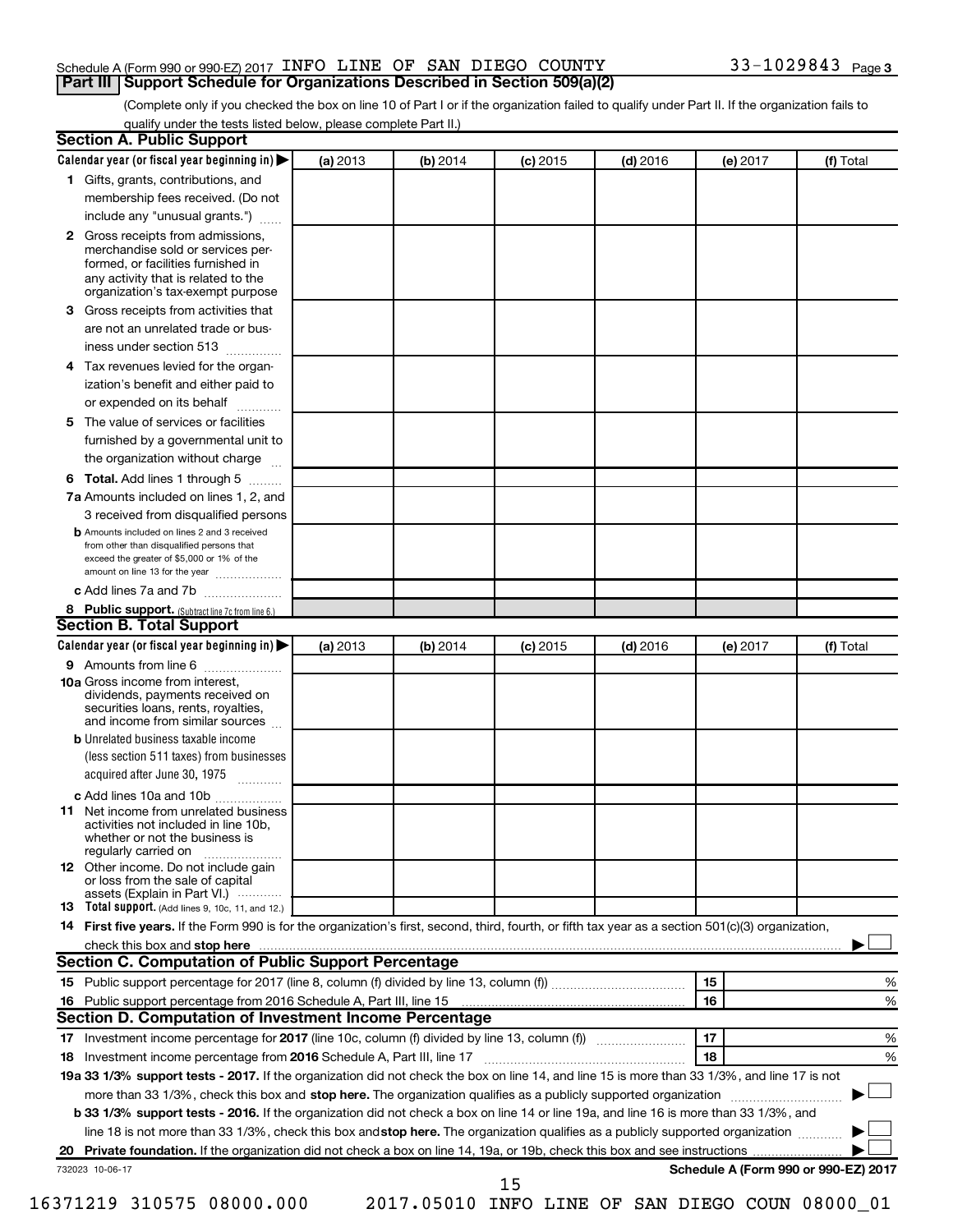#### Schedule A (Form 990 or 990-EZ) 2017 INFO LINE OF SAN DIEGO COUNTY  $33-1029843$  Page **Part III | Support Schedule for Organizations Described in Section 509(a)(2)**

(Complete only if you checked the box on line 10 of Part I or if the organization failed to qualify under Part II. If the organization fails to qualify under the tests listed below, please complete Part II.)

| <b>Section A. Public Support</b>                                                                                                                                                                                                    |          |          |            |            |          |                                      |
|-------------------------------------------------------------------------------------------------------------------------------------------------------------------------------------------------------------------------------------|----------|----------|------------|------------|----------|--------------------------------------|
| Calendar year (or fiscal year beginning in)                                                                                                                                                                                         | (a) 2013 | (b) 2014 | $(c)$ 2015 | $(d)$ 2016 | (e) 2017 | (f) Total                            |
| 1 Gifts, grants, contributions, and                                                                                                                                                                                                 |          |          |            |            |          |                                      |
| membership fees received. (Do not                                                                                                                                                                                                   |          |          |            |            |          |                                      |
| include any "unusual grants.")                                                                                                                                                                                                      |          |          |            |            |          |                                      |
| 2 Gross receipts from admissions,<br>merchandise sold or services per-<br>formed, or facilities furnished in<br>any activity that is related to the<br>organization's tax-exempt purpose                                            |          |          |            |            |          |                                      |
| 3 Gross receipts from activities that                                                                                                                                                                                               |          |          |            |            |          |                                      |
| are not an unrelated trade or bus-                                                                                                                                                                                                  |          |          |            |            |          |                                      |
| iness under section 513                                                                                                                                                                                                             |          |          |            |            |          |                                      |
| 4 Tax revenues levied for the organ-                                                                                                                                                                                                |          |          |            |            |          |                                      |
| ization's benefit and either paid to<br>or expended on its behalf                                                                                                                                                                   |          |          |            |            |          |                                      |
| 5 The value of services or facilities                                                                                                                                                                                               |          |          |            |            |          |                                      |
| furnished by a governmental unit to                                                                                                                                                                                                 |          |          |            |            |          |                                      |
| the organization without charge                                                                                                                                                                                                     |          |          |            |            |          |                                      |
| 6 Total. Add lines 1 through 5                                                                                                                                                                                                      |          |          |            |            |          |                                      |
| 7a Amounts included on lines 1, 2, and                                                                                                                                                                                              |          |          |            |            |          |                                      |
| 3 received from disqualified persons                                                                                                                                                                                                |          |          |            |            |          |                                      |
| <b>b</b> Amounts included on lines 2 and 3 received<br>from other than disqualified persons that<br>exceed the greater of \$5,000 or 1% of the<br>amount on line 13 for the year                                                    |          |          |            |            |          |                                      |
| c Add lines 7a and 7b                                                                                                                                                                                                               |          |          |            |            |          |                                      |
| 8 Public support. (Subtract line 7c from line 6.)                                                                                                                                                                                   |          |          |            |            |          |                                      |
| <b>Section B. Total Support</b>                                                                                                                                                                                                     |          |          |            |            |          |                                      |
| Calendar year (or fiscal year beginning in)                                                                                                                                                                                         | (a) 2013 | (b) 2014 | $(c)$ 2015 | $(d)$ 2016 | (e) 2017 | (f) Total                            |
| 9 Amounts from line 6                                                                                                                                                                                                               |          |          |            |            |          |                                      |
| <b>10a</b> Gross income from interest,<br>dividends, payments received on<br>securities loans, rents, royalties,<br>and income from similar sources                                                                                 |          |          |            |            |          |                                      |
| <b>b</b> Unrelated business taxable income<br>(less section 511 taxes) from businesses<br>acquired after June 30, 1975                                                                                                              |          |          |            |            |          |                                      |
| c Add lines 10a and 10b                                                                                                                                                                                                             |          |          |            |            |          |                                      |
| <b>11</b> Net income from unrelated business<br>activities not included in line 10b.<br>whether or not the business is<br>regularly carried on                                                                                      |          |          |            |            |          |                                      |
| 12 Other income. Do not include gain<br>or loss from the sale of capital<br>assets (Explain in Part VI.)                                                                                                                            |          |          |            |            |          |                                      |
| <b>13</b> Total support. (Add lines 9, 10c, 11, and 12.)                                                                                                                                                                            |          |          |            |            |          |                                      |
| 14 First five years. If the Form 990 is for the organization's first, second, third, fourth, or fifth tax year as a section 501(c)(3) organization,                                                                                 |          |          |            |            |          |                                      |
| check this box and stop here <b>contractly contractly and stop here</b> contractly and stop here contractly and stop here contractly and stop here contractly and stop here contractly and stop here contractly and stop here contr |          |          |            |            |          |                                      |
| Section C. Computation of Public Support Percentage                                                                                                                                                                                 |          |          |            |            |          |                                      |
|                                                                                                                                                                                                                                     |          |          |            |            | 15       | ℅                                    |
| 16 Public support percentage from 2016 Schedule A, Part III, line 15                                                                                                                                                                |          |          |            |            | 16       | %                                    |
| Section D. Computation of Investment Income Percentage                                                                                                                                                                              |          |          |            |            |          |                                      |
|                                                                                                                                                                                                                                     |          |          |            |            | 17       | %                                    |
| 18 Investment income percentage from 2016 Schedule A, Part III, line 17                                                                                                                                                             |          |          |            |            | 18       | %                                    |
| 19a 33 1/3% support tests - 2017. If the organization did not check the box on line 14, and line 15 is more than 33 1/3%, and line 17 is not                                                                                        |          |          |            |            |          |                                      |
| more than 33 1/3%, check this box and stop here. The organization qualifies as a publicly supported organization                                                                                                                    |          |          |            |            |          |                                      |
| <b>b 33 1/3% support tests - 2016.</b> If the organization did not check a box on line 14 or line 19a, and line 16 is more than 33 1/3%, and                                                                                        |          |          |            |            |          |                                      |
| line 18 is not more than 33 1/3%, check this box and stop here. The organization qualifies as a publicly supported organization                                                                                                     |          |          |            |            |          |                                      |
|                                                                                                                                                                                                                                     |          |          |            |            |          |                                      |
| 732023 10-06-17                                                                                                                                                                                                                     |          |          |            |            |          | Schedule A (Form 990 or 990-EZ) 2017 |
|                                                                                                                                                                                                                                     |          |          | 15         |            |          |                                      |

16371219 310575 08000.000 2017.05010 INFO LINE OF SAN DIEGO COUN 08000\_01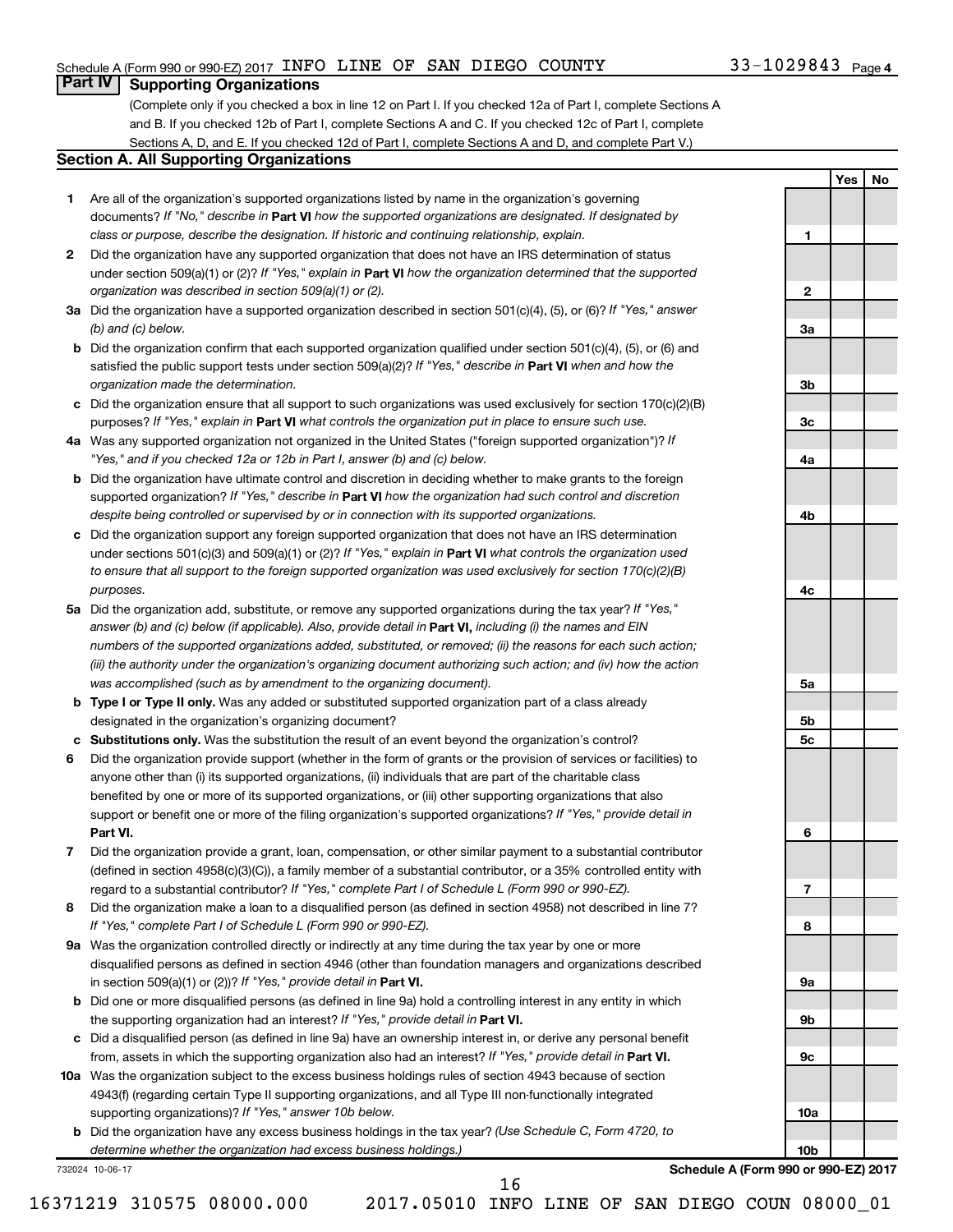### Schedule A (Form 990 or 990-EZ) 2017 INFO LINE OF SAN DIEGO COUNTY  $33-1029843$  Page

### 33-1029843 Page 4

**1**

**2**

**3a**

**3b**

**3c**

**4a**

**4b**

**4c**

**5a**

**5b 5c**

**6**

**7**

**8**

**9a**

**9b**

**9c**

**10a**

**10b**

**Yes No**

## **Part IV Supporting Organizations**

(Complete only if you checked a box in line 12 on Part I. If you checked 12a of Part I, complete Sections A and B. If you checked 12b of Part I, complete Sections A and C. If you checked 12c of Part I, complete Sections A, D, and E. If you checked 12d of Part I, complete Sections A and D, and complete Part V.)

#### **Section A. All Supporting Organizations**

- **1** Are all of the organization's supported organizations listed by name in the organization's governing documents? If "No," describe in Part VI how the supported organizations are designated. If designated by *class or purpose, describe the designation. If historic and continuing relationship, explain.*
- **2** Did the organization have any supported organization that does not have an IRS determination of status under section 509(a)(1) or (2)? If "Yes," explain in Part **VI** how the organization determined that the supported *organization was described in section 509(a)(1) or (2).*
- **3a** Did the organization have a supported organization described in section 501(c)(4), (5), or (6)? If "Yes," answer *(b) and (c) below.*
- **b** Did the organization confirm that each supported organization qualified under section 501(c)(4), (5), or (6) and satisfied the public support tests under section 509(a)(2)? If "Yes," describe in Part VI when and how the *organization made the determination.*
- **c** Did the organization ensure that all support to such organizations was used exclusively for section 170(c)(2)(B) purposes? If "Yes," explain in Part VI what controls the organization put in place to ensure such use.
- **4 a** *If* Was any supported organization not organized in the United States ("foreign supported organization")? *"Yes," and if you checked 12a or 12b in Part I, answer (b) and (c) below.*
- **b** Did the organization have ultimate control and discretion in deciding whether to make grants to the foreign supported organization? If "Yes," describe in Part VI how the organization had such control and discretion *despite being controlled or supervised by or in connection with its supported organizations.*
- **c** Did the organization support any foreign supported organization that does not have an IRS determination under sections 501(c)(3) and 509(a)(1) or (2)? If "Yes," explain in Part VI what controls the organization used *to ensure that all support to the foreign supported organization was used exclusively for section 170(c)(2)(B) purposes.*
- **5a** Did the organization add, substitute, or remove any supported organizations during the tax year? If "Yes," answer (b) and (c) below (if applicable). Also, provide detail in **Part VI,** including (i) the names and EIN *numbers of the supported organizations added, substituted, or removed; (ii) the reasons for each such action; (iii) the authority under the organization's organizing document authorizing such action; and (iv) how the action was accomplished (such as by amendment to the organizing document).*
- **b Type I or Type II only.** Was any added or substituted supported organization part of a class already designated in the organization's organizing document?
- **c Substitutions only.**  Was the substitution the result of an event beyond the organization's control?
- **6** Did the organization provide support (whether in the form of grants or the provision of services or facilities) to **Part VI.** support or benefit one or more of the filing organization's supported organizations? If "Yes," provide detail in anyone other than (i) its supported organizations, (ii) individuals that are part of the charitable class benefited by one or more of its supported organizations, or (iii) other supporting organizations that also
- **7** Did the organization provide a grant, loan, compensation, or other similar payment to a substantial contributor regard to a substantial contributor? If "Yes," complete Part I of Schedule L (Form 990 or 990-EZ). (defined in section 4958(c)(3)(C)), a family member of a substantial contributor, or a 35% controlled entity with
- **8** Did the organization make a loan to a disqualified person (as defined in section 4958) not described in line 7? *If "Yes," complete Part I of Schedule L (Form 990 or 990-EZ).*
- **9 a** Was the organization controlled directly or indirectly at any time during the tax year by one or more in section 509(a)(1) or (2))? If "Yes," provide detail in **Part VI.** disqualified persons as defined in section 4946 (other than foundation managers and organizations described
- **b** Did one or more disqualified persons (as defined in line 9a) hold a controlling interest in any entity in which the supporting organization had an interest? If "Yes," provide detail in Part VI.
- **c** Did a disqualified person (as defined in line 9a) have an ownership interest in, or derive any personal benefit from, assets in which the supporting organization also had an interest? If "Yes," provide detail in Part VI.
- **10 a** Was the organization subject to the excess business holdings rules of section 4943 because of section supporting organizations)? If "Yes," answer 10b below. 4943(f) (regarding certain Type II supporting organizations, and all Type III non-functionally integrated
	- **b** Did the organization have any excess business holdings in the tax year? (Use Schedule C, Form 4720, to *determine whether the organization had excess business holdings.)*

732024 10-06-17

**Schedule A (Form 990 or 990-EZ) 2017**

16371219 310575 08000.000 2017.05010 INFO LINE OF SAN DIEGO COUN 08000\_01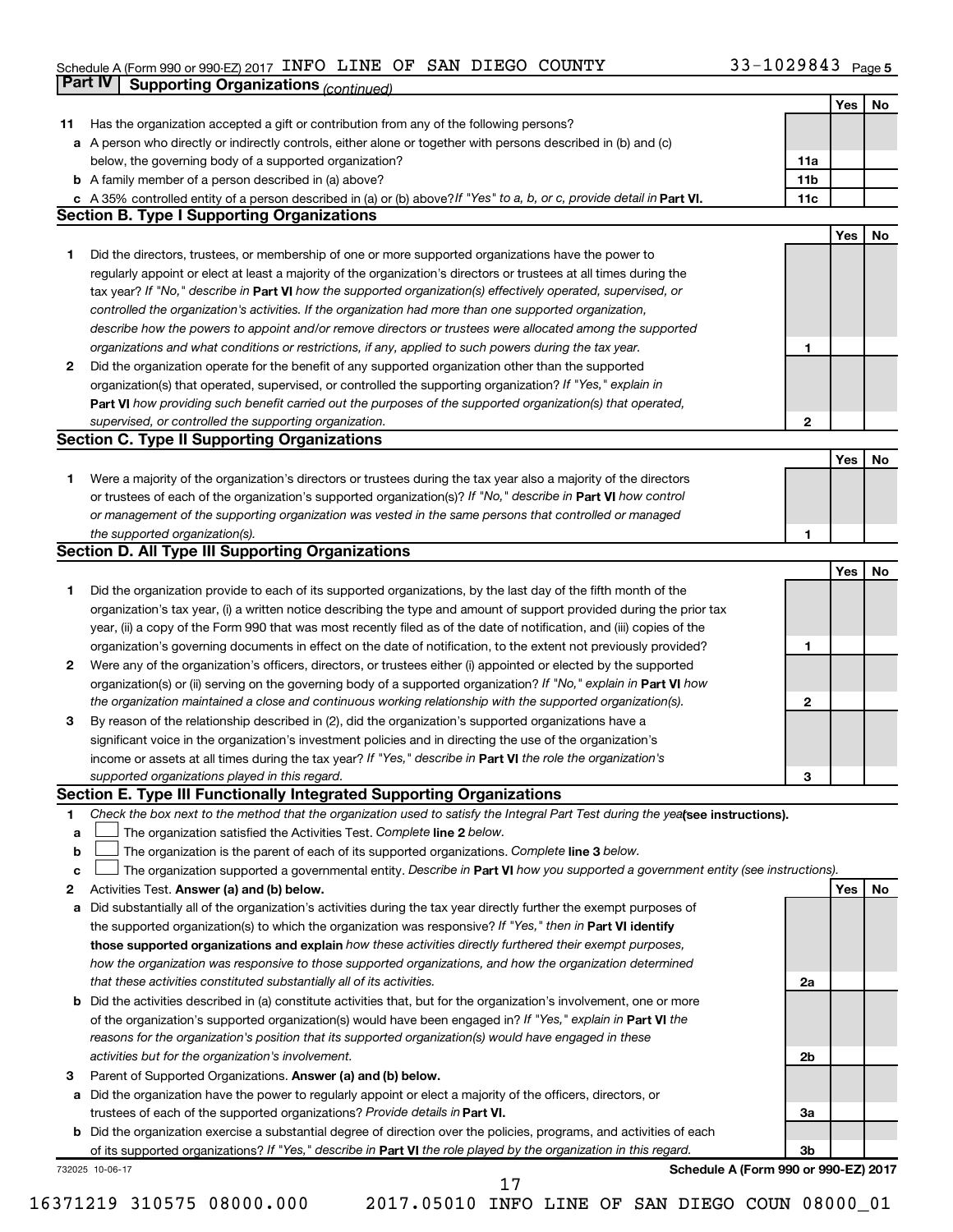#### Schedule A (Form 990 or 990-EZ) 2017 INFO LINE OF SAN DIEGO COUNTY 35-TUZ9843 Page INFO LINE OF SAN DIEGO COUNTY 33-1029843

|              | <b>Part IV</b>  | <b>Supporting Organizations (continued)</b>                                                                                     |                 |     |    |
|--------------|-----------------|---------------------------------------------------------------------------------------------------------------------------------|-----------------|-----|----|
|              |                 |                                                                                                                                 |                 | Yes | No |
| 11           |                 | Has the organization accepted a gift or contribution from any of the following persons?                                         |                 |     |    |
| а            |                 | A person who directly or indirectly controls, either alone or together with persons described in (b) and (c)                    |                 |     |    |
|              |                 | below, the governing body of a supported organization?                                                                          | 11a             |     |    |
|              |                 | <b>b</b> A family member of a person described in (a) above?                                                                    | 11 <sub>b</sub> |     |    |
|              |                 | c A 35% controlled entity of a person described in (a) or (b) above? If "Yes" to a, b, or c, provide detail in Part VI.         | 11c             |     |    |
|              |                 | <b>Section B. Type I Supporting Organizations</b>                                                                               |                 |     |    |
|              |                 |                                                                                                                                 |                 | Yes | No |
| 1.           |                 | Did the directors, trustees, or membership of one or more supported organizations have the power to                             |                 |     |    |
|              |                 |                                                                                                                                 |                 |     |    |
|              |                 | regularly appoint or elect at least a majority of the organization's directors or trustees at all times during the              |                 |     |    |
|              |                 | tax year? If "No," describe in Part VI how the supported organization(s) effectively operated, supervised, or                   |                 |     |    |
|              |                 | controlled the organization's activities. If the organization had more than one supported organization,                         |                 |     |    |
|              |                 | describe how the powers to appoint and/or remove directors or trustees were allocated among the supported                       |                 |     |    |
|              |                 | organizations and what conditions or restrictions, if any, applied to such powers during the tax year.                          | 1               |     |    |
| 2            |                 | Did the organization operate for the benefit of any supported organization other than the supported                             |                 |     |    |
|              |                 | organization(s) that operated, supervised, or controlled the supporting organization? If "Yes," explain in                      |                 |     |    |
|              |                 | Part VI how providing such benefit carried out the purposes of the supported organization(s) that operated,                     |                 |     |    |
|              |                 | supervised, or controlled the supporting organization.                                                                          | $\mathbf{2}$    |     |    |
|              |                 | <b>Section C. Type II Supporting Organizations</b>                                                                              |                 |     |    |
|              |                 |                                                                                                                                 |                 | Yes | No |
| 1.           |                 | Were a majority of the organization's directors or trustees during the tax year also a majority of the directors                |                 |     |    |
|              |                 | or trustees of each of the organization's supported organization(s)? If "No," describe in Part VI how control                   |                 |     |    |
|              |                 | or management of the supporting organization was vested in the same persons that controlled or managed                          |                 |     |    |
|              |                 | the supported organization(s).                                                                                                  | 1               |     |    |
|              |                 | <b>Section D. All Type III Supporting Organizations</b>                                                                         |                 |     |    |
|              |                 |                                                                                                                                 |                 | Yes | No |
| 1            |                 | Did the organization provide to each of its supported organizations, by the last day of the fifth month of the                  |                 |     |    |
|              |                 | organization's tax year, (i) a written notice describing the type and amount of support provided during the prior tax           |                 |     |    |
|              |                 | year, (ii) a copy of the Form 990 that was most recently filed as of the date of notification, and (iii) copies of the          |                 |     |    |
|              |                 | organization's governing documents in effect on the date of notification, to the extent not previously provided?                | 1               |     |    |
| $\mathbf{2}$ |                 | Were any of the organization's officers, directors, or trustees either (i) appointed or elected by the supported                |                 |     |    |
|              |                 | organization(s) or (ii) serving on the governing body of a supported organization? If "No," explain in Part VI how              |                 |     |    |
|              |                 | the organization maintained a close and continuous working relationship with the supported organization(s).                     | $\mathbf{2}$    |     |    |
| 3            |                 | By reason of the relationship described in (2), did the organization's supported organizations have a                           |                 |     |    |
|              |                 | significant voice in the organization's investment policies and in directing the use of the organization's                      |                 |     |    |
|              |                 | income or assets at all times during the tax year? If "Yes," describe in Part VI the role the organization's                    |                 |     |    |
|              |                 | supported organizations played in this regard.                                                                                  | з               |     |    |
|              |                 | Section E. Type III Functionally Integrated Supporting Organizations                                                            |                 |     |    |
| 1            |                 | Check the box next to the method that the organization used to satisfy the Integral Part Test during the yealsee instructions). |                 |     |    |
|              |                 | The organization satisfied the Activities Test. Complete line 2 below.                                                          |                 |     |    |
| a            |                 |                                                                                                                                 |                 |     |    |
| b            |                 | The organization is the parent of each of its supported organizations. Complete line 3 below.                                   |                 |     |    |
| c            |                 | The organization supported a governmental entity. Describe in Part VI how you supported a government entity (see instructions). |                 |     |    |
| 2            |                 | Activities Test. Answer (a) and (b) below.                                                                                      |                 | Yes | No |
| а            |                 | Did substantially all of the organization's activities during the tax year directly further the exempt purposes of              |                 |     |    |
|              |                 | the supported organization(s) to which the organization was responsive? If "Yes," then in Part VI identify                      |                 |     |    |
|              |                 | those supported organizations and explain how these activities directly furthered their exempt purposes,                        |                 |     |    |
|              |                 | how the organization was responsive to those supported organizations, and how the organization determined                       |                 |     |    |
|              |                 | that these activities constituted substantially all of its activities.                                                          | 2a              |     |    |
| b            |                 | Did the activities described in (a) constitute activities that, but for the organization's involvement, one or more             |                 |     |    |
|              |                 | of the organization's supported organization(s) would have been engaged in? If "Yes," explain in Part VI the                    |                 |     |    |
|              |                 | reasons for the organization's position that its supported organization(s) would have engaged in these                          |                 |     |    |
|              |                 | activities but for the organization's involvement.                                                                              | 2b              |     |    |
| з            |                 | Parent of Supported Organizations. Answer (a) and (b) below.                                                                    |                 |     |    |
| а            |                 | Did the organization have the power to regularly appoint or elect a majority of the officers, directors, or                     |                 |     |    |
|              |                 | trustees of each of the supported organizations? Provide details in Part VI.                                                    | За              |     |    |
|              |                 | <b>b</b> Did the organization exercise a substantial degree of direction over the policies, programs, and activities of each    |                 |     |    |
|              |                 | of its supported organizations? If "Yes," describe in Part VI the role played by the organization in this regard.               | 3b              |     |    |
|              | 732025 10-06-17 | Schedule A (Form 990 or 990-EZ) 2017                                                                                            |                 |     |    |
|              |                 | 17                                                                                                                              |                 |     |    |

16371219 310575 08000.000 2017.05010 INFO LINE OF SAN DIEGO COUN 08000\_01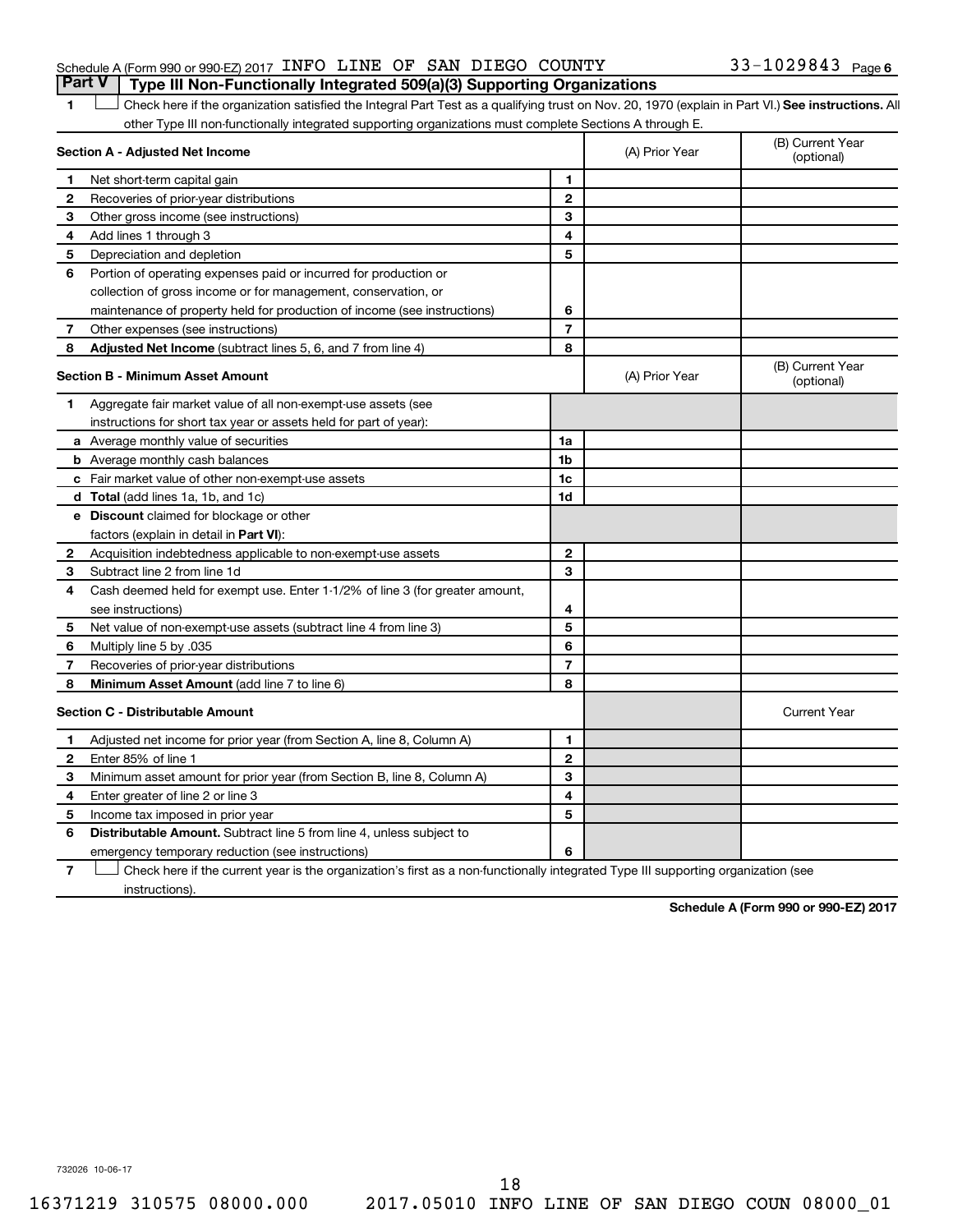### Schedule A (Form 990 or 990-EZ) 2017 INFO LINE OF SAN DIEGO COUNTY  $33-1029843$  Page **Part V Type III Non-Functionally Integrated 509(a)(3) Supporting Organizations**

### 1 **Letter on See instructions.** All Check here if the organization satisfied the Integral Part Test as a qualifying trust on Nov. 20, 1970 (explain in Part VI.) See instructions. All other Type III non-functionally integrated supporting organizations must complete Sections A through E.

|   | Section A - Adjusted Net Income                                              |                | (A) Prior Year | (B) Current Year<br>(optional) |
|---|------------------------------------------------------------------------------|----------------|----------------|--------------------------------|
| 1 | Net short-term capital gain                                                  | $\blacksquare$ |                |                                |
| 2 | Recoveries of prior-year distributions                                       | $\mathbf{2}$   |                |                                |
| 3 | Other gross income (see instructions)                                        | 3              |                |                                |
| 4 | Add lines 1 through 3                                                        | 4              |                |                                |
| 5 | Depreciation and depletion                                                   | 5              |                |                                |
| 6 | Portion of operating expenses paid or incurred for production or             |                |                |                                |
|   | collection of gross income or for management, conservation, or               |                |                |                                |
|   | maintenance of property held for production of income (see instructions)     | 6              |                |                                |
| 7 | Other expenses (see instructions)                                            | $\overline{7}$ |                |                                |
| 8 | Adjusted Net Income (subtract lines 5, 6, and 7 from line 4)                 | 8              |                |                                |
|   | <b>Section B - Minimum Asset Amount</b>                                      |                | (A) Prior Year | (B) Current Year<br>(optional) |
| 1 | Aggregate fair market value of all non-exempt-use assets (see                |                |                |                                |
|   | instructions for short tax year or assets held for part of year):            |                |                |                                |
|   | a Average monthly value of securities                                        | 1a             |                |                                |
|   | <b>b</b> Average monthly cash balances                                       | 1 <sub>b</sub> |                |                                |
|   | c Fair market value of other non-exempt-use assets                           | 1c             |                |                                |
|   | <b>d</b> Total (add lines 1a, 1b, and 1c)                                    | 1d             |                |                                |
|   | <b>e</b> Discount claimed for blockage or other                              |                |                |                                |
|   | factors (explain in detail in Part VI):                                      |                |                |                                |
| 2 | Acquisition indebtedness applicable to non-exempt-use assets                 | $\mathbf{2}$   |                |                                |
| З | Subtract line 2 from line 1d                                                 | 3              |                |                                |
| 4 | Cash deemed held for exempt use. Enter 1-1/2% of line 3 (for greater amount, |                |                |                                |
|   | see instructions)                                                            | 4              |                |                                |
| 5 | Net value of non-exempt-use assets (subtract line 4 from line 3)             | 5              |                |                                |
| 6 | Multiply line 5 by .035                                                      | 6              |                |                                |
| 7 | Recoveries of prior-year distributions                                       | $\overline{7}$ |                |                                |
| 8 | <b>Minimum Asset Amount (add line 7 to line 6)</b>                           | 8              |                |                                |
|   | <b>Section C - Distributable Amount</b>                                      |                |                | <b>Current Year</b>            |
| 1 | Adjusted net income for prior year (from Section A, line 8, Column A)        | $\mathbf{1}$   |                |                                |
| 2 | Enter 85% of line 1                                                          | $\mathbf{2}$   |                |                                |
| 3 | Minimum asset amount for prior year (from Section B, line 8, Column A)       | 3              |                |                                |
| 4 | Enter greater of line 2 or line 3                                            | 4              |                |                                |
| 5 | Income tax imposed in prior year                                             | 5              |                |                                |
| 6 | Distributable Amount. Subtract line 5 from line 4, unless subject to         |                |                |                                |
|   | emergency temporary reduction (see instructions)                             | 6              |                |                                |
|   |                                                                              |                |                |                                |

**7** Check here if the current year is the organization's first as a non-functionally integrated Type III supporting organization (see instructions).

**Schedule A (Form 990 or 990-EZ) 2017**

732026 10-06-17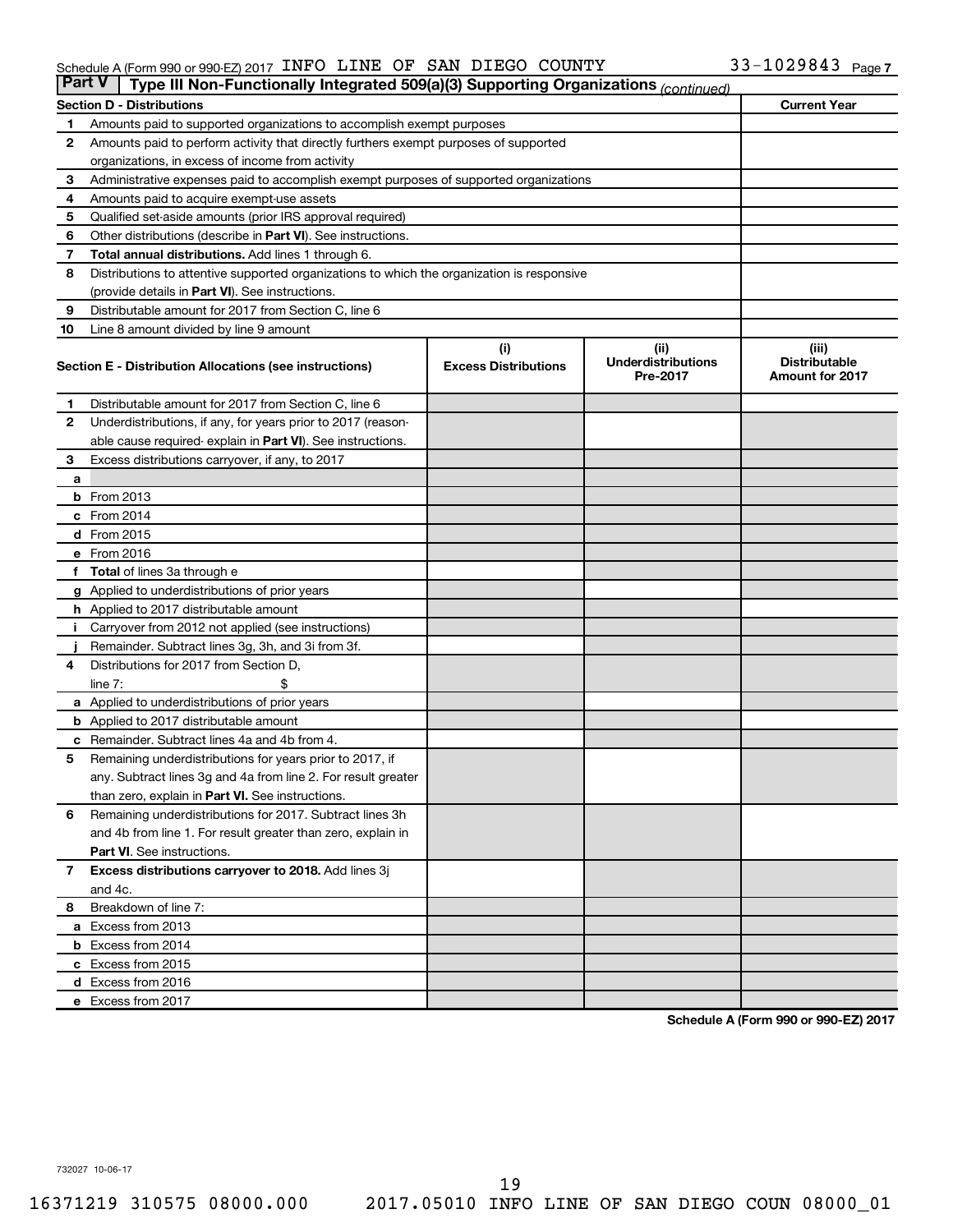#### Schedule A (Form 990 or 990-EZ) 2017 INFO LINE OF SAN DIEGO COUNTY 35-TUZ9843 Page INFO LINE OF SAN DIEGO COUNTY 33-1029843

| <b>Part V</b> | Type III Non-Functionally Integrated 509(a)(3) Supporting Organizations (continued)        |                             |                                       |                                         |  |  |  |  |
|---------------|--------------------------------------------------------------------------------------------|-----------------------------|---------------------------------------|-----------------------------------------|--|--|--|--|
|               | <b>Section D - Distributions</b>                                                           |                             |                                       | <b>Current Year</b>                     |  |  |  |  |
| 1             | Amounts paid to supported organizations to accomplish exempt purposes                      |                             |                                       |                                         |  |  |  |  |
| 2             | Amounts paid to perform activity that directly furthers exempt purposes of supported       |                             |                                       |                                         |  |  |  |  |
|               | organizations, in excess of income from activity                                           |                             |                                       |                                         |  |  |  |  |
| 3             | Administrative expenses paid to accomplish exempt purposes of supported organizations      |                             |                                       |                                         |  |  |  |  |
| 4             | Amounts paid to acquire exempt-use assets                                                  |                             |                                       |                                         |  |  |  |  |
| 5             | Qualified set-aside amounts (prior IRS approval required)                                  |                             |                                       |                                         |  |  |  |  |
| 6             | Other distributions (describe in Part VI). See instructions.                               |                             |                                       |                                         |  |  |  |  |
| 7             | Total annual distributions. Add lines 1 through 6.                                         |                             |                                       |                                         |  |  |  |  |
| 8             | Distributions to attentive supported organizations to which the organization is responsive |                             |                                       |                                         |  |  |  |  |
|               | (provide details in Part VI). See instructions.                                            |                             |                                       |                                         |  |  |  |  |
| 9             | Distributable amount for 2017 from Section C, line 6                                       |                             |                                       |                                         |  |  |  |  |
| 10            | Line 8 amount divided by line 9 amount                                                     |                             |                                       |                                         |  |  |  |  |
|               |                                                                                            | (i)                         | (ii)                                  | (iii)                                   |  |  |  |  |
|               | Section E - Distribution Allocations (see instructions)                                    | <b>Excess Distributions</b> | <b>Underdistributions</b><br>Pre-2017 | <b>Distributable</b><br>Amount for 2017 |  |  |  |  |
| 1             | Distributable amount for 2017 from Section C, line 6                                       |                             |                                       |                                         |  |  |  |  |
| $\mathbf{2}$  | Underdistributions, if any, for years prior to 2017 (reason-                               |                             |                                       |                                         |  |  |  |  |
|               | able cause required- explain in Part VI). See instructions.                                |                             |                                       |                                         |  |  |  |  |
| 3             | Excess distributions carryover, if any, to 2017                                            |                             |                                       |                                         |  |  |  |  |
| a             |                                                                                            |                             |                                       |                                         |  |  |  |  |
|               | <b>b</b> From 2013                                                                         |                             |                                       |                                         |  |  |  |  |
|               | c From 2014                                                                                |                             |                                       |                                         |  |  |  |  |
|               | d From 2015                                                                                |                             |                                       |                                         |  |  |  |  |
|               | e From 2016                                                                                |                             |                                       |                                         |  |  |  |  |
|               | f Total of lines 3a through e                                                              |                             |                                       |                                         |  |  |  |  |
|               | <b>g</b> Applied to underdistributions of prior years                                      |                             |                                       |                                         |  |  |  |  |
|               | <b>h</b> Applied to 2017 distributable amount                                              |                             |                                       |                                         |  |  |  |  |
|               | Carryover from 2012 not applied (see instructions)                                         |                             |                                       |                                         |  |  |  |  |
|               | Remainder. Subtract lines 3g, 3h, and 3i from 3f.                                          |                             |                                       |                                         |  |  |  |  |
| 4             | Distributions for 2017 from Section D,                                                     |                             |                                       |                                         |  |  |  |  |
|               | $line 7$ :                                                                                 |                             |                                       |                                         |  |  |  |  |
|               | a Applied to underdistributions of prior years                                             |                             |                                       |                                         |  |  |  |  |
|               | <b>b</b> Applied to 2017 distributable amount                                              |                             |                                       |                                         |  |  |  |  |
| с             | Remainder. Subtract lines 4a and 4b from 4.                                                |                             |                                       |                                         |  |  |  |  |
| 5             | Remaining underdistributions for years prior to 2017, if                                   |                             |                                       |                                         |  |  |  |  |
|               | any. Subtract lines 3g and 4a from line 2. For result greater                              |                             |                                       |                                         |  |  |  |  |
|               | than zero, explain in Part VI. See instructions.                                           |                             |                                       |                                         |  |  |  |  |
| 6             | Remaining underdistributions for 2017. Subtract lines 3h                                   |                             |                                       |                                         |  |  |  |  |
|               | and 4b from line 1. For result greater than zero, explain in                               |                             |                                       |                                         |  |  |  |  |
|               | <b>Part VI.</b> See instructions.                                                          |                             |                                       |                                         |  |  |  |  |
| $\mathbf{7}$  | Excess distributions carryover to 2018. Add lines 3j                                       |                             |                                       |                                         |  |  |  |  |
|               | and 4c.                                                                                    |                             |                                       |                                         |  |  |  |  |
| 8             | Breakdown of line 7:                                                                       |                             |                                       |                                         |  |  |  |  |
|               | a Excess from 2013                                                                         |                             |                                       |                                         |  |  |  |  |
|               | <b>b</b> Excess from 2014                                                                  |                             |                                       |                                         |  |  |  |  |
|               | c Excess from 2015                                                                         |                             |                                       |                                         |  |  |  |  |
|               | d Excess from 2016                                                                         |                             |                                       |                                         |  |  |  |  |
|               | e Excess from 2017                                                                         |                             |                                       |                                         |  |  |  |  |

**Schedule A (Form 990 or 990-EZ) 2017**

732027 10-06-17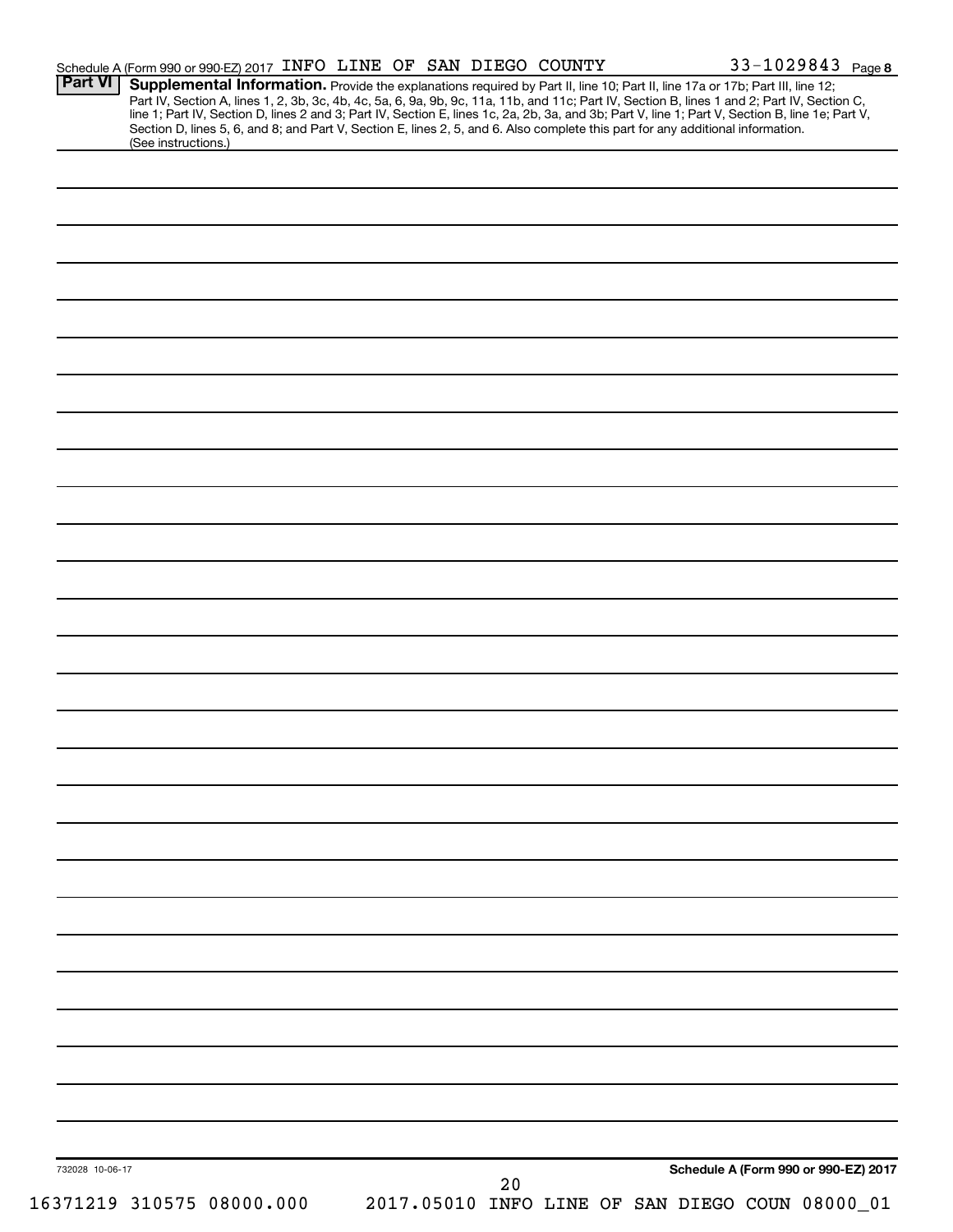| Part VI         | Schedule A (Form 990 or 990-EZ) 2017 INFO LINE OF SAN DIEGO COUNTY<br>Supplemental Information. Provide the explanations required by Part II, line 10; Part II, line 17a or 17b; Part III, line 12;                                                                                                                                                                 |  |    |  |                                                 | 33-1029843 Page 8 |
|-----------------|---------------------------------------------------------------------------------------------------------------------------------------------------------------------------------------------------------------------------------------------------------------------------------------------------------------------------------------------------------------------|--|----|--|-------------------------------------------------|-------------------|
|                 | Part IV, Section A, lines 1, 2, 3b, 3c, 4b, 4c, 5a, 6, 9a, 9b, 9c, 11a, 11b, and 11c; Part IV, Section B, lines 1 and 2; Part IV, Section C,<br>line 1; Part IV, Section D, lines 2 and 3; Part IV, Section E, lines 1c, 2a, 2b,<br>Section D, lines 5, 6, and 8; and Part V, Section E, lines 2, 5, and 6. Also complete this part for any additional information. |  |    |  |                                                 |                   |
|                 | (See instructions.)                                                                                                                                                                                                                                                                                                                                                 |  |    |  |                                                 |                   |
|                 |                                                                                                                                                                                                                                                                                                                                                                     |  |    |  |                                                 |                   |
|                 |                                                                                                                                                                                                                                                                                                                                                                     |  |    |  |                                                 |                   |
|                 |                                                                                                                                                                                                                                                                                                                                                                     |  |    |  |                                                 |                   |
|                 |                                                                                                                                                                                                                                                                                                                                                                     |  |    |  |                                                 |                   |
|                 |                                                                                                                                                                                                                                                                                                                                                                     |  |    |  |                                                 |                   |
|                 |                                                                                                                                                                                                                                                                                                                                                                     |  |    |  |                                                 |                   |
|                 |                                                                                                                                                                                                                                                                                                                                                                     |  |    |  |                                                 |                   |
|                 |                                                                                                                                                                                                                                                                                                                                                                     |  |    |  |                                                 |                   |
|                 |                                                                                                                                                                                                                                                                                                                                                                     |  |    |  |                                                 |                   |
|                 |                                                                                                                                                                                                                                                                                                                                                                     |  |    |  |                                                 |                   |
|                 |                                                                                                                                                                                                                                                                                                                                                                     |  |    |  |                                                 |                   |
|                 |                                                                                                                                                                                                                                                                                                                                                                     |  |    |  |                                                 |                   |
|                 |                                                                                                                                                                                                                                                                                                                                                                     |  |    |  |                                                 |                   |
|                 |                                                                                                                                                                                                                                                                                                                                                                     |  |    |  |                                                 |                   |
|                 |                                                                                                                                                                                                                                                                                                                                                                     |  |    |  |                                                 |                   |
|                 |                                                                                                                                                                                                                                                                                                                                                                     |  |    |  |                                                 |                   |
|                 |                                                                                                                                                                                                                                                                                                                                                                     |  |    |  |                                                 |                   |
|                 |                                                                                                                                                                                                                                                                                                                                                                     |  |    |  |                                                 |                   |
|                 |                                                                                                                                                                                                                                                                                                                                                                     |  |    |  |                                                 |                   |
|                 |                                                                                                                                                                                                                                                                                                                                                                     |  |    |  |                                                 |                   |
|                 |                                                                                                                                                                                                                                                                                                                                                                     |  |    |  |                                                 |                   |
|                 |                                                                                                                                                                                                                                                                                                                                                                     |  |    |  |                                                 |                   |
|                 |                                                                                                                                                                                                                                                                                                                                                                     |  |    |  |                                                 |                   |
|                 |                                                                                                                                                                                                                                                                                                                                                                     |  |    |  |                                                 |                   |
|                 |                                                                                                                                                                                                                                                                                                                                                                     |  |    |  |                                                 |                   |
|                 |                                                                                                                                                                                                                                                                                                                                                                     |  |    |  |                                                 |                   |
|                 |                                                                                                                                                                                                                                                                                                                                                                     |  |    |  |                                                 |                   |
|                 |                                                                                                                                                                                                                                                                                                                                                                     |  |    |  |                                                 |                   |
|                 |                                                                                                                                                                                                                                                                                                                                                                     |  |    |  |                                                 |                   |
|                 |                                                                                                                                                                                                                                                                                                                                                                     |  |    |  |                                                 |                   |
|                 |                                                                                                                                                                                                                                                                                                                                                                     |  |    |  |                                                 |                   |
|                 |                                                                                                                                                                                                                                                                                                                                                                     |  |    |  |                                                 |                   |
|                 |                                                                                                                                                                                                                                                                                                                                                                     |  |    |  |                                                 |                   |
|                 |                                                                                                                                                                                                                                                                                                                                                                     |  |    |  |                                                 |                   |
|                 |                                                                                                                                                                                                                                                                                                                                                                     |  |    |  |                                                 |                   |
| 732028 10-06-17 |                                                                                                                                                                                                                                                                                                                                                                     |  | 20 |  | Schedule A (Form 990 or 990-EZ) 2017            |                   |
|                 | 16371219 310575 08000.000                                                                                                                                                                                                                                                                                                                                           |  |    |  | 2017.05010 INFO LINE OF SAN DIEGO COUN 08000_01 |                   |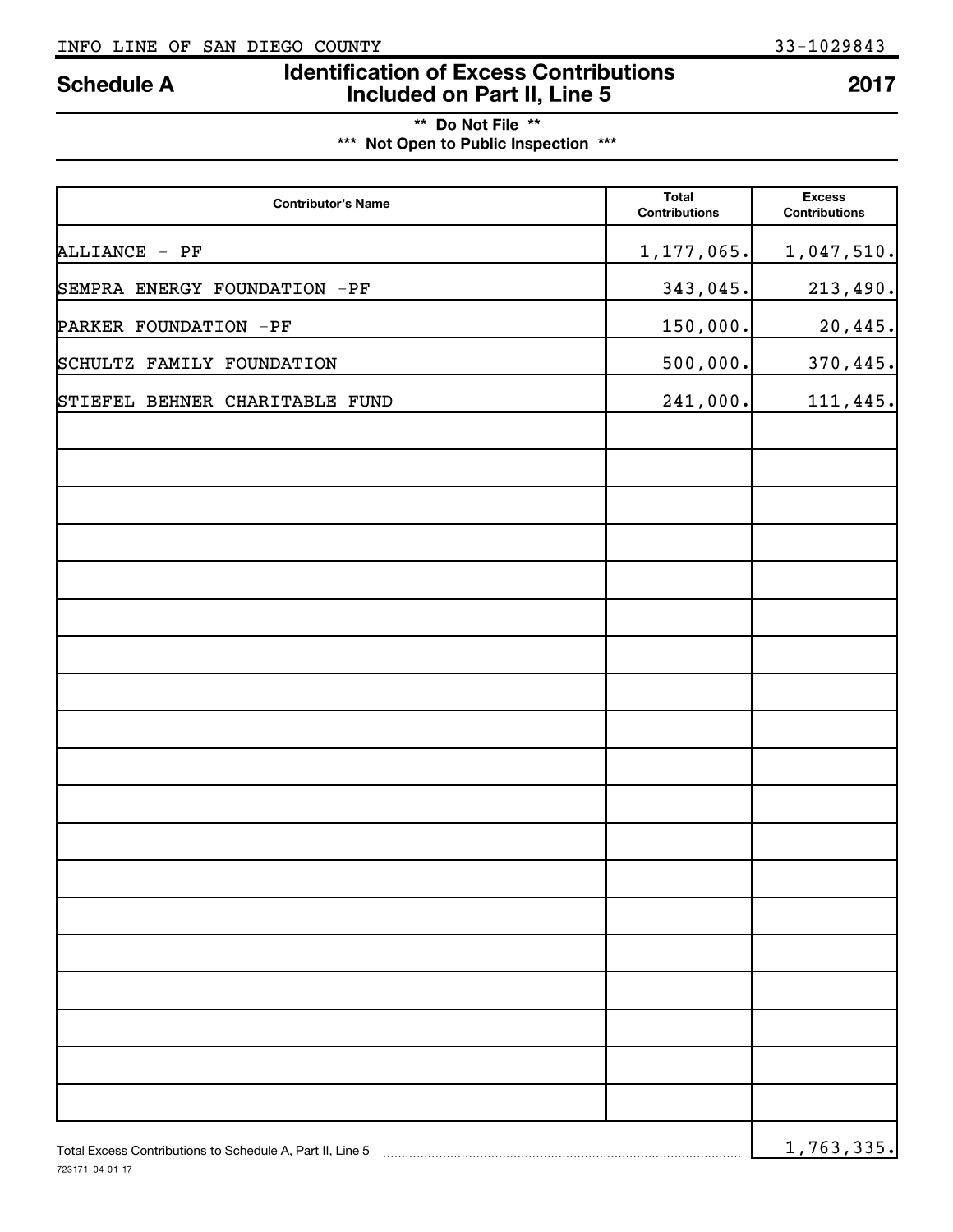# **Identification of Excess Contributions IDENTIFY Schedule A Included on Part II, Line 5** *Contributions* **2017**

## **\*\* Do Not File \*\* \*\*\* Not Open to Public Inspection \*\*\***

| <b>Contributor's Name</b>                                 | <b>Total</b><br><b>Contributions</b> | <b>Excess</b><br><b>Contributions</b> |
|-----------------------------------------------------------|--------------------------------------|---------------------------------------|
| ALLIANCE - PF                                             | 1,177,065.                           | 1,047,510.                            |
| SEMPRA ENERGY FOUNDATION -PF                              | 343,045.                             | 213,490.                              |
| PARKER FOUNDATION -PF                                     | 150,000.                             | 20,445.                               |
| SCHULTZ FAMILY FOUNDATION                                 | 500,000.                             | 370, 445.                             |
| STIEFEL BEHNER CHARITABLE FUND                            | 241,000.                             | 111,445.                              |
|                                                           |                                      |                                       |
|                                                           |                                      |                                       |
|                                                           |                                      |                                       |
|                                                           |                                      |                                       |
|                                                           |                                      |                                       |
|                                                           |                                      |                                       |
|                                                           |                                      |                                       |
|                                                           |                                      |                                       |
|                                                           |                                      |                                       |
|                                                           |                                      |                                       |
|                                                           |                                      |                                       |
|                                                           |                                      |                                       |
|                                                           |                                      |                                       |
|                                                           |                                      |                                       |
|                                                           |                                      |                                       |
|                                                           |                                      |                                       |
|                                                           |                                      |                                       |
|                                                           |                                      |                                       |
| Total Excess Contributions to Schedule A, Part II, Line 5 |                                      | 1,763,335.                            |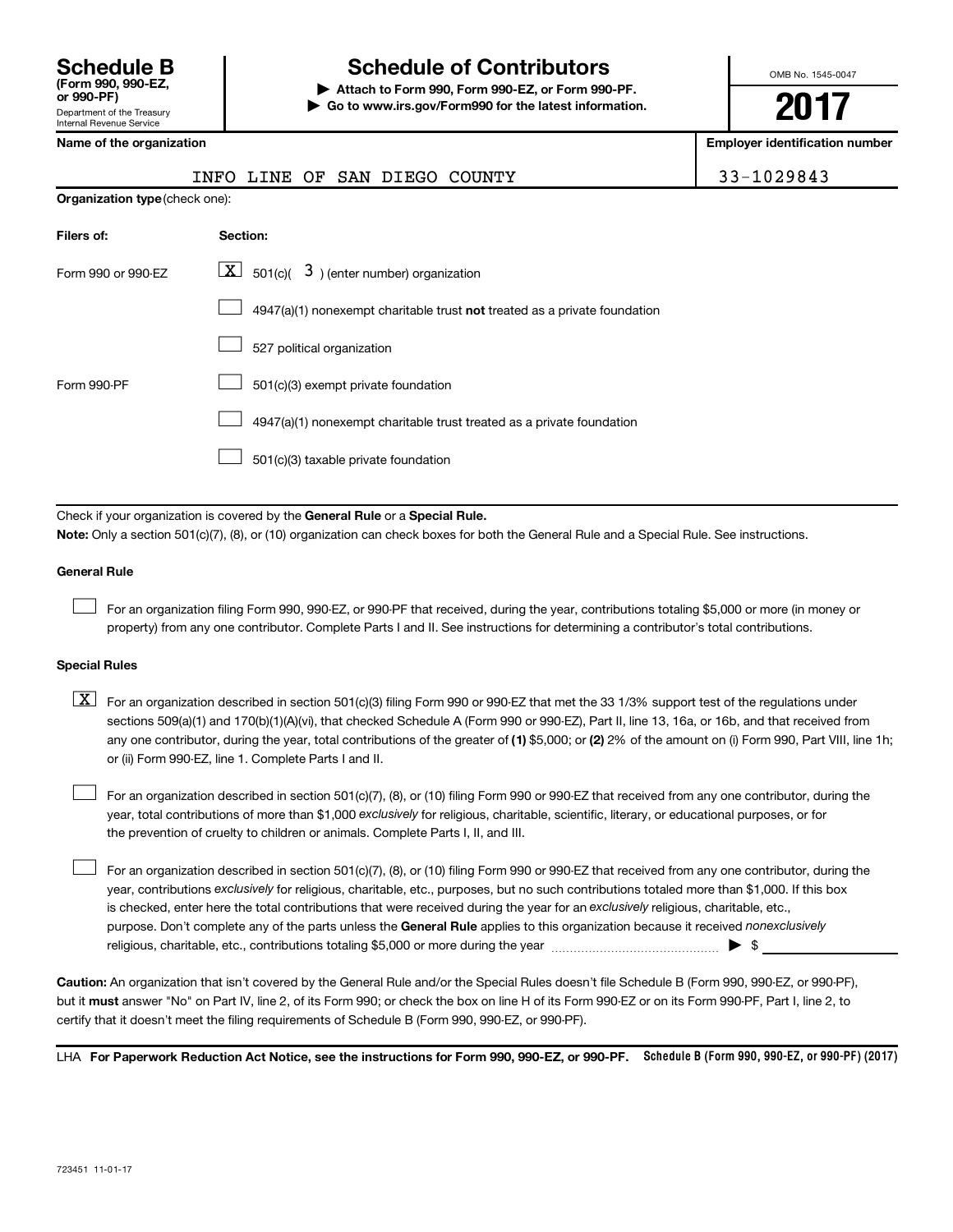# **Schedule B Schedule of Contributors**

**or 990-PF) | Attach to Form 990, Form 990-EZ, or Form 990-PF. | Go to www.irs.gov/Form990 for the latest information.** OMB No. 1545-0047

**2017**

**Employer identification number** 

|                                                                                                                                           | INFO LINE<br>OF<br>SAN DIEGO<br>COUNTY                                      | 33-1029843 |  |  |  |  |
|-------------------------------------------------------------------------------------------------------------------------------------------|-----------------------------------------------------------------------------|------------|--|--|--|--|
| Organization type (check one):                                                                                                            |                                                                             |            |  |  |  |  |
| Filers of:                                                                                                                                | Section:                                                                    |            |  |  |  |  |
| Form 990 or 990-EZ                                                                                                                        | $\boxed{\mathbf{X}}$ 501(c)( 3) (enter number) organization                 |            |  |  |  |  |
|                                                                                                                                           | $4947(a)(1)$ nonexempt charitable trust not treated as a private foundation |            |  |  |  |  |
|                                                                                                                                           | 527 political organization                                                  |            |  |  |  |  |
| Form 990-PF                                                                                                                               | 501(c)(3) exempt private foundation                                         |            |  |  |  |  |
|                                                                                                                                           | 4947(a)(1) nonexempt charitable trust treated as a private foundation       |            |  |  |  |  |
|                                                                                                                                           | 501(c)(3) taxable private foundation                                        |            |  |  |  |  |
|                                                                                                                                           |                                                                             |            |  |  |  |  |
| Check if your organization is covered by the General Rule or a Special Rule.                                                              |                                                                             |            |  |  |  |  |
| Note: Only a section 501(c)(7), (8), or (10) organization can check boxes for both the General Rule and a Special Rule. See instructions. |                                                                             |            |  |  |  |  |

#### **General Rule**

 $\begin{array}{c} \hline \end{array}$ 

For an organization filing Form 990, 990-EZ, or 990-PF that received, during the year, contributions totaling \$5,000 or more (in money or property) from any one contributor. Complete Parts I and II. See instructions for determining a contributor's total contributions.

#### **Special Rules**

any one contributor, during the year, total contributions of the greater of (1) \$5,000; or (2) 2% of the amount on (i) Form 990, Part VIII, line 1h;  $\boxed{\text{X}}$  For an organization described in section 501(c)(3) filing Form 990 or 990-EZ that met the 33 1/3% support test of the regulations under sections 509(a)(1) and 170(b)(1)(A)(vi), that checked Schedule A (Form 990 or 990-EZ), Part II, line 13, 16a, or 16b, and that received from or (ii) Form 990-EZ, line 1. Complete Parts I and II.

year, total contributions of more than \$1,000 *exclusively* for religious, charitable, scientific, literary, or educational purposes, or for For an organization described in section 501(c)(7), (8), or (10) filing Form 990 or 990-EZ that received from any one contributor, during the the prevention of cruelty to children or animals. Complete Parts I, II, and III.  $\begin{array}{c} \hline \end{array}$ 

purpose. Don't complete any of the parts unless the General Rule applies to this organization because it received nonexclusively year, contributions exclusively for religious, charitable, etc., purposes, but no such contributions totaled more than \$1,000. If this box is checked, enter here the total contributions that were received during the year for an exclusively religious, charitable, etc., For an organization described in section 501(c)(7), (8), or (10) filing Form 990 or 990-EZ that received from any one contributor, during the religious, charitable, etc., contributions totaling \$5,000 or more during the year  $\ldots$  $\ldots$  $\ldots$  $\ldots$  $\ldots$  $\ldots$  $\begin{array}{c} \hline \end{array}$ 

**Caution:**  An organization that isn't covered by the General Rule and/or the Special Rules doesn't file Schedule B (Form 990, 990-EZ, or 990-PF),  **must** but it answer "No" on Part IV, line 2, of its Form 990; or check the box on line H of its Form 990-EZ or on its Form 990-PF, Part I, line 2, to certify that it doesn't meet the filing requirements of Schedule B (Form 990, 990-EZ, or 990-PF).

LHA For Paperwork Reduction Act Notice, see the instructions for Form 990, 990-EZ, or 990-PF. Schedule B (Form 990, 990-EZ, or 990-PF) (2017)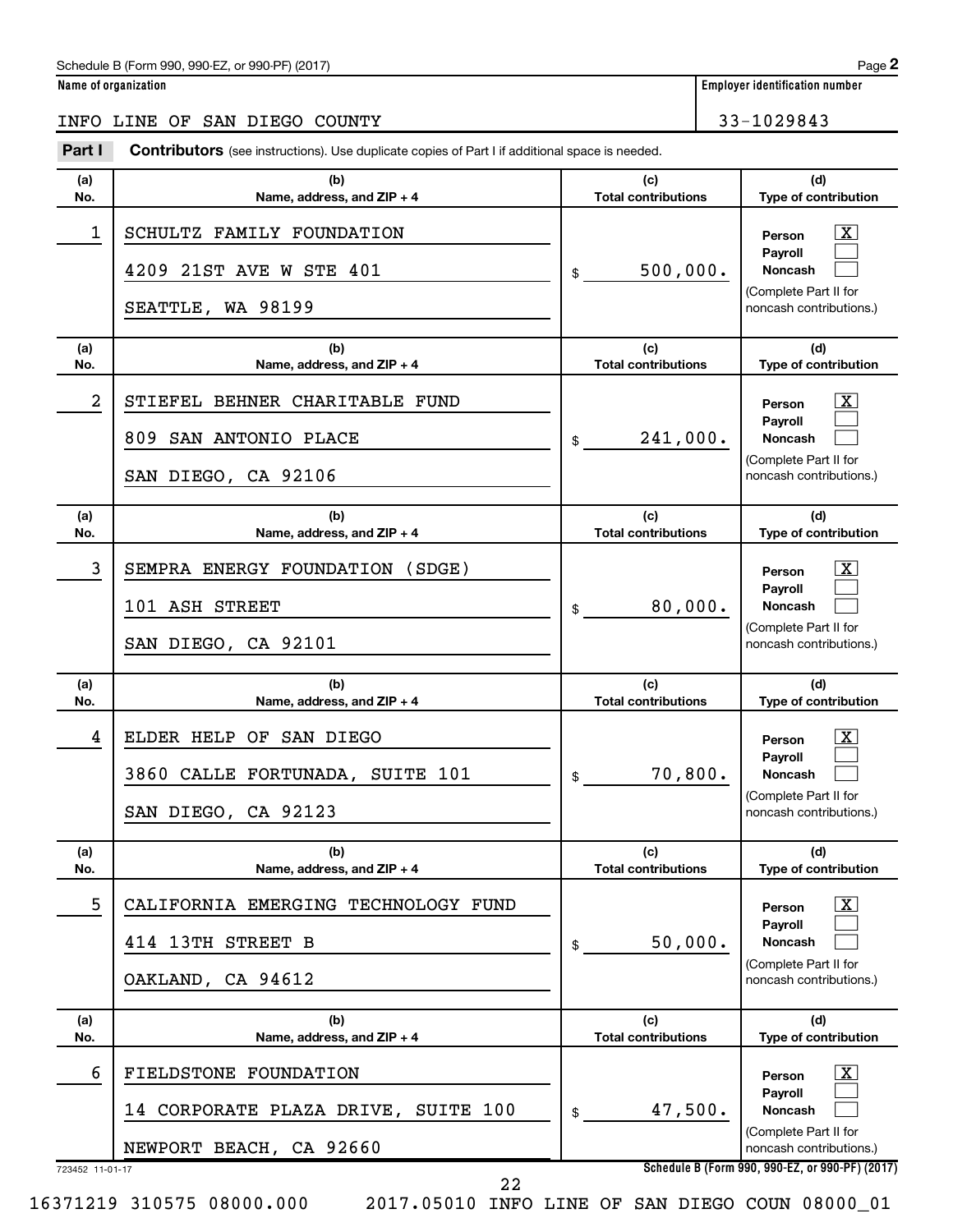#### Schedule B (Form 990, 990-EZ, or 990-PF) (2017)

| X |  $\begin{array}{c} \hline \end{array}$  $\begin{array}{c} \hline \end{array}$ 

 $\overline{\mathbf{x}}$  $\begin{array}{c} \hline \end{array}$  $\begin{array}{c} \hline \end{array}$ 

 $\boxed{\textbf{X}}$  $\begin{array}{c} \hline \end{array}$  $\begin{array}{c} \hline \end{array}$ 

 $\boxed{\textbf{X}}$  $\begin{array}{c} \hline \end{array}$  $\begin{array}{c} \hline \end{array}$ 

 $\boxed{\textbf{X}}$  $\begin{array}{c} \hline \end{array}$  $\begin{array}{c} \hline \end{array}$ 

 $\boxed{\textbf{X}}$  $\begin{array}{c} \hline \end{array}$  $\begin{array}{c} \hline \end{array}$ 

723452 11-01-17 **Name of organization Employer identification number Schedule B (Form 990, 990-EZ, or 990-PF) (2017) (a) No. (b) Name, address, and ZIP + 4 (c) Total contributions (d) Type of contribution Person Payroll Noncash (a) No. (b) Name, address, and ZIP + 4 (c) Total contributions (d) Type of contribution Person Payroll Noncash (a) No. (b) Name, address, and ZIP + 4 (c) Total contributions (d) Type of contribution Person Payroll Noncash (a) No. (b) Name, address, and ZIP + 4 (c) Total contributions (d) Type of contribution Person Payroll Noncash (a) No. (b) Name, address, and ZIP + 4 (c) Total contributions (d) Type of contribution Person Payroll Noncash (a) No. (b) Name, address, and ZIP + 4 (c) Total contributions (d) Type of contribution Person Payroll Noncash** Part I Contributors (see instructions). Use duplicate copies of Part I if additional space is needed. \$ (Complete Part II for noncash contributions.) \$ (Complete Part II for noncash contributions.) \$ (Complete Part II for noncash contributions.) \$ (Complete Part II for noncash contributions.) \$ (Complete Part II for noncash contributions.) \$ (Complete Part II for noncash contributions.) INFO LINE OF SAN DIEGO COUNTY 33-1029843 1 | SCHULTZ FAMILY FOUNDATION 4209 21ST AVE W STE  $401$   $| \text{ } \text{s}$  500,000. SEATTLE, WA 98199 2 | STIEFEL BEHNER CHARITABLE FUND 809 SAN ANTONIO PLACE 241,000. SAN DIEGO, CA 92106 3 | SEMPRA ENERGY FOUNDATION (SDGE) 101 ASH STREET 80,000. SAN DIEGO, CA 92101 4 | ELDER HELP OF SAN DIEGO  $3860$  CALLE FORTUNADA, SUITE  $101$   $\qquad \qquad$   $\qquad \qquad$  70,800. SAN DIEGO, CA 92123 5 CALIFORNIA EMERGING TECHNOLOGY FUND X  $414$  13TH STREET B  $\vert \text{s}$  50,000. OAKLAND, CA 94612 6 FIELDSTONE FOUNDATION X 14 CORPORATE PLAZA DRIVE, SUITE 100 | \$47,500. NEWPORT BEACH, CA 92660

22

16371219 310575 08000.000 2017.05010 INFO LINE OF SAN DIEGO COUN 08000\_01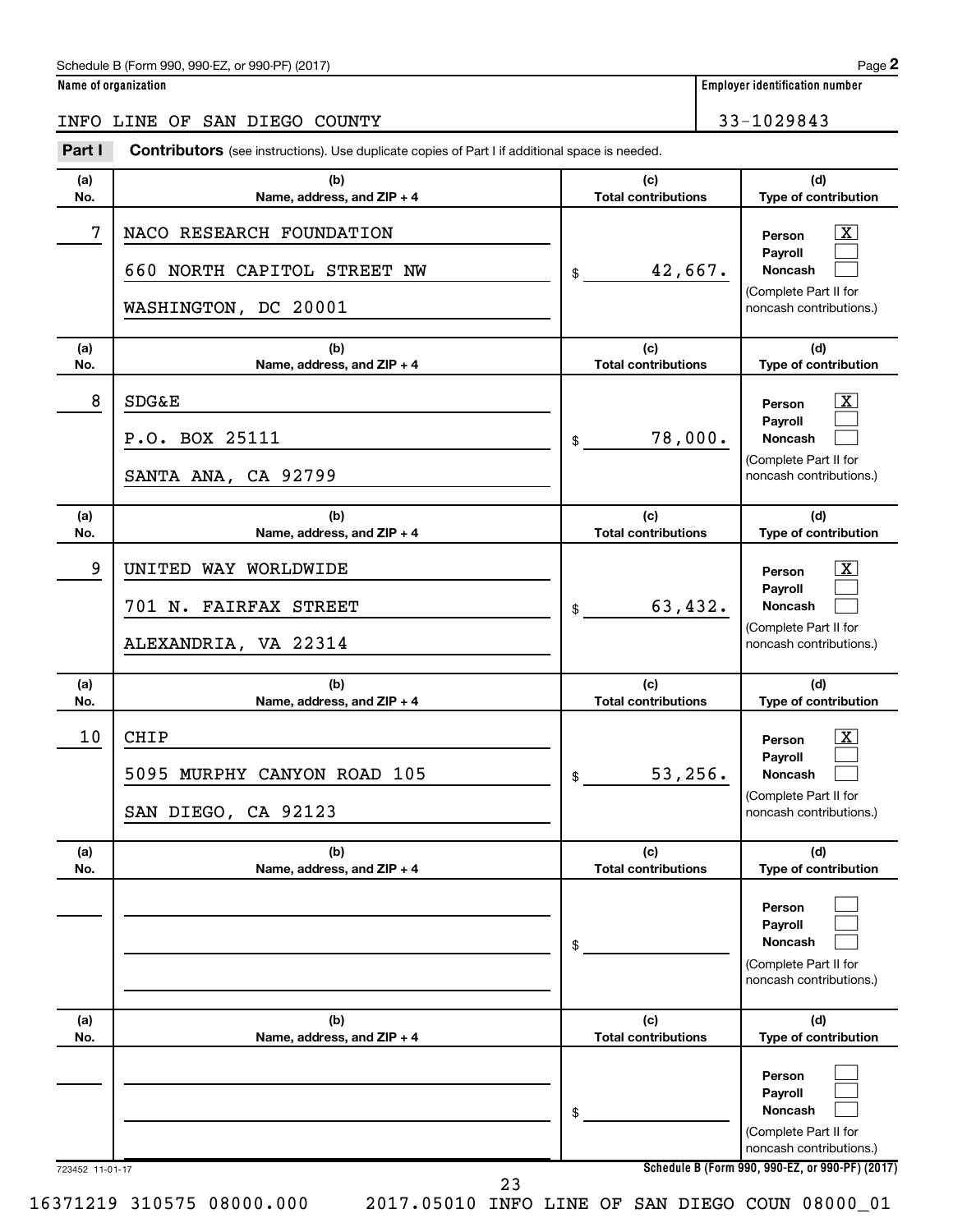#### Schedule B (Form 990, 990-EZ, or 990-PF) (2017)

**Name of organization Employer identification number**

|                 | INFO LINE OF SAN DIEGO COUNTY                                                                         |                                   | 33-1029843                                                                                                                                 |
|-----------------|-------------------------------------------------------------------------------------------------------|-----------------------------------|--------------------------------------------------------------------------------------------------------------------------------------------|
| Part I          | <b>Contributors</b> (see instructions). Use duplicate copies of Part I if additional space is needed. |                                   |                                                                                                                                            |
| (a)<br>No.      | (b)<br>Name, address, and ZIP + 4                                                                     | (c)<br><b>Total contributions</b> | (d)<br>Type of contribution                                                                                                                |
| 7               | NACO RESEARCH FOUNDATION<br>660 NORTH CAPITOL STREET NW                                               | 42,667.                           | $\boxed{\textbf{X}}$<br>Person<br>Payroll<br>Noncash                                                                                       |
|                 | WASHINGTON, DC 20001                                                                                  | \$                                | (Complete Part II for<br>noncash contributions.)                                                                                           |
| (a)<br>No.      | (b)<br>Name, address, and ZIP + 4                                                                     | (c)<br><b>Total contributions</b> | (d)<br>Type of contribution                                                                                                                |
| 8               | <b>SDG&amp;E</b><br>P.O. BOX 25111<br>SANTA ANA, CA 92799                                             | 78,000.<br>\$                     | $\boxed{\textbf{X}}$<br>Person<br>Payroll<br>Noncash<br>(Complete Part II for<br>noncash contributions.)                                   |
| (a)<br>No.      | (b)<br>Name, address, and ZIP + 4                                                                     | (c)<br><b>Total contributions</b> | (d)<br>Type of contribution                                                                                                                |
| 9               | UNITED WAY WORLDWIDE<br>701 N. FAIRFAX STREET<br>ALEXANDRIA, VA 22314                                 | 63,432.<br>\$                     | $\boxed{\textbf{X}}$<br>Person<br>Payroll<br>Noncash<br>(Complete Part II for<br>noncash contributions.)                                   |
| (a)<br>No.      | (b)<br>Name, address, and ZIP + 4                                                                     | (c)<br><b>Total contributions</b> | (d)<br>Type of contribution                                                                                                                |
| 10              | <b>CHIP</b><br>5095 MURPHY CANYON ROAD 105<br>SAN DIEGO, CA 92123                                     | 53,256.<br>\$                     | $\boxed{\textbf{X}}$<br>Person<br>Payroll<br><b>Noncash</b><br>(Complete Part II for<br>noncash contributions.)                            |
| (a)<br>No.      | (b)<br>Name, address, and ZIP + 4                                                                     | (c)<br><b>Total contributions</b> | (d)<br>Type of contribution                                                                                                                |
|                 |                                                                                                       | \$                                | Person<br>Payroll<br><b>Noncash</b><br>(Complete Part II for<br>noncash contributions.)                                                    |
| (a)<br>No.      | (b)<br>Name, address, and ZIP + 4                                                                     | (c)<br><b>Total contributions</b> | (d)<br>Type of contribution                                                                                                                |
|                 |                                                                                                       | \$                                | Person<br>Payroll<br><b>Noncash</b><br>(Complete Part II for<br>noncash contributions.)<br>Schedule B (Form 990, 990-EZ, or 990-PF) (2017) |
| 723452 11-01-17 | 23                                                                                                    |                                   |                                                                                                                                            |

16371219 310575 08000.000 2017.05010 INFO LINE OF SAN DIEGO COUN 08000\_01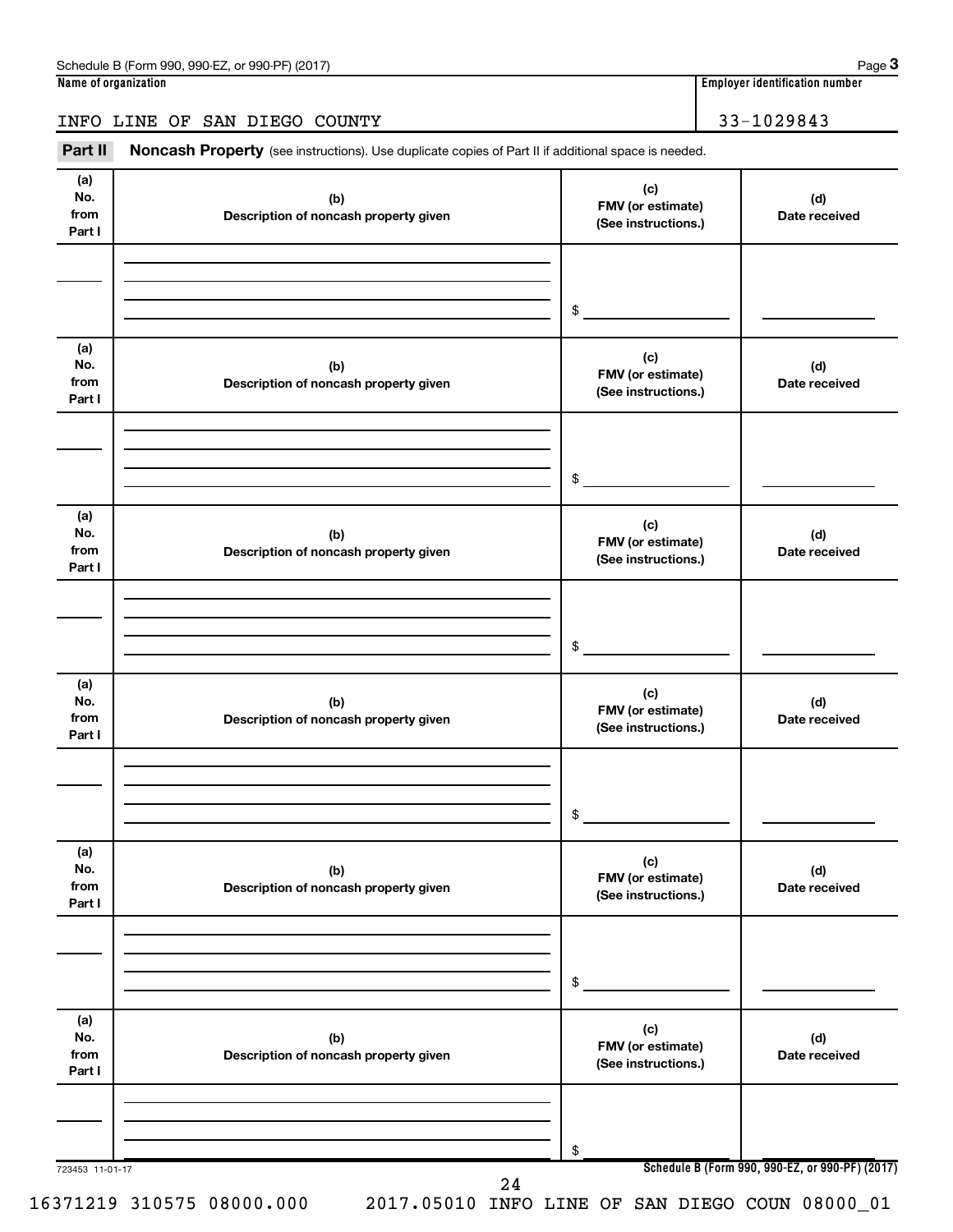# INFO LINE OF SAN DIEGO COUNTY 33-1029843

Part II Noncash Property (see instructions). Use duplicate copies of Part II if additional space is needed.

| (a)<br>No.<br>from<br>Part I | (b)<br>Description of noncash property given | (c)<br>FMV (or estimate)<br>(See instructions.) | (d)<br>Date received                            |
|------------------------------|----------------------------------------------|-------------------------------------------------|-------------------------------------------------|
|                              |                                              | \$                                              |                                                 |
| (a)<br>No.<br>from<br>Part I | (b)<br>Description of noncash property given | (c)<br>FMV (or estimate)<br>(See instructions.) | (d)<br>Date received                            |
|                              |                                              | \$                                              |                                                 |
| (a)<br>No.<br>from<br>Part I | (b)<br>Description of noncash property given | (c)<br>FMV (or estimate)<br>(See instructions.) | (d)<br>Date received                            |
|                              |                                              | \$                                              |                                                 |
| (a)<br>No.<br>from<br>Part I | (b)<br>Description of noncash property given | (c)<br>FMV (or estimate)<br>(See instructions.) | (d)<br>Date received                            |
|                              |                                              | \$                                              |                                                 |
| (a)<br>No.<br>from<br>Part I | (b)<br>Description of noncash property given | (c)<br>FMV (or estimate)<br>(See instructions.) | (d)<br>Date received                            |
|                              |                                              | \$                                              |                                                 |
| (a)<br>No.<br>from<br>Part I | (b)<br>Description of noncash property given | (c)<br>FMV (or estimate)<br>(See instructions.) | (d)<br>Date received                            |
| 723453 11-01-17              |                                              | \$                                              | Schedule B (Form 990, 990-EZ, or 990-PF) (2017) |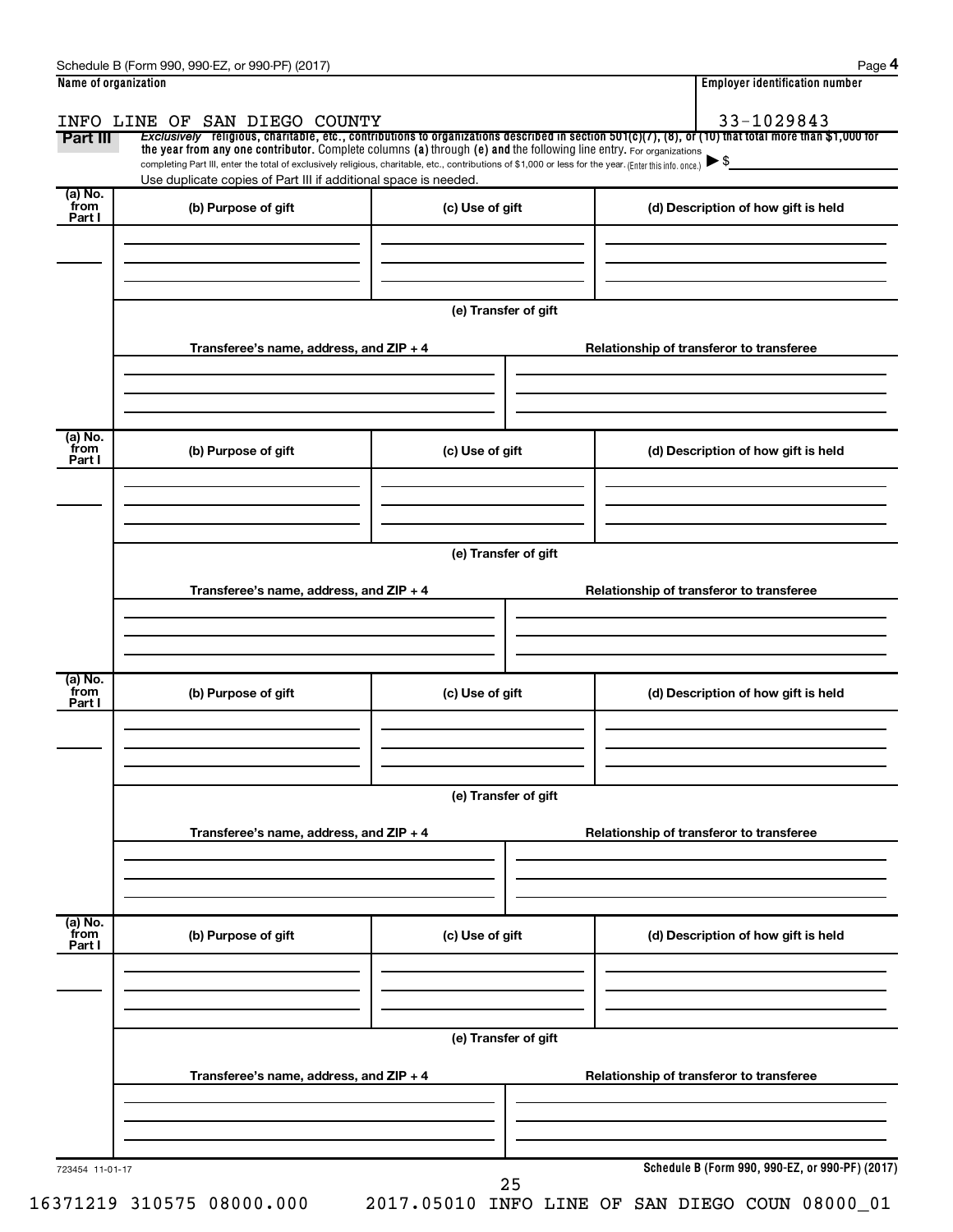| Part III                  | the year from any one contributor. Complete columns (a) through (e) and the following line entry. For organizations<br>completing Part III, enter the total of exclusively religious, charitable, etc., contributions of \$1,000 or less for the year. (Enter this info. once.) |                      | Exclusively religious, charitable, etc., contributions to organizations described in section 501(c)(7), (8), or (10) that total more than \$1,000 for |
|---------------------------|---------------------------------------------------------------------------------------------------------------------------------------------------------------------------------------------------------------------------------------------------------------------------------|----------------------|-------------------------------------------------------------------------------------------------------------------------------------------------------|
| (a) No.<br>from           | Use duplicate copies of Part III if additional space is needed.<br>(b) Purpose of gift                                                                                                                                                                                          | (c) Use of gift      | (d) Description of how gift is held                                                                                                                   |
| Part I                    |                                                                                                                                                                                                                                                                                 |                      |                                                                                                                                                       |
|                           |                                                                                                                                                                                                                                                                                 | (e) Transfer of gift |                                                                                                                                                       |
|                           | Transferee's name, address, and $ZIP + 4$                                                                                                                                                                                                                                       |                      | Relationship of transferor to transferee                                                                                                              |
| (a) No.<br>from<br>Part I | (b) Purpose of gift                                                                                                                                                                                                                                                             | (c) Use of gift      | (d) Description of how gift is held                                                                                                                   |
|                           | Transferee's name, address, and ZIP + 4                                                                                                                                                                                                                                         | (e) Transfer of gift | Relationship of transferor to transferee                                                                                                              |
| (a) No.<br>from<br>Part I | (b) Purpose of gift                                                                                                                                                                                                                                                             | (c) Use of gift      | (d) Description of how gift is held                                                                                                                   |
|                           |                                                                                                                                                                                                                                                                                 | (e) Transfer of gift |                                                                                                                                                       |
|                           | Transferee's name, address, and ZIP + 4                                                                                                                                                                                                                                         |                      | Relationship of transferor to transferee                                                                                                              |
| (a) No.<br>from<br>Part I | (b) Purpose of gift                                                                                                                                                                                                                                                             | (c) Use of gift      | (d) Description of how gift is held                                                                                                                   |
|                           |                                                                                                                                                                                                                                                                                 | (e) Transfer of gift |                                                                                                                                                       |
|                           | Transferee's name, address, and ZIP + 4                                                                                                                                                                                                                                         |                      | Relationship of transferor to transferee                                                                                                              |
|                           |                                                                                                                                                                                                                                                                                 |                      |                                                                                                                                                       |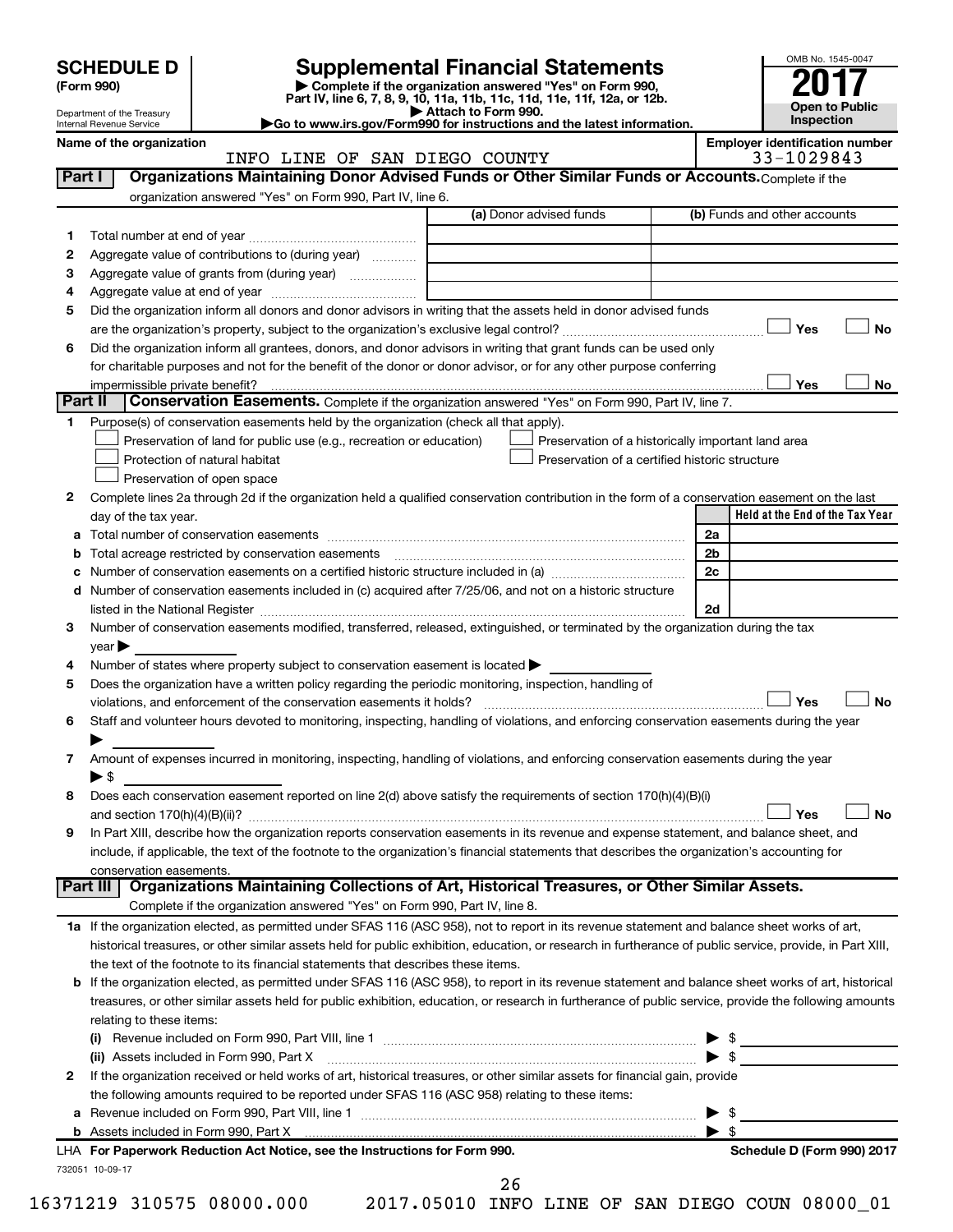| <b>SCHEDULE D</b> |
|-------------------|
|-------------------|

Department of the Treasury Internal Revenue Service

# **SCHEDULE D Supplemental Financial Statements**<br> **Form 990 2017**<br> **Part IV** line 6.7.8.9.10, 11a, 11b, 11c, 11d, 11e, 11f, 12a, or 12b

**(Form 990) | Complete if the organization answered "Yes" on Form 990, Part IV, line 6, 7, 8, 9, 10, 11a, 11b, 11c, 11d, 11e, 11f, 12a, or 12b.**

**| Attach to Form 990. |Go to www.irs.gov/Form990 for instructions and the latest information.**



**Name of the organization Employer identification number**

|         | INFO LINE OF SAN DIEGO COUNTY                                                                                                                                                                                                 |                                                    | 33-1029843                      |
|---------|-------------------------------------------------------------------------------------------------------------------------------------------------------------------------------------------------------------------------------|----------------------------------------------------|---------------------------------|
| Part I  | Organizations Maintaining Donor Advised Funds or Other Similar Funds or Accounts. Complete if the                                                                                                                             |                                                    |                                 |
|         | organization answered "Yes" on Form 990, Part IV, line 6.                                                                                                                                                                     |                                                    |                                 |
|         |                                                                                                                                                                                                                               | (a) Donor advised funds                            | (b) Funds and other accounts    |
| 1       |                                                                                                                                                                                                                               |                                                    |                                 |
| 2       | Aggregate value of contributions to (during year)                                                                                                                                                                             |                                                    |                                 |
| з       | Aggregate value of grants from (during year)                                                                                                                                                                                  |                                                    |                                 |
| 4       |                                                                                                                                                                                                                               |                                                    |                                 |
| 5       | Did the organization inform all donors and donor advisors in writing that the assets held in donor advised funds                                                                                                              |                                                    |                                 |
|         |                                                                                                                                                                                                                               |                                                    | Yes<br>No                       |
| 6       | Did the organization inform all grantees, donors, and donor advisors in writing that grant funds can be used only                                                                                                             |                                                    |                                 |
|         | for charitable purposes and not for the benefit of the donor or donor advisor, or for any other purpose conferring                                                                                                            |                                                    |                                 |
|         |                                                                                                                                                                                                                               |                                                    | Yes<br>No                       |
| Part II | Conservation Easements. Complete if the organization answered "Yes" on Form 990, Part IV, line 7.                                                                                                                             |                                                    |                                 |
| 1       | Purpose(s) of conservation easements held by the organization (check all that apply).                                                                                                                                         |                                                    |                                 |
|         | Preservation of land for public use (e.g., recreation or education)                                                                                                                                                           | Preservation of a historically important land area |                                 |
|         | Protection of natural habitat                                                                                                                                                                                                 | Preservation of a certified historic structure     |                                 |
|         | Preservation of open space                                                                                                                                                                                                    |                                                    |                                 |
|         |                                                                                                                                                                                                                               |                                                    |                                 |
| 2       | Complete lines 2a through 2d if the organization held a qualified conservation contribution in the form of a conservation easement on the last                                                                                |                                                    | Held at the End of the Tax Year |
|         | day of the tax year.                                                                                                                                                                                                          |                                                    |                                 |
| а       |                                                                                                                                                                                                                               |                                                    | 2a                              |
| b       |                                                                                                                                                                                                                               |                                                    | 2 <sub>b</sub>                  |
|         |                                                                                                                                                                                                                               |                                                    | 2c                              |
|         | d Number of conservation easements included in (c) acquired after 7/25/06, and not on a historic structure                                                                                                                    |                                                    |                                 |
|         | listed in the National Register [11, 1200] and the National Register [11, 1200] and the National Register [11, 1200] and the National Register [11, 1200] and the National Register [11, 1200] and the National Register [11, |                                                    | 2d                              |
| 3       | Number of conservation easements modified, transferred, released, extinguished, or terminated by the organization during the tax                                                                                              |                                                    |                                 |
|         | year                                                                                                                                                                                                                          |                                                    |                                 |
| 4       | Number of states where property subject to conservation easement is located >                                                                                                                                                 |                                                    |                                 |
| 5       | Does the organization have a written policy regarding the periodic monitoring, inspection, handling of                                                                                                                        |                                                    |                                 |
|         | violations, and enforcement of the conservation easements it holds?                                                                                                                                                           |                                                    | Yes<br><b>No</b>                |
| 6       | Staff and volunteer hours devoted to monitoring, inspecting, handling of violations, and enforcing conservation easements during the year                                                                                     |                                                    |                                 |
|         |                                                                                                                                                                                                                               |                                                    |                                 |
| 7       | Amount of expenses incurred in monitoring, inspecting, handling of violations, and enforcing conservation easements during the year                                                                                           |                                                    |                                 |
|         | ▶ \$                                                                                                                                                                                                                          |                                                    |                                 |
| 8       | Does each conservation easement reported on line 2(d) above satisfy the requirements of section 170(h)(4)(B)(i)                                                                                                               |                                                    |                                 |
|         |                                                                                                                                                                                                                               |                                                    | Yes<br><b>No</b>                |
| 9       | In Part XIII, describe how the organization reports conservation easements in its revenue and expense statement, and balance sheet, and                                                                                       |                                                    |                                 |
|         | include, if applicable, the text of the footnote to the organization's financial statements that describes the organization's accounting for                                                                                  |                                                    |                                 |
|         | conservation easements.                                                                                                                                                                                                       |                                                    |                                 |
|         | Organizations Maintaining Collections of Art, Historical Treasures, or Other Similar Assets.<br>Part III                                                                                                                      |                                                    |                                 |
|         | Complete if the organization answered "Yes" on Form 990, Part IV, line 8.                                                                                                                                                     |                                                    |                                 |
|         | 1a If the organization elected, as permitted under SFAS 116 (ASC 958), not to report in its revenue statement and balance sheet works of art,                                                                                 |                                                    |                                 |
|         | historical treasures, or other similar assets held for public exhibition, education, or research in furtherance of public service, provide, in Part XIII,                                                                     |                                                    |                                 |
|         | the text of the footnote to its financial statements that describes these items.                                                                                                                                              |                                                    |                                 |
|         | <b>b</b> If the organization elected, as permitted under SFAS 116 (ASC 958), to report in its revenue statement and balance sheet works of art, historical                                                                    |                                                    |                                 |
|         | treasures, or other similar assets held for public exhibition, education, or research in furtherance of public service, provide the following amounts                                                                         |                                                    |                                 |
|         | relating to these items:                                                                                                                                                                                                      |                                                    |                                 |
|         |                                                                                                                                                                                                                               |                                                    | $\frac{1}{2}$                   |
|         | (ii) Assets included in Form 990, Part X                                                                                                                                                                                      |                                                    | $\triangleright$ \$             |
| 2       | If the organization received or held works of art, historical treasures, or other similar assets for financial gain, provide                                                                                                  |                                                    |                                 |
|         | the following amounts required to be reported under SFAS 116 (ASC 958) relating to these items:                                                                                                                               |                                                    |                                 |
| a       |                                                                                                                                                                                                                               |                                                    | \$                              |
|         |                                                                                                                                                                                                                               |                                                    | $\blacktriangleright$ s         |
|         | LHA For Paperwork Reduction Act Notice, see the Instructions for Form 990.                                                                                                                                                    |                                                    | Schedule D (Form 990) 2017      |
|         | 732051 10-09-17                                                                                                                                                                                                               |                                                    |                                 |

26

16371219 310575 08000.000 2017.05010 INFO LINE OF SAN DIEGO COUN 08000\_01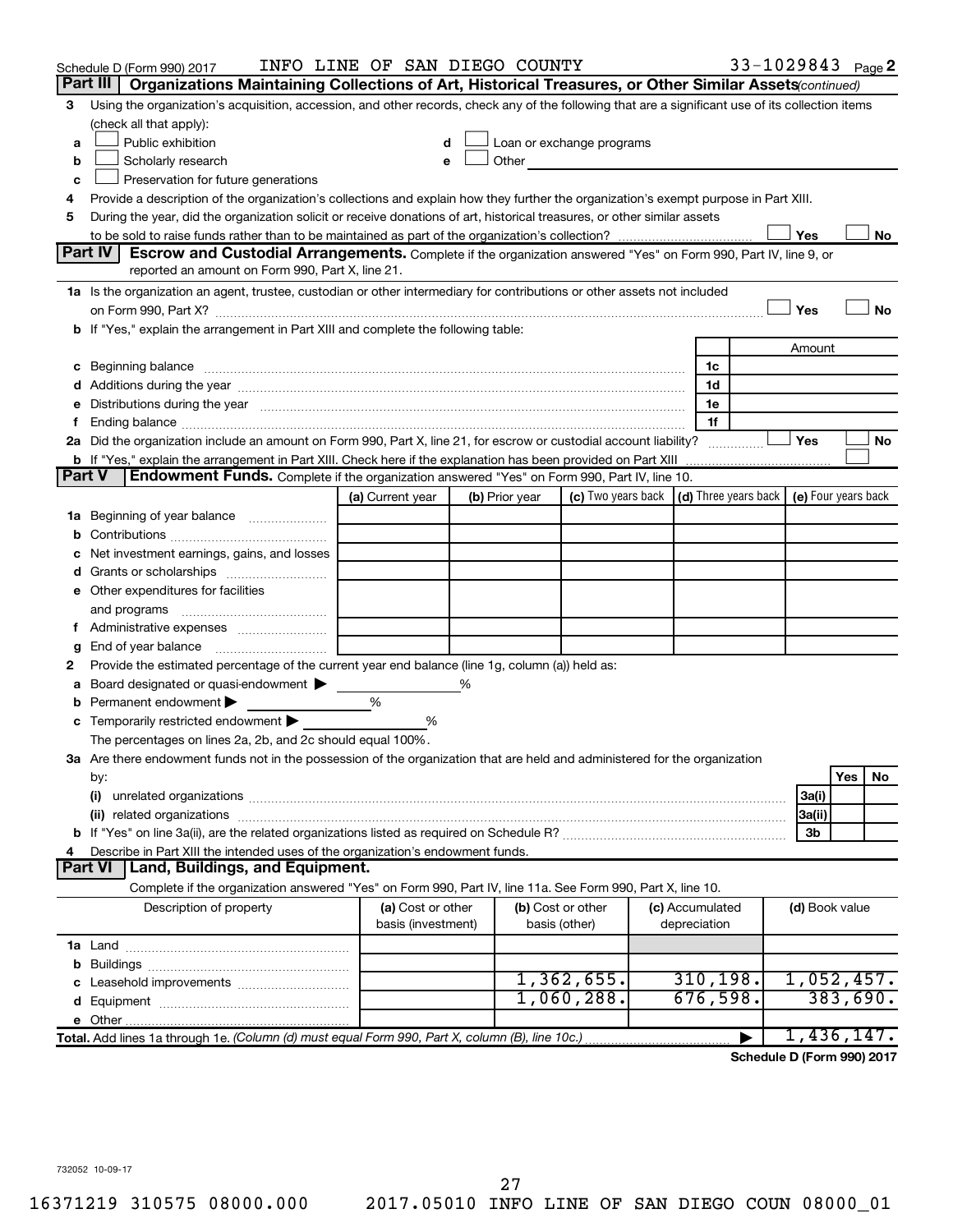|               | Schedule D (Form 990) 2017                                                                                                                                                                                                          | INFO LINE OF SAN DIEGO COUNTY |   |                |                                                                                                                                                                                                                               |                 | 33-1029843 Page 2 |                |          |    |
|---------------|-------------------------------------------------------------------------------------------------------------------------------------------------------------------------------------------------------------------------------------|-------------------------------|---|----------------|-------------------------------------------------------------------------------------------------------------------------------------------------------------------------------------------------------------------------------|-----------------|-------------------|----------------|----------|----|
|               | Part III<br>Organizations Maintaining Collections of Art, Historical Treasures, or Other Similar Assets (continued)                                                                                                                 |                               |   |                |                                                                                                                                                                                                                               |                 |                   |                |          |    |
| 3             | Using the organization's acquisition, accession, and other records, check any of the following that are a significant use of its collection items                                                                                   |                               |   |                |                                                                                                                                                                                                                               |                 |                   |                |          |    |
|               | (check all that apply):                                                                                                                                                                                                             |                               |   |                |                                                                                                                                                                                                                               |                 |                   |                |          |    |
| a             | Public exhibition                                                                                                                                                                                                                   |                               |   |                | Loan or exchange programs                                                                                                                                                                                                     |                 |                   |                |          |    |
| b             | Scholarly research                                                                                                                                                                                                                  |                               |   |                | Other and the contract of the contract of the contract of the contract of the contract of the contract of the contract of the contract of the contract of the contract of the contract of the contract of the contract of the |                 |                   |                |          |    |
| с             | Preservation for future generations                                                                                                                                                                                                 |                               |   |                |                                                                                                                                                                                                                               |                 |                   |                |          |    |
| 4             | Provide a description of the organization's collections and explain how they further the organization's exempt purpose in Part XIII.                                                                                                |                               |   |                |                                                                                                                                                                                                                               |                 |                   |                |          |    |
| 5             | During the year, did the organization solicit or receive donations of art, historical treasures, or other similar assets                                                                                                            |                               |   |                |                                                                                                                                                                                                                               |                 |                   |                |          |    |
|               |                                                                                                                                                                                                                                     |                               |   |                |                                                                                                                                                                                                                               |                 |                   | Yes            |          | No |
|               | Part IV<br><b>Escrow and Custodial Arrangements.</b> Complete if the organization answered "Yes" on Form 990, Part IV, line 9, or                                                                                                   |                               |   |                |                                                                                                                                                                                                                               |                 |                   |                |          |    |
|               | reported an amount on Form 990, Part X, line 21.                                                                                                                                                                                    |                               |   |                |                                                                                                                                                                                                                               |                 |                   |                |          |    |
|               | 1a Is the organization an agent, trustee, custodian or other intermediary for contributions or other assets not included                                                                                                            |                               |   |                |                                                                                                                                                                                                                               |                 |                   |                |          |    |
|               | on Form 990, Part X? [11] matter contracts and contracts and contracts are contracted and contracts are contracted and contract and contract of the contract of the contract of the contract of the contract of the contract o      |                               |   |                |                                                                                                                                                                                                                               |                 |                   | Yes            |          | No |
|               | b If "Yes," explain the arrangement in Part XIII and complete the following table:                                                                                                                                                  |                               |   |                |                                                                                                                                                                                                                               |                 |                   |                |          |    |
|               |                                                                                                                                                                                                                                     |                               |   |                |                                                                                                                                                                                                                               |                 |                   | Amount         |          |    |
|               | c Beginning balance <b>communications</b> and the contract of the contract of the contract of the contract of the contract of the contract of the contract of the contract of the contract of the contract of the contract of the c |                               |   |                |                                                                                                                                                                                                                               | 1c<br>1d        |                   |                |          |    |
|               | d Additions during the year manufactured and an intervention of a distribution of the year manufactured and an                                                                                                                      |                               |   |                |                                                                                                                                                                                                                               | 1e              |                   |                |          |    |
|               | e Distributions during the year manufactured and an intervention of the year manufactured by the state of the                                                                                                                       |                               |   |                |                                                                                                                                                                                                                               | 1f              |                   |                |          |    |
|               | 2a Did the organization include an amount on Form 990, Part X, line 21, for escrow or custodial account liability?                                                                                                                  |                               |   |                |                                                                                                                                                                                                                               |                 |                   | Yes            |          | No |
|               |                                                                                                                                                                                                                                     |                               |   |                |                                                                                                                                                                                                                               |                 |                   |                |          |    |
| <b>Part V</b> | Endowment Funds. Complete if the organization answered "Yes" on Form 990, Part IV, line 10.                                                                                                                                         |                               |   |                |                                                                                                                                                                                                                               |                 |                   |                |          |    |
|               |                                                                                                                                                                                                                                     | (a) Current year              |   | (b) Prior year | (c) Two years back $\vert$ (d) Three years back $\vert$ (e) Four years back                                                                                                                                                   |                 |                   |                |          |    |
|               | 1a Beginning of year balance                                                                                                                                                                                                        |                               |   |                |                                                                                                                                                                                                                               |                 |                   |                |          |    |
| b             |                                                                                                                                                                                                                                     |                               |   |                |                                                                                                                                                                                                                               |                 |                   |                |          |    |
|               | Net investment earnings, gains, and losses                                                                                                                                                                                          |                               |   |                |                                                                                                                                                                                                                               |                 |                   |                |          |    |
|               |                                                                                                                                                                                                                                     |                               |   |                |                                                                                                                                                                                                                               |                 |                   |                |          |    |
|               | e Other expenditures for facilities                                                                                                                                                                                                 |                               |   |                |                                                                                                                                                                                                                               |                 |                   |                |          |    |
|               |                                                                                                                                                                                                                                     |                               |   |                |                                                                                                                                                                                                                               |                 |                   |                |          |    |
|               | f Administrative expenses                                                                                                                                                                                                           |                               |   |                |                                                                                                                                                                                                                               |                 |                   |                |          |    |
| g             |                                                                                                                                                                                                                                     |                               |   |                |                                                                                                                                                                                                                               |                 |                   |                |          |    |
| 2             | Provide the estimated percentage of the current year end balance (line 1g, column (a)) held as:                                                                                                                                     |                               |   |                |                                                                                                                                                                                                                               |                 |                   |                |          |    |
| а             | Board designated or quasi-endowment                                                                                                                                                                                                 |                               | % |                |                                                                                                                                                                                                                               |                 |                   |                |          |    |
|               | <b>b</b> Permanent endowment $\blacktriangleright$                                                                                                                                                                                  | %                             |   |                |                                                                                                                                                                                                                               |                 |                   |                |          |    |
|               | <b>c</b> Temporarily restricted endowment $\blacktriangleright$                                                                                                                                                                     | ℅                             |   |                |                                                                                                                                                                                                                               |                 |                   |                |          |    |
|               | The percentages on lines 2a, 2b, and 2c should equal 100%.                                                                                                                                                                          |                               |   |                |                                                                                                                                                                                                                               |                 |                   |                |          |    |
|               | 3a Are there endowment funds not in the possession of the organization that are held and administered for the organization                                                                                                          |                               |   |                |                                                                                                                                                                                                                               |                 |                   |                |          |    |
|               | by:                                                                                                                                                                                                                                 |                               |   |                |                                                                                                                                                                                                                               |                 |                   |                | Yes      | No |
|               | (i)                                                                                                                                                                                                                                 |                               |   |                |                                                                                                                                                                                                                               |                 |                   | 3a(i)          |          |    |
|               |                                                                                                                                                                                                                                     |                               |   |                |                                                                                                                                                                                                                               |                 |                   | 3a(ii)         |          |    |
| 4             | Describe in Part XIII the intended uses of the organization's endowment funds.                                                                                                                                                      |                               |   |                |                                                                                                                                                                                                                               |                 |                   | 3b             |          |    |
|               | Land, Buildings, and Equipment.<br><b>Part VI</b>                                                                                                                                                                                   |                               |   |                |                                                                                                                                                                                                                               |                 |                   |                |          |    |
|               | Complete if the organization answered "Yes" on Form 990, Part IV, line 11a. See Form 990, Part X, line 10.                                                                                                                          |                               |   |                |                                                                                                                                                                                                                               |                 |                   |                |          |    |
|               | Description of property                                                                                                                                                                                                             | (a) Cost or other             |   |                | (b) Cost or other                                                                                                                                                                                                             | (c) Accumulated |                   | (d) Book value |          |    |
|               |                                                                                                                                                                                                                                     | basis (investment)            |   |                | basis (other)                                                                                                                                                                                                                 | depreciation    |                   |                |          |    |
|               |                                                                                                                                                                                                                                     |                               |   |                |                                                                                                                                                                                                                               |                 |                   |                |          |    |
|               |                                                                                                                                                                                                                                     |                               |   |                |                                                                                                                                                                                                                               |                 |                   |                |          |    |
|               |                                                                                                                                                                                                                                     |                               |   |                | 1,362,655.                                                                                                                                                                                                                    | 310, 198.       |                   | 1,052,457.     |          |    |
|               |                                                                                                                                                                                                                                     |                               |   |                | $1,060,288$ .                                                                                                                                                                                                                 | 676,598.        |                   |                | 383,690. |    |
|               |                                                                                                                                                                                                                                     |                               |   |                |                                                                                                                                                                                                                               |                 |                   |                |          |    |
|               | Total. Add lines 1a through 1e. (Column (d) must equal Form 990, Part X, column (B), line 10c.)                                                                                                                                     |                               |   |                |                                                                                                                                                                                                                               |                 | ▶                 | 1,436,147.     |          |    |
|               |                                                                                                                                                                                                                                     |                               |   |                |                                                                                                                                                                                                                               |                 |                   |                |          |    |

**Schedule D (Form 990) 2017**

732052 10-09-17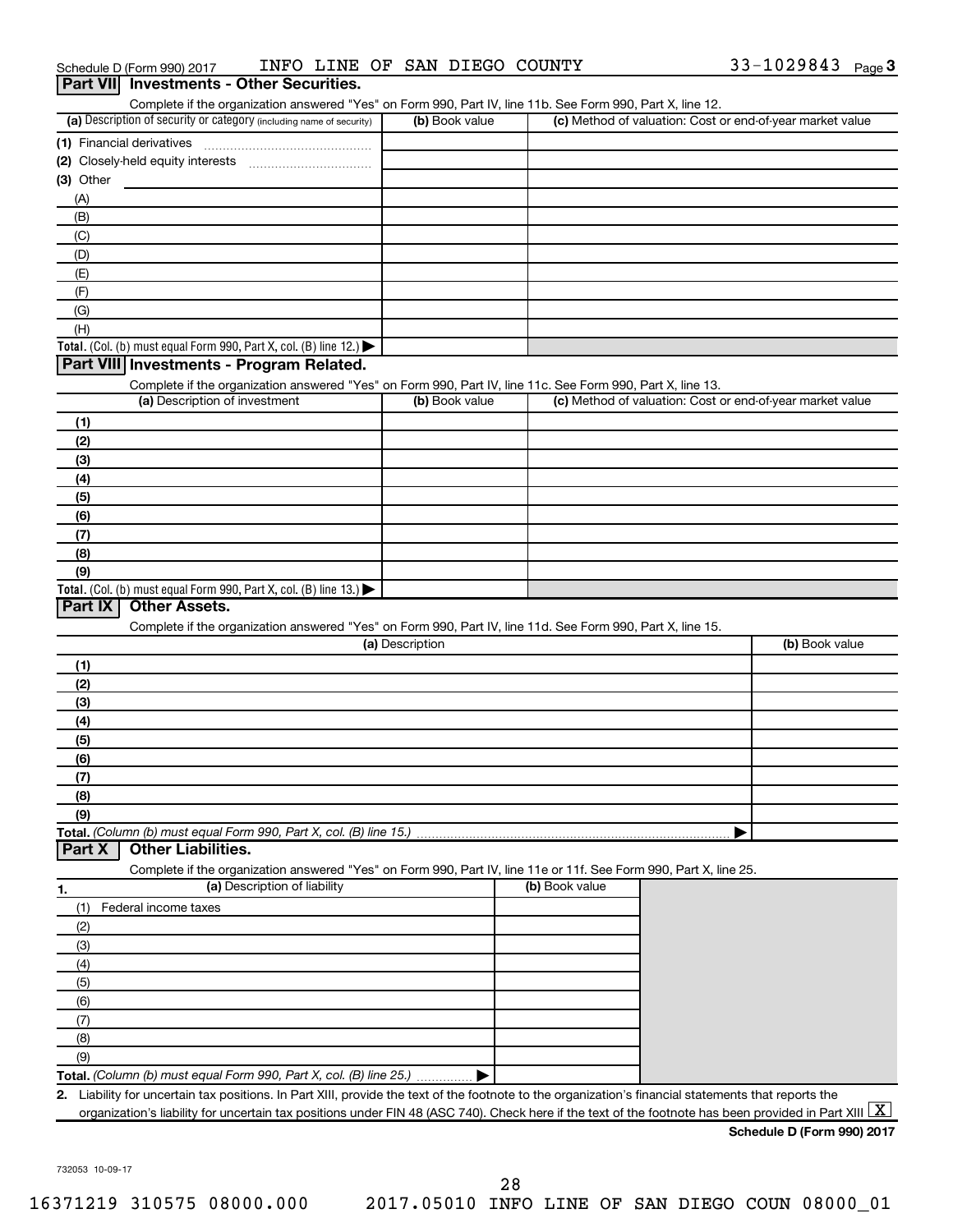|  | Schedule D (Form 990) 2017 | INFO LINE OF SAN DIEGO COUNTY |  |  |  |  | 33-1029843 | Page $3$ |
|--|----------------------------|-------------------------------|--|--|--|--|------------|----------|
|--|----------------------------|-------------------------------|--|--|--|--|------------|----------|

| Complete if the organization answered "Yes" on Form 990, Part IV, line 11b. See Form 990, Part X, line 12.<br>(a) Description of security or category (including name of security)             | (b) Book value  |                | (c) Method of valuation: Cost or end-of-year market value |
|------------------------------------------------------------------------------------------------------------------------------------------------------------------------------------------------|-----------------|----------------|-----------------------------------------------------------|
| (1) Financial derivatives                                                                                                                                                                      |                 |                |                                                           |
|                                                                                                                                                                                                |                 |                |                                                           |
| $(3)$ Other                                                                                                                                                                                    |                 |                |                                                           |
| (A)                                                                                                                                                                                            |                 |                |                                                           |
| (B)                                                                                                                                                                                            |                 |                |                                                           |
| (C)                                                                                                                                                                                            |                 |                |                                                           |
| (D)                                                                                                                                                                                            |                 |                |                                                           |
| (E)                                                                                                                                                                                            |                 |                |                                                           |
| (F)                                                                                                                                                                                            |                 |                |                                                           |
| (G)                                                                                                                                                                                            |                 |                |                                                           |
| (H)                                                                                                                                                                                            |                 |                |                                                           |
| Total. (Col. (b) must equal Form 990, Part X, col. (B) line 12.) $\blacktriangleright$                                                                                                         |                 |                |                                                           |
| Part VIII Investments - Program Related.                                                                                                                                                       |                 |                |                                                           |
| Complete if the organization answered "Yes" on Form 990, Part IV, line 11c. See Form 990, Part X, line 13.                                                                                     |                 |                |                                                           |
| (a) Description of investment                                                                                                                                                                  | (b) Book value  |                | (c) Method of valuation: Cost or end-of-year market value |
| (1)                                                                                                                                                                                            |                 |                |                                                           |
| (2)                                                                                                                                                                                            |                 |                |                                                           |
| (3)                                                                                                                                                                                            |                 |                |                                                           |
| (4)                                                                                                                                                                                            |                 |                |                                                           |
| (5)                                                                                                                                                                                            |                 |                |                                                           |
| (6)                                                                                                                                                                                            |                 |                |                                                           |
| (7)                                                                                                                                                                                            |                 |                |                                                           |
| (8)                                                                                                                                                                                            |                 |                |                                                           |
| (9)                                                                                                                                                                                            |                 |                |                                                           |
|                                                                                                                                                                                                |                 |                |                                                           |
| <b>Other Assets.</b>                                                                                                                                                                           |                 |                |                                                           |
| Complete if the organization answered "Yes" on Form 990, Part IV, line 11d. See Form 990, Part X, line 15.                                                                                     | (a) Description |                | (b) Book value                                            |
| (1)                                                                                                                                                                                            |                 |                |                                                           |
| (2)                                                                                                                                                                                            |                 |                |                                                           |
| (3)                                                                                                                                                                                            |                 |                |                                                           |
| (4)                                                                                                                                                                                            |                 |                |                                                           |
| (5)                                                                                                                                                                                            |                 |                |                                                           |
| (6)                                                                                                                                                                                            |                 |                |                                                           |
| (7)                                                                                                                                                                                            |                 |                |                                                           |
| (8)                                                                                                                                                                                            |                 |                |                                                           |
| (9)                                                                                                                                                                                            |                 |                |                                                           |
| <b>Other Liabilities.</b>                                                                                                                                                                      |                 |                |                                                           |
|                                                                                                                                                                                                |                 |                |                                                           |
| Complete if the organization answered "Yes" on Form 990, Part IV, line 11e or 11f. See Form 990, Part X, line 25.<br>(a) Description of liability                                              |                 | (b) Book value |                                                           |
| (1)                                                                                                                                                                                            |                 |                |                                                           |
| Federal income taxes                                                                                                                                                                           |                 |                |                                                           |
| (2)                                                                                                                                                                                            |                 |                |                                                           |
| (3)<br>(4)                                                                                                                                                                                     |                 |                |                                                           |
|                                                                                                                                                                                                |                 |                |                                                           |
| (5)                                                                                                                                                                                            |                 |                |                                                           |
| (6)                                                                                                                                                                                            |                 |                |                                                           |
| Total. (Col. (b) must equal Form 990, Part X, col. (B) line 13.) $\blacktriangleright$<br>Part IX<br>Total. (Column (b) must equal Form 990, Part X, col. (B) line 15.)<br>Part X<br>1.<br>(7) |                 |                |                                                           |
| (8)<br>(9)                                                                                                                                                                                     |                 |                |                                                           |
| Total. (Column (b) must equal Form 990, Part X, col. (B) line 25.)                                                                                                                             |                 |                |                                                           |

**Schedule D (Form 990) 2017**

732053 10-09-17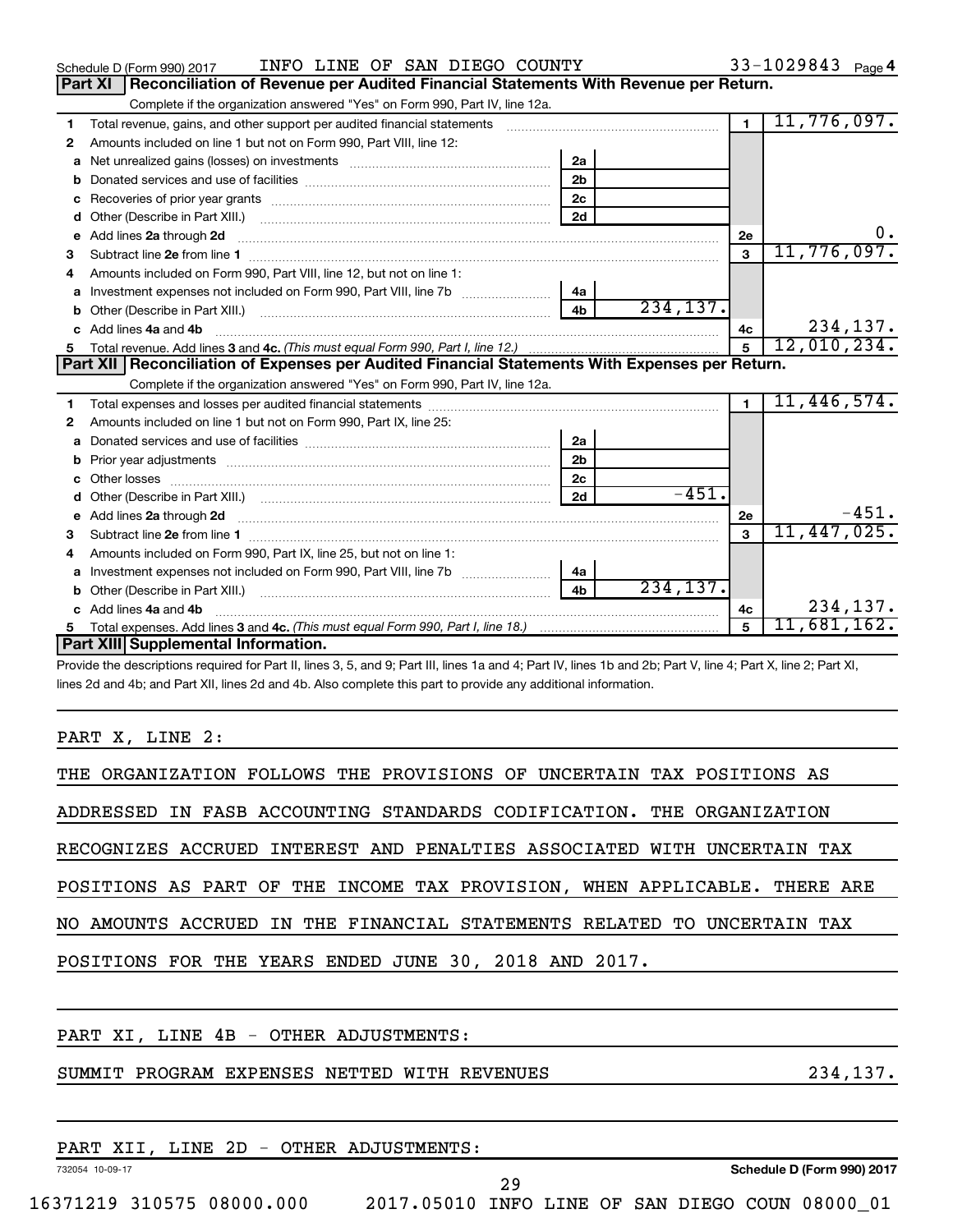| INFO LINE OF SAN DIEGO COUNTY<br>Schedule D (Form 990) 2017                                                                                                                                                                        |                | 33-1029843 $_{Page 4}$ |
|------------------------------------------------------------------------------------------------------------------------------------------------------------------------------------------------------------------------------------|----------------|------------------------|
| Part XI<br>Reconciliation of Revenue per Audited Financial Statements With Revenue per Return.                                                                                                                                     |                |                        |
| Complete if the organization answered "Yes" on Form 990, Part IV, line 12a.                                                                                                                                                        |                |                        |
| Total revenue, gains, and other support per audited financial statements<br>1<br>and a complete the contract of the complete of the complete of the complete of the complete of the complete of                                    | $\blacksquare$ | 11,776,097.            |
| Amounts included on line 1 but not on Form 990, Part VIII, line 12:<br>2                                                                                                                                                           |                |                        |
| 2a<br>Net unrealized gains (losses) on investments [111] [12] matter and the unrealized gains (losses) on investments<br>a                                                                                                         |                |                        |
| 2 <sub>b</sub>                                                                                                                                                                                                                     |                |                        |
| 2 <sub>c</sub><br>c                                                                                                                                                                                                                |                |                        |
| 2d<br>Other (Describe in Part XIII.) <b>Construction Construction</b> Chern Construction Chern Chern Chern Chern Chern Chern<br>d                                                                                                  |                |                        |
| Add lines 2a through 2d<br>e                                                                                                                                                                                                       | 2e             | 0.                     |
| 3                                                                                                                                                                                                                                  | 3              | 11,776,097.            |
| Amounts included on Form 990. Part VIII. line 12, but not on line 1:<br>4                                                                                                                                                          |                |                        |
| l 4a                                                                                                                                                                                                                               |                |                        |
| 234, 137.<br>4 <sub>b</sub>                                                                                                                                                                                                        |                |                        |
| Add lines 4a and 4b<br>c.                                                                                                                                                                                                          | 4c             | 234,137.               |
|                                                                                                                                                                                                                                    | $5^{\circ}$    | 12,010,234.            |
| Part XII   Reconciliation of Expenses per Audited Financial Statements With Expenses per Return.                                                                                                                                   |                |                        |
| Complete if the organization answered "Yes" on Form 990, Part IV, line 12a.                                                                                                                                                        |                |                        |
| 1                                                                                                                                                                                                                                  |                | 11,446,574.            |
| Amounts included on line 1 but not on Form 990, Part IX, line 25:<br>2                                                                                                                                                             |                |                        |
| 2a<br>a                                                                                                                                                                                                                            |                |                        |
| 2 <sub>b</sub><br>b                                                                                                                                                                                                                |                |                        |
| 2c                                                                                                                                                                                                                                 |                |                        |
| $-451.$<br>2d<br>d                                                                                                                                                                                                                 |                |                        |
| e Add lines 2a through 2d <b>contained a control and a control and a</b> control and a control and a control and a control and a control and a control and a control and a control and a control and a control and a control and a | 2e             | $-451.$                |
| з                                                                                                                                                                                                                                  | $\mathbf{a}$   | 11,447,025.            |
| Amounts included on Form 990, Part IX, line 25, but not on line 1:<br>4                                                                                                                                                            |                |                        |
| 4a<br>a                                                                                                                                                                                                                            |                |                        |
| 234, 137.<br>4 <sub>b</sub>                                                                                                                                                                                                        |                |                        |
|                                                                                                                                                                                                                                    |                |                        |
| c Add lines 4a and 4b                                                                                                                                                                                                              | 4c             | 234,137.               |
| Part XIII Supplemental Information.                                                                                                                                                                                                | 5              | 11,681,162.            |

Provide the descriptions required for Part II, lines 3, 5, and 9; Part III, lines 1a and 4; Part IV, lines 1b and 2b; Part V, line 4; Part X, line 2; Part XI, lines 2d and 4b; and Part XII, lines 2d and 4b. Also complete this part to provide any additional information.

PART X, LINE 2:

|  |  |  |                                                       |  |  | THE ORGANIZATION FOLLOWS THE PROVISIONS OF UNCERTAIN TAX POSITIONS AS     |  |
|--|--|--|-------------------------------------------------------|--|--|---------------------------------------------------------------------------|--|
|  |  |  |                                                       |  |  | ADDRESSED IN FASB ACCOUNTING STANDARDS CODIFICATION. THE ORGANIZATION     |  |
|  |  |  |                                                       |  |  | RECOGNIZES ACCRUED INTEREST AND PENALTIES ASSOCIATED WITH UNCERTAIN TAX   |  |
|  |  |  |                                                       |  |  | POSITIONS AS PART OF THE INCOME TAX PROVISION, WHEN APPLICABLE. THERE ARE |  |
|  |  |  |                                                       |  |  | NO AMOUNTS ACCRUED IN THE FINANCIAL STATEMENTS RELATED TO UNCERTAIN TAX   |  |
|  |  |  | POSITIONS FOR THE YEARS ENDED JUNE 30, 2018 AND 2017. |  |  |                                                                           |  |
|  |  |  |                                                       |  |  |                                                                           |  |

PART XI, LINE 4B - OTHER ADJUSTMENTS:

## SUMMIT PROGRAM EXPENSES NETTED WITH REVENUES 234,137.

|                           |  |  | PART XII, LINE 2D - OTHER ADJUSTMENTS:          |    |  |  |                            |  |
|---------------------------|--|--|-------------------------------------------------|----|--|--|----------------------------|--|
| 732054 10-09-17           |  |  |                                                 |    |  |  | Schedule D (Form 990) 2017 |  |
|                           |  |  |                                                 | 29 |  |  |                            |  |
| 16371219 310575 08000.000 |  |  | 2017.05010 INFO LINE OF SAN DIEGO COUN 08000 01 |    |  |  |                            |  |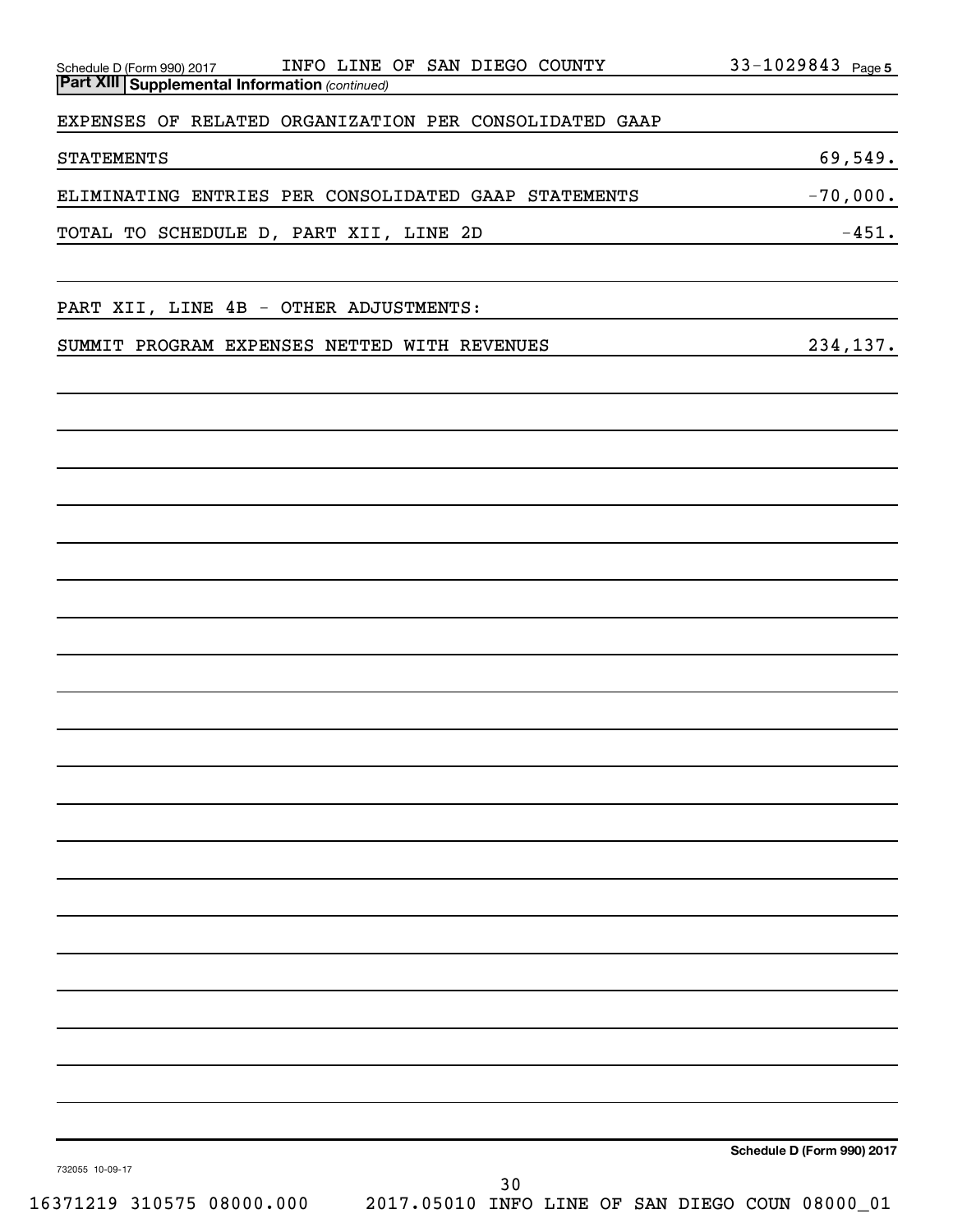| INFO LINE OF SAN DIEGO COUNTY<br>Schedule D (Form 990) 2017<br>Part XIII Supplemental Information (continued) | 33-1029843 Page 5                                             |
|---------------------------------------------------------------------------------------------------------------|---------------------------------------------------------------|
| EXPENSES OF RELATED ORGANIZATION PER CONSOLIDATED GAAP                                                        |                                                               |
| <b>STATEMENTS</b>                                                                                             | 69,549.                                                       |
| ELIMINATING ENTRIES PER CONSOLIDATED GAAP STATEMENTS                                                          | $-70,000.$                                                    |
| TOTAL TO SCHEDULE D, PART XII, LINE 2D                                                                        | $-451.$<br><u> 1989 - Johann Barn, amerikansk politiker (</u> |
| PART XII, LINE 4B - OTHER ADJUSTMENTS:                                                                        |                                                               |
| SUMMIT PROGRAM EXPENSES NETTED WITH REVENUES                                                                  | 234,137.                                                      |
|                                                                                                               |                                                               |
|                                                                                                               |                                                               |
|                                                                                                               |                                                               |
|                                                                                                               |                                                               |
|                                                                                                               |                                                               |
|                                                                                                               |                                                               |
|                                                                                                               |                                                               |
|                                                                                                               |                                                               |
|                                                                                                               |                                                               |
|                                                                                                               |                                                               |
|                                                                                                               |                                                               |
|                                                                                                               |                                                               |
|                                                                                                               |                                                               |
| 732055 10-09-17                                                                                               | Schedule D (Form 990) 2017                                    |
| 30<br>16371219 310575 08000.000                                                                               | 2017.05010 INFO LINE OF SAN DIEGO COUN 08000_01               |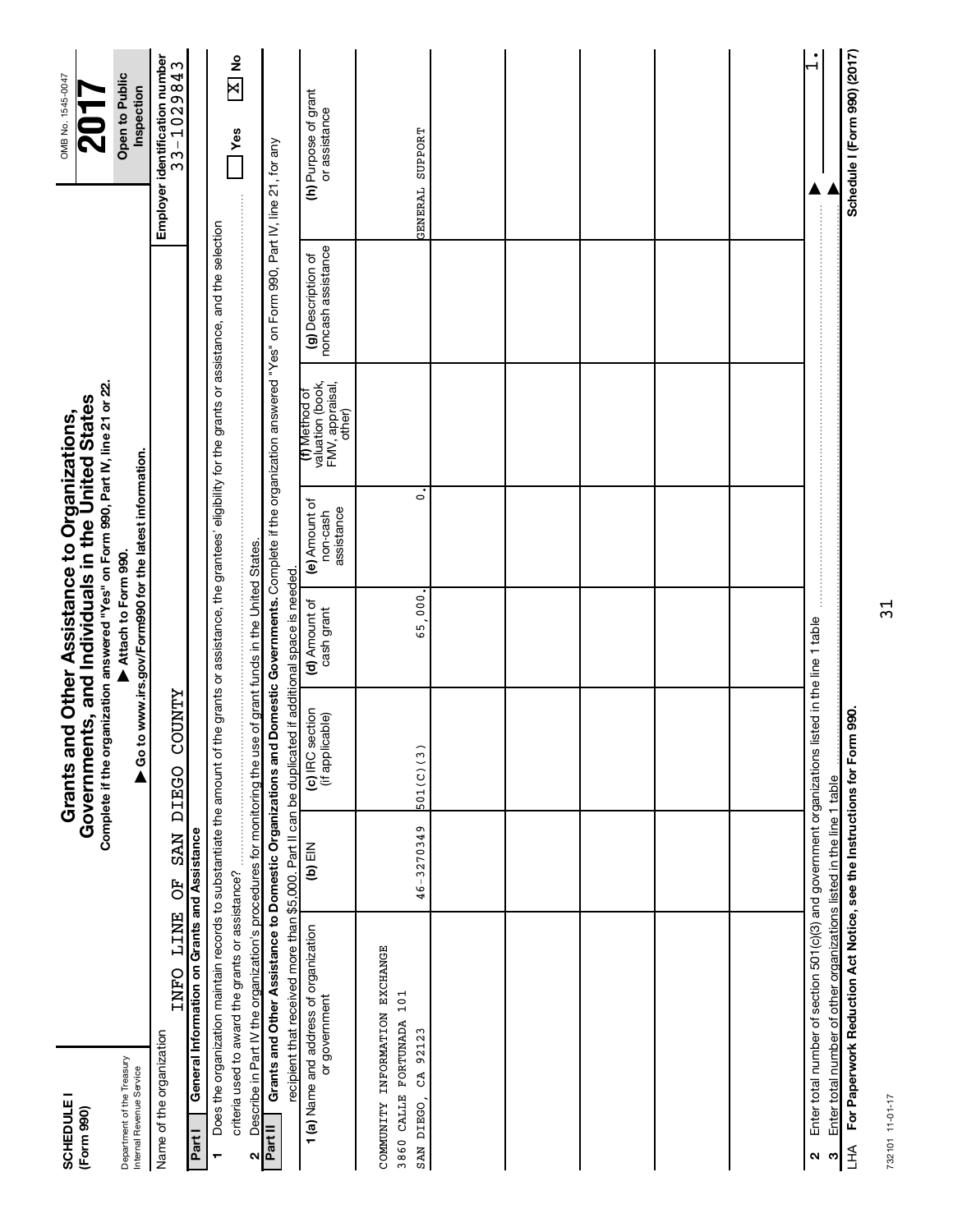| <b>SCHEDULE1</b><br>(Form 990)                                                              |                                                                                                                                                                                                                                            |                 | Complete if the organization answered "Yes" on Form 990, Part IV, line 21 or 22.<br>Governments, and Individuals in the United States<br>Grants and Other Assistance to Organizations, |                                                                              |                                         |                                                                |                                          | OMB No. 1545-0047                            |
|---------------------------------------------------------------------------------------------|--------------------------------------------------------------------------------------------------------------------------------------------------------------------------------------------------------------------------------------------|-----------------|----------------------------------------------------------------------------------------------------------------------------------------------------------------------------------------|------------------------------------------------------------------------------|-----------------------------------------|----------------------------------------------------------------|------------------------------------------|----------------------------------------------|
| Department of the Treasury<br>Internal Revenue Service                                      |                                                                                                                                                                                                                                            |                 |                                                                                                                                                                                        | Go to www.irs.gov/Form990 for the latest information.<br>Attach to Form 990. |                                         |                                                                |                                          | Open to Public<br>Inspection                 |
| Name of the organization                                                                    | INFO LINE                                                                                                                                                                                                                                  | <b>NAS</b><br>ð | <b>COUNTY</b><br>DEEGO                                                                                                                                                                 |                                                                              |                                         |                                                                |                                          | Employer identification number<br>33-1029843 |
| Part I                                                                                      | General Information on Grants and Assistance                                                                                                                                                                                               |                 |                                                                                                                                                                                        |                                                                              |                                         |                                                                |                                          |                                              |
|                                                                                             | Does the organization maintain records to substantiate the amount of the grants or assistance, the grantees' eligibility for the grants or assistance, and the selection                                                                   |                 |                                                                                                                                                                                        |                                                                              |                                         |                                                                |                                          |                                              |
|                                                                                             | criteria used to award the grants or assistance?                                                                                                                                                                                           |                 |                                                                                                                                                                                        |                                                                              |                                         |                                                                |                                          | $\frac{1}{2}$<br>$\mathbf{X}$<br><b>Yes</b>  |
| Part II<br>Ν                                                                                | Describe in Part IV the organization's procedures for monitoring the use                                                                                                                                                                   |                 |                                                                                                                                                                                        | of grant funds in the United States.                                         |                                         |                                                                |                                          |                                              |
|                                                                                             | Grants and Other Assistance to Domestic Organizations and Domestic Governments. Complete if the organization answered "Yes" on Form 990, Part IV, line 21, for any<br>recipient that received more than \$5,000. Part II can be duplicated |                 |                                                                                                                                                                                        | if additional space is needed                                                |                                         |                                                                |                                          |                                              |
|                                                                                             | 1 (a) Name and address of organization<br>or government                                                                                                                                                                                    | NEI (q)         | (c) IRC section<br>(if applicable)                                                                                                                                                     | (d) Amount of<br>cash grant                                                  | (e) Amount of<br>assistance<br>non-cash | valuation (book,<br>FMV, appraisal,<br>(f) Method of<br>other) | noncash assistance<br>(g) Description of | (h) Purpose of grant<br>or assistance        |
| COMMUNITY INFORMATION EXCHANGE<br>CALLE FORTUNADA 101<br>92123<br>CA.<br>SAN DIEGO,<br>3860 |                                                                                                                                                                                                                                            | 46-3270349      | 501(C)(3)                                                                                                                                                                              | 65,000                                                                       | $\dot{\circ}$                           |                                                                |                                          | GENERAL SUPPORT                              |
|                                                                                             |                                                                                                                                                                                                                                            |                 |                                                                                                                                                                                        |                                                                              |                                         |                                                                |                                          |                                              |
|                                                                                             |                                                                                                                                                                                                                                            |                 |                                                                                                                                                                                        |                                                                              |                                         |                                                                |                                          |                                              |
|                                                                                             |                                                                                                                                                                                                                                            |                 |                                                                                                                                                                                        |                                                                              |                                         |                                                                |                                          |                                              |
|                                                                                             |                                                                                                                                                                                                                                            |                 |                                                                                                                                                                                        |                                                                              |                                         |                                                                |                                          |                                              |
|                                                                                             |                                                                                                                                                                                                                                            |                 |                                                                                                                                                                                        |                                                                              |                                         |                                                                |                                          |                                              |
| ∾                                                                                           | Enter total number of section 501(c)(3) and government organizations listed in the line 1 table                                                                                                                                            |                 |                                                                                                                                                                                        |                                                                              |                                         |                                                                |                                          |                                              |
| ო                                                                                           | Enter total number of other organizations listed in the line 1 table                                                                                                                                                                       |                 |                                                                                                                                                                                        |                                                                              |                                         |                                                                |                                          |                                              |
| $H_{\perp}$                                                                                 | For Paperwork Reduction Act Notice, see the Instructions for Form                                                                                                                                                                          |                 | 990                                                                                                                                                                                    |                                                                              |                                         |                                                                |                                          | Schedule I (Form 990) (2017)                 |

Í LHA For Paperwo

732101 11-01-17 732101 11-01-17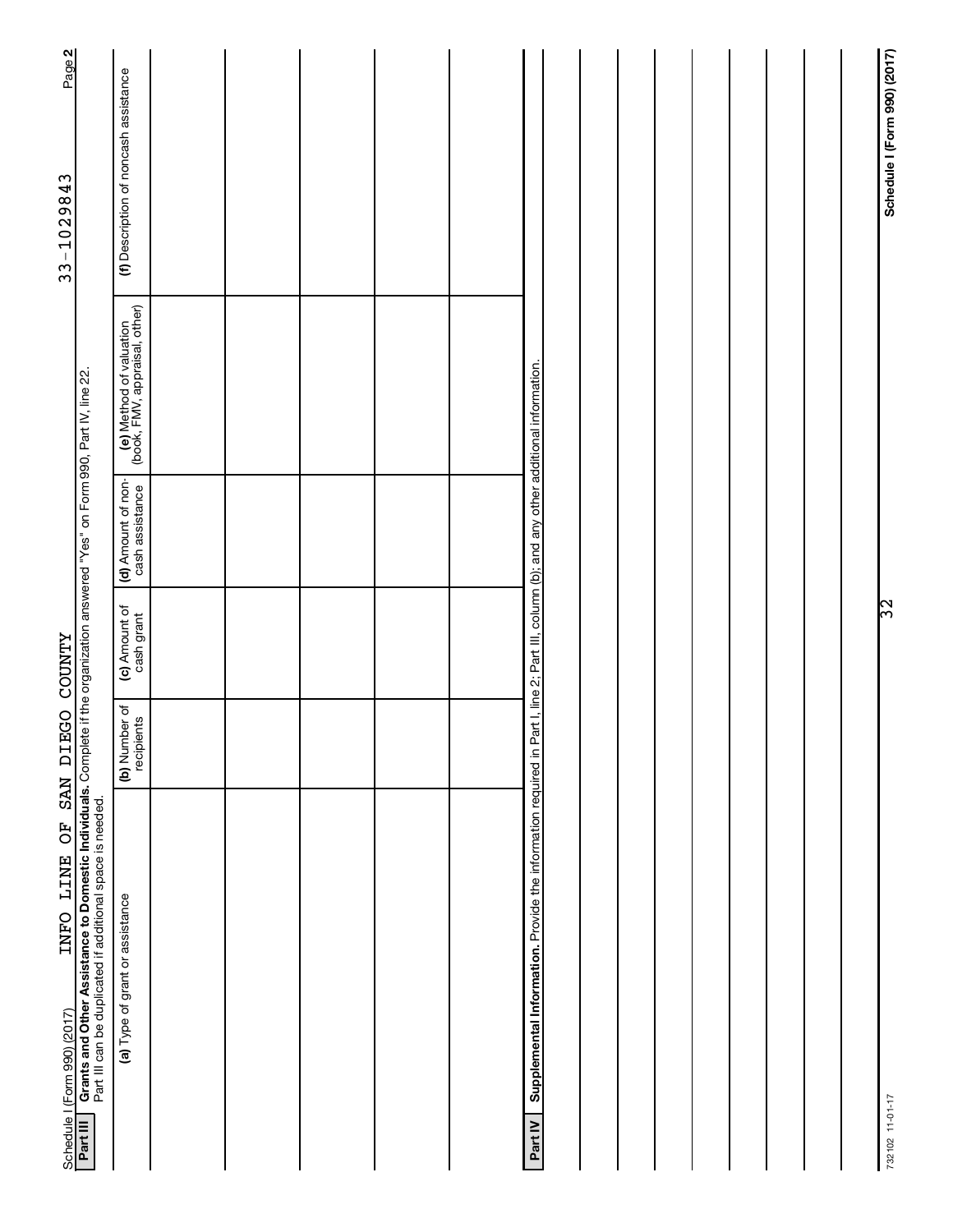| Page 2<br>33-1029843                                                                                                                                                                                                                                                                          | (f) Description of noncash assistance<br>(e) Method of valuation<br>(book, FMV, appraisal, other) |            |  |  |                                                                                                                                                      |  |  |  |
|-----------------------------------------------------------------------------------------------------------------------------------------------------------------------------------------------------------------------------------------------------------------------------------------------|---------------------------------------------------------------------------------------------------|------------|--|--|------------------------------------------------------------------------------------------------------------------------------------------------------|--|--|--|
|                                                                                                                                                                                                                                                                                               | (d) Amount of non-<br>cash assistance<br>(c) Amount of<br>cash grant                              |            |  |  |                                                                                                                                                      |  |  |  |
| XLNOO OSEIG NES                                                                                                                                                                                                                                                                               | (b) Number of                                                                                     | recipients |  |  |                                                                                                                                                      |  |  |  |
| Crants and Other Assistance to Domestic Individuals. Complete if the organization answered "Yes" on Form 990, Part IV, line 22.<br>Grants and Other Assistance to Domestic Individuals. Complete if the organization answered "Ye<br>INFO LINE OF<br>Schedule I (Form 990) (2017)<br>Part III | Part III can be duplicated if additional space is needed.<br>(a) Type of grant or assistance      |            |  |  | Supplemental Information. Provide the information required in Part I, line 2; Part III, column (b); and any other additional information.<br>Part IV |  |  |  |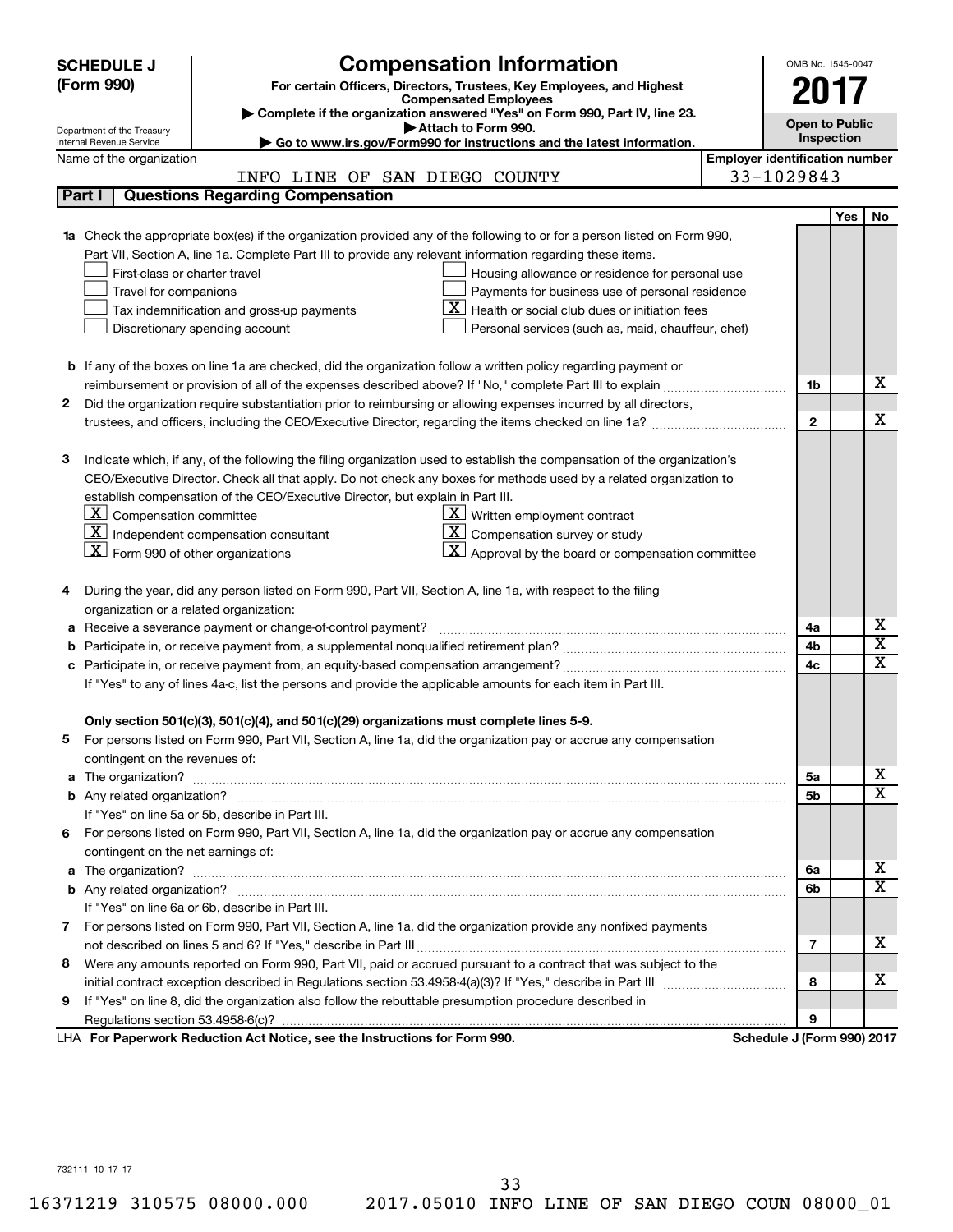|    | <b>Compensation Information</b><br><b>SCHEDULE J</b>                                                                                                    |                                       | OMB No. 1545-0047     |     |                         |
|----|---------------------------------------------------------------------------------------------------------------------------------------------------------|---------------------------------------|-----------------------|-----|-------------------------|
|    | (Form 990)<br>For certain Officers, Directors, Trustees, Key Employees, and Highest                                                                     |                                       |                       |     |                         |
|    | <b>Compensated Employees</b>                                                                                                                            |                                       |                       |     |                         |
|    | Complete if the organization answered "Yes" on Form 990, Part IV, line 23.<br>Attach to Form 990.                                                       |                                       | <b>Open to Public</b> |     |                         |
|    | Department of the Treasury<br>Go to www.irs.gov/Form990 for instructions and the latest information.<br>Internal Revenue Service                        |                                       | Inspection            |     |                         |
|    | Name of the organization                                                                                                                                | <b>Employer identification number</b> |                       |     |                         |
|    | INFO LINE OF SAN DIEGO COUNTY                                                                                                                           | 33-1029843                            |                       |     |                         |
|    | <b>Questions Regarding Compensation</b><br>Part I                                                                                                       |                                       |                       |     |                         |
|    |                                                                                                                                                         |                                       |                       | Yes | No                      |
|    | Check the appropriate box(es) if the organization provided any of the following to or for a person listed on Form 990,                                  |                                       |                       |     |                         |
|    | Part VII, Section A, line 1a. Complete Part III to provide any relevant information regarding these items.                                              |                                       |                       |     |                         |
|    | First-class or charter travel<br>Housing allowance or residence for personal use                                                                        |                                       |                       |     |                         |
|    | Payments for business use of personal residence<br>Travel for companions                                                                                |                                       |                       |     |                         |
|    | Health or social club dues or initiation fees<br>Tax indemnification and gross-up payments                                                              |                                       |                       |     |                         |
|    | Discretionary spending account<br>Personal services (such as, maid, chauffeur, chef)                                                                    |                                       |                       |     |                         |
|    |                                                                                                                                                         |                                       |                       |     |                         |
|    | <b>b</b> If any of the boxes on line 1a are checked, did the organization follow a written policy regarding payment or                                  |                                       |                       |     |                         |
|    |                                                                                                                                                         |                                       | 1b                    |     | х                       |
| 2  | Did the organization require substantiation prior to reimbursing or allowing expenses incurred by all directors,                                        |                                       |                       |     |                         |
|    |                                                                                                                                                         |                                       | $\mathbf{2}$          |     | х                       |
|    |                                                                                                                                                         |                                       |                       |     |                         |
| З  | Indicate which, if any, of the following the filing organization used to establish the compensation of the organization's                               |                                       |                       |     |                         |
|    | CEO/Executive Director. Check all that apply. Do not check any boxes for methods used by a related organization to                                      |                                       |                       |     |                         |
|    | establish compensation of the CEO/Executive Director, but explain in Part III.                                                                          |                                       |                       |     |                         |
|    | $ \mathbf{X} $ Compensation committee<br>$X$ Written employment contract                                                                                |                                       |                       |     |                         |
|    | $\boxed{\textbf{X}}$ Independent compensation consultant<br>$ \mathbf{X} $ Compensation survey or study                                                 |                                       |                       |     |                         |
|    | $ \mathbf{X} $ Form 990 of other organizations<br>$\vert \mathbf{X} \vert$ Approval by the board or compensation committee                              |                                       |                       |     |                         |
|    |                                                                                                                                                         |                                       |                       |     |                         |
|    | During the year, did any person listed on Form 990, Part VII, Section A, line 1a, with respect to the filing<br>organization or a related organization: |                                       |                       |     |                         |
| а  | Receive a severance payment or change-of-control payment?                                                                                               |                                       | 4a                    |     | х                       |
| b  |                                                                                                                                                         |                                       | 4b                    |     | $\overline{\textbf{x}}$ |
| с  |                                                                                                                                                         |                                       | 4c                    |     | $\overline{\textbf{x}}$ |
|    | If "Yes" to any of lines 4a-c, list the persons and provide the applicable amounts for each item in Part III.                                           |                                       |                       |     |                         |
|    |                                                                                                                                                         |                                       |                       |     |                         |
|    | Only section 501(c)(3), 501(c)(4), and 501(c)(29) organizations must complete lines 5-9.                                                                |                                       |                       |     |                         |
|    | For persons listed on Form 990, Part VII, Section A, line 1a, did the organization pay or accrue any compensation                                       |                                       |                       |     |                         |
|    | contingent on the revenues of:                                                                                                                          |                                       |                       |     |                         |
| a  |                                                                                                                                                         |                                       | 5а                    |     | х                       |
|    |                                                                                                                                                         |                                       | 5b                    |     | $\overline{\texttt{x}}$ |
|    | If "Yes" on line 5a or 5b, describe in Part III.                                                                                                        |                                       |                       |     |                         |
| 6. | For persons listed on Form 990, Part VII, Section A, line 1a, did the organization pay or accrue any compensation                                       |                                       |                       |     |                         |
|    | contingent on the net earnings of:                                                                                                                      |                                       |                       |     |                         |
| a  |                                                                                                                                                         |                                       | 6a                    |     | х                       |
|    |                                                                                                                                                         |                                       | 6b                    |     | $\overline{\texttt{x}}$ |
|    | If "Yes" on line 6a or 6b, describe in Part III.                                                                                                        |                                       |                       |     |                         |
|    | 7 For persons listed on Form 990, Part VII, Section A, line 1a, did the organization provide any nonfixed payments                                      |                                       |                       |     |                         |
|    |                                                                                                                                                         |                                       | 7                     |     | x                       |
| 8  | Were any amounts reported on Form 990, Part VII, paid or accrued pursuant to a contract that was subject to the                                         |                                       |                       |     |                         |
|    |                                                                                                                                                         |                                       | 8                     |     | х                       |
| 9  | If "Yes" on line 8, did the organization also follow the rebuttable presumption procedure described in                                                  |                                       |                       |     |                         |
|    |                                                                                                                                                         |                                       | 9                     |     |                         |
|    | LHA For Paperwork Reduction Act Notice, see the Instructions for Form 990.                                                                              | Schedule J (Form 990) 2017            |                       |     |                         |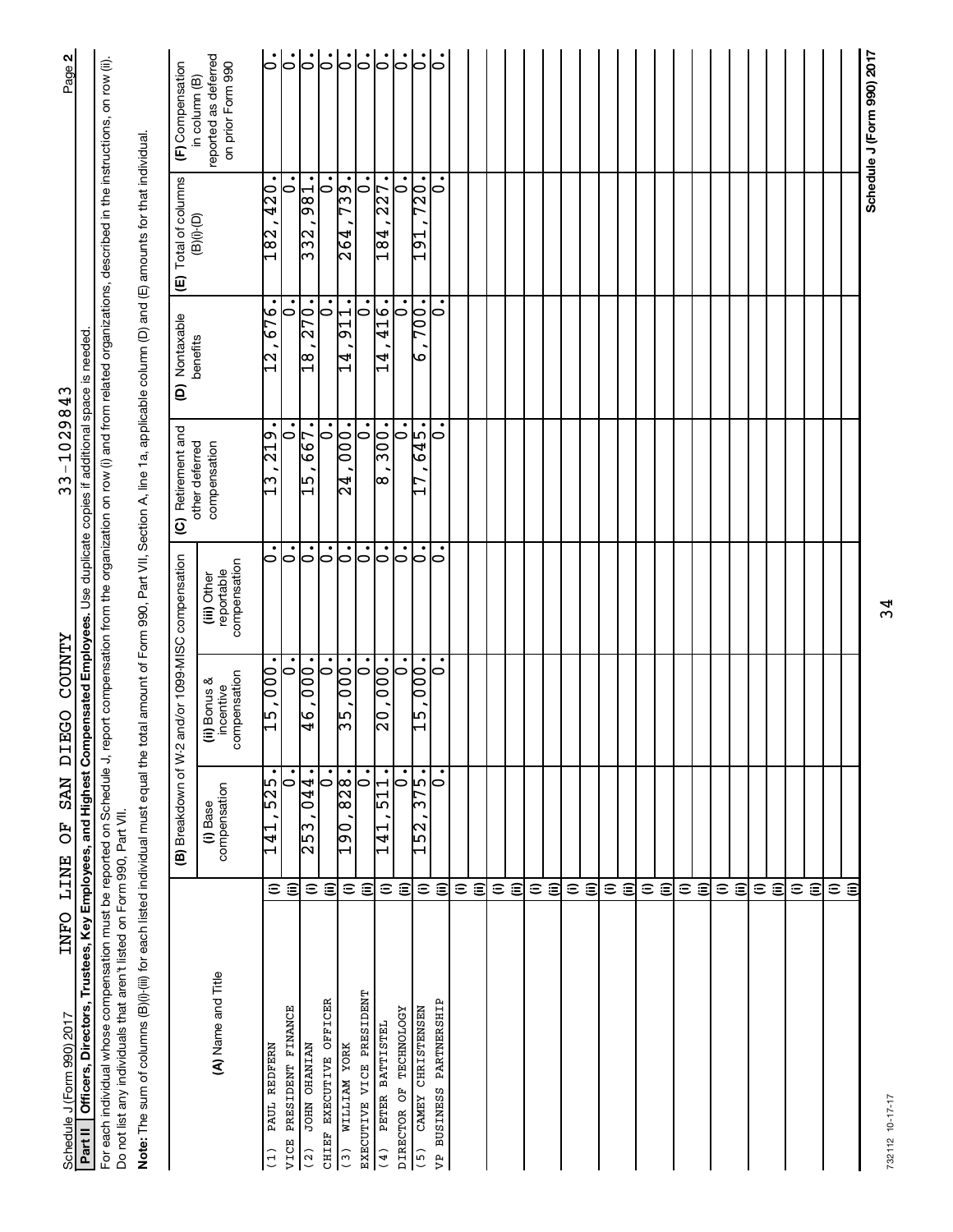| INFO LINE<br>Schedule J (Form 990) 2017                                                                                                                                                                                                                                          |                      | <b>IG MAS</b><br>50                     | <b>ZAMOOD</b><br>EGO                      |                                           | 33-1029843                              |                         |                                                                   | Page 2                                                     |
|----------------------------------------------------------------------------------------------------------------------------------------------------------------------------------------------------------------------------------------------------------------------------------|----------------------|-----------------------------------------|-------------------------------------------|-------------------------------------------|-----------------------------------------|-------------------------|-------------------------------------------------------------------|------------------------------------------------------------|
| Officers, Directors, Trustees, Key Employees, and Highest Compensated Employees. Use duplicate copies if additional space is needed<br>Part II                                                                                                                                   |                      |                                         |                                           |                                           |                                         |                         |                                                                   |                                                            |
| For each individual whose compensation must be reported on Schedule J, report compensation from the organization on row (i) and from related organizations, described in the instructions, on row (ii).<br>Do not list any individuals that aren't listed on Form 990, Part VII. |                      |                                         |                                           |                                           |                                         |                         |                                                                   |                                                            |
| Note: The sum of columns (B)(i)-(iii) for each listed individual must equal the total amount of Form 990, Part VII, Section A, line 1a, applicable column (D) and (E) amounts for that individual.                                                                               |                      |                                         |                                           |                                           |                                         |                         |                                                                   |                                                            |
|                                                                                                                                                                                                                                                                                  |                      | (B) Breakdown of W-2                    |                                           | and/or 1099-MISC compensation             | (C) Retirement and                      | (D) Nontaxable          | Total of columns<br>⊕                                             | (F) Compensation                                           |
| (A) Name and Title                                                                                                                                                                                                                                                               |                      | compensation<br>(i) Base                | compensation<br>(ii) Bonus &<br>incentive | reportable<br>compensation<br>(iii) Other | other deferred<br>compensation          | benefits                | $(\square)(i)$                                                    | reported as deferred<br>on prior Form 990<br>in column (B) |
| PAUL REDFERN<br>(1)                                                                                                                                                                                                                                                              | $\widehat{=}$        | $\overline{55}$<br>141                  | 000,<br>$-15$                             | $\circ$                                   | $\bullet$<br>$\frac{615}{21}$<br>ო      | 676<br>N                | $\overline{420}$<br>182                                           |                                                            |
| PRESIDENT FINANCE<br>VICE                                                                                                                                                                                                                                                        | $\widehat{\equiv}$   | $\dot{\circ}$                           | $\dot{\circ}$                             | $\dot{\circ}$                             | $\overline{\bullet}$                    | $\dot{\circ}$           | $\overline{\phantom{0}}$                                          |                                                            |
| <b>JOHN OHANIAN</b><br>$\frac{2}{2}$                                                                                                                                                                                                                                             | $\widehat{=}$        | 044.<br>253                             | $\overline{000}$<br>$\overline{9}$        | $\overline{\bullet}$                      | $\bullet$<br>667<br>$\overline{15}$     | 270.<br>$\overline{18}$ | 981<br>$\frac{2}{3}$                                              | 6666                                                       |
| CHIEF EXECUTIVE OFFICER                                                                                                                                                                                                                                                          | $\widehat{\epsilon}$ | $\circ$                                 | $\overline{\vphantom{h}}$                 | $\overline{\vphantom{h}}$                 | $\bullet$<br>0                          | $\overline{\bullet}$    | 0                                                                 |                                                            |
| WILLIAM YORK<br>$\binom{3}{3}$                                                                                                                                                                                                                                                   | $\widehat{=}$        | 28.<br>$\infty$<br>$\frac{190}{ }$      | 000.<br>55                                | $\dot{\circ}$                             | $\overline{000}$ .<br>$\overline{24}$   | 911.<br>14<br>1         | 739.<br>264                                                       | $ \dot{\circ} $                                            |
| EXECUTIVE VICE PRESIDENT                                                                                                                                                                                                                                                         | ε                    | 0                                       | $\circ$                                   | $\circ$                                   | $\bullet$<br>$\circ$                    | ٠<br>$\circ$            | ٠<br>0                                                            |                                                            |
| PETER BATTISTEL<br>(4)                                                                                                                                                                                                                                                           | $\widehat{=}$        | 11.<br>ഥ<br>141<br>1                    | $\overline{000}$ .<br>$\overline{0}$      | ြ                                         | 300.<br>$\infty$                        | <b>416.</b><br>4        | 227.<br>$\overline{184}$                                          | $ \cdot $                                                  |
| DIRECTOR OF TECHNOLOGY                                                                                                                                                                                                                                                           | $\widehat{\epsilon}$ | $\overline{\dot{\circ}}$                | $\dot{\circ}$                             | $\dot{\circ}$                             | $\overline{\bullet}$                    | $\dot{\circ}$           |                                                                   |                                                            |
| CAMEY CHRISTENSEN<br>$(5)$                                                                                                                                                                                                                                                       | $\widehat{=}$        | .<br>ما<br>L<br>ന<br>2<br>$\frac{5}{1}$ | $\overline{10}$<br>0<br>ِصا<br>I          | $\overline{\circ}$                        | $-519$<br>r<br>$\overline{\phantom{0}}$ | 700.<br>G               | $\overline{0}$<br>r<br>$\overline{5}$<br>$\overline{\phantom{0}}$ | 。                                                          |
| VP BUSINESS PARTNERSHIP                                                                                                                                                                                                                                                          | €                    | 0                                       | 0                                         | 0                                         | $\circ$                                 | 0                       | 0                                                                 | 10                                                         |
|                                                                                                                                                                                                                                                                                  | $\widehat{=}$        |                                         |                                           |                                           |                                         |                         |                                                                   |                                                            |
|                                                                                                                                                                                                                                                                                  | $\widehat{\epsilon}$ |                                         |                                           |                                           |                                         |                         |                                                                   |                                                            |
|                                                                                                                                                                                                                                                                                  | $\widehat{=}$        |                                         |                                           |                                           |                                         |                         |                                                                   |                                                            |
|                                                                                                                                                                                                                                                                                  | $\widehat{\epsilon}$ |                                         |                                           |                                           |                                         |                         |                                                                   |                                                            |
|                                                                                                                                                                                                                                                                                  | $\widehat{=}$        |                                         |                                           |                                           |                                         |                         |                                                                   |                                                            |
|                                                                                                                                                                                                                                                                                  | $\widehat{=}$        |                                         |                                           |                                           |                                         |                         |                                                                   |                                                            |
|                                                                                                                                                                                                                                                                                  | $\widehat{=}$        |                                         |                                           |                                           |                                         |                         |                                                                   |                                                            |
|                                                                                                                                                                                                                                                                                  | $\widehat{\epsilon}$ |                                         |                                           |                                           |                                         |                         |                                                                   |                                                            |
|                                                                                                                                                                                                                                                                                  | $\widehat{=}$        |                                         |                                           |                                           |                                         |                         |                                                                   |                                                            |
|                                                                                                                                                                                                                                                                                  | $\widehat{\epsilon}$ |                                         |                                           |                                           |                                         |                         |                                                                   |                                                            |
|                                                                                                                                                                                                                                                                                  | $\widehat{=}$        |                                         |                                           |                                           |                                         |                         |                                                                   |                                                            |
|                                                                                                                                                                                                                                                                                  | $\widehat{\epsilon}$ |                                         |                                           |                                           |                                         |                         |                                                                   |                                                            |
|                                                                                                                                                                                                                                                                                  | $\widehat{=}$        |                                         |                                           |                                           |                                         |                         |                                                                   |                                                            |
|                                                                                                                                                                                                                                                                                  | $\widehat{\equiv}$   |                                         |                                           |                                           |                                         |                         |                                                                   |                                                            |
|                                                                                                                                                                                                                                                                                  | $\widehat{=}$        |                                         |                                           |                                           |                                         |                         |                                                                   |                                                            |
|                                                                                                                                                                                                                                                                                  | (ii)                 |                                         |                                           |                                           |                                         |                         |                                                                   |                                                            |
|                                                                                                                                                                                                                                                                                  | $\widehat{=}$        |                                         |                                           |                                           |                                         |                         |                                                                   |                                                            |
|                                                                                                                                                                                                                                                                                  | $\widehat{\equiv}$   |                                         |                                           |                                           |                                         |                         |                                                                   |                                                            |
|                                                                                                                                                                                                                                                                                  | $\widehat{=}$        |                                         |                                           |                                           |                                         |                         |                                                                   |                                                            |
|                                                                                                                                                                                                                                                                                  | €                    |                                         |                                           |                                           |                                         |                         |                                                                   |                                                            |
|                                                                                                                                                                                                                                                                                  | $\widehat{=}$        |                                         |                                           |                                           |                                         |                         |                                                                   |                                                            |
|                                                                                                                                                                                                                                                                                  | ε                    |                                         |                                           |                                           |                                         |                         |                                                                   |                                                            |
|                                                                                                                                                                                                                                                                                  |                      |                                         |                                           |                                           |                                         |                         |                                                                   | Schedule J (Form 990) 2017                                 |

Schedule J (Form 990) 2017 Page

INFO LINE OF SAN DIEGO COUNTY

 $33 - 1029843$ 

34

732112 10-17-17 732112 10-17-17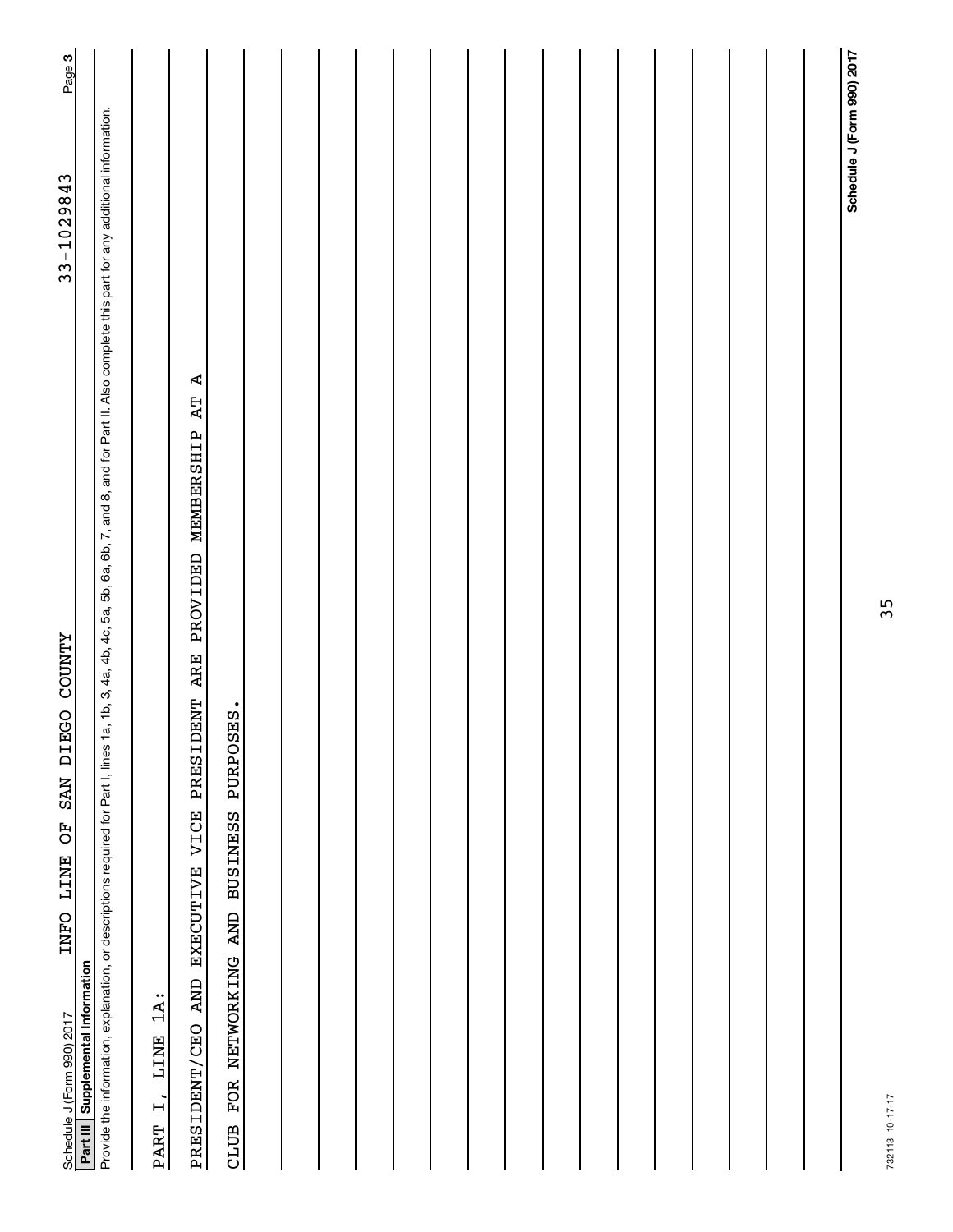| EGO COUNTY<br>E<br><b>NAS</b><br>FO<br>LINE<br><b>TNFO</b><br>Part III Supplemental Information<br>Schedule J (Form 990) 2017                                                                                  | 33-1029843                 | Page 3 |
|----------------------------------------------------------------------------------------------------------------------------------------------------------------------------------------------------------------|----------------------------|--------|
| Provide the information, explanation, or descriptions required for Part I, lines 1a, 1b, 3, 4a, 4b, 4a, 5b, 5a, 5b, 6a, 6b, 7, and 8, and for Part II. Also complete this part for any additional information. |                            |        |
| $1A$ :<br>LINE<br>$\ddot{+}$<br><b>PART</b>                                                                                                                                                                    |                            |        |
| Ą<br><b>AT</b><br>DENT ARE PROVIDED MEMBERSHIP<br>PRESI<br>EXECUTIVE VICE<br>PRESIDENT/CEO AND                                                                                                                 |                            |        |
| PURPOSES.<br><b>BUSINESS</b><br>FOR NETWORKING AND<br>CLUB                                                                                                                                                     |                            |        |
|                                                                                                                                                                                                                |                            |        |
|                                                                                                                                                                                                                |                            |        |
|                                                                                                                                                                                                                |                            |        |
|                                                                                                                                                                                                                |                            |        |
|                                                                                                                                                                                                                |                            |        |
|                                                                                                                                                                                                                |                            |        |
|                                                                                                                                                                                                                |                            |        |
|                                                                                                                                                                                                                |                            |        |
|                                                                                                                                                                                                                |                            |        |
|                                                                                                                                                                                                                |                            |        |
|                                                                                                                                                                                                                |                            |        |
|                                                                                                                                                                                                                |                            |        |
|                                                                                                                                                                                                                |                            |        |
|                                                                                                                                                                                                                |                            |        |
|                                                                                                                                                                                                                |                            |        |
|                                                                                                                                                                                                                |                            |        |
|                                                                                                                                                                                                                | Schedule J (Form 990) 2017 |        |

35

732113 10-17-17 732113 10-17-17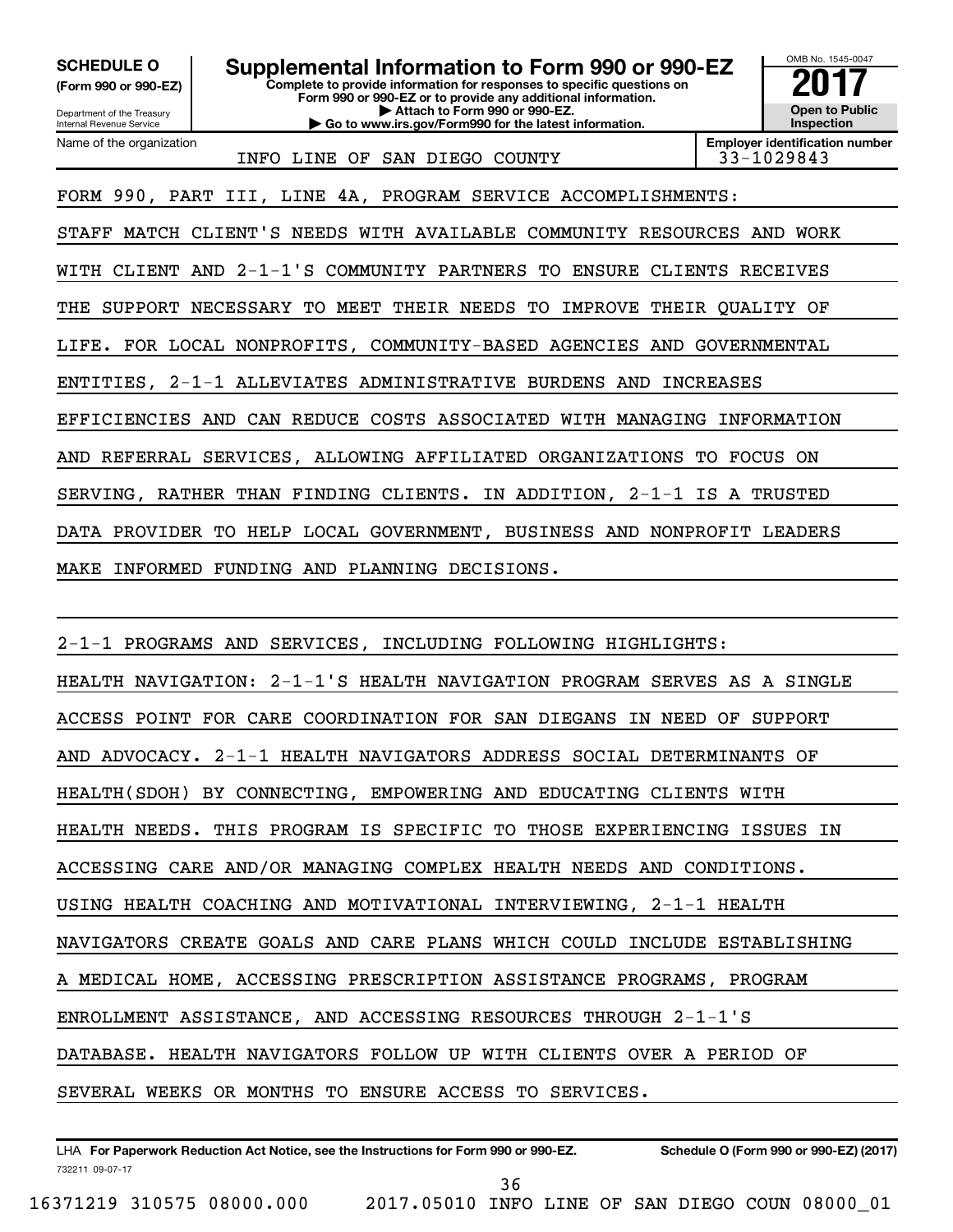**(Form 990 or 990-EZ)**

**Complete to provide information for responses to specific questions on SCHEDULE O Supplemental Information to Form 990 or 990-EZ** <br>(Form 990 or 990-EZ) Complete to provide information for responses to specific questions on

**Form 990 or 990-EZ or to provide any additional information. | Attach to Form 990 or 990-EZ. | Go to www.irs.gov/Form990 for the latest information.**



Department of the Treasury Internal Revenue Service Name of the organization

INFO LINE OF SAN DIEGO COUNTY 33-1029843

**Employer identification number**

FORM 990, PART III, LINE 4A, PROGRAM SERVICE ACCOMPLISHMENTS:

STAFF MATCH CLIENT'S NEEDS WITH AVAILABLE COMMUNITY RESOURCES AND WORK

WITH CLIENT AND 2-1-1'S COMMUNITY PARTNERS TO ENSURE CLIENTS RECEIVES

THE SUPPORT NECESSARY TO MEET THEIR NEEDS TO IMPROVE THEIR QUALITY OF

LIFE. FOR LOCAL NONPROFITS, COMMUNITY-BASED AGENCIES AND GOVERNMENTAL

ENTITIES, 2-1-1 ALLEVIATES ADMINISTRATIVE BURDENS AND INCREASES

EFFICIENCIES AND CAN REDUCE COSTS ASSOCIATED WITH MANAGING INFORMATION

AND REFERRAL SERVICES, ALLOWING AFFILIATED ORGANIZATIONS TO FOCUS ON

SERVING, RATHER THAN FINDING CLIENTS. IN ADDITION, 2-1-1 IS A TRUSTED

DATA PROVIDER TO HELP LOCAL GOVERNMENT, BUSINESS AND NONPROFIT LEADERS

MAKE INFORMED FUNDING AND PLANNING DECISIONS.

2-1-1 PROGRAMS AND SERVICES, INCLUDING FOLLOWING HIGHLIGHTS: HEALTH NAVIGATION: 2-1-1'S HEALTH NAVIGATION PROGRAM SERVES AS A SINGLE ACCESS POINT FOR CARE COORDINATION FOR SAN DIEGANS IN NEED OF SUPPORT AND ADVOCACY. 2-1-1 HEALTH NAVIGATORS ADDRESS SOCIAL DETERMINANTS OF HEALTH(SDOH) BY CONNECTING, EMPOWERING AND EDUCATING CLIENTS WITH HEALTH NEEDS. THIS PROGRAM IS SPECIFIC TO THOSE EXPERIENCING ISSUES IN ACCESSING CARE AND/OR MANAGING COMPLEX HEALTH NEEDS AND CONDITIONS. USING HEALTH COACHING AND MOTIVATIONAL INTERVIEWING, 2-1-1 HEALTH NAVIGATORS CREATE GOALS AND CARE PLANS WHICH COULD INCLUDE ESTABLISHING A MEDICAL HOME, ACCESSING PRESCRIPTION ASSISTANCE PROGRAMS, PROGRAM ENROLLMENT ASSISTANCE, AND ACCESSING RESOURCES THROUGH 2-1-1'S DATABASE. HEALTH NAVIGATORS FOLLOW UP WITH CLIENTS OVER A PERIOD OF SEVERAL WEEKS OR MONTHS TO ENSURE ACCESS TO SERVICES.

732211 09-07-17 LHA For Paperwork Reduction Act Notice, see the Instructions for Form 990 or 990-EZ. Schedule O (Form 990 or 990-EZ) (2017)

16371219 310575 08000.000 2017.05010 INFO LINE OF SAN DIEGO COUN 08000\_01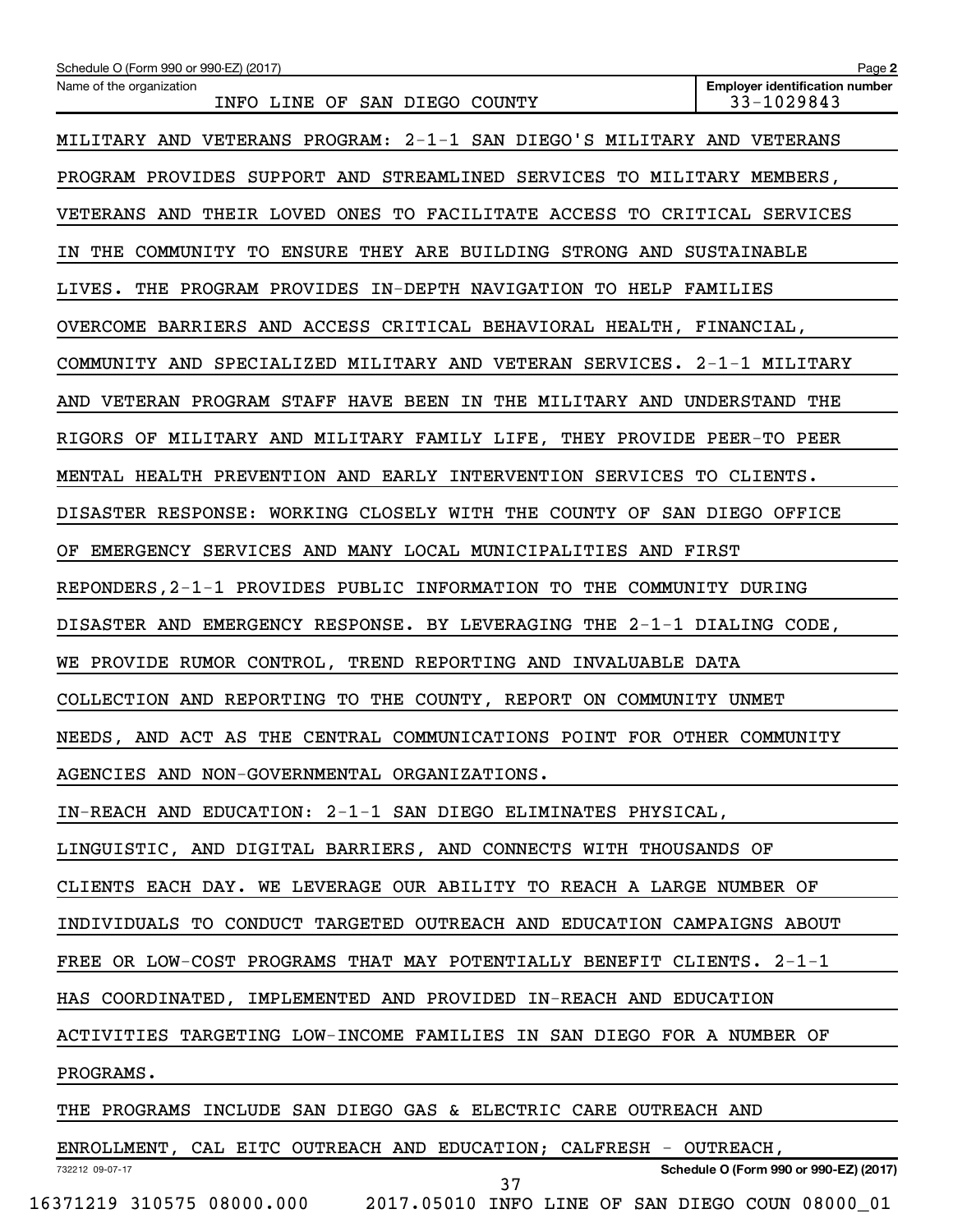| Schedule O (Form 990 or 990-EZ) (2017)                                  | Page 2                                              |
|-------------------------------------------------------------------------|-----------------------------------------------------|
| Name of the organization<br>INFO LINE OF SAN DIEGO COUNTY               | <b>Employer identification number</b><br>33-1029843 |
| MILITARY AND VETERANS PROGRAM: 2-1-1 SAN DIEGO'S MILITARY AND VETERANS  |                                                     |
| PROGRAM PROVIDES SUPPORT AND STREAMLINED SERVICES TO MILITARY MEMBERS,  |                                                     |
| VETERANS AND THEIR LOVED ONES TO FACILITATE ACCESS TO CRITICAL SERVICES |                                                     |
| IN THE COMMUNITY TO ENSURE THEY ARE BUILDING STRONG AND SUSTAINABLE     |                                                     |
| LIVES. THE PROGRAM PROVIDES IN-DEPTH NAVIGATION TO HELP FAMILIES        |                                                     |
| OVERCOME BARRIERS AND ACCESS CRITICAL BEHAVIORAL HEALTH, FINANCIAL,     |                                                     |
| COMMUNITY AND SPECIALIZED MILITARY AND VETERAN SERVICES. 2-1-1 MILITARY |                                                     |
| AND VETERAN PROGRAM STAFF HAVE BEEN IN THE MILITARY AND UNDERSTAND THE  |                                                     |
| RIGORS OF MILITARY AND MILITARY FAMILY LIFE, THEY PROVIDE PEER-TO PEER  |                                                     |
| MENTAL HEALTH PREVENTION AND EARLY INTERVENTION SERVICES TO CLIENTS.    |                                                     |
| DISASTER RESPONSE: WORKING CLOSELY WITH THE COUNTY OF SAN DIEGO OFFICE  |                                                     |
| OF EMERGENCY SERVICES AND MANY LOCAL MUNICIPALITIES AND FIRST           |                                                     |
| REPONDERS, 2-1-1 PROVIDES PUBLIC INFORMATION TO THE COMMUNITY DURING    |                                                     |
| DISASTER AND EMERGENCY RESPONSE. BY LEVERAGING THE 2-1-1 DIALING CODE,  |                                                     |
| WE PROVIDE RUMOR CONTROL, TREND REPORTING AND INVALUABLE DATA           |                                                     |
| COLLECTION AND REPORTING TO THE COUNTY, REPORT ON COMMUNITY UNMET       |                                                     |
| NEEDS, AND ACT AS THE CENTRAL COMMUNICATIONS POINT FOR OTHER COMMUNITY  |                                                     |
| AGENCIES AND NON-GOVERNMENTAL ORGANIZATIONS.                            |                                                     |
| IN-REACH AND EDUCATION: 2-1-1 SAN DIEGO ELIMINATES PHYSICAL,            |                                                     |
| LINGUISTIC, AND DIGITAL BARRIERS, AND CONNECTS WITH THOUSANDS OF        |                                                     |
| CLIENTS EACH DAY. WE LEVERAGE OUR ABILITY TO REACH A LARGE NUMBER OF    |                                                     |
| INDIVIDUALS TO CONDUCT TARGETED OUTREACH AND EDUCATION CAMPAIGNS ABOUT  |                                                     |
| FREE OR LOW-COST PROGRAMS THAT MAY POTENTIALLY BENEFIT CLIENTS. 2-1-1   |                                                     |
| HAS COORDINATED, IMPLEMENTED AND PROVIDED IN-REACH AND EDUCATION        |                                                     |
| ACTIVITIES TARGETING LOW-INCOME FAMILIES IN SAN DIEGO FOR A NUMBER OF   |                                                     |
| PROGRAMS.                                                               |                                                     |
| THE PROGRAMS INCLUDE SAN DIEGO GAS & ELECTRIC CARE OUTREACH AND         |                                                     |
| ENROLLMENT, CAL EITC OUTREACH AND EDUCATION; CALFRESH - OUTREACH,       |                                                     |
| 732212 09-07-17<br>37                                                   | Schedule O (Form 990 or 990-EZ) (2017)              |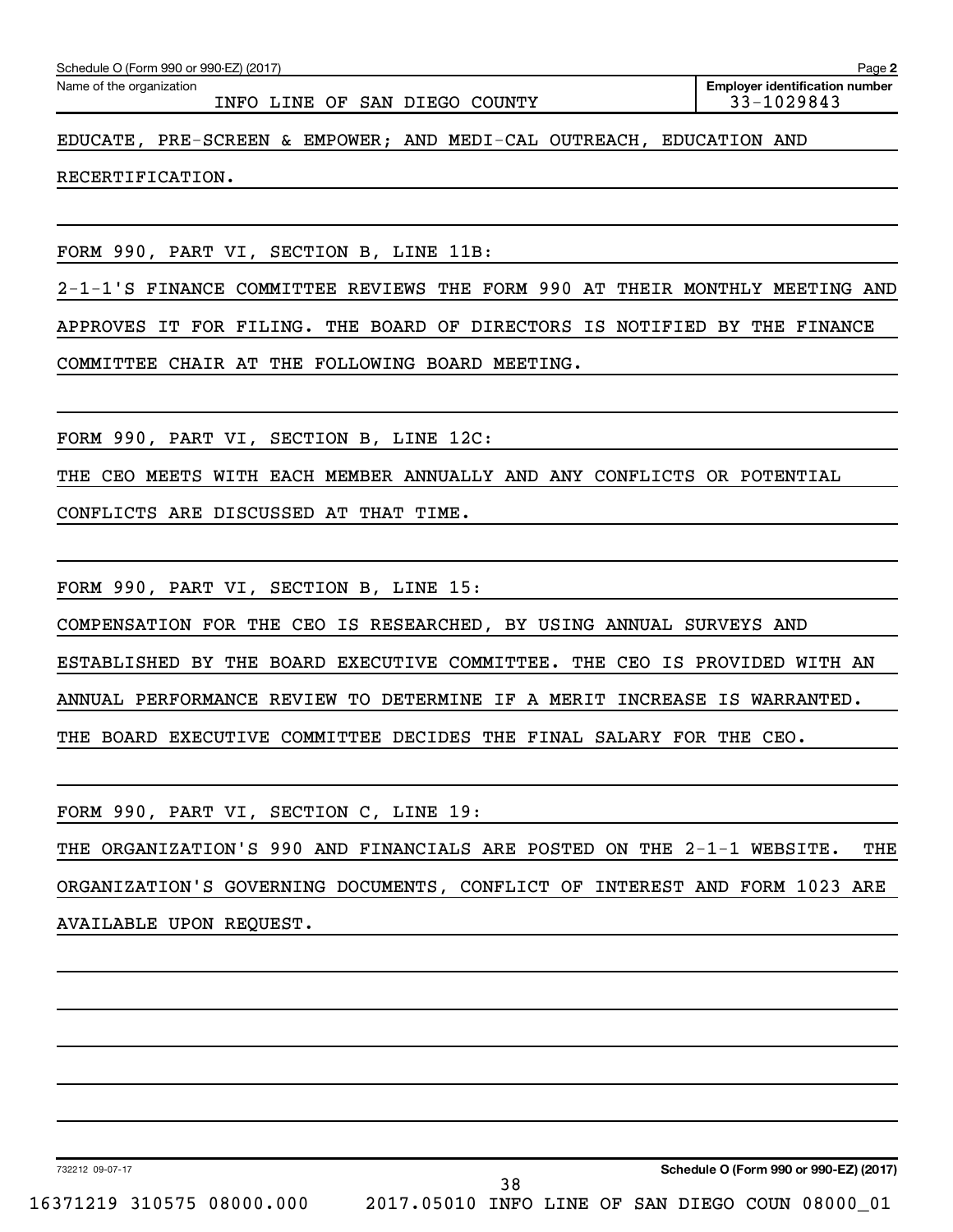| Schedule O (Form 990 or 990-EZ) (2017) | Page |
|----------------------------------------|------|
|                                        |      |

Name of the organization

INFO LINE OF SAN DIEGO COUNTY 33-1029843

**2 Employer identification number**

EDUCATE, PRE-SCREEN & EMPOWER; AND MEDI-CAL OUTREACH, EDUCATION AND

RECERTIFICATION.

FORM 990, PART VI, SECTION B, LINE 11B:

2-1-1'S FINANCE COMMITTEE REVIEWS THE FORM 990 AT THEIR MONTHLY MEETING AND APPROVES IT FOR FILING. THE BOARD OF DIRECTORS IS NOTIFIED BY THE FINANCE COMMITTEE CHAIR AT THE FOLLOWING BOARD MEETING.

FORM 990, PART VI, SECTION B, LINE 12C:

THE CEO MEETS WITH EACH MEMBER ANNUALLY AND ANY CONFLICTS OR POTENTIAL

CONFLICTS ARE DISCUSSED AT THAT TIME.

FORM 990, PART VI, SECTION B, LINE 15:

COMPENSATION FOR THE CEO IS RESEARCHED, BY USING ANNUAL SURVEYS AND

ESTABLISHED BY THE BOARD EXECUTIVE COMMITTEE. THE CEO IS PROVIDED WITH AN

ANNUAL PERFORMANCE REVIEW TO DETERMINE IF A MERIT INCREASE IS WARRANTED.

THE BOARD EXECUTIVE COMMITTEE DECIDES THE FINAL SALARY FOR THE CEO.

FORM 990, PART VI, SECTION C, LINE 19:

THE ORGANIZATION'S 990 AND FINANCIALS ARE POSTED ON THE 2-1-1 WEBSITE. THE ORGANIZATION'S GOVERNING DOCUMENTS, CONFLICT OF INTEREST AND FORM 1023 ARE

AVAILABLE UPON REQUEST.

732212 09-07-17

**Schedule O (Form 990 or 990-EZ) (2017)**

16371219 310575 08000.000 2017.05010 INFO LINE OF SAN DIEGO COUN 08000\_01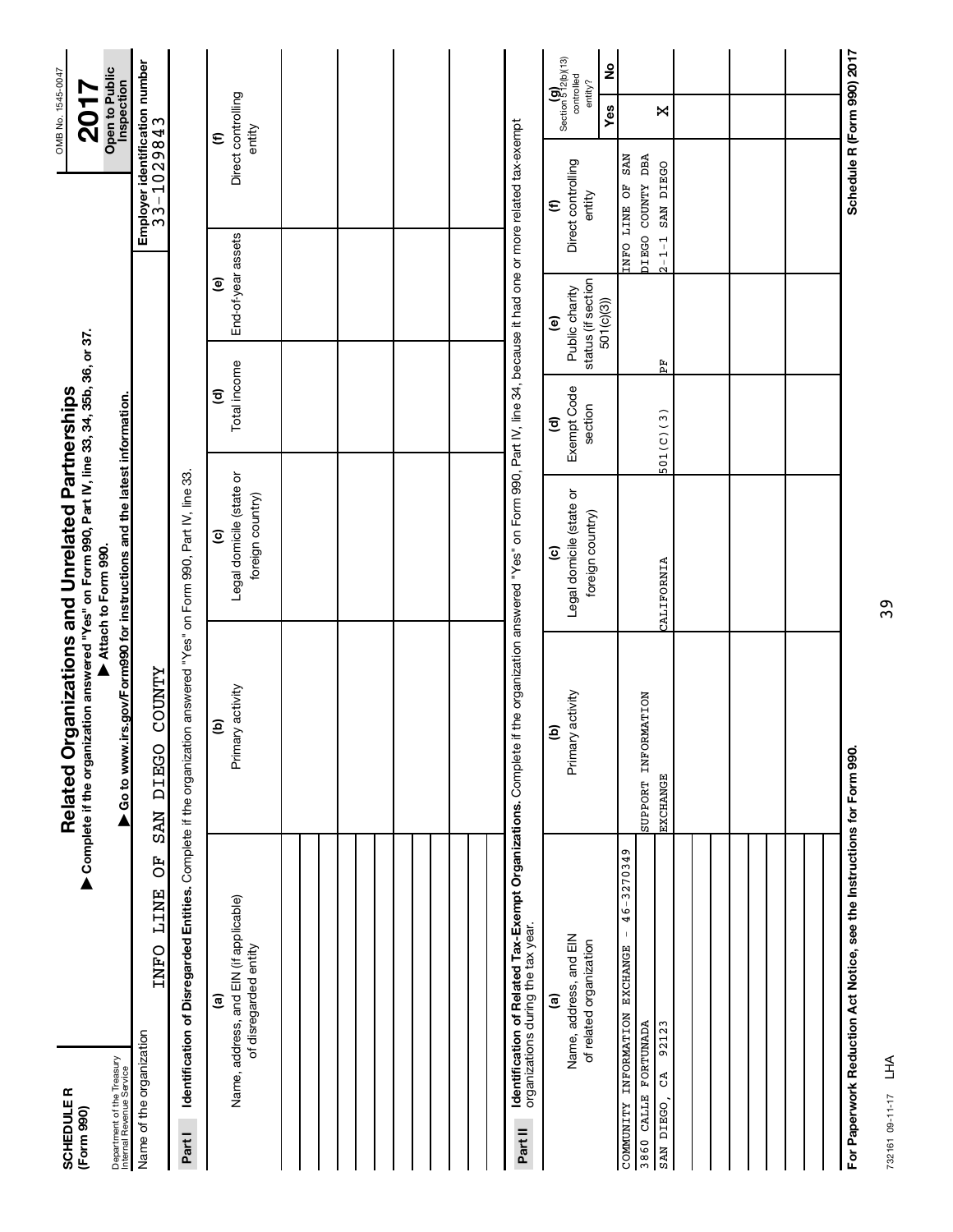| <b>SCHEDULER</b><br>(Form 990)                                                                                                                                                                                                       | Complete if the organization answered "Yes" on Form 990, Part IV, line 33, 34, 35b, 36, or 37.<br>Related Organizations and Unrelated Partnerships |                                                              |                                                  |                                                                              |                                                                            | OMB No. 1545-0047<br><b>201</b>                                        |
|--------------------------------------------------------------------------------------------------------------------------------------------------------------------------------------------------------------------------------------|----------------------------------------------------------------------------------------------------------------------------------------------------|--------------------------------------------------------------|--------------------------------------------------|------------------------------------------------------------------------------|----------------------------------------------------------------------------|------------------------------------------------------------------------|
| Department of the Treasury<br>Internal Revenue Service                                                                                                                                                                               | ▶ Go to www.irs.gov/Form990 for instructions and the latest information.                                                                           | Attach to Form 990.                                          |                                                  |                                                                              |                                                                            | Open to Public<br>Inspection                                           |
| FO<br><b>LINE</b><br><b>TNFO</b><br>Name of the organization                                                                                                                                                                         | <b>COUNTY</b><br>DEEGO<br><b>NAS</b>                                                                                                               |                                                              |                                                  |                                                                              | Employer identification number<br>33-1029843                               |                                                                        |
| Identification of Disregarded Entities. Complete if the organization answered "Yes" on Form 990, Part IV, line 33.<br>Part I                                                                                                         |                                                                                                                                                    |                                                              |                                                  |                                                                              |                                                                            |                                                                        |
| Name, address, and EIN (if applicable)<br>of disregarded entity<br>ම                                                                                                                                                                 | Primary activity<br>$\widehat{\mathbf{e}}$                                                                                                         | Legal domicile (state or<br>foreign country)<br>$\mathbf{c}$ | Total income<br>$\widehat{\mathbf{c}}$           | End-of-year assets<br>$\mathbf{e}$                                           |                                                                            | Direct controlling<br>entity<br>$\boldsymbol{\epsilon}$                |
|                                                                                                                                                                                                                                      |                                                                                                                                                    |                                                              |                                                  |                                                                              |                                                                            |                                                                        |
|                                                                                                                                                                                                                                      |                                                                                                                                                    |                                                              |                                                  |                                                                              |                                                                            |                                                                        |
|                                                                                                                                                                                                                                      |                                                                                                                                                    |                                                              |                                                  |                                                                              |                                                                            |                                                                        |
|                                                                                                                                                                                                                                      |                                                                                                                                                    |                                                              |                                                  |                                                                              |                                                                            |                                                                        |
| <b>Identification of Related Tax-Exempt Organizations.</b> Complete if the organization answered "Yes" on Form 990, Part IV, line 34, because it had one or more related tax-exempt<br>organizations during the tax year.<br>Part II |                                                                                                                                                    |                                                              |                                                  |                                                                              |                                                                            |                                                                        |
| Name, address, and EIN<br>of related organization<br>$\widehat{\mathbf{e}}$                                                                                                                                                          | Primary activity<br>$\widehat{\mathbf{e}}$                                                                                                         | Legal domicile (state or<br>foreign country)<br>$\mathbf{c}$ | Exempt Code<br>section<br>$\widehat{\mathbf{c}}$ | status (if section<br>Public charity<br>501(c)(3))<br>$\widehat{\mathbf{e}}$ | Direct controlling<br>entity<br>$\epsilon$                                 | Section $\mathbf{S}^{12}$ (b)(13)<br>ş<br>controlled<br>entity?<br>Yes |
| 46-3270349<br>$\mathsf I$<br><b>EXCHANGE</b><br>INFORMATION<br>92123<br>3860 CALLE FORTUNADA<br>ය<br>COMMUNITY<br>SAN DIEGO                                                                                                          | SUPPORT INFORMATION<br><b>EXCHANGE</b>                                                                                                             | CALIFORNIA                                                   | 501(C)(3)                                        | 퓞                                                                            | DIEGO COUNTY DBA<br><b>SAN</b><br>SAN DIEGO<br>INFO LINE OF<br>$2 - 1 - 1$ | X                                                                      |
|                                                                                                                                                                                                                                      |                                                                                                                                                    |                                                              |                                                  |                                                                              |                                                                            |                                                                        |
|                                                                                                                                                                                                                                      |                                                                                                                                                    |                                                              |                                                  |                                                                              |                                                                            |                                                                        |
|                                                                                                                                                                                                                                      |                                                                                                                                                    |                                                              |                                                  |                                                                              |                                                                            |                                                                        |
| For Paperwork Reduction Act Notice, see the Instructions for Form 990.                                                                                                                                                               |                                                                                                                                                    |                                                              |                                                  |                                                                              |                                                                            | Schedule R (Form 990) 2017                                             |

732161 09-11-17 732161 09-11-17 LHA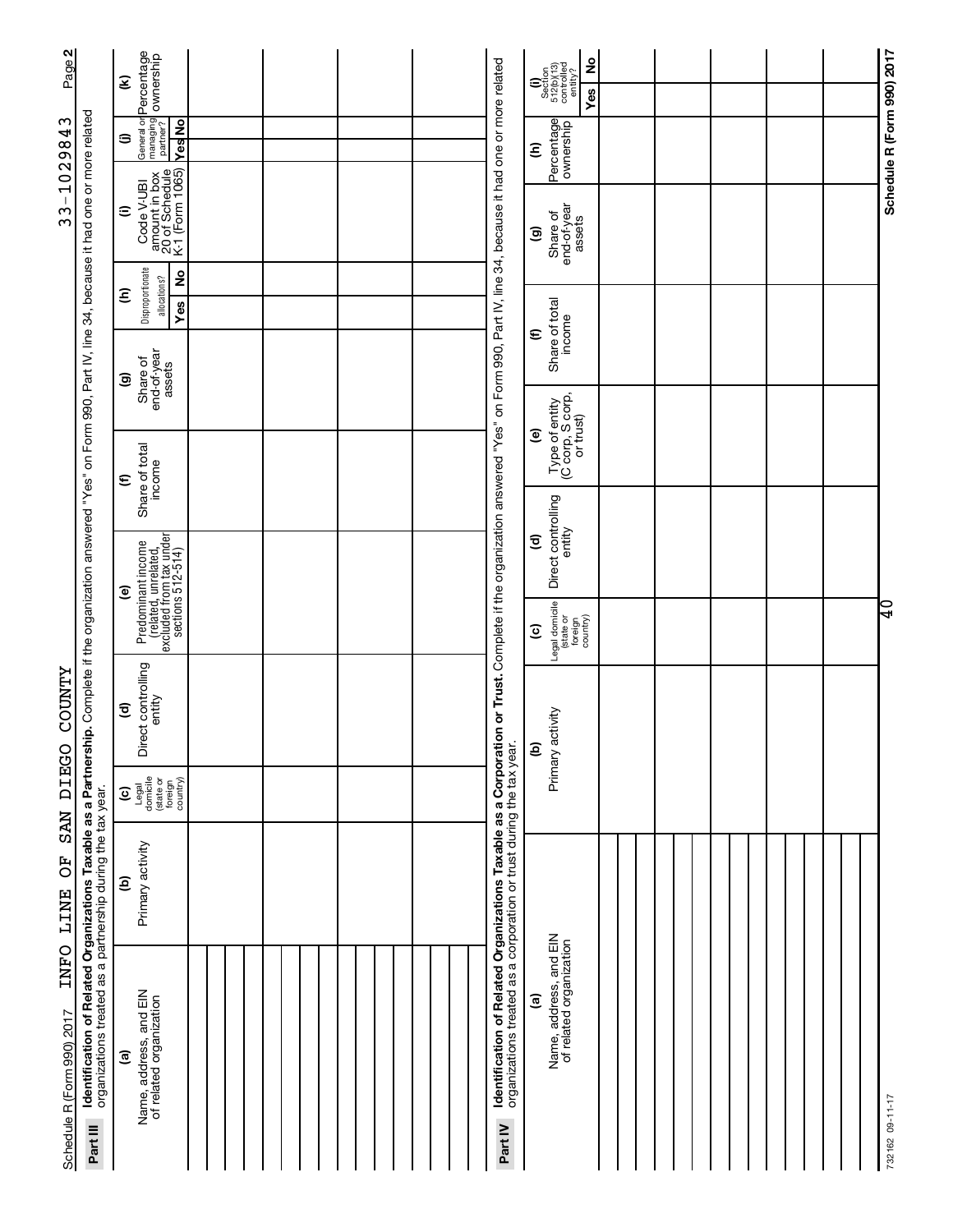| Ξ                                                                                                                                                                                                                                                                                           |                                                                                                                                                                                                                                                                                                                                                  |     |  |                                                                                                                                                                                                                                                                                 |                                                                                                                                                                                                                                                                                                                                                                                                                                                     |                                 |  |                            |
|---------------------------------------------------------------------------------------------------------------------------------------------------------------------------------------------------------------------------------------------------------------------------------------------|--------------------------------------------------------------------------------------------------------------------------------------------------------------------------------------------------------------------------------------------------------------------------------------------------------------------------------------------------|-----|--|---------------------------------------------------------------------------------------------------------------------------------------------------------------------------------------------------------------------------------------------------------------------------------|-----------------------------------------------------------------------------------------------------------------------------------------------------------------------------------------------------------------------------------------------------------------------------------------------------------------------------------------------------------------------------------------------------------------------------------------------------|---------------------------------|--|----------------------------|
| YesNo<br>э                                                                                                                                                                                                                                                                                  |                                                                                                                                                                                                                                                                                                                                                  |     |  | Ξ                                                                                                                                                                                                                                                                               |                                                                                                                                                                                                                                                                                                                                                                                                                                                     |                                 |  | Schedule R (Form 990) 2017 |
| Code V-UBI<br>Ξ                                                                                                                                                                                                                                                                             |                                                                                                                                                                                                                                                                                                                                                  |     |  | Share of<br>$\widehat{\mathbf{e}}$                                                                                                                                                                                                                                              |                                                                                                                                                                                                                                                                                                                                                                                                                                                     |                                 |  |                            |
| $\frac{6}{5}$                                                                                                                                                                                                                                                                               |                                                                                                                                                                                                                                                                                                                                                  |     |  |                                                                                                                                                                                                                                                                                 |                                                                                                                                                                                                                                                                                                                                                                                                                                                     |                                 |  |                            |
|                                                                                                                                                                                                                                                                                             |                                                                                                                                                                                                                                                                                                                                                  |     |  | $\bm{\epsilon}$                                                                                                                                                                                                                                                                 |                                                                                                                                                                                                                                                                                                                                                                                                                                                     |                                 |  |                            |
|                                                                                                                                                                                                                                                                                             |                                                                                                                                                                                                                                                                                                                                                  |     |  |                                                                                                                                                                                                                                                                                 |                                                                                                                                                                                                                                                                                                                                                                                                                                                     |                                 |  |                            |
|                                                                                                                                                                                                                                                                                             |                                                                                                                                                                                                                                                                                                                                                  |     |  |                                                                                                                                                                                                                                                                                 |                                                                                                                                                                                                                                                                                                                                                                                                                                                     |                                 |  |                            |
| $\bm{\epsilon}$                                                                                                                                                                                                                                                                             |                                                                                                                                                                                                                                                                                                                                                  |     |  |                                                                                                                                                                                                                                                                                 |                                                                                                                                                                                                                                                                                                                                                                                                                                                     |                                 |  |                            |
|                                                                                                                                                                                                                                                                                             |                                                                                                                                                                                                                                                                                                                                                  |     |  |                                                                                                                                                                                                                                                                                 |                                                                                                                                                                                                                                                                                                                                                                                                                                                     |                                 |  |                            |
|                                                                                                                                                                                                                                                                                             |                                                                                                                                                                                                                                                                                                                                                  |     |  | $\widehat{\mathbf{c}}$                                                                                                                                                                                                                                                          |                                                                                                                                                                                                                                                                                                                                                                                                                                                     |                                 |  |                            |
| ම                                                                                                                                                                                                                                                                                           |                                                                                                                                                                                                                                                                                                                                                  |     |  |                                                                                                                                                                                                                                                                                 |                                                                                                                                                                                                                                                                                                                                                                                                                                                     |                                 |  | $\overline{0}$             |
|                                                                                                                                                                                                                                                                                             |                                                                                                                                                                                                                                                                                                                                                  |     |  | $\widehat{\mathbf{c}}$                                                                                                                                                                                                                                                          |                                                                                                                                                                                                                                                                                                                                                                                                                                                     |                                 |  |                            |
| entity<br>$\widehat{\mathbf{c}}$                                                                                                                                                                                                                                                            |                                                                                                                                                                                                                                                                                                                                                  |     |  | ව                                                                                                                                                                                                                                                                               |                                                                                                                                                                                                                                                                                                                                                                                                                                                     |                                 |  |                            |
| Legal<br>domicile<br>(state or<br>foreign<br>country)<br>$\widehat{\mathbf{c}}$                                                                                                                                                                                                             |                                                                                                                                                                                                                                                                                                                                                  |     |  |                                                                                                                                                                                                                                                                                 |                                                                                                                                                                                                                                                                                                                                                                                                                                                     |                                 |  |                            |
| Primary activity<br>ê                                                                                                                                                                                                                                                                       |                                                                                                                                                                                                                                                                                                                                                  |     |  |                                                                                                                                                                                                                                                                                 |                                                                                                                                                                                                                                                                                                                                                                                                                                                     |                                 |  |                            |
| Name, address, and EIN<br>of related organization<br>$\widehat{\mathbf{e}}$                                                                                                                                                                                                                 |                                                                                                                                                                                                                                                                                                                                                  |     |  | $\widehat{\mathbf{e}}$                                                                                                                                                                                                                                                          |                                                                                                                                                                                                                                                                                                                                                                                                                                                     |                                 |  | 732162 09-11-17            |
| Page 2<br>I <b>dentification of Related Organizations Taxable as a Partnership.</b> Complete if the organization answered "Yes" on Form 990, Part IV, line 34, because it had one or more related<br>organizations treated as a partnership durin<br>Schedule R (Form 990) 2017<br>Part III | General or Percentage<br>managing<br>partner? Ownership<br>amount in box<br>20 of Schedule<br>K-1 (Form 1065)<br>Disproportionate<br>allocations?<br>ε<br>end-of-year<br>assets<br>Share of<br>ම<br>Share of total<br>income<br>Predominant income<br>(related, unrelated,<br>excluded from tax under<br>sections 512-514)<br>Direct controlling | Yes |  | on or Trust. Complete if the organization answered "Yes" on Form 990, Part IV, line 34, because it had one or more related<br>Identification of Related Organizations Taxable as a Corporati<br>organizations treated as a corporation or trust during the tax year.<br>Part IV | $\begin{array}{c} \textbf{(i)}\\ \text{Section}\\ 512 \text{(b)(13)}\\ \text{continued}\\ \text{continued}\\ \text{continued}\\ \text{entity?} \end{array}$<br>Percentage<br>end-of-year<br>assets<br>Share of total<br>income<br>Type of entity<br>(C corp, S corp,<br>or trust)<br>$\widehat{\mathbf{e}}$<br>Direct controlling<br>entity<br>Legal domicile<br>(state or<br>Primary activity<br>Name, address, and EIN<br>of related organization | 2<br>Yes<br>foreign<br>country) |  |                            |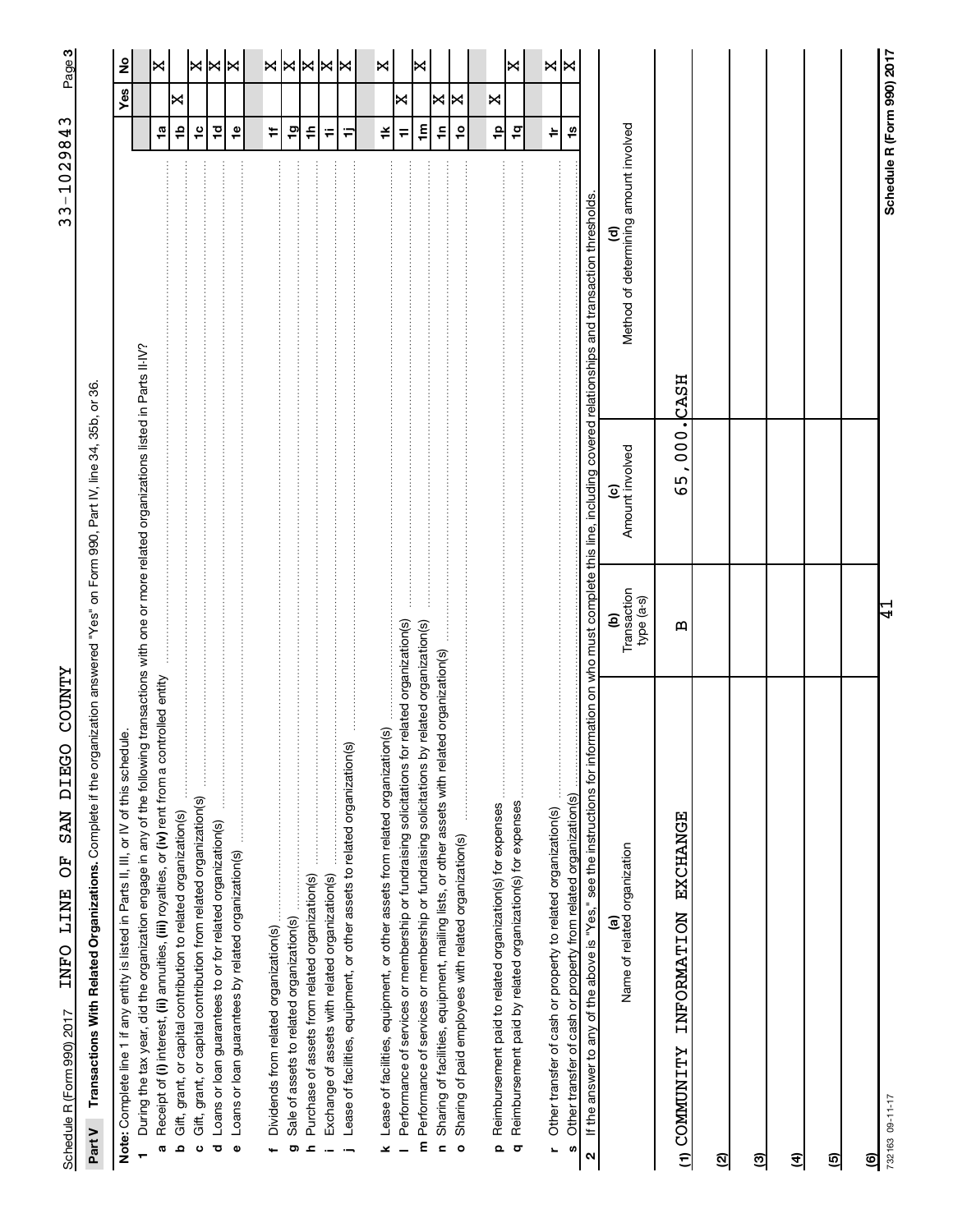ကု|

Part V Transactions With Related Organizations. Complete if the organization answered "Yes" on Form 990, Part IV, line 34, 35b, or 36. Complete if the organization answered "Yes" on Form 990, Part IV, line 34, 35b, or 36. **Part V Transactions With Related Organizations.** 

| Note: Complete line 1 if any entity is listed in Parts II, III, or IV of this schedule.                                                                                                           |                                |                                                                            |                                            |                                 | Yes | ş     |
|---------------------------------------------------------------------------------------------------------------------------------------------------------------------------------------------------|--------------------------------|----------------------------------------------------------------------------|--------------------------------------------|---------------------------------|-----|-------|
| During the tax year, did the organization engage in any of the following                                                                                                                          |                                | transactions with one or more related organizations listed in Parts II-IV? |                                            |                                 |     |       |
| Receipt of (i) interest, (ii) annuities, (iii) royalties, or (iv) rent from a controlled entity<br>Ø                                                                                              |                                |                                                                            |                                            | $\frac{1}{2}$                   |     | K     |
| Gift, grant, or capital contribution to related organization(s)<br>ء                                                                                                                              |                                |                                                                            |                                            | 윾                               | ×   |       |
| Gift, grant, or capital contribution from related organization(s)<br>ပ                                                                                                                            |                                |                                                                            |                                            | $\frac{1}{2}$                   |     |       |
| Ō                                                                                                                                                                                                 |                                |                                                                            |                                            | $\overline{c}$                  |     | x x   |
| Loans or loan guarantees to or for related organization(s)                                                                                                                                        |                                |                                                                            |                                            |                                 |     |       |
| $\bullet$                                                                                                                                                                                         |                                |                                                                            |                                            | $\overset{\bullet}{\mathbf{r}}$ |     |       |
|                                                                                                                                                                                                   |                                |                                                                            |                                            |                                 |     |       |
| Dividends from related organization(s)                                                                                                                                                            |                                |                                                                            |                                            | ÷                               |     | x x x |
| Sale of assets to related organization(s)<br>ත                                                                                                                                                    |                                |                                                                            |                                            | ە+                              |     |       |
| ᅌ                                                                                                                                                                                                 |                                |                                                                            |                                            | ≑                               |     |       |
| Purchase of assets from related organization(s)                                                                                                                                                   |                                |                                                                            |                                            |                                 |     |       |
| Exchange of assets with related organization(s)                                                                                                                                                   |                                |                                                                            |                                            | Ŧ                               |     |       |
| Lease of facilities, equipment, or other assets to related organization(s)                                                                                                                        |                                |                                                                            |                                            | Ξ                               |     |       |
| Lease of facilities, equipment, or other assets from related organization(s)<br>×                                                                                                                 |                                |                                                                            |                                            | ¥                               |     | X     |
|                                                                                                                                                                                                   |                                |                                                                            |                                            |                                 |     |       |
| Performance of services or membership or fundraising solicitations for                                                                                                                            | related organization(s)        |                                                                            |                                            | $\equiv$                        | ×   |       |
| Performance of services or membership or fundraising solicitations by<br>E                                                                                                                        | related organization(s)        |                                                                            |                                            | $\mathbf{m}$                    |     | ×     |
| Sharing of facilities, equipment, mailing lists, or other assets with related organization(s)<br>c                                                                                                |                                |                                                                            |                                            | ÷                               | X   |       |
| Sharing of paid employees with related organization(s)<br>$\circ$                                                                                                                                 |                                |                                                                            |                                            | ۽                               | ⋈   |       |
|                                                                                                                                                                                                   |                                |                                                                            |                                            |                                 |     |       |
| Reimbursement paid to related organization(s) for expenses<br>$\overline{\mathbf{c}}$                                                                                                             |                                |                                                                            |                                            | $\frac{\mathsf{o}}{\mathsf{r}}$ | ×   |       |
|                                                                                                                                                                                                   |                                |                                                                            |                                            |                                 |     | K     |
| Reimbursement paid by related organization(s) for expenses<br>$\sigma$                                                                                                                            |                                |                                                                            |                                            | $\frac{1}{2}$                   |     |       |
|                                                                                                                                                                                                   |                                |                                                                            |                                            |                                 |     |       |
| Other transfer of cash or property to related organization(s)<br>L                                                                                                                                |                                |                                                                            |                                            | ÷                               |     | ×∣×   |
| Other transfer of cash or property from related organization(s)<br>U)                                                                                                                             |                                |                                                                            |                                            | $\frac{5}{10}$                  |     |       |
| If the answer to any of the above is "Yes," see the instructions for information on who must complete this line, including covered relationships and transaction thresholds.<br>$\mathbf{\Omega}$ |                                |                                                                            |                                            |                                 |     |       |
| Name of related organization<br>$\widehat{\mathbf{e}}$                                                                                                                                            | Transaction<br>type (a-s)<br>ê | Amount involved<br>$\widehat{\mathbf{c}}$                                  | Method of determining amount involved<br>₫ |                                 |     |       |
| <b>EXCHANGE</b><br>INFORMATION<br><b>THE MONDATION</b>                                                                                                                                            | $\mathbf{a}$                   | 65,000.                                                                    | CASH                                       |                                 |     |       |
| ହ                                                                                                                                                                                                 |                                |                                                                            |                                            |                                 |     |       |
| ඔ                                                                                                                                                                                                 |                                |                                                                            |                                            |                                 |     |       |
| $\mathbf{\hat{z}}$                                                                                                                                                                                |                                |                                                                            |                                            |                                 |     |       |
| ම                                                                                                                                                                                                 |                                |                                                                            |                                            |                                 |     |       |
| <u>ତ୍ର</u>                                                                                                                                                                                        |                                |                                                                            |                                            |                                 |     |       |
| 732163 09-11-17                                                                                                                                                                                   | $\mathbf{1}$                   |                                                                            | Schedule R (Form 990) 2017                 |                                 |     |       |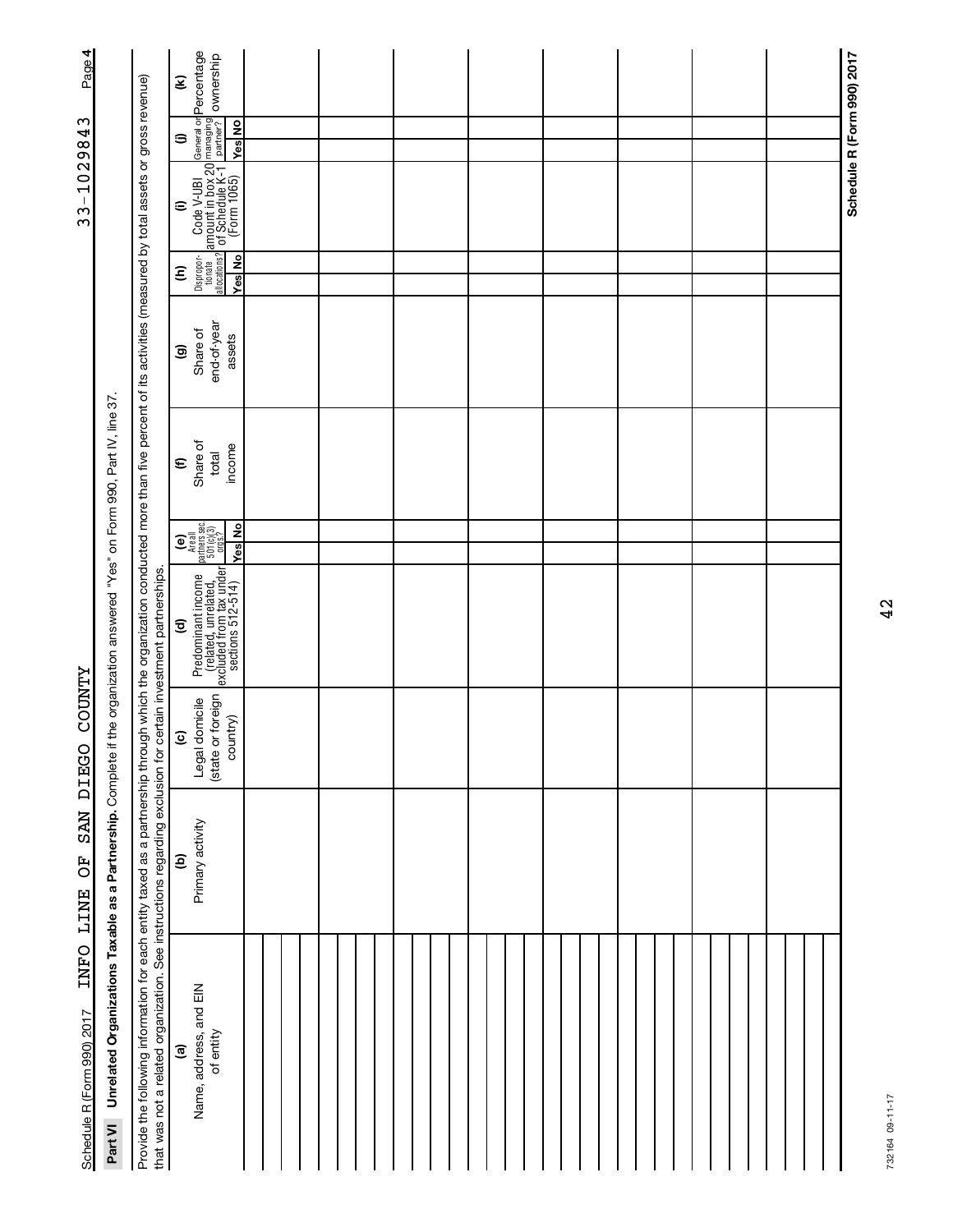| 4<br>Page <sup>1</sup>     |                                                                                                                                        |                                                                                                                                                                                                                                                                                                                          | Ξ                       | General or <mark>Percentage</mark><br>D managing<br>partner? Ownership                                                                                                                                        |  |  |  |  |  |  |  |  |  |  |  |  |  |  |  |  | Schedule R (Form 990) 2017 |
|----------------------------|----------------------------------------------------------------------------------------------------------------------------------------|--------------------------------------------------------------------------------------------------------------------------------------------------------------------------------------------------------------------------------------------------------------------------------------------------------------------------|-------------------------|---------------------------------------------------------------------------------------------------------------------------------------------------------------------------------------------------------------|--|--|--|--|--|--|--|--|--|--|--|--|--|--|--|--|----------------------------|
| S                          |                                                                                                                                        |                                                                                                                                                                                                                                                                                                                          | э                       | <b>Ves</b> No                                                                                                                                                                                                 |  |  |  |  |  |  |  |  |  |  |  |  |  |  |  |  |                            |
| 102984                     |                                                                                                                                        |                                                                                                                                                                                                                                                                                                                          |                         |                                                                                                                                                                                                               |  |  |  |  |  |  |  |  |  |  |  |  |  |  |  |  |                            |
| $3 - 7$                    |                                                                                                                                        |                                                                                                                                                                                                                                                                                                                          | $\widehat{=}$           | $\begin{array}{ l } \hline \text{Code V-UBI} & \text{e} \\ \hline \text{amount in box 20} & \text{m} \\ \hline \text{C} & \text{Sthedule K-1} \\ \hline \text{C} & \text{C} & \text{C} \\ \hline \end{array}$ |  |  |  |  |  |  |  |  |  |  |  |  |  |  |  |  |                            |
|                            |                                                                                                                                        |                                                                                                                                                                                                                                                                                                                          | Ξ                       | Dispropor-<br>tionate<br>allocations?<br><b>Yes</b> No                                                                                                                                                        |  |  |  |  |  |  |  |  |  |  |  |  |  |  |  |  |                            |
|                            |                                                                                                                                        |                                                                                                                                                                                                                                                                                                                          | $\widehat{\mathbf{e}}$  | end-of-year<br>Share of<br>assets                                                                                                                                                                             |  |  |  |  |  |  |  |  |  |  |  |  |  |  |  |  |                            |
|                            |                                                                                                                                        |                                                                                                                                                                                                                                                                                                                          | $\boldsymbol{\epsilon}$ | Share of<br>income<br>total                                                                                                                                                                                   |  |  |  |  |  |  |  |  |  |  |  |  |  |  |  |  |                            |
|                            |                                                                                                                                        |                                                                                                                                                                                                                                                                                                                          |                         | $\begin{array}{c} \textbf{(e)}\\ \texttt{Area all}\\ \texttt{Partness} \\ 501(0)(3)\\ 0.095.7 \end{array}$<br>Yes No                                                                                          |  |  |  |  |  |  |  |  |  |  |  |  |  |  |  |  |                            |
|                            |                                                                                                                                        |                                                                                                                                                                                                                                                                                                                          |                         |                                                                                                                                                                                                               |  |  |  |  |  |  |  |  |  |  |  |  |  |  |  |  |                            |
|                            |                                                                                                                                        |                                                                                                                                                                                                                                                                                                                          | $\widehat{\mathbf{c}}$  | Predominant income<br>(related, unrelated,<br>excluded from tax under<br>sections 512-514)                                                                                                                    |  |  |  |  |  |  |  |  |  |  |  |  |  |  |  |  |                            |
| <b>ZLNDOO</b>              |                                                                                                                                        |                                                                                                                                                                                                                                                                                                                          | $\widehat{\mathbf{e}}$  | (state or foreign<br>Legal domicile<br>country)                                                                                                                                                               |  |  |  |  |  |  |  |  |  |  |  |  |  |  |  |  |                            |
| SAN DIEGO<br>TNFO LINE OF  |                                                                                                                                        |                                                                                                                                                                                                                                                                                                                          | ව                       | Primary activity                                                                                                                                                                                              |  |  |  |  |  |  |  |  |  |  |  |  |  |  |  |  |                            |
| Schedule R (Form 990) 2017 | Unrelated Organizations Taxable as a Partnership. Complete if the organization answered "Yes" on Form 990, Part IV, line 37<br>Part VI | Provide the following information for each entity taxed as a partnership through which the organization conducted more than five percent of its activities (measured by total assets or gross revenue)<br>that was not a related organization. See instructions regarding exclusion for certain investment partnerships. | <u>ි</u>                | Name, address, and EIN<br>of entity                                                                                                                                                                           |  |  |  |  |  |  |  |  |  |  |  |  |  |  |  |  |                            |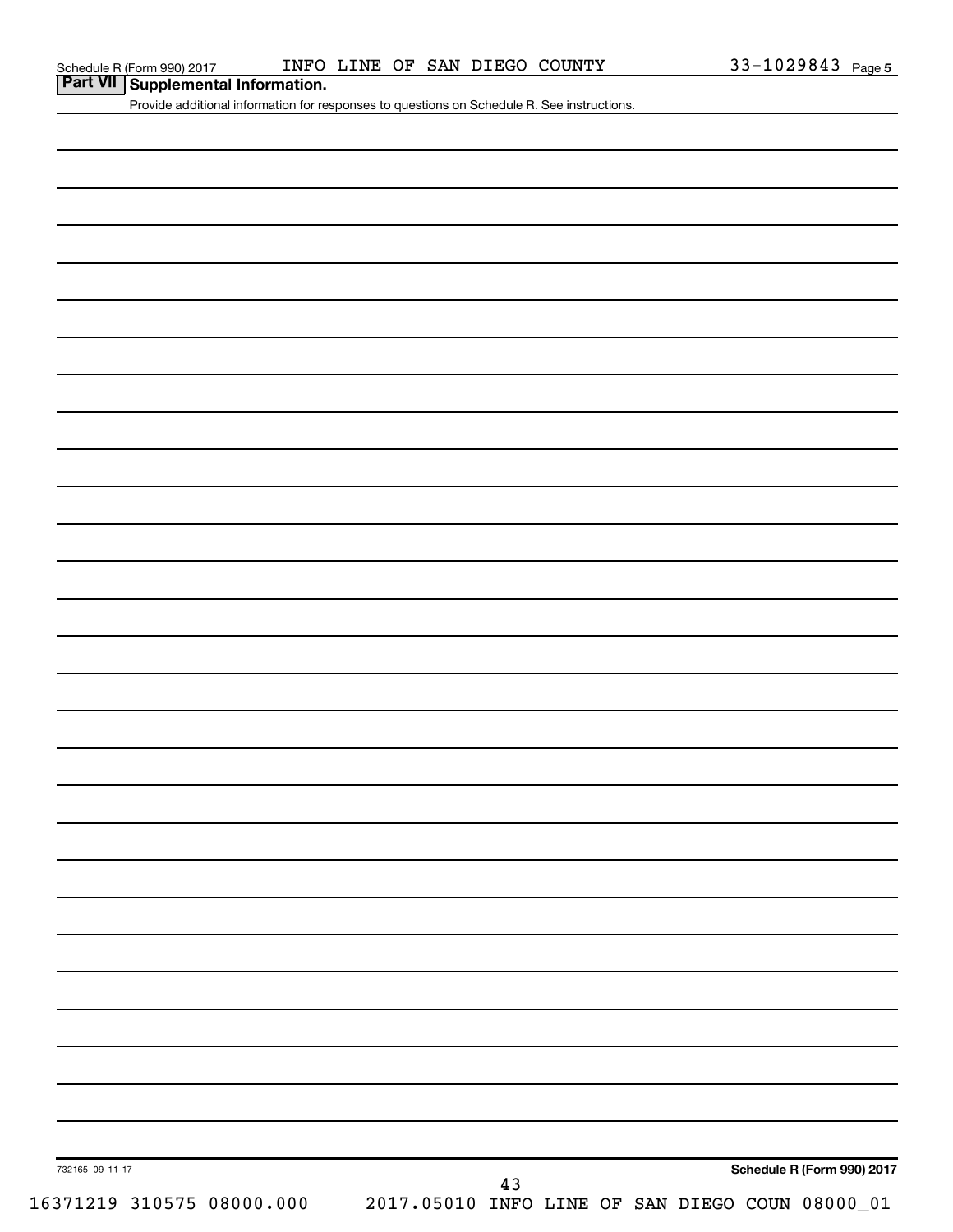**Part VII Supplemental Information.**

Provide additional information for responses to questions on Schedule R. See instructions.

| 732165 09-11-17 |                           |  |  |                                                 |    |  |  | Schedule R (Form 990) 2017 |
|-----------------|---------------------------|--|--|-------------------------------------------------|----|--|--|----------------------------|
|                 |                           |  |  |                                                 | 43 |  |  |                            |
|                 | 16371219 310575 08000.000 |  |  | 2017.05010 INFO LINE OF SAN DIEGO COUN 08000_01 |    |  |  |                            |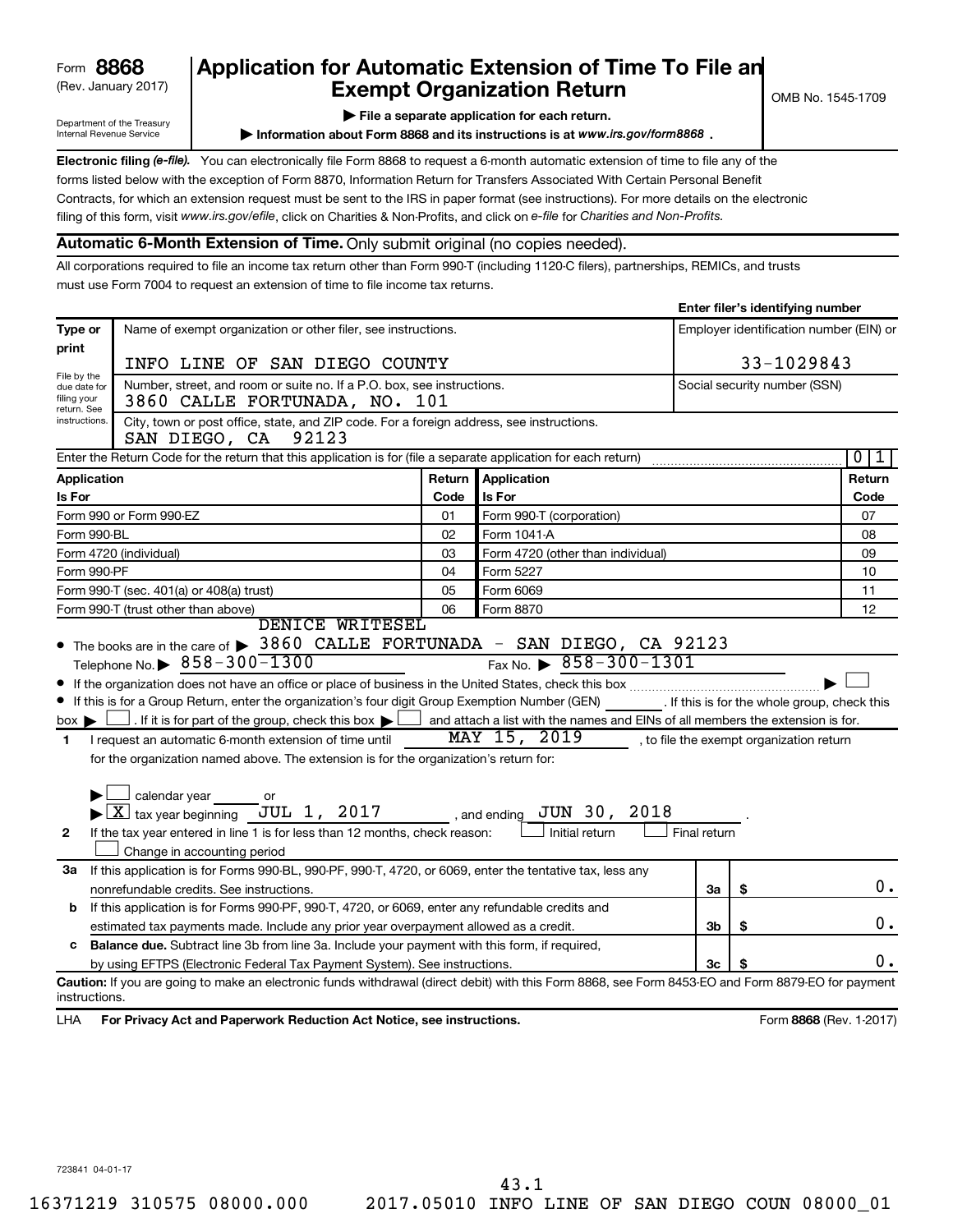# (Rev. January 2017) **Cxempt Organization Return** and the No. 1545-1709 Form **8868** Application for Automatic Extension of Time To File an<br>**Exempt Organization Beturn**<br>Frempt Organization Beturn

Department of the Treasury Internal Revenue Service

**| File a separate application for each return.**

**Information about Form 8868 and its instructions is at www.irs.gov/form8868.** 

Electronic filing (e-file). You can electronically file Form 8868 to request a 6-month automatic extension of time to file any of the filing of this form, visit www.irs.gov/efile, click on Charities & Non-Profits, and click on e-file for Charities and Non-Profits. forms listed below with the exception of Form 8870, Information Return for Transfers Associated With Certain Personal Benefit Contracts, for which an extension request must be sent to the IRS in paper format (see instructions). For more details on the electronic

## **Automatic 6-Month Extension of Time.** Only submit original (no copies needed).

All corporations required to file an income tax return other than Form 990-T (including 1120-C filers), partnerships, REMICs, and trusts must use Form 7004 to request an extension of time to file income tax returns.

|                                                |                                                                                                                                                                                                                                                                                                                                                                                                                                                                                                                                                                                                                                                                                                                                                             |        |                                                                         |              | Enter filer's identifying number         |                                         |
|------------------------------------------------|-------------------------------------------------------------------------------------------------------------------------------------------------------------------------------------------------------------------------------------------------------------------------------------------------------------------------------------------------------------------------------------------------------------------------------------------------------------------------------------------------------------------------------------------------------------------------------------------------------------------------------------------------------------------------------------------------------------------------------------------------------------|--------|-------------------------------------------------------------------------|--------------|------------------------------------------|-----------------------------------------|
| Type or<br>print                               | Name of exempt organization or other filer, see instructions.                                                                                                                                                                                                                                                                                                                                                                                                                                                                                                                                                                                                                                                                                               |        |                                                                         |              |                                          | Employer identification number (EIN) or |
|                                                | INFO LINE OF SAN DIEGO COUNTY                                                                                                                                                                                                                                                                                                                                                                                                                                                                                                                                                                                                                                                                                                                               |        |                                                                         |              | 33-1029843                               |                                         |
| File by the<br>due date for<br>filing your     | Number, street, and room or suite no. If a P.O. box, see instructions.<br>3860 CALLE FORTUNADA, NO. 101                                                                                                                                                                                                                                                                                                                                                                                                                                                                                                                                                                                                                                                     |        |                                                                         |              | Social security number (SSN)             |                                         |
| return. See<br>instructions.                   | City, town or post office, state, and ZIP code. For a foreign address, see instructions.<br>SAN DIEGO, CA<br>92123                                                                                                                                                                                                                                                                                                                                                                                                                                                                                                                                                                                                                                          |        |                                                                         |              |                                          |                                         |
|                                                | Enter the Return Code for the return that this application is for (file a separate application for each return)                                                                                                                                                                                                                                                                                                                                                                                                                                                                                                                                                                                                                                             |        |                                                                         |              |                                          | 0<br>1                                  |
| <b>Application</b>                             |                                                                                                                                                                                                                                                                                                                                                                                                                                                                                                                                                                                                                                                                                                                                                             | Return | Application                                                             |              |                                          | Return                                  |
| Is For                                         |                                                                                                                                                                                                                                                                                                                                                                                                                                                                                                                                                                                                                                                                                                                                                             | Code   | <b>Is For</b>                                                           |              |                                          | Code                                    |
|                                                | Form 990 or Form 990-EZ                                                                                                                                                                                                                                                                                                                                                                                                                                                                                                                                                                                                                                                                                                                                     | 01     | Form 990-T (corporation)                                                |              |                                          | 07                                      |
| Form 990-BL                                    |                                                                                                                                                                                                                                                                                                                                                                                                                                                                                                                                                                                                                                                                                                                                                             | 02     | Form 1041-A                                                             |              |                                          | 08                                      |
|                                                | Form 4720 (individual)                                                                                                                                                                                                                                                                                                                                                                                                                                                                                                                                                                                                                                                                                                                                      | 03     | Form 4720 (other than individual)                                       |              |                                          | 09                                      |
| Form 990-PF                                    |                                                                                                                                                                                                                                                                                                                                                                                                                                                                                                                                                                                                                                                                                                                                                             | 04     | Form 5227                                                               |              |                                          | 10                                      |
|                                                | Form 990-T (sec. 401(a) or 408(a) trust)                                                                                                                                                                                                                                                                                                                                                                                                                                                                                                                                                                                                                                                                                                                    | 05     | Form 6069                                                               |              |                                          | 11                                      |
|                                                | Form 990-T (trust other than above)<br>DENICE WRITESEL                                                                                                                                                                                                                                                                                                                                                                                                                                                                                                                                                                                                                                                                                                      | 06     | Form 8870                                                               |              |                                          | 12                                      |
| $box \blacktriangleright$<br>1<br>$\mathbf{2}$ | Telephone No. $\triangleright$ 858-300-1300<br>If this is for a Group Return, enter the organization's four digit Group Exemption Number (GEN) [If this is for the whole group, check this<br>If it is for part of the group, check this box $\blacktriangleright$ and attach a list with the names and EINs of all members the extension is for.<br>I request an automatic 6-month extension of time until<br>for the organization named above. The extension is for the organization's return for:<br>$\!\!\!\Box$ calendar year<br>or<br>$\blacktriangleright$ $\boxed{\text{X}}$ tax year beginning JUL 1, 2017 , and ending JUN 30, 2018<br>If the tax year entered in line 1 is for less than 12 months, check reason:<br>Change in accounting period |        | Fax No. $\triangleright$ 858-300-1301<br>MAY 15, 2019<br>Initial return | Final return | , to file the exempt organization return |                                         |
| За                                             | If this application is for Forms 990-BL, 990-PF, 990-T, 4720, or 6069, enter the tentative tax, less any                                                                                                                                                                                                                                                                                                                                                                                                                                                                                                                                                                                                                                                    |        |                                                                         |              |                                          |                                         |
|                                                | nonrefundable credits. See instructions.                                                                                                                                                                                                                                                                                                                                                                                                                                                                                                                                                                                                                                                                                                                    |        |                                                                         | За           | \$                                       | 0.                                      |
| b                                              | If this application is for Forms 990-PF, 990-T, 4720, or 6069, enter any refundable credits and                                                                                                                                                                                                                                                                                                                                                                                                                                                                                                                                                                                                                                                             |        |                                                                         |              |                                          |                                         |
|                                                | estimated tax payments made. Include any prior year overpayment allowed as a credit.                                                                                                                                                                                                                                                                                                                                                                                                                                                                                                                                                                                                                                                                        |        |                                                                         | 3b           | \$                                       | 0.                                      |
| c                                              | Balance due. Subtract line 3b from line 3a. Include your payment with this form, if required,                                                                                                                                                                                                                                                                                                                                                                                                                                                                                                                                                                                                                                                               |        |                                                                         |              |                                          |                                         |
|                                                | by using EFTPS (Electronic Federal Tax Payment System). See instructions.                                                                                                                                                                                                                                                                                                                                                                                                                                                                                                                                                                                                                                                                                   |        |                                                                         | 3c           |                                          | $0$ .                                   |
| instructions.<br>LHA                           | Caution: If you are going to make an electronic funds withdrawal (direct debit) with this Form 8868, see Form 8453-EO and Form 8879-EO for payment<br>For Privacy Act and Paperwork Reduction Act Notice, see instructions.                                                                                                                                                                                                                                                                                                                                                                                                                                                                                                                                 |        |                                                                         |              |                                          | Form 8868 (Rev. 1-2017)                 |

723841 04-01-17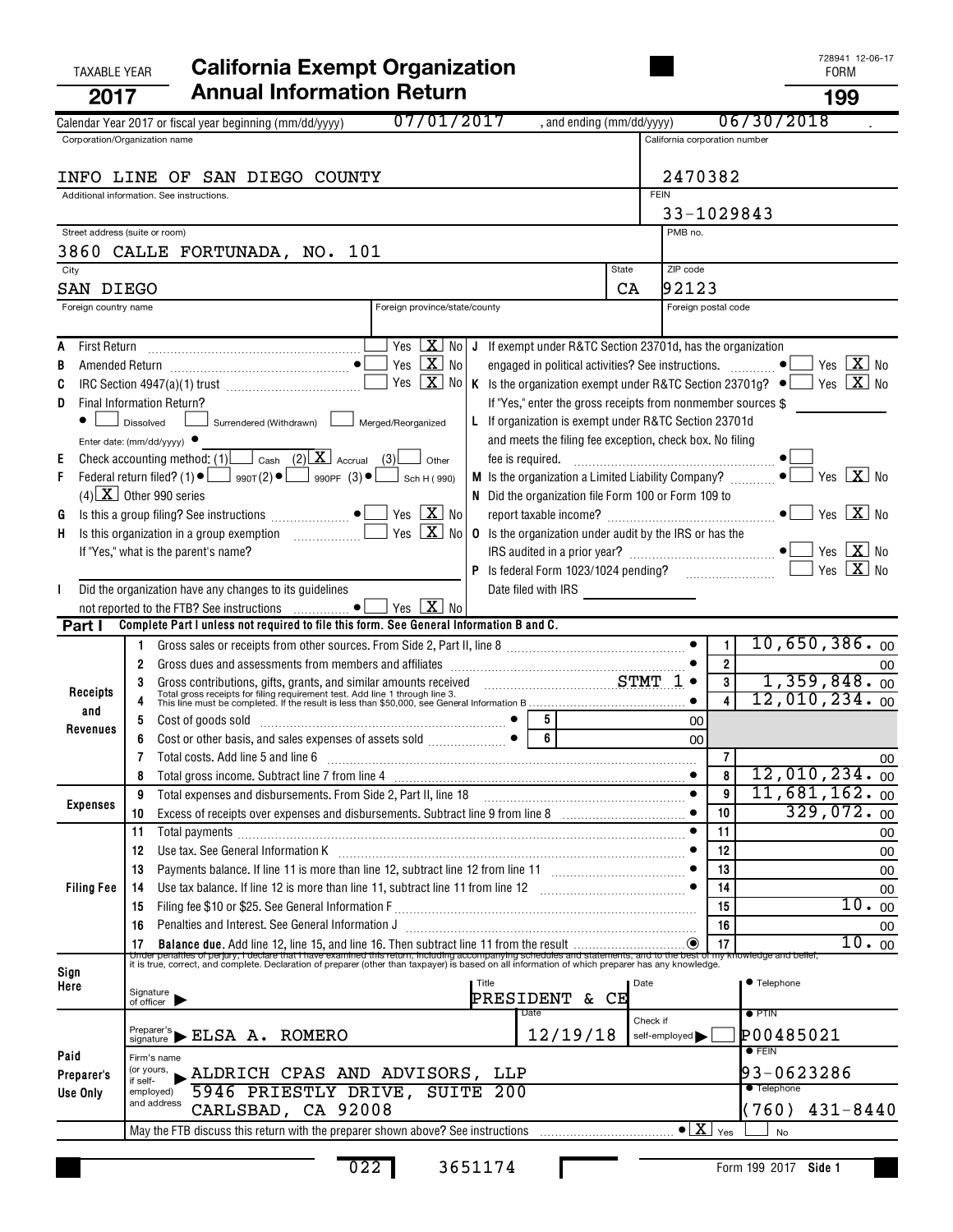# TAXABLE YEAR **California Exempt Organization California Exempt Organization 2017 Annual Information Return 199**

|                   | 07/01/2017<br>, and ending (mm/dd/yyyy)<br>Calendar Year 2017 or fiscal year beginning (mm/dd/yyyy)                                                                                                                                                                                             |              |                               |                | 06/30/2018                       |
|-------------------|-------------------------------------------------------------------------------------------------------------------------------------------------------------------------------------------------------------------------------------------------------------------------------------------------|--------------|-------------------------------|----------------|----------------------------------|
|                   | Corporation/Organization name                                                                                                                                                                                                                                                                   |              | California corporation number |                |                                  |
|                   | INFO LINE OF SAN DIEGO COUNTY                                                                                                                                                                                                                                                                   |              | 2470382                       |                |                                  |
|                   |                                                                                                                                                                                                                                                                                                 |              |                               |                |                                  |
|                   | Additional information. See instructions.                                                                                                                                                                                                                                                       | <b>FEIN</b>  |                               |                |                                  |
|                   |                                                                                                                                                                                                                                                                                                 |              | 33-1029843                    |                |                                  |
|                   | Street address (suite or room)                                                                                                                                                                                                                                                                  |              | PMB no.                       |                |                                  |
|                   | 3860 CALLE FORTUNADA, NO. 101                                                                                                                                                                                                                                                                   |              |                               |                |                                  |
| City              |                                                                                                                                                                                                                                                                                                 | <b>State</b> | ZIP code                      |                |                                  |
|                   | SAN DIEGO                                                                                                                                                                                                                                                                                       | CA           | 92123                         |                |                                  |
|                   | Foreign province/state/county<br>Foreign country name                                                                                                                                                                                                                                           |              | Foreign postal code           |                |                                  |
|                   |                                                                                                                                                                                                                                                                                                 |              |                               |                |                                  |
| A                 | Yes $X$ No<br>J If exempt under R&TC Section 23701d, has the organization                                                                                                                                                                                                                       |              |                               |                |                                  |
|                   | Yes $\boxed{\mathbf{X}}$ No                                                                                                                                                                                                                                                                     |              |                               |                | Yes $X$ No                       |
| В                 | engaged in political activities? See instructions.  ● L                                                                                                                                                                                                                                         |              |                               |                |                                  |
| C                 | Yes $X$ No<br>K Is the organization exempt under R&TC Section 23701g? $\bullet$                                                                                                                                                                                                                 |              |                               |                | Yes $X_{0}$                      |
| D                 | If "Yes," enter the gross receipts from nonmember sources \$<br>Final Information Return?                                                                                                                                                                                                       |              |                               |                |                                  |
|                   | Surrendered (Withdrawn) Merged/Reorganized<br>L If organization is exempt under R&TC Section 23701d<br>Dissolved                                                                                                                                                                                |              |                               |                |                                  |
|                   | and meets the filing fee exception, check box. No filing<br>Enter date: $(mm/dd/yyyy)$                                                                                                                                                                                                          |              |                               |                |                                  |
| Е                 | Check accounting method: (1) $\Box$ Cash (2) $\Box$ Accrual (3)<br>Other                                                                                                                                                                                                                        |              |                               |                |                                  |
| F                 | Federal return filed? (1) $\bullet$ $\Box$ 990T(2) $\bullet$ $\Box$ 990PF (3) $\bullet$ $\Box$ Sch H(990)<br><b>M</b> Is the organization a Limited Liability Company? $\Box$                                                                                                                   |              |                               |                | Yes $\boxed{\mathbf{X}}$ No      |
|                   | $(4)$ X Other 990 series<br>N Did the organization file Form 100 or Form 109 to                                                                                                                                                                                                                 |              |                               |                |                                  |
| G                 | Yes $\boxed{\mathbf{X}}$ No                                                                                                                                                                                                                                                                     |              |                               |                | $Yes$ $\overline{\mathbf{X}}$ No |
| н                 | $\boxed{\text{X}}$ No<br>Yes<br><b>0</b> Is the organization under audit by the IRS or has the                                                                                                                                                                                                  |              |                               |                |                                  |
|                   | If "Yes," what is the parent's name?                                                                                                                                                                                                                                                            |              |                               |                | Yes $\boxed{\mathbf{X}}$ No      |
|                   |                                                                                                                                                                                                                                                                                                 |              |                               |                | $X_{\text{No}}$<br>Yes           |
| $\mathbf{I}$      | Did the organization have any changes to its guidelines<br>Date filed with IRS <u>contract and the set of the set of the set of the set of the set of the set of the set of the set of the set of the set of the set of the set of the set of the set of the set of the set of the set of t</u> |              |                               |                |                                  |
|                   | Yes $\boxed{\mathbf{X}}$ No                                                                                                                                                                                                                                                                     |              |                               |                |                                  |
| Part I            | Complete Part I unless not required to file this form. See General Information B and C.                                                                                                                                                                                                         |              |                               |                |                                  |
|                   |                                                                                                                                                                                                                                                                                                 |              |                               | 1              | $10,650,386.$ 00                 |
|                   | Gross dues and assessments from members and affiliates [111] contains and according the substitution of the substitution of the substitution of the substitution of the substitution of the substitution of the substitution o<br>2                                                             |              |                               | $\overline{2}$ | 00                               |
|                   |                                                                                                                                                                                                                                                                                                 |              |                               | $\mathbf{3}$   | 1,359,848.00                     |
| Receipts          | Gross contributions, gifts, grants, and similar amounts received CHART TO TOTAL TOTAL TOTAL TOTAL TOTAL TOTAL TOTAL TOTAL TOTAL TOTAL TOTAL TOTAL TOTAL TOTAL TOTAL TOTAL TOTAL TOTAL TOTAL TOTAL TOTAL TOTAL TOTAL TOTAL TOTA                                                                  |              |                               |                | $12,010,234.$ 00                 |
| and               |                                                                                                                                                                                                                                                                                                 |              |                               |                |                                  |
| Revenues          | Cost of goods sold<br>Cost or other basis, and sales expenses of assets sold<br>$\begin{bmatrix} \bullet & \bullet \\ \bullet & \bullet \end{bmatrix}$<br>$5 \mid$<br>5<br>$\overline{\phantom{a}}$ 6                                                                                           |              | 00                            |                |                                  |
|                   |                                                                                                                                                                                                                                                                                                 |              | 00                            |                |                                  |
|                   | Total costs. Add line 5 and line 6                                                                                                                                                                                                                                                              |              |                               | $\overline{7}$ | 00                               |
|                   |                                                                                                                                                                                                                                                                                                 |              |                               | 8              | $12,010,234.$ 00                 |
| <b>Expenses</b>   | Total expenses and disbursements. From Side 2, Part II, line 18<br>9                                                                                                                                                                                                                            |              | $\bullet$                     | 9              | $11,681,162.$ <sub>00</sub>      |
|                   | 10                                                                                                                                                                                                                                                                                              |              |                               | 10             | 329,072.00                       |
|                   | Total payments<br>11                                                                                                                                                                                                                                                                            |              |                               | 11             | 00                               |
|                   | 12                                                                                                                                                                                                                                                                                              |              |                               | 12             | 00                               |
|                   | 13                                                                                                                                                                                                                                                                                              |              |                               | 13             | 00                               |
| <b>Filing Fee</b> | 14                                                                                                                                                                                                                                                                                              |              |                               | 14             | 00                               |
|                   | 15                                                                                                                                                                                                                                                                                              |              |                               | 15             | 10.00                            |
|                   | Penalties and Interest. See General Information J<br>16                                                                                                                                                                                                                                         |              |                               | 16             | 00                               |
|                   | 17                                                                                                                                                                                                                                                                                              |              |                               | 17             | 10.00                            |
|                   | The penalties of perpiny, it declare that Thave examined this return, including accompanying schedules and statements, and to the best of my knowledge and belief,<br>It is true, correct, and complete. Declaration of preparer                                                                |              |                               |                |                                  |
| Sign              | Title                                                                                                                                                                                                                                                                                           | Date         |                               |                | ● Telephone                      |
| Here              | Signature<br>of officer<br>PRESIDENT & CE                                                                                                                                                                                                                                                       |              |                               |                |                                  |
|                   | Date                                                                                                                                                                                                                                                                                            |              |                               |                | $\bullet$ PTIN                   |
|                   | $\overset{\text{Prepare's}}{\text{signature}} \blacktriangleright \text{ELSA} \text{ A. ROMERO}$<br>12/19/18                                                                                                                                                                                    | Check if     | self-employed                 |                | P00485021                        |
|                   |                                                                                                                                                                                                                                                                                                 |              |                               |                | $\bullet$ FEIN                   |
| Paid              | Firm's name<br>(or yours,                                                                                                                                                                                                                                                                       |              |                               |                |                                  |
| Preparer's        | ALDRICH CPAS AND ADVISORS, LLP<br>if self-                                                                                                                                                                                                                                                      |              |                               |                | 93-0623286<br><b>•</b> Telephone |
| Use Only          | 5946 PRIESTLY DRIVE, SUITE 200<br>employed)<br>and address                                                                                                                                                                                                                                      |              |                               |                |                                  |
|                   | CARLSBAD, CA 92008                                                                                                                                                                                                                                                                              |              |                               |                | (760)<br>$431 - 8440$            |
|                   |                                                                                                                                                                                                                                                                                                 |              | $\bullet$ $\boxed{\text{X}}$  | Yes            | <b>No</b>                        |
|                   |                                                                                                                                                                                                                                                                                                 |              |                               |                |                                  |

022 3651174

П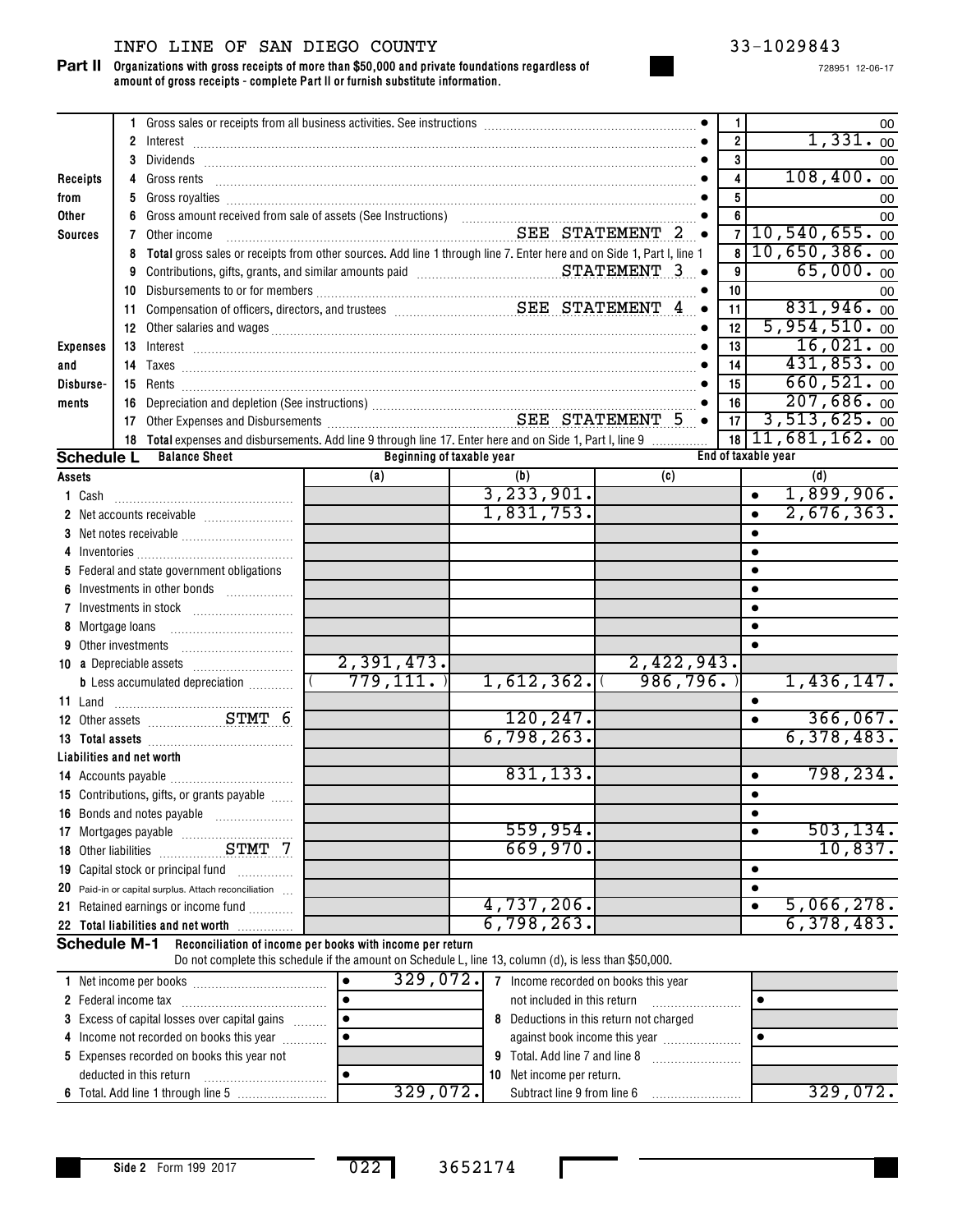## INFO LINE OF SAN DIEGO COUNTY 33-1029843

**Organizations with gross receipts of more than \$50,000 and private foundations regardless of amount of gross receipts - complete Part II or furnish substitute information. Part II**

|                           |    | 1 Gross sales or receipts from all business activities. See instructions [11, 11] Gross sales or receipts from all business activities. See instructions [11] Gross sales or receipts from all business activities. See instru                                                                 |                                                                                                        |                                                |            | $\mathbf{1}$<br>00                       |
|---------------------------|----|------------------------------------------------------------------------------------------------------------------------------------------------------------------------------------------------------------------------------------------------------------------------------------------------|--------------------------------------------------------------------------------------------------------|------------------------------------------------|------------|------------------------------------------|
|                           |    |                                                                                                                                                                                                                                                                                                |                                                                                                        |                                                |            | 1,331.00<br>$\overline{2}$               |
|                           |    |                                                                                                                                                                                                                                                                                                |                                                                                                        |                                                |            | 3<br>00<br>108,400.00                    |
| Receipts                  |    |                                                                                                                                                                                                                                                                                                |                                                                                                        |                                                |            | 4<br>5                                   |
| from<br>Other             | 5. |                                                                                                                                                                                                                                                                                                |                                                                                                        |                                                |            | 00<br>6                                  |
| <b>Sources</b>            | 7  | Other income                                                                                                                                                                                                                                                                                   | SEE STATEMENT 2 .                                                                                      |                                                |            | 00<br>10, 540, 655.00<br>$\overline{7}$  |
|                           | 8  | Total gross sales or receipts from other sources. Add line 1 through line 7. Enter here and on Side 1, Part I, line 1                                                                                                                                                                          |                                                                                                        |                                                |            | 10,650,386.00<br>$\overline{\mathbf{8}}$ |
|                           |    | 9 Contributions, gifts, grants, and similar amounts paid Materian Materian STATEMENT 3                                                                                                                                                                                                         |                                                                                                        |                                                |            | 65,000.00<br>9                           |
|                           |    |                                                                                                                                                                                                                                                                                                |                                                                                                        |                                                |            | 10<br>00                                 |
|                           |    |                                                                                                                                                                                                                                                                                                |                                                                                                        |                                                | $\bullet$  | 831,946.00<br>11                         |
|                           |    | 12 Other salaries and wages <b>continuum contract and manufactures</b> and wages                                                                                                                                                                                                               |                                                                                                        |                                                |            | 5,954,510.00<br>12                       |
| <b>Expenses</b>           |    |                                                                                                                                                                                                                                                                                                |                                                                                                        |                                                |            | 16,021.00<br>13                          |
| and                       |    |                                                                                                                                                                                                                                                                                                |                                                                                                        |                                                |            | 431,853.00<br>14                         |
| Disburse-                 |    |                                                                                                                                                                                                                                                                                                |                                                                                                        |                                                |            | 660, 521.00<br>15                        |
| ments                     |    | 16 Depreciation and depletion (See instructions)<br>17 Other Expenses and Disbursements<br>2015 - SEE STATEMENT 5                                                                                                                                                                              |                                                                                                        |                                                |            | 207,686.00<br>16                         |
|                           |    |                                                                                                                                                                                                                                                                                                |                                                                                                        |                                                |            | 3,513,625.00<br>17                       |
|                           |    | 18 Total expenses and disbursements. Add line 9 through line 17. Enter here and on Side 1, Part I, line 9                                                                                                                                                                                      |                                                                                                        |                                                |            | $18\vert 11,681,162.00$                  |
| <b>Schedule L</b>         |    | <b>Balance Sheet</b>                                                                                                                                                                                                                                                                           | Beginning of taxable year                                                                              |                                                |            | End of taxable year                      |
| Assets                    |    |                                                                                                                                                                                                                                                                                                | (a)                                                                                                    | (b)                                            | (c)        | (d)                                      |
|                           |    |                                                                                                                                                                                                                                                                                                |                                                                                                        | 3, 233, 901.<br>1,831,753.                     |            | 1,899,906.<br>$\bullet$<br>2,676,363.    |
|                           |    |                                                                                                                                                                                                                                                                                                |                                                                                                        |                                                |            |                                          |
|                           |    |                                                                                                                                                                                                                                                                                                |                                                                                                        |                                                |            |                                          |
|                           |    | 5 Federal and state government obligations                                                                                                                                                                                                                                                     |                                                                                                        |                                                |            |                                          |
|                           |    | Investments in other bonds                                                                                                                                                                                                                                                                     |                                                                                                        |                                                |            |                                          |
|                           |    |                                                                                                                                                                                                                                                                                                |                                                                                                        |                                                |            |                                          |
| 8 Mortgage loans          |    |                                                                                                                                                                                                                                                                                                |                                                                                                        |                                                |            |                                          |
| 9 Other investments       |    |                                                                                                                                                                                                                                                                                                |                                                                                                        |                                                |            |                                          |
|                           |    |                                                                                                                                                                                                                                                                                                | 2,391,473.                                                                                             |                                                | 2,422,943. |                                          |
|                           |    | <b>b</b> Less accumulated depreciation <i></i>                                                                                                                                                                                                                                                 | 779, 111.                                                                                              | 1,612,362.                                     | 986, 796.  | 1,436,147.                               |
|                           |    |                                                                                                                                                                                                                                                                                                |                                                                                                        |                                                |            |                                          |
|                           |    |                                                                                                                                                                                                                                                                                                |                                                                                                        | 120, 247.                                      |            | 366,067.<br>$\bullet$                    |
|                           |    | 13 Total assets <b>manufactures 13</b> Total assets <b>13</b> Total assets <b>14</b> Total assets <b>14</b> Total and <b>14</b> Total and <b>14</b> Total and <b>14</b> Total and <b>14</b> Total and <b>14</b> Total and <b>14</b> Total and <b>14</b> Total and <b>14</b> Total and <b>1</b> |                                                                                                        | 6,798,263.                                     |            | 6,378,483.                               |
| Liabilities and net worth |    |                                                                                                                                                                                                                                                                                                |                                                                                                        |                                                |            |                                          |
|                           |    |                                                                                                                                                                                                                                                                                                |                                                                                                        | 831, 133.                                      |            | 798, 234.<br>$\bullet$                   |
|                           |    | 15 Contributions, gifts, or grants payable                                                                                                                                                                                                                                                     |                                                                                                        |                                                |            |                                          |
|                           |    |                                                                                                                                                                                                                                                                                                |                                                                                                        |                                                |            | ٠                                        |
|                           |    |                                                                                                                                                                                                                                                                                                |                                                                                                        | 559,954.                                       |            | 503, 134.                                |
|                           |    |                                                                                                                                                                                                                                                                                                |                                                                                                        | 669,970.                                       |            | 10,837.                                  |
|                           |    | 19 Capital stock or principal fund                                                                                                                                                                                                                                                             |                                                                                                        |                                                |            | $\bullet$                                |
|                           |    | 20 Paid-in or capital surplus. Attach reconciliation                                                                                                                                                                                                                                           |                                                                                                        |                                                |            | $\bullet$                                |
|                           |    | 21 Retained earnings or income fund                                                                                                                                                                                                                                                            |                                                                                                        | 4,737,206.<br>6,798,263.                       |            | 5,066,278.<br>$\bullet$<br>6,378,483.    |
| <b>Schedule M-1</b>       |    | 22 Total liabilities and net worth                                                                                                                                                                                                                                                             | Reconciliation of income per books with income per return                                              |                                                |            |                                          |
|                           |    |                                                                                                                                                                                                                                                                                                | Do not complete this schedule if the amount on Schedule L, line 13, column (d), is less than \$50,000. |                                                |            |                                          |
|                           |    |                                                                                                                                                                                                                                                                                                |                                                                                                        | 329, 072. 7 Income recorded on books this year |            |                                          |
|                           |    |                                                                                                                                                                                                                                                                                                |                                                                                                        |                                                |            |                                          |

| NEL INCONNE DEL DOOKS                                | <b>JAJ, VIZ.</b> | THEOTHE FECOLUGA ON DOOKS THIS YEAR         |          |
|------------------------------------------------------|------------------|---------------------------------------------|----------|
| 2 Federal income tax                                 |                  | not included in this return                 |          |
| <b>3</b> Excess of capital losses over capital gains |                  | Deductions in this return not charged<br>8. |          |
| 4 Income not recorded on books this year             |                  | against book income this year               |          |
| 5 Expenses recorded on books this year not           |                  | <b>9</b> Total. Add line 7 and line 8       |          |
| deducted in this return                              |                  | <b>10</b> Net income per return.            |          |
|                                                      | 329.072.         | Subtract line 9 from line 6                 | 329,072. |

022 3652174

П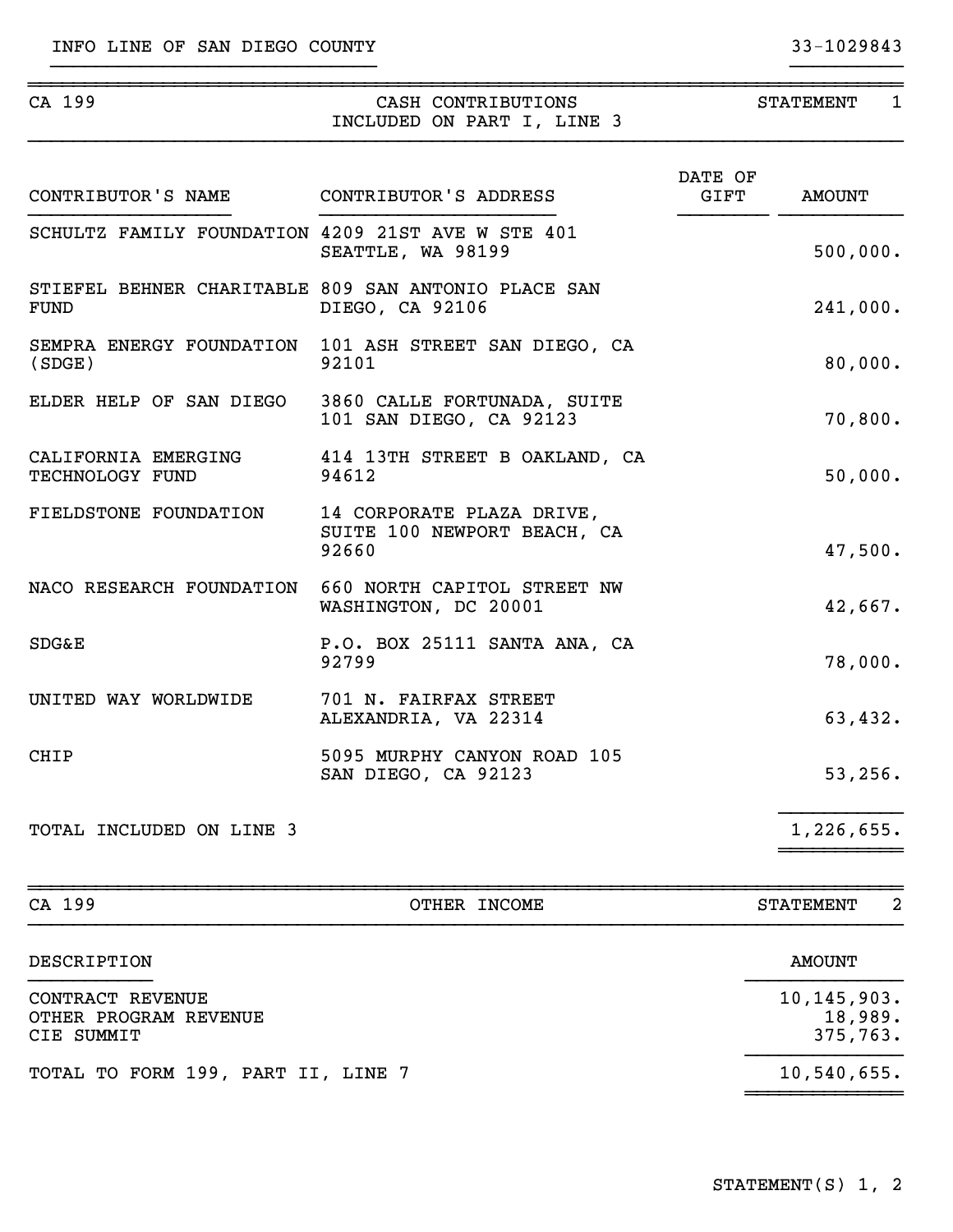| CA 199                                            | CASH CONTRIBUTIONS<br>INCLUDED ON PART I, LINE 3                             |                 | STATEMENT 1   |
|---------------------------------------------------|------------------------------------------------------------------------------|-----------------|---------------|
| CONTRIBUTOR'S NAME CONTRIBUTOR'S ADDRESS          |                                                                              | DATE OF<br>GIFT | <b>AMOUNT</b> |
| SCHULTZ FAMILY FOUNDATION 4209 21ST AVE W STE 401 | SEATTLE, WA 98199                                                            |                 | 500,000.      |
| <b>FUND</b>                                       | STIEFEL BEHNER CHARITABLE 809 SAN ANTONIO PLACE SAN<br>DIEGO, CA 92106       |                 | 241,000.      |
| (SDGE)                                            | SEMPRA ENERGY FOUNDATION 101 ASH STREET SAN DIEGO, CA<br>92101               |                 | 80,000.       |
| ELDER HELP OF SAN DIEGO                           | 3860 CALLE FORTUNADA, SUITE<br>101 SAN DIEGO, CA 92123                       |                 | 70,800.       |
| TECHNOLOGY FUND                                   | CALIFORNIA EMERGING 414 13TH STREET B OAKLAND, CA<br>94612                   |                 | 50,000.       |
| FIELDSTONE FOUNDATION                             | 14 CORPORATE PLAZA DRIVE,<br>SUITE 100 NEWPORT BEACH, CA<br>92660            |                 | 47,500.       |
|                                                   | NACO RESEARCH FOUNDATION 660 NORTH CAPITOL STREET NW<br>WASHINGTON, DC 20001 |                 | 42,667.       |
| <b>SDG&amp;E</b>                                  | P.O. BOX 25111 SANTA ANA, CA<br>92799                                        |                 | 78,000.       |
| UNITED WAY WORLDWIDE                              | 701 N. FAIRFAX STREET<br>ALEXANDRIA, VA 22314                                |                 | 63,432.       |
| <b>CHIP</b>                                       | 5095 MURPHY CANYON ROAD 105<br>SAN DIEGO, CA 92123                           |                 | 53,256.       |
| TOTAL INCLUDED ON LINE 3                          |                                                                              |                 | 1,226,655.    |
|                                                   |                                                                              |                 |               |

}}}}}}}}}}}}}}}}}}}}}}}}}}}}} }}}}}}}}}}

| CA 199                                                  | OTHER INCOME | 2<br><b>STATEMENT</b>                |
|---------------------------------------------------------|--------------|--------------------------------------|
| DESCRIPTION                                             |              | AMOUNT                               |
| CONTRACT REVENUE<br>OTHER PROGRAM REVENUE<br>CIE SUMMIT |              | 10, 145, 903.<br>18,989.<br>375,763. |
| TOTAL TO FORM 199, PART II, LINE 7                      |              | 10,540,655.                          |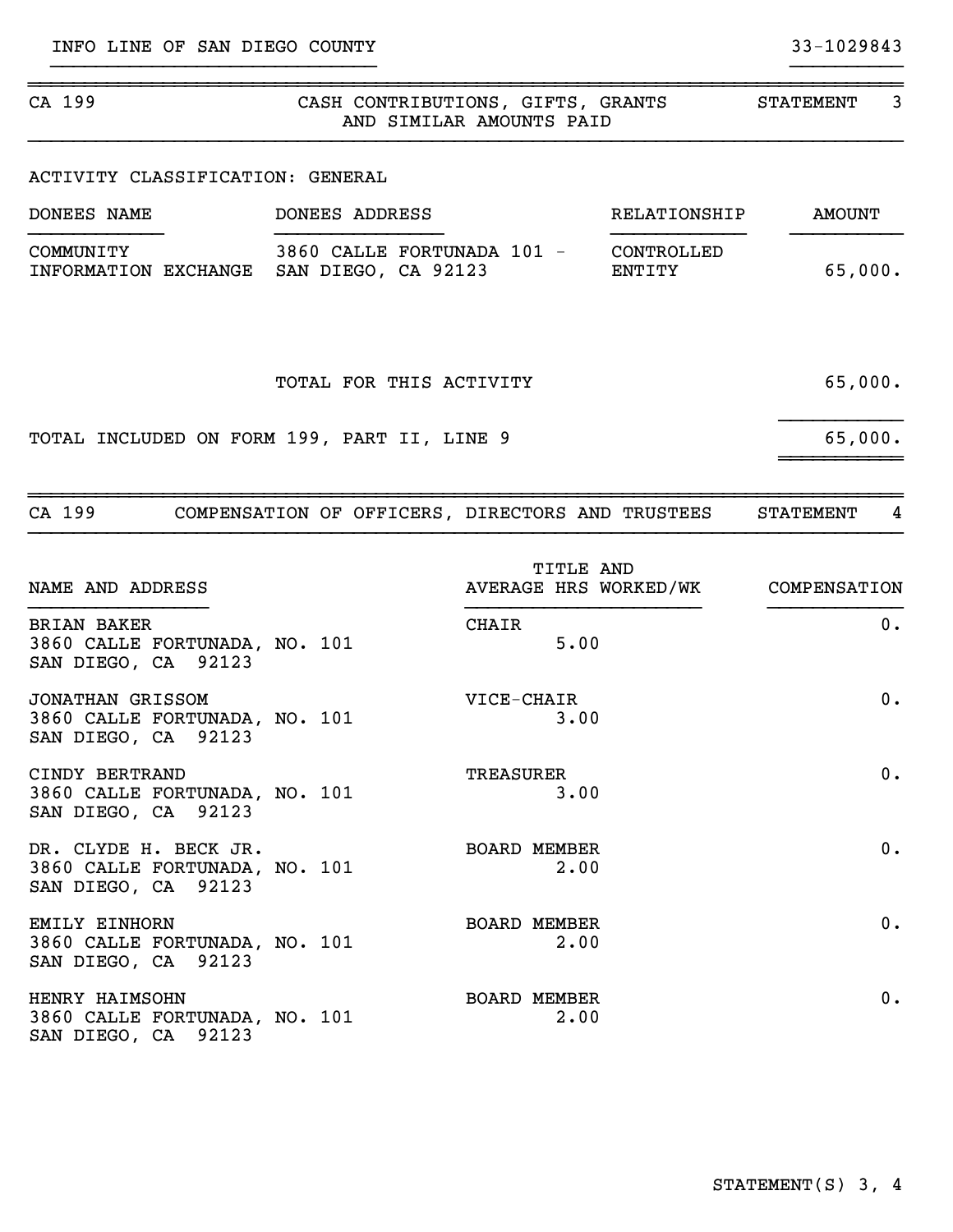| CA 199<br>CASH CONTRIBUTIONS, GIFTS, GRANTS<br>AND SIMILAR AMOUNTS PAID       |                                       |                                           |              | <b>STATEMENT</b> | 3     |
|-------------------------------------------------------------------------------|---------------------------------------|-------------------------------------------|--------------|------------------|-------|
| ACTIVITY CLASSIFICATION: GENERAL                                              |                                       |                                           |              |                  |       |
| DONEES NAME                                                                   | DONEES ADDRESS                        |                                           | RELATIONSHIP | <b>AMOUNT</b>    |       |
| COMMUNITY<br>INFORMATION EXCHANGE SAN DIEGO, CA 92123                         | 3860 CALLE FORTUNADA 101 - CONTROLLED |                                           | ENTITY       | 65,000.          |       |
|                                                                               | TOTAL FOR THIS ACTIVITY               |                                           |              | 65,000.          |       |
| TOTAL INCLUDED ON FORM 199, PART II, LINE 9                                   |                                       |                                           |              | 65,000.          |       |
| CA 199 COMPENSATION OF OFFICERS, DIRECTORS AND TRUSTEES                       |                                       |                                           |              | <b>STATEMENT</b> | 4     |
| NAME AND ADDRESS                                                              |                                       | <b>TITLE AND</b><br>AVERAGE HRS WORKED/WK |              | COMPENSATION     |       |
| <b>BRIAN BAKER</b><br>3860 CALLE FORTUNADA, NO. 101<br>SAN DIEGO, CA 92123    |                                       | <b>CHAIR</b><br>5.00                      |              |                  | $0$ . |
| JONATHAN GRISSOM<br>3860 CALLE FORTUNADA, NO. 101<br>SAN DIEGO, CA 92123      |                                       | VICE-CHAIR<br>3.00                        |              |                  | 0.    |
| CINDY BERTRAND<br>3860 CALLE FORTUNADA, NO. 101<br>SAN DIEGO, CA 92123        |                                       | TREASURER<br>3.00                         |              |                  | $0$ . |
| DR. CLYDE H. BECK JR.<br>3860 CALLE FORTUNADA, NO. 101<br>SAN DIEGO, CA 92123 |                                       | <b>BOARD MEMBER</b><br>2.00               |              |                  | $0$ . |

EMILY EINHORN 0. 3860 CALLE FORTUNADA, NO. 101 2.00 SAN DIEGO, CA 92123

HENRY HAIMSOHN 0. 3860 CALLE FORTUNADA, NO. 101 2.00 SAN DIEGO, CA 92123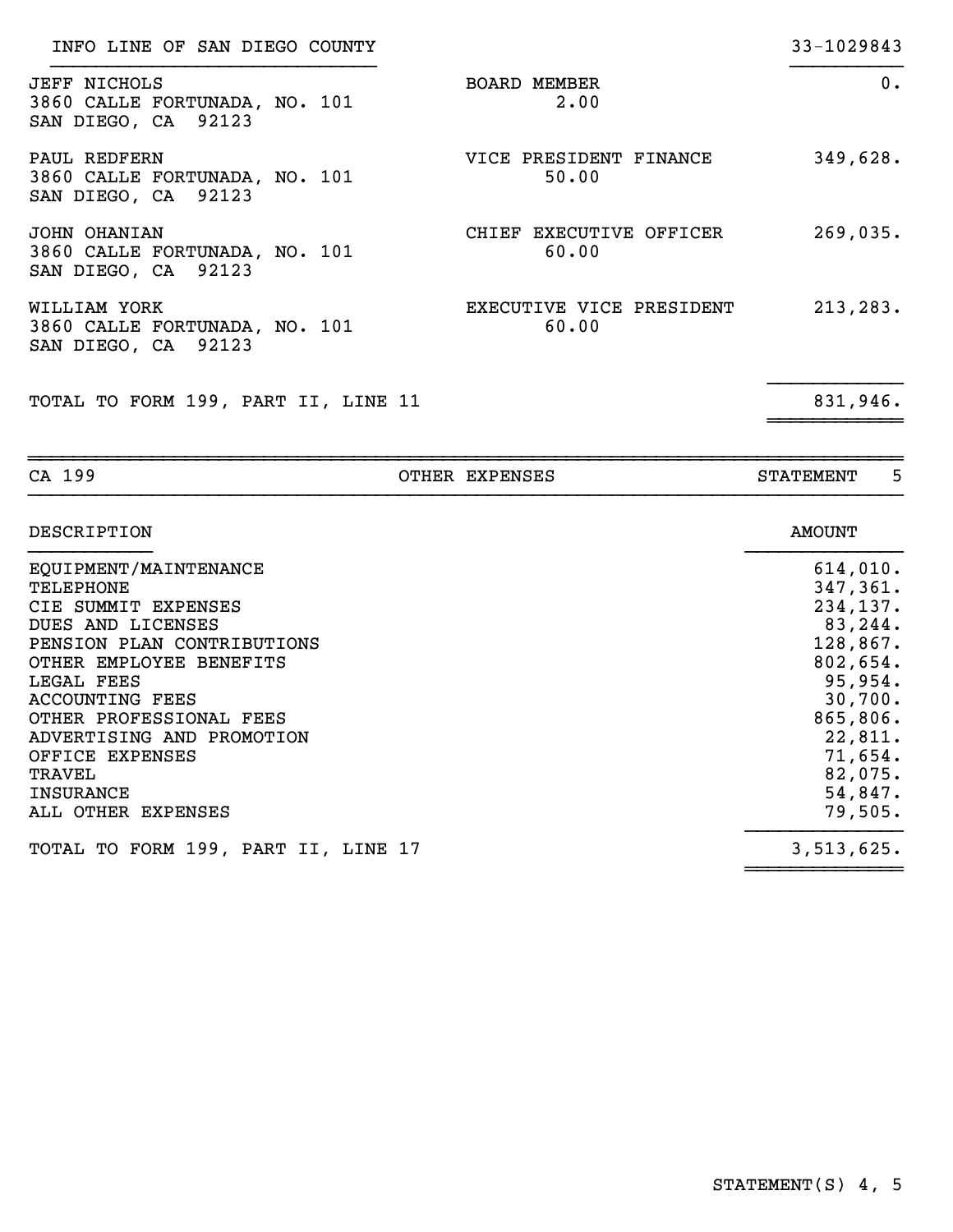| CA 199                                                                      | OTHER EXPENSES                    | 5<br><b>STATEMENT</b> |
|-----------------------------------------------------------------------------|-----------------------------------|-----------------------|
| TOTAL TO FORM 199, PART II, LINE 11                                         |                                   | 831,946.              |
| WILLIAM YORK<br>3860 CALLE FORTUNADA, NO. 101<br>SAN DIEGO, CA 92123        | EXECUTIVE VICE PRESIDENT<br>60.00 | 213, 283.             |
| JOHN OHANIAN<br>3860 CALLE FORTUNADA, NO. 101<br>SAN DIEGO, CA 92123        | CHIEF EXECUTIVE OFFICER<br>60.00  | 269,035.              |
| PAUL REDFERN<br>3860 CALLE FORTUNADA, NO. 101<br>SAN DIEGO, CA 92123        | VICE PRESIDENT FINANCE<br>50.00   | 349,628.              |
| <b>JEFF NICHOLS</b><br>3860 CALLE FORTUNADA, NO. 101<br>SAN DIEGO, CA 92123 | <b>BOARD MEMBER</b><br>2.00       | $0$ .                 |
| INFO LINE OF SAN DIEGO COUNTY                                               |                                   | 33-1029843            |

| DESCRIPTION                         | <b>AMOUNT</b> |
|-------------------------------------|---------------|
| EQUIPMENT/MAINTENANCE               | 614,010.      |
| <b>TELEPHONE</b>                    | 347,361.      |
| CIE SUMMIT EXPENSES                 | 234,137.      |
| DUES AND LICENSES                   | 83,244.       |
| PENSION PLAN CONTRIBUTIONS          | 128,867.      |
| OTHER EMPLOYEE BENEFITS             | 802,654.      |
| LEGAL FEES                          | 95,954.       |
| <b>ACCOUNTING FEES</b>              | 30,700.       |
| OTHER PROFESSIONAL FEES             | 865,806.      |
| ADVERTISING AND PROMOTION           | 22,811.       |
| OFFICE EXPENSES                     | 71,654.       |
| TRAVEL                              | 82,075.       |
| <b>INSURANCE</b>                    | 54,847.       |
| ALL OTHER<br>EXPENSES               | 79,505.       |
| TOTAL TO FORM 199, PART II, LINE 17 | 3,513,625.    |
|                                     |               |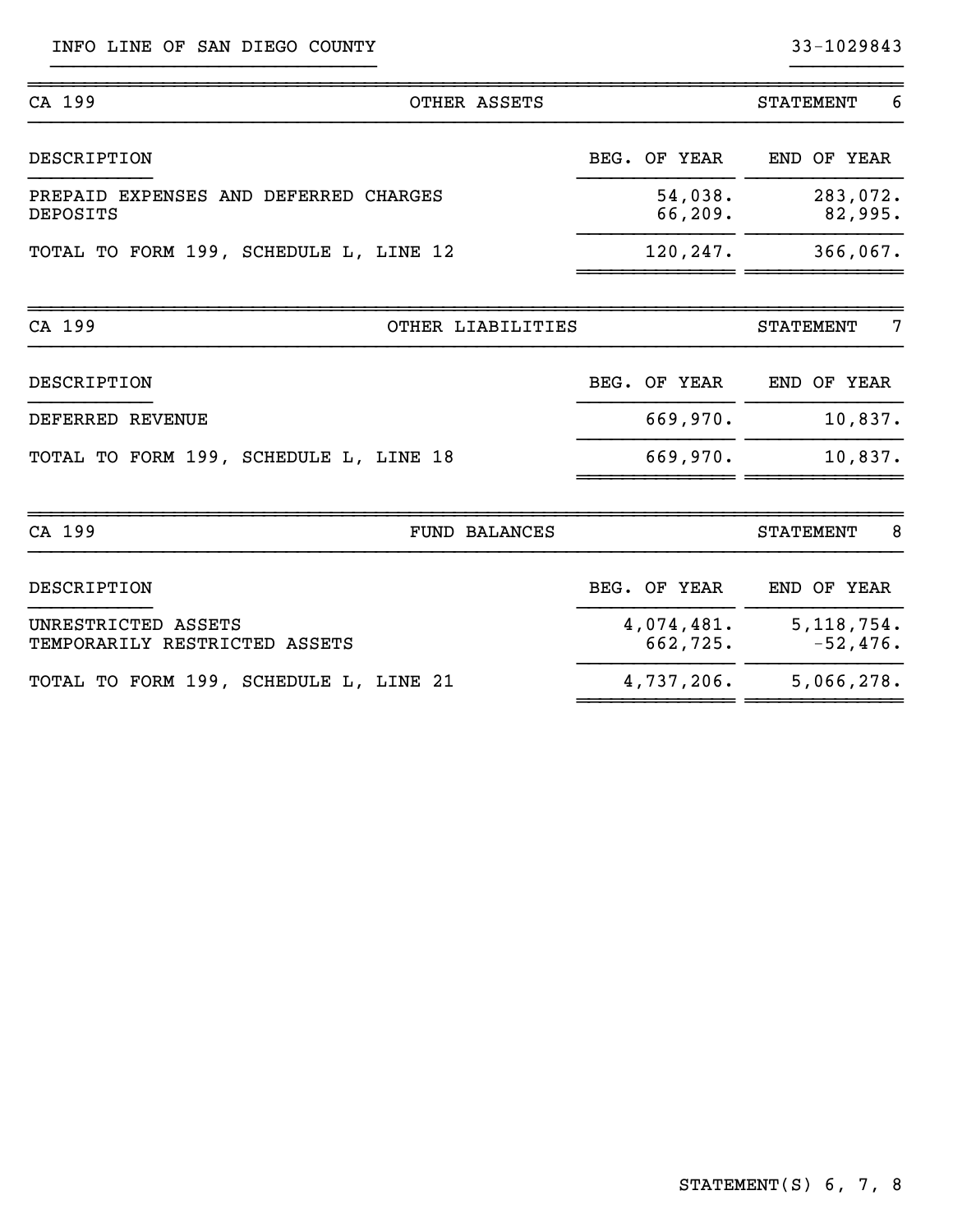INFO LINE OF SAN DIEGO COUNTY 33-1029843

| CA 199                                                   | OTHER ASSETS         |                        | <b>STATEMENT</b><br>6      |
|----------------------------------------------------------|----------------------|------------------------|----------------------------|
| DESCRIPTION                                              |                      | BEG. OF YEAR           | END OF YEAR                |
| PREPAID EXPENSES AND DEFERRED CHARGES<br><b>DEPOSITS</b> |                      | 54,038.<br>66,209.     | 283,072.<br>82,995.        |
| TOTAL TO FORM 199, SCHEDULE L, LINE 12                   |                      | 120,247.               | 366,067.                   |
| CA 199                                                   | OTHER LIABILITIES    |                        | <b>STATEMENT</b><br>7      |
| DESCRIPTION                                              |                      | BEG. OF YEAR           | END OF YEAR                |
| DEFERRED REVENUE                                         |                      | 669,970.               | 10,837.                    |
| TOTAL TO FORM 199, SCHEDULE L, LINE 18                   |                      | 669,970.               | 10,837.                    |
| CA 199                                                   | <b>FUND BALANCES</b> |                        | 8<br><b>STATEMENT</b>      |
| <b>DESCRIPTION</b>                                       |                      | BEG. OF YEAR           | END OF YEAR                |
| UNRESTRICTED ASSETS<br>TEMPORARILY RESTRICTED ASSETS     |                      | 4,074,481.<br>662,725. | 5, 118, 754.<br>$-52,476.$ |
| TOTAL TO FORM 199, SCHEDULE L, LINE 21                   |                      | 4,737,206.             | 5,066,278.                 |

~~~~~~~~~~~~~~ ~~~~~~~~~~~~~~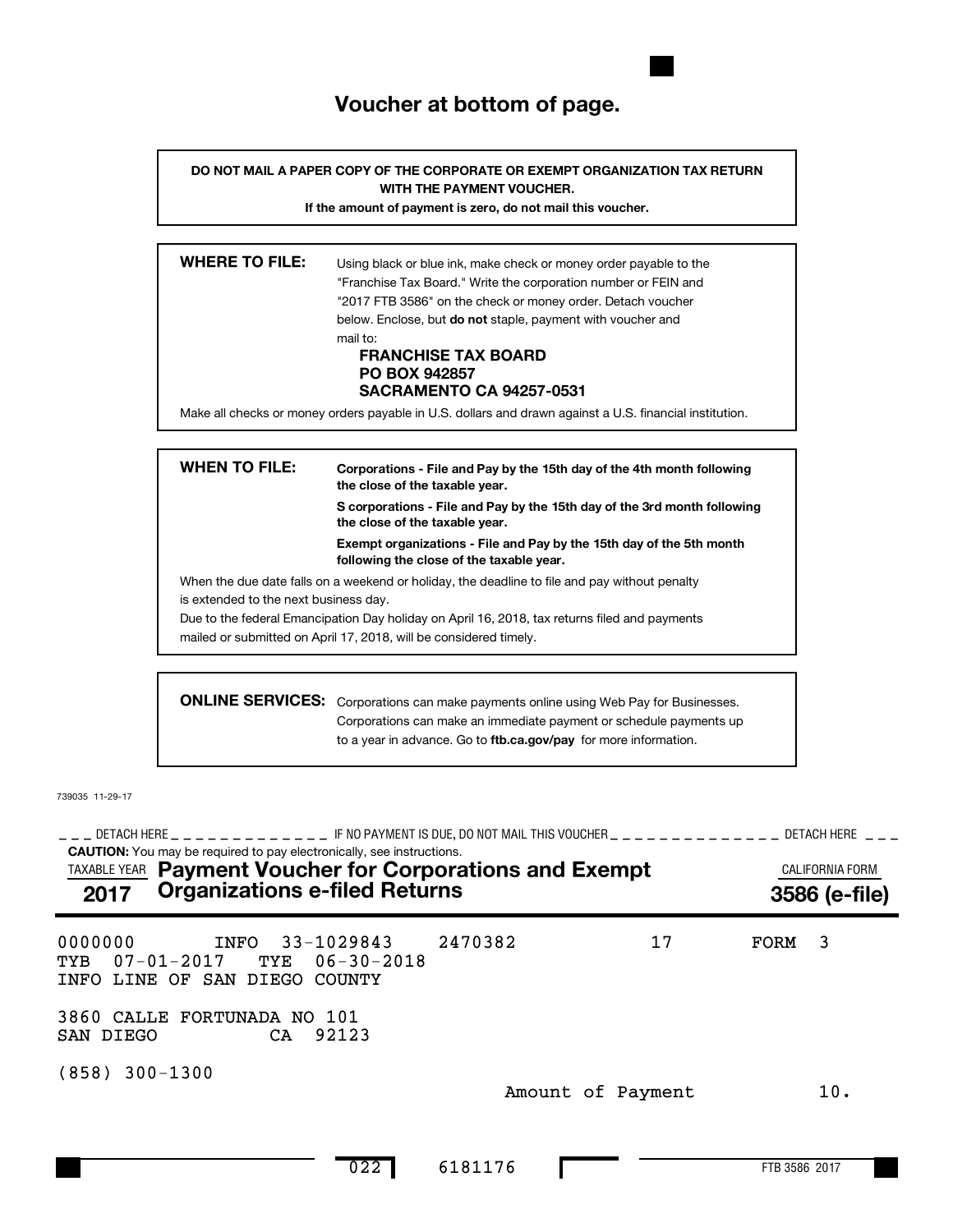# **Voucher at bottom of page.**

**DO NOT MAIL A PAPER COPY OF THE CORPORATE OR EXEMPT ORGANIZATION TAX RETURN WITH THE PAYMENT VOUCHER.**

**If the amount of payment is zero, do not mail this voucher.**

| <b>WHERE TO FILE:</b> | Using black or blue ink, make check or money order payable to the                                       |
|-----------------------|---------------------------------------------------------------------------------------------------------|
|                       | "Franchise Tax Board." Write the corporation number or FEIN and                                         |
|                       | "2017 FTB 3586" on the check or money order. Detach voucher                                             |
|                       | below. Enclose, but <b>do not</b> staple, payment with voucher and                                      |
|                       | mail to:                                                                                                |
|                       | <b>FRANCHISE TAX BOARD</b>                                                                              |
|                       | <b>PO BOX 942857</b>                                                                                    |
|                       | <b>SACRAMENTO CA 94257-0531</b>                                                                         |
|                       | Make all checks or money orders payable in U.S. dollars and drawn against a U.S. financial institution. |
|                       |                                                                                                         |
|                       |                                                                                                         |

| <b>WHEN TO FILE:</b>                  | Corporations - File and Pay by the 15th day of the 4th month following<br>the close of the taxable year.         |  |  |  |  |
|---------------------------------------|------------------------------------------------------------------------------------------------------------------|--|--|--|--|
|                                       | S corporations - File and Pay by the 15th day of the 3rd month following<br>the close of the taxable year.       |  |  |  |  |
|                                       | Exempt organizations - File and Pay by the 15th day of the 5th month<br>following the close of the taxable year. |  |  |  |  |
|                                       | When the due date falls on a weekend or holiday, the deadline to file and pay without penalty                    |  |  |  |  |
| is extended to the next business day. |                                                                                                                  |  |  |  |  |
|                                       | Due to the federal Emancipation Day holiday on April 16, 2018, tax returns filed and payments                    |  |  |  |  |
|                                       | mailed or submitted on April 17, 2018, will be considered timely.                                                |  |  |  |  |
|                                       |                                                                                                                  |  |  |  |  |
|                                       | <b>ONLINE SERVICES:</b> Corporations can make payments online using Web Pay for Businesses.                      |  |  |  |  |

to a year in advance. Go to ftb.ca.gov/pay for more information. Corporations can make payments online using Web Pay for Businesses. Corporations can make an immediate payment or schedule payments up

739035 11-29-17

**CAUTION:** You may be required to pay electronically, see instructions. DETACH HERE IF NO PAYMENT IS DUE, DO NOT MAIL THIS VOUCHER DETACH HERE !!! !!!!!!!!!!!!! !!!!!!!!!!!!!! !!! TAXABLE YEAR **Payment Voucher for Corporations and Exempt Exampt CALIFORNIA FORM 2017 3586 (e-file) Organizations e-filed Returns** 0000000 INFO 33-1029843 2470382 17 FORM 3 TYB 07-01-2017 TYE 06-30-2018 INFO LINE OF SAN DIEGO COUNTY 3860 CALLE FORTUNADA NO 101 SAN DIEGO CA 92123 (858) 300-1300 Amount of Payment 10.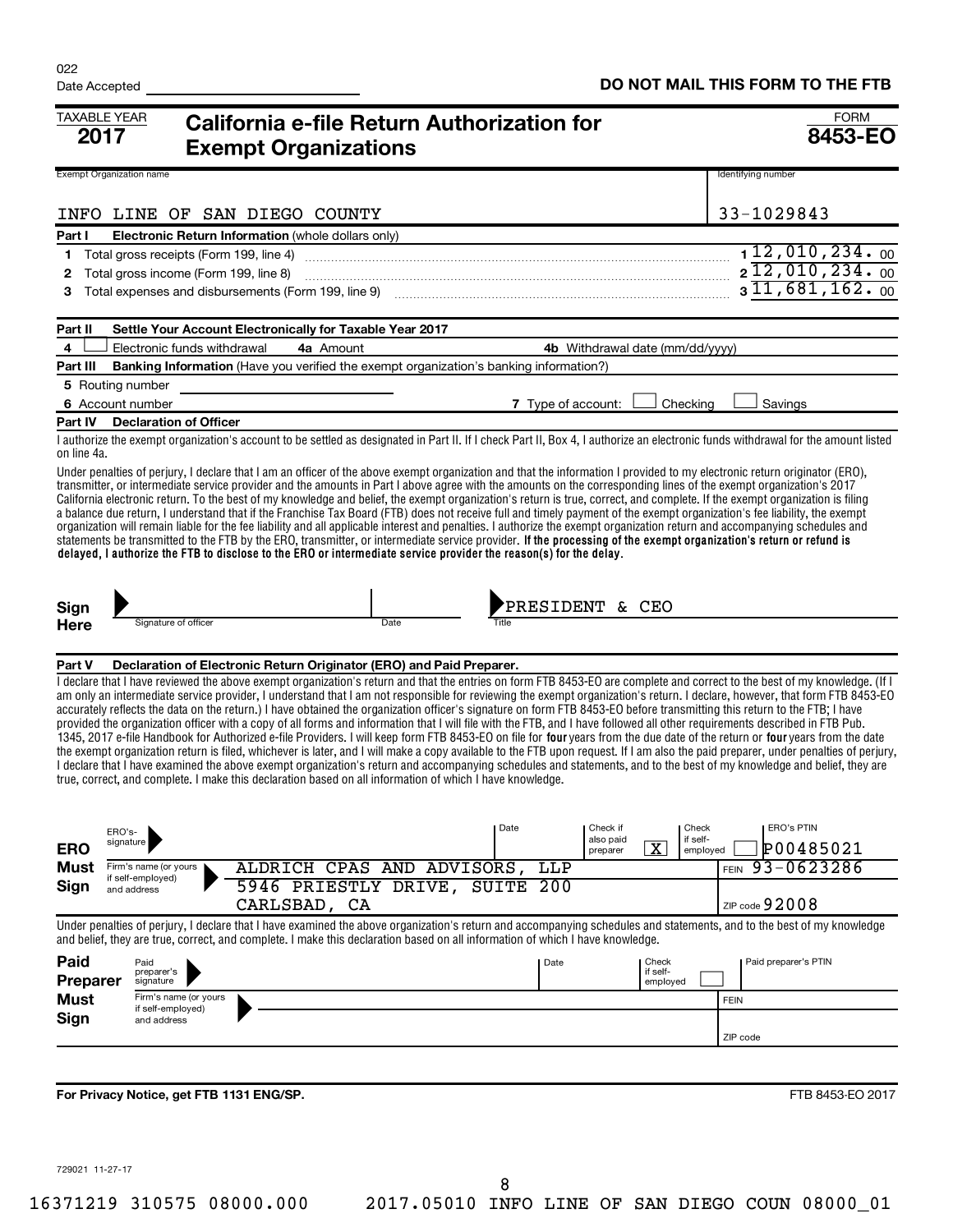| <b>TAXABLE YEAR</b><br>2017     |                                                     | California e-file Return Authorization for<br><b>Exempt Organizations</b>                                                                                                                                                                                                                                                                                                                                                                                                                                                                                                                                                                                                                                                                                                                                                                                                                                                                                                                                                                                                                                                                                                          |                    |                                                                          | <b>FORM</b><br><b>8453-EO</b>                                                                                                                                                                                                                                                                                                                                                                                                                                                                                                                                                                                                                                                                                                                                                                                                                                                                          |
|---------------------------------|-----------------------------------------------------|------------------------------------------------------------------------------------------------------------------------------------------------------------------------------------------------------------------------------------------------------------------------------------------------------------------------------------------------------------------------------------------------------------------------------------------------------------------------------------------------------------------------------------------------------------------------------------------------------------------------------------------------------------------------------------------------------------------------------------------------------------------------------------------------------------------------------------------------------------------------------------------------------------------------------------------------------------------------------------------------------------------------------------------------------------------------------------------------------------------------------------------------------------------------------------|--------------------|--------------------------------------------------------------------------|--------------------------------------------------------------------------------------------------------------------------------------------------------------------------------------------------------------------------------------------------------------------------------------------------------------------------------------------------------------------------------------------------------------------------------------------------------------------------------------------------------------------------------------------------------------------------------------------------------------------------------------------------------------------------------------------------------------------------------------------------------------------------------------------------------------------------------------------------------------------------------------------------------|
| <b>Exempt Organization name</b> |                                                     |                                                                                                                                                                                                                                                                                                                                                                                                                                                                                                                                                                                                                                                                                                                                                                                                                                                                                                                                                                                                                                                                                                                                                                                    |                    |                                                                          | Identifying number                                                                                                                                                                                                                                                                                                                                                                                                                                                                                                                                                                                                                                                                                                                                                                                                                                                                                     |
|                                 | INFO LINE OF SAN DIEGO COUNTY                       |                                                                                                                                                                                                                                                                                                                                                                                                                                                                                                                                                                                                                                                                                                                                                                                                                                                                                                                                                                                                                                                                                                                                                                                    |                    |                                                                          | 33-1029843                                                                                                                                                                                                                                                                                                                                                                                                                                                                                                                                                                                                                                                                                                                                                                                                                                                                                             |
| Part I                          | Electronic Return Information (whole dollars only)  |                                                                                                                                                                                                                                                                                                                                                                                                                                                                                                                                                                                                                                                                                                                                                                                                                                                                                                                                                                                                                                                                                                                                                                                    |                    |                                                                          |                                                                                                                                                                                                                                                                                                                                                                                                                                                                                                                                                                                                                                                                                                                                                                                                                                                                                                        |
| 1                               | Total gross receipts (Form 199, line 4)             |                                                                                                                                                                                                                                                                                                                                                                                                                                                                                                                                                                                                                                                                                                                                                                                                                                                                                                                                                                                                                                                                                                                                                                                    |                    |                                                                          | 112,010,234.00<br>$2\overline{12}$ , 010, 234. 00                                                                                                                                                                                                                                                                                                                                                                                                                                                                                                                                                                                                                                                                                                                                                                                                                                                      |
| 2<br>3                          | Total gross income (Form 199, line 8)               |                                                                                                                                                                                                                                                                                                                                                                                                                                                                                                                                                                                                                                                                                                                                                                                                                                                                                                                                                                                                                                                                                                                                                                                    |                    |                                                                          | $3\overline{11,681,162.00}$                                                                                                                                                                                                                                                                                                                                                                                                                                                                                                                                                                                                                                                                                                                                                                                                                                                                            |
|                                 | Total expenses and disbursements (Form 199, line 9) |                                                                                                                                                                                                                                                                                                                                                                                                                                                                                                                                                                                                                                                                                                                                                                                                                                                                                                                                                                                                                                                                                                                                                                                    |                    |                                                                          |                                                                                                                                                                                                                                                                                                                                                                                                                                                                                                                                                                                                                                                                                                                                                                                                                                                                                                        |
| Part II                         |                                                     | Settle Your Account Electronically for Taxable Year 2017                                                                                                                                                                                                                                                                                                                                                                                                                                                                                                                                                                                                                                                                                                                                                                                                                                                                                                                                                                                                                                                                                                                           |                    |                                                                          |                                                                                                                                                                                                                                                                                                                                                                                                                                                                                                                                                                                                                                                                                                                                                                                                                                                                                                        |
| 4                               | Electronic funds withdrawal                         | 4a Amount                                                                                                                                                                                                                                                                                                                                                                                                                                                                                                                                                                                                                                                                                                                                                                                                                                                                                                                                                                                                                                                                                                                                                                          |                    | 4b Withdrawal date (mm/dd/yyyy)                                          |                                                                                                                                                                                                                                                                                                                                                                                                                                                                                                                                                                                                                                                                                                                                                                                                                                                                                                        |
| Part III                        |                                                     | <b>Banking Information</b> (Have you verified the exempt organization's banking information?)                                                                                                                                                                                                                                                                                                                                                                                                                                                                                                                                                                                                                                                                                                                                                                                                                                                                                                                                                                                                                                                                                      |                    |                                                                          |                                                                                                                                                                                                                                                                                                                                                                                                                                                                                                                                                                                                                                                                                                                                                                                                                                                                                                        |
| 5 Routing number                |                                                     |                                                                                                                                                                                                                                                                                                                                                                                                                                                                                                                                                                                                                                                                                                                                                                                                                                                                                                                                                                                                                                                                                                                                                                                    |                    |                                                                          |                                                                                                                                                                                                                                                                                                                                                                                                                                                                                                                                                                                                                                                                                                                                                                                                                                                                                                        |
| 6 Account number                |                                                     |                                                                                                                                                                                                                                                                                                                                                                                                                                                                                                                                                                                                                                                                                                                                                                                                                                                                                                                                                                                                                                                                                                                                                                                    | 7 Type of account: | Checking                                                                 | Savings                                                                                                                                                                                                                                                                                                                                                                                                                                                                                                                                                                                                                                                                                                                                                                                                                                                                                                |
| Part IV                         | <b>Declaration of Officer</b>                       |                                                                                                                                                                                                                                                                                                                                                                                                                                                                                                                                                                                                                                                                                                                                                                                                                                                                                                                                                                                                                                                                                                                                                                                    |                    |                                                                          |                                                                                                                                                                                                                                                                                                                                                                                                                                                                                                                                                                                                                                                                                                                                                                                                                                                                                                        |
| on line 4a.                     |                                                     |                                                                                                                                                                                                                                                                                                                                                                                                                                                                                                                                                                                                                                                                                                                                                                                                                                                                                                                                                                                                                                                                                                                                                                                    |                    |                                                                          | I authorize the exempt organization's account to be settled as designated in Part II. If I check Part II, Box 4, I authorize an electronic funds withdrawal for the amount listed                                                                                                                                                                                                                                                                                                                                                                                                                                                                                                                                                                                                                                                                                                                      |
|                                 |                                                     | Under penalties of perjury, I declare that I am an officer of the above exempt organization and that the information I provided to my electronic return originator (ERO),<br>transmitter, or intermediate service provider and the amounts in Part I above agree with the amounts on the corresponding lines of the exempt organization's 2017<br>California electronic return. To the best of my knowledge and belief, the exempt organization's return is true, correct, and complete. If the exempt organization is filing<br>a balance due return, I understand that if the Franchise Tax Board (FTB) does not receive full and timely payment of the exempt organization's fee liability, the exempt<br>organization will remain liable for the fee liability and all applicable interest and penalties. I authorize the exempt organization return and accompanying schedules and<br>statements be transmitted to the FTB by the ERO, transmitter, or intermediate service provider. If the processing of the exempt organization's return or refund is<br>delayed, I authorize the FTB to disclose to the ERO or intermediate service provider the reason(s) for the delay. |                    |                                                                          |                                                                                                                                                                                                                                                                                                                                                                                                                                                                                                                                                                                                                                                                                                                                                                                                                                                                                                        |
| Sign                            |                                                     |                                                                                                                                                                                                                                                                                                                                                                                                                                                                                                                                                                                                                                                                                                                                                                                                                                                                                                                                                                                                                                                                                                                                                                                    | PRESIDENT & CEO    |                                                                          |                                                                                                                                                                                                                                                                                                                                                                                                                                                                                                                                                                                                                                                                                                                                                                                                                                                                                                        |
| Here                            | Signature of officer                                | Date                                                                                                                                                                                                                                                                                                                                                                                                                                                                                                                                                                                                                                                                                                                                                                                                                                                                                                                                                                                                                                                                                                                                                                               |                    |                                                                          |                                                                                                                                                                                                                                                                                                                                                                                                                                                                                                                                                                                                                                                                                                                                                                                                                                                                                                        |
|                                 |                                                     |                                                                                                                                                                                                                                                                                                                                                                                                                                                                                                                                                                                                                                                                                                                                                                                                                                                                                                                                                                                                                                                                                                                                                                                    |                    |                                                                          |                                                                                                                                                                                                                                                                                                                                                                                                                                                                                                                                                                                                                                                                                                                                                                                                                                                                                                        |
| Part V                          |                                                     | Declaration of Electronic Return Originator (ERO) and Paid Preparer.                                                                                                                                                                                                                                                                                                                                                                                                                                                                                                                                                                                                                                                                                                                                                                                                                                                                                                                                                                                                                                                                                                               |                    |                                                                          |                                                                                                                                                                                                                                                                                                                                                                                                                                                                                                                                                                                                                                                                                                                                                                                                                                                                                                        |
|                                 |                                                     | accurately reflects the data on the return.) I have obtained the organization officer's signature on form FTB 8453-EO before transmitting this return to the FTB; I have<br>provided the organization officer with a copy of all forms and information that I will file with the FTB, and I have followed all other requirements described in FTB Pub.<br>true, correct, and complete. I make this declaration based on all information of which I have knowledge.                                                                                                                                                                                                                                                                                                                                                                                                                                                                                                                                                                                                                                                                                                                 |                    |                                                                          | I declare that I have reviewed the above exempt organization's return and that the entries on form FTB 8453-EO are complete and correct to the best of my knowledge. (If I<br>am only an intermediate service provider, I understand that I am not responsible for reviewing the exempt organization's return. I declare, however, that form FTB 8453-EO<br>1345, 2017 e-file Handbook for Authorized e-file Providers. I will keep form FTB 8453-EO on file for four years from the due date of the return or four years from the date<br>the exempt organization return is filed, whichever is later, and I will make a copy available to the FTB upon request. If I am also the paid preparer, under penalties of perjury,<br>I declare that I have examined the above exempt organization's return and accompanying schedules and statements, and to the best of my knowledge and belief, they are |
|                                 | ERO's-                                              |                                                                                                                                                                                                                                                                                                                                                                                                                                                                                                                                                                                                                                                                                                                                                                                                                                                                                                                                                                                                                                                                                                                                                                                    | Date               | Check<br>Check if                                                        | <b>ERO's PTIN</b>                                                                                                                                                                                                                                                                                                                                                                                                                                                                                                                                                                                                                                                                                                                                                                                                                                                                                      |
| <b>ERO</b>                      | signature                                           |                                                                                                                                                                                                                                                                                                                                                                                                                                                                                                                                                                                                                                                                                                                                                                                                                                                                                                                                                                                                                                                                                                                                                                                    |                    | if self-<br>also paid<br>$\overline{\textbf{x}}$<br>preparer<br>employed | P00485021                                                                                                                                                                                                                                                                                                                                                                                                                                                                                                                                                                                                                                                                                                                                                                                                                                                                                              |
| Must                            | Firm's name (or yours                               | ALDRICH CPAS AND ADVISORS,                                                                                                                                                                                                                                                                                                                                                                                                                                                                                                                                                                                                                                                                                                                                                                                                                                                                                                                                                                                                                                                                                                                                                         | LLP                |                                                                          | 93-0623286<br><b>FEIN</b>                                                                                                                                                                                                                                                                                                                                                                                                                                                                                                                                                                                                                                                                                                                                                                                                                                                                              |
| Sign                            | if self-employed)<br>and address                    | 5946 PRIESTLY DRIVE, SUITE 200                                                                                                                                                                                                                                                                                                                                                                                                                                                                                                                                                                                                                                                                                                                                                                                                                                                                                                                                                                                                                                                                                                                                                     |                    |                                                                          |                                                                                                                                                                                                                                                                                                                                                                                                                                                                                                                                                                                                                                                                                                                                                                                                                                                                                                        |
|                                 |                                                     | CARLSBAD, CA                                                                                                                                                                                                                                                                                                                                                                                                                                                                                                                                                                                                                                                                                                                                                                                                                                                                                                                                                                                                                                                                                                                                                                       |                    |                                                                          | ZIP code $92008$                                                                                                                                                                                                                                                                                                                                                                                                                                                                                                                                                                                                                                                                                                                                                                                                                                                                                       |
|                                 |                                                     | and belief, they are true, correct, and complete. I make this declaration based on all information of which I have knowledge.                                                                                                                                                                                                                                                                                                                                                                                                                                                                                                                                                                                                                                                                                                                                                                                                                                                                                                                                                                                                                                                      |                    |                                                                          | Under penalties of perjury, I declare that I have examined the above organization's return and accompanying schedules and statements, and to the best of my knowledge                                                                                                                                                                                                                                                                                                                                                                                                                                                                                                                                                                                                                                                                                                                                  |
| Paid                            | Paid<br>preparer's                                  |                                                                                                                                                                                                                                                                                                                                                                                                                                                                                                                                                                                                                                                                                                                                                                                                                                                                                                                                                                                                                                                                                                                                                                                    | Date               | Check<br>if self-                                                        | Paid preparer's PTIN                                                                                                                                                                                                                                                                                                                                                                                                                                                                                                                                                                                                                                                                                                                                                                                                                                                                                   |
| Preparer                        | signature                                           |                                                                                                                                                                                                                                                                                                                                                                                                                                                                                                                                                                                                                                                                                                                                                                                                                                                                                                                                                                                                                                                                                                                                                                                    |                    | employed                                                                 |                                                                                                                                                                                                                                                                                                                                                                                                                                                                                                                                                                                                                                                                                                                                                                                                                                                                                                        |
| <b>Must</b>                     | Firm's name (or yours<br>if self-employed)          |                                                                                                                                                                                                                                                                                                                                                                                                                                                                                                                                                                                                                                                                                                                                                                                                                                                                                                                                                                                                                                                                                                                                                                                    |                    |                                                                          | <b>FEIN</b>                                                                                                                                                                                                                                                                                                                                                                                                                                                                                                                                                                                                                                                                                                                                                                                                                                                                                            |
| <b>Sign</b>                     | and address                                         |                                                                                                                                                                                                                                                                                                                                                                                                                                                                                                                                                                                                                                                                                                                                                                                                                                                                                                                                                                                                                                                                                                                                                                                    |                    |                                                                          | ZIP code                                                                                                                                                                                                                                                                                                                                                                                                                                                                                                                                                                                                                                                                                                                                                                                                                                                                                               |
|                                 |                                                     |                                                                                                                                                                                                                                                                                                                                                                                                                                                                                                                                                                                                                                                                                                                                                                                                                                                                                                                                                                                                                                                                                                                                                                                    |                    |                                                                          |                                                                                                                                                                                                                                                                                                                                                                                                                                                                                                                                                                                                                                                                                                                                                                                                                                                                                                        |
|                                 |                                                     |                                                                                                                                                                                                                                                                                                                                                                                                                                                                                                                                                                                                                                                                                                                                                                                                                                                                                                                                                                                                                                                                                                                                                                                    |                    |                                                                          |                                                                                                                                                                                                                                                                                                                                                                                                                                                                                                                                                                                                                                                                                                                                                                                                                                                                                                        |
|                                 | For Privacy Notice, get FTB 1131 ENG/SP.            |                                                                                                                                                                                                                                                                                                                                                                                                                                                                                                                                                                                                                                                                                                                                                                                                                                                                                                                                                                                                                                                                                                                                                                                    |                    |                                                                          | FTB 8453-EO 2017                                                                                                                                                                                                                                                                                                                                                                                                                                                                                                                                                                                                                                                                                                                                                                                                                                                                                       |

729021 11-27-17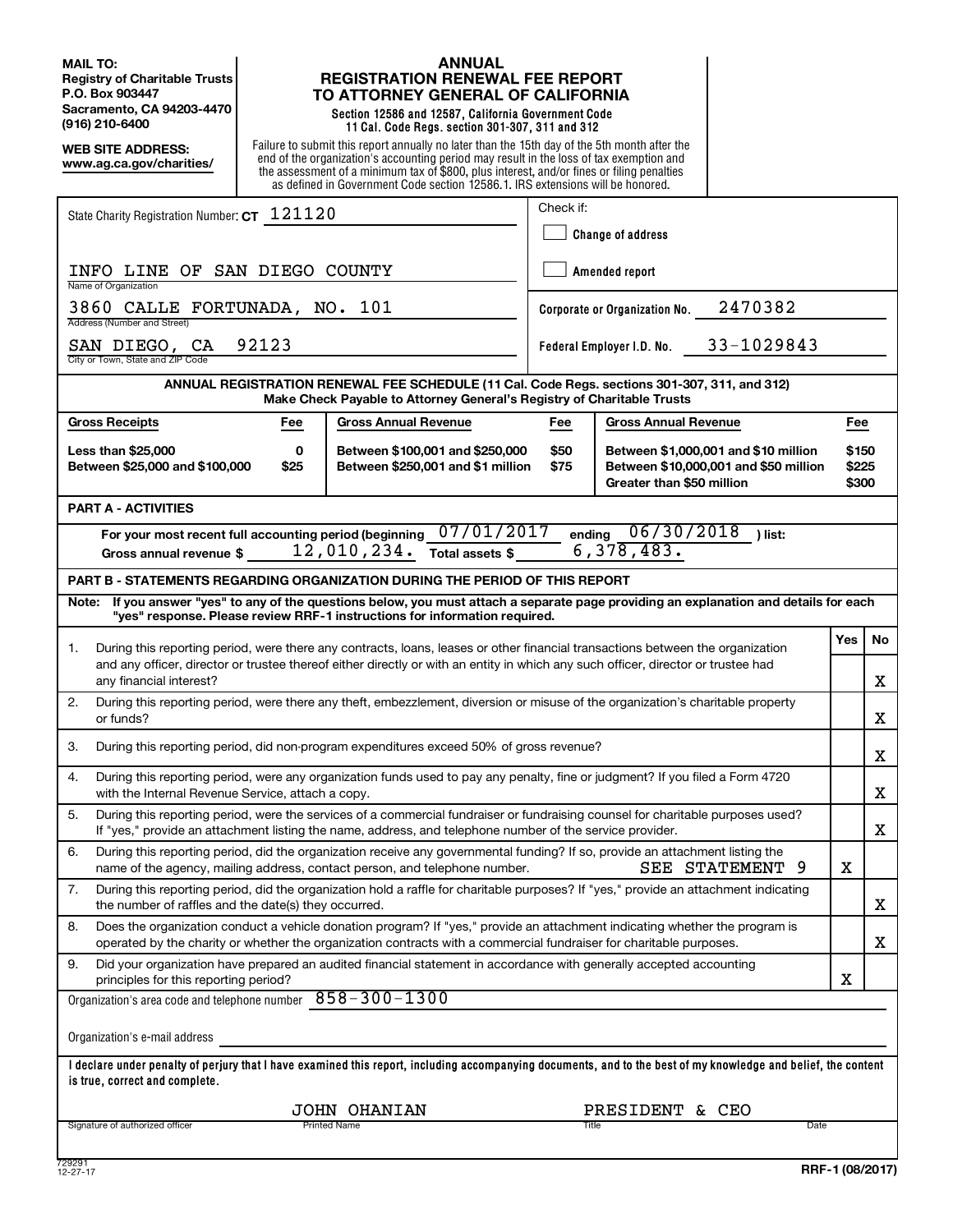**MAIL TO: Registry of Charitable Trusts P.O. Box 903447 Sacramento, CA 94203-4470 (916) 210-6400**

**WEB SITE ADDRESS: www.ag.ca.gov/charities/**

### **ANNUAL REGISTRATION RENEWAL FEE REPORT TO ATTORNEY GENERAL OF CALIFORNIA**

**Section 12586 and 12587, California Government Code 11 Cal. Code Regs. section 301-307, 311 and 312**

Failure to submit this report annually no later than the 15th day of the 5th month after the end of the organization's accounting period may result in the loss of tax exemption and the assessment of a minimum tax of \$800, plus interest, and/or fines or filing penalties as defined in Government Code section 12586.1. IRS extensions will be honored.

| State Charity Registration Number: CT 121120                                                                                                                                                                                                             |                                                                                                                            | Check if:<br><b>Change of address</b>    |  |                         |    |  |
|----------------------------------------------------------------------------------------------------------------------------------------------------------------------------------------------------------------------------------------------------------|----------------------------------------------------------------------------------------------------------------------------|------------------------------------------|--|-------------------------|----|--|
| INFO LINE OF SAN DIEGO COUNTY                                                                                                                                                                                                                            |                                                                                                                            | Amended report                           |  |                         |    |  |
| Name of Organization<br>3860 CALLE FORTUNADA, NO. 101<br>Address (Number and Street)                                                                                                                                                                     |                                                                                                                            | 2470382<br>Corporate or Organization No. |  |                         |    |  |
| 92123<br>SAN DIEGO, CA<br>City or Town, State and ZIP Code                                                                                                                                                                                               |                                                                                                                            | 33-1029843<br>Federal Employer I.D. No.  |  |                         |    |  |
| ANNUAL REGISTRATION RENEWAL FEE SCHEDULE (11 Cal. Code Regs. sections 301-307, 311, and 312)<br>Make Check Payable to Attorney General's Registry of Charitable Trusts                                                                                   |                                                                                                                            |                                          |  |                         |    |  |
| <b>Gross Receipts</b><br><b>Gross Annual Revenue</b><br>Fee                                                                                                                                                                                              | Fee                                                                                                                        | <b>Gross Annual Revenue</b>              |  | Fee                     |    |  |
| <b>Less than \$25,000</b><br>0<br>Between \$100,001 and \$250,000<br>Between \$25,000 and \$100,000<br>\$25<br>Between \$250,001 and \$1 million                                                                                                         | \$50<br>Between \$1,000,001 and \$10 million<br>\$75<br>Between \$10,000,001 and \$50 million<br>Greater than \$50 million |                                          |  | \$150<br>\$225<br>\$300 |    |  |
| <b>PART A - ACTIVITIES</b>                                                                                                                                                                                                                               |                                                                                                                            |                                          |  |                         |    |  |
| 07/01/2017<br>ending 06/30/2018<br>For your most recent full accounting period (beginning<br>) list:<br>6,378,483.<br>12,010,234.<br>Total assets \$<br>Gross annual revenue \$                                                                          |                                                                                                                            |                                          |  |                         |    |  |
| <b>PART B - STATEMENTS REGARDING ORGANIZATION DURING THE PERIOD OF THIS REPORT</b>                                                                                                                                                                       |                                                                                                                            |                                          |  |                         |    |  |
| If you answer "yes" to any of the questions below, you must attach a separate page providing an explanation and details for each<br>Note:<br>"yes" response. Please review RRF-1 instructions for information required.                                  |                                                                                                                            |                                          |  |                         |    |  |
| During this reporting period, were there any contracts, loans, leases or other financial transactions between the organization<br>1.                                                                                                                     |                                                                                                                            |                                          |  | <b>Yes</b>              | No |  |
| and any officer, director or trustee thereof either directly or with an entity in which any such officer, director or trustee had<br>any financial interest?                                                                                             |                                                                                                                            |                                          |  |                         | X  |  |
| 2.<br>During this reporting period, were there any theft, embezzlement, diversion or misuse of the organization's charitable property<br>or funds?                                                                                                       |                                                                                                                            |                                          |  |                         | X  |  |
| During this reporting period, did non-program expenditures exceed 50% of gross revenue?<br>3.                                                                                                                                                            |                                                                                                                            |                                          |  |                         | X  |  |
| During this reporting period, were any organization funds used to pay any penalty, fine or judgment? If you filed a Form 4720<br>4.<br>with the Internal Revenue Service, attach a copy.                                                                 |                                                                                                                            |                                          |  |                         | X  |  |
| 5.<br>During this reporting period, were the services of a commercial fundraiser or fundraising counsel for charitable purposes used?<br>If "yes," provide an attachment listing the name, address, and telephone number of the service provider.        |                                                                                                                            |                                          |  |                         | X  |  |
| 6.<br>During this reporting period, did the organization receive any governmental funding? If so, provide an attachment listing the<br>SEE STATEMENT 9<br>name of the agency, mailing address, contact person, and telephone number.                     |                                                                                                                            |                                          |  |                         |    |  |
| 7.<br>During this reporting period, did the organization hold a raffle for charitable purposes? If "yes," provide an attachment indicating<br>the number of raffles and the date(s) they occurred.                                                       |                                                                                                                            |                                          |  |                         | X  |  |
| Does the organization conduct a vehicle donation program? If "yes," provide an attachment indicating whether the program is<br>8.<br>operated by the charity or whether the organization contracts with a commercial fundraiser for charitable purposes. |                                                                                                                            |                                          |  |                         | x  |  |
| Did your organization have prepared an audited financial statement in accordance with generally accepted accounting<br>9.<br>principles for this reporting period?                                                                                       |                                                                                                                            |                                          |  | х                       |    |  |
| Organization's area code and telephone number $858 - 300 - 1300$                                                                                                                                                                                         |                                                                                                                            |                                          |  |                         |    |  |
| Organization's e-mail address                                                                                                                                                                                                                            |                                                                                                                            |                                          |  |                         |    |  |
| I declare under penalty of perjury that I have examined this report, including accompanying documents, and to the best of my knowledge and belief, the content<br>is true, correct and complete.                                                         |                                                                                                                            |                                          |  |                         |    |  |
| <b>JOHN OHANIAN</b><br>PRESIDENT & CEO                                                                                                                                                                                                                   |                                                                                                                            |                                          |  |                         |    |  |
| Signature of authorized officer<br>Printed Name<br>Title<br>Date                                                                                                                                                                                         |                                                                                                                            |                                          |  |                         |    |  |
|                                                                                                                                                                                                                                                          |                                                                                                                            |                                          |  |                         |    |  |